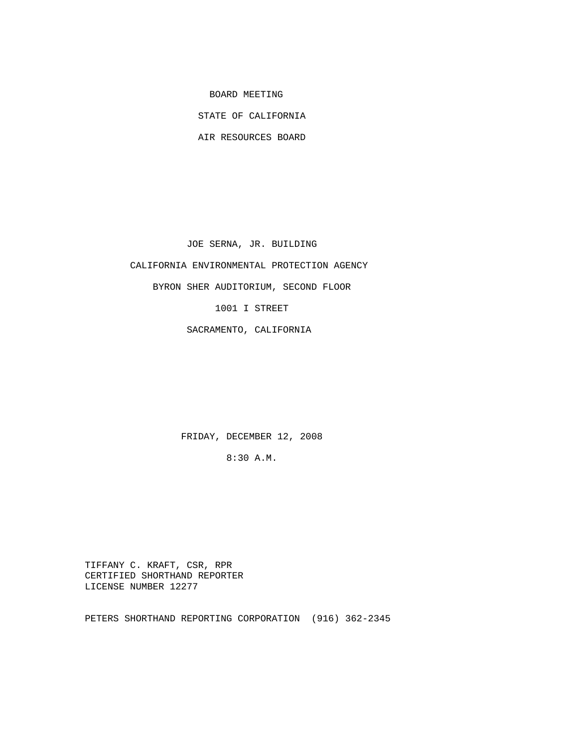BOARD MEETING

STATE OF CALIFORNIA

AIR RESOURCES BOARD

JOE SERNA, JR. BUILDING

CALIFORNIA ENVIRONMENTAL PROTECTION AGENCY

BYRON SHER AUDITORIUM, SECOND FLOOR

1001 I STREET

SACRAMENTO, CALIFORNIA

FRIDAY, DECEMBER 12, 2008

8:30 A.M.

 TIFFANY C. KRAFT, CSR, RPR CERTIFIED SHORTHAND REPORTER LICENSE NUMBER 12277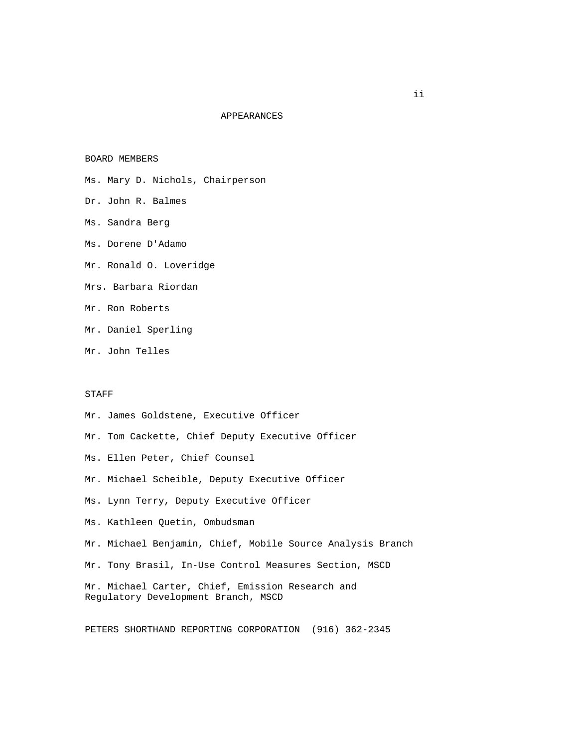### APPEARANCES

BOARD MEMBERS

- Ms. Mary D. Nichols, Chairperson
- Dr. John R. Balmes
- Ms. Sandra Berg
- Ms. Dorene D'Adamo
- Mr. Ronald O. Loveridge
- Mrs. Barbara Riordan
- Mr. Ron Roberts
- Mr. Daniel Sperling
- Mr. John Telles

#### STAFF

- Mr. James Goldstene, Executive Officer
- Mr. Tom Cackette, Chief Deputy Executive Officer
- Ms. Ellen Peter, Chief Counsel
- Mr. Michael Scheible, Deputy Executive Officer
- Ms. Lynn Terry, Deputy Executive Officer
- Ms. Kathleen Quetin, Ombudsman
- Mr. Michael Benjamin, Chief, Mobile Source Analysis Branch
- Mr. Tony Brasil, In-Use Control Measures Section, MSCD

 Mr. Michael Carter, Chief, Emission Research and Regulatory Development Branch, MSCD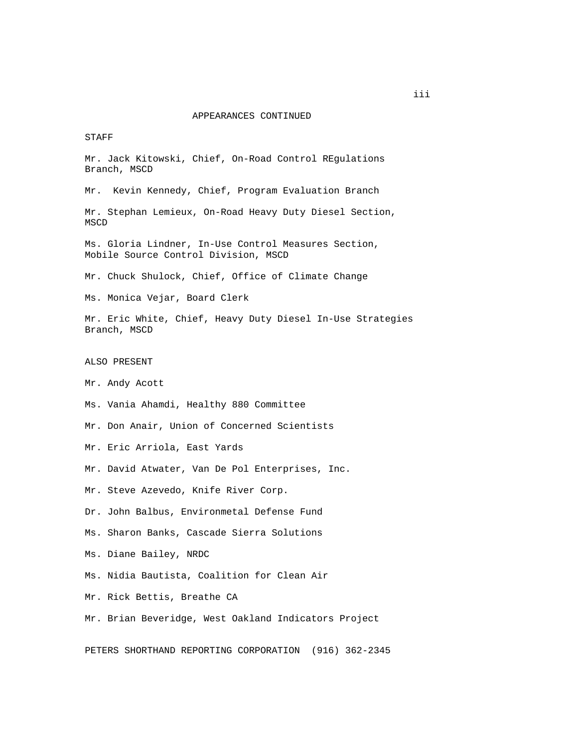STAFF

 Mr. Jack Kitowski, Chief, On-Road Control REgulations Branch, MSCD

Mr. Kevin Kennedy, Chief, Program Evaluation Branch

 Mr. Stephan Lemieux, On-Road Heavy Duty Diesel Section, MSCD

 Ms. Gloria Lindner, In-Use Control Measures Section, Mobile Source Control Division, MSCD

Mr. Chuck Shulock, Chief, Office of Climate Change

Ms. Monica Vejar, Board Clerk

 Mr. Eric White, Chief, Heavy Duty Diesel In-Use Strategies Branch, MSCD

ALSO PRESENT

Mr. Andy Acott

Ms. Vania Ahamdi, Healthy 880 Committee

Mr. Don Anair, Union of Concerned Scientists

Mr. Eric Arriola, East Yards

Mr. David Atwater, Van De Pol Enterprises, Inc.

Mr. Steve Azevedo, Knife River Corp.

Dr. John Balbus, Environmetal Defense Fund

Ms. Sharon Banks, Cascade Sierra Solutions

Ms. Diane Bailey, NRDC

Ms. Nidia Bautista, Coalition for Clean Air

Mr. Rick Bettis, Breathe CA

Mr. Brian Beveridge, West Oakland Indicators Project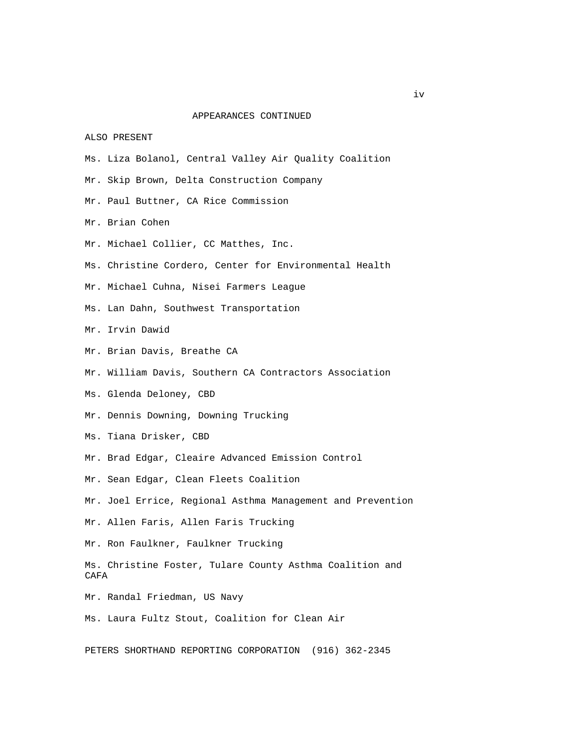ALSO PRESENT

- Ms. Liza Bolanol, Central Valley Air Quality Coalition
- Mr. Skip Brown, Delta Construction Company
- Mr. Paul Buttner, CA Rice Commission
- Mr. Brian Cohen
- Mr. Michael Collier, CC Matthes, Inc.
- Ms. Christine Cordero, Center for Environmental Health
- Mr. Michael Cuhna, Nisei Farmers League
- Ms. Lan Dahn, Southwest Transportation
- Mr. Irvin Dawid
- Mr. Brian Davis, Breathe CA
- Mr. William Davis, Southern CA Contractors Association
- Ms. Glenda Deloney, CBD
- Mr. Dennis Downing, Downing Trucking
- Ms. Tiana Drisker, CBD
- Mr. Brad Edgar, Cleaire Advanced Emission Control
- Mr. Sean Edgar, Clean Fleets Coalition
- Mr. Joel Errice, Regional Asthma Management and Prevention
- Mr. Allen Faris, Allen Faris Trucking
- Mr. Ron Faulkner, Faulkner Trucking
- Ms. Christine Foster, Tulare County Asthma Coalition and CAFA
- Mr. Randal Friedman, US Navy
- Ms. Laura Fultz Stout, Coalition for Clean Air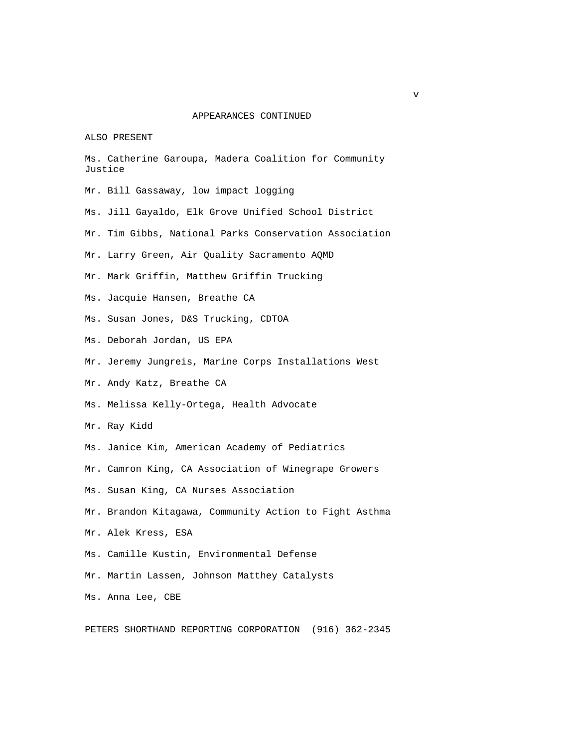#### ALSO PRESENT

|  |         |  |  | Ms. Catherine Garoupa, Madera Coalition for Community |
|--|---------|--|--|-------------------------------------------------------|
|  | Justice |  |  |                                                       |

- Mr. Bill Gassaway, low impact logging
- Ms. Jill Gayaldo, Elk Grove Unified School District
- Mr. Tim Gibbs, National Parks Conservation Association
- Mr. Larry Green, Air Quality Sacramento AQMD
- Mr. Mark Griffin, Matthew Griffin Trucking
- Ms. Jacquie Hansen, Breathe CA
- Ms. Susan Jones, D&S Trucking, CDTOA
- Ms. Deborah Jordan, US EPA
- Mr. Jeremy Jungreis, Marine Corps Installations West
- Mr. Andy Katz, Breathe CA
- Ms. Melissa Kelly-Ortega, Health Advocate
- Mr. Ray Kidd
- Ms. Janice Kim, American Academy of Pediatrics
- Mr. Camron King, CA Association of Winegrape Growers
- Ms. Susan King, CA Nurses Association
- Mr. Brandon Kitagawa, Community Action to Fight Asthma
- Mr. Alek Kress, ESA
- Ms. Camille Kustin, Environmental Defense
- Mr. Martin Lassen, Johnson Matthey Catalysts
- Ms. Anna Lee, CBE

PETERS SHORTHAND REPORTING CORPORATION (916) 362-2345

v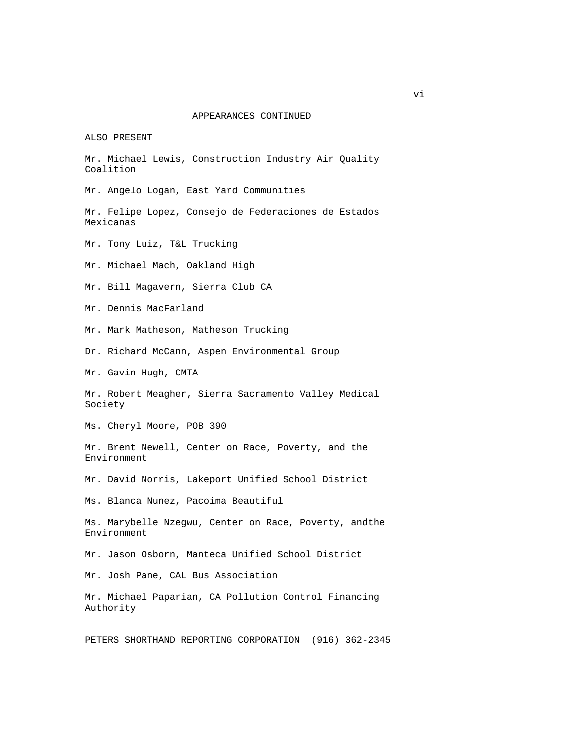ALSO PRESENT

 Mr. Michael Lewis, Construction Industry Air Quality Coalition

Mr. Angelo Logan, East Yard Communities

 Mr. Felipe Lopez, Consejo de Federaciones de Estados Mexicanas

Mr. Tony Luiz, T&L Trucking

Mr. Michael Mach, Oakland High

Mr. Bill Magavern, Sierra Club CA

Mr. Dennis MacFarland

Mr. Mark Matheson, Matheson Trucking

Dr. Richard McCann, Aspen Environmental Group

Mr. Gavin Hugh, CMTA

 Mr. Robert Meagher, Sierra Sacramento Valley Medical Society

Ms. Cheryl Moore, POB 390

 Mr. Brent Newell, Center on Race, Poverty, and the Environment

Mr. David Norris, Lakeport Unified School District

Ms. Blanca Nunez, Pacoima Beautiful

 Ms. Marybelle Nzegwu, Center on Race, Poverty, andthe Environment

Mr. Jason Osborn, Manteca Unified School District

Mr. Josh Pane, CAL Bus Association

 Mr. Michael Paparian, CA Pollution Control Financing Authority

PETERS SHORTHAND REPORTING CORPORATION (916) 362-2345

vi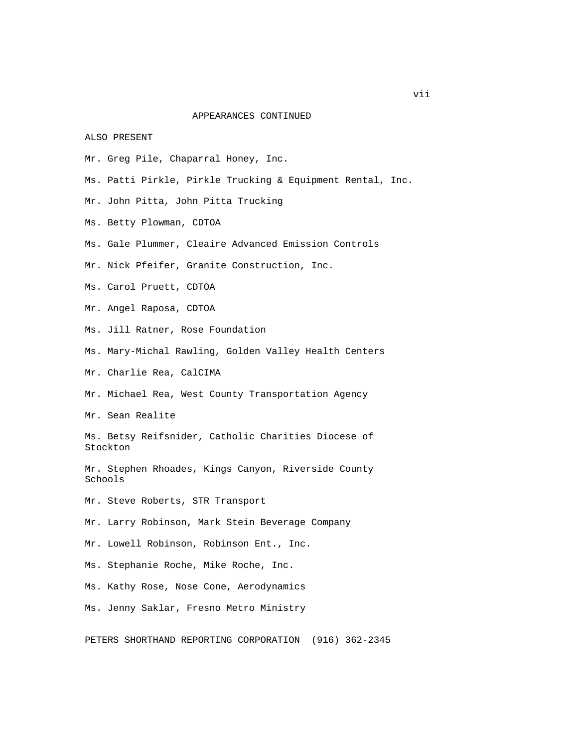ALSO PRESENT

- Mr. Greg Pile, Chaparral Honey, Inc.
- Ms. Patti Pirkle, Pirkle Trucking & Equipment Rental, Inc.
- Mr. John Pitta, John Pitta Trucking
- Ms. Betty Plowman, CDTOA
- Ms. Gale Plummer, Cleaire Advanced Emission Controls
- Mr. Nick Pfeifer, Granite Construction, Inc.
- Ms. Carol Pruett, CDTOA
- Mr. Angel Raposa, CDTOA
- Ms. Jill Ratner, Rose Foundation
- Ms. Mary-Michal Rawling, Golden Valley Health Centers

Mr. Charlie Rea, CalCIMA

Mr. Michael Rea, West County Transportation Agency

Mr. Sean Realite

 Ms. Betsy Reifsnider, Catholic Charities Diocese of Stockton

 Mr. Stephen Rhoades, Kings Canyon, Riverside County Schools

Mr. Steve Roberts, STR Transport

- Mr. Larry Robinson, Mark Stein Beverage Company
- Mr. Lowell Robinson, Robinson Ent., Inc.

Ms. Stephanie Roche, Mike Roche, Inc.

Ms. Kathy Rose, Nose Cone, Aerodynamics

Ms. Jenny Saklar, Fresno Metro Ministry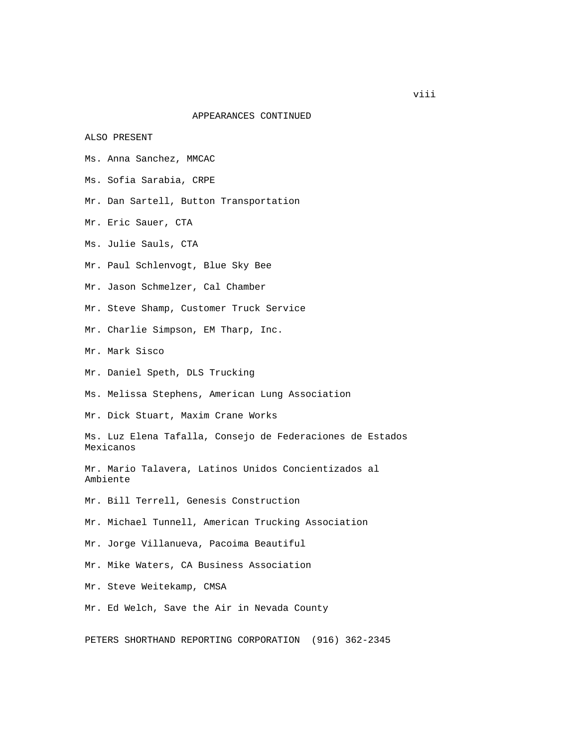ALSO PRESENT

- Ms. Anna Sanchez, MMCAC
- Ms. Sofia Sarabia, CRPE
- Mr. Dan Sartell, Button Transportation
- Mr. Eric Sauer, CTA
- Ms. Julie Sauls, CTA
- Mr. Paul Schlenvogt, Blue Sky Bee
- Mr. Jason Schmelzer, Cal Chamber
- Mr. Steve Shamp, Customer Truck Service
- Mr. Charlie Simpson, EM Tharp, Inc.
- Mr. Mark Sisco
- Mr. Daniel Speth, DLS Trucking
- Ms. Melissa Stephens, American Lung Association
- Mr. Dick Stuart, Maxim Crane Works
- Ms. Luz Elena Tafalla, Consejo de Federaciones de Estados Mexicanos
- Mr. Mario Talavera, Latinos Unidos Concientizados al Ambiente
- Mr. Bill Terrell, Genesis Construction
- Mr. Michael Tunnell, American Trucking Association
- Mr. Jorge Villanueva, Pacoima Beautiful
- Mr. Mike Waters, CA Business Association
- Mr. Steve Weitekamp, CMSA
- Mr. Ed Welch, Save the Air in Nevada County
- PETERS SHORTHAND REPORTING CORPORATION (916) 362-2345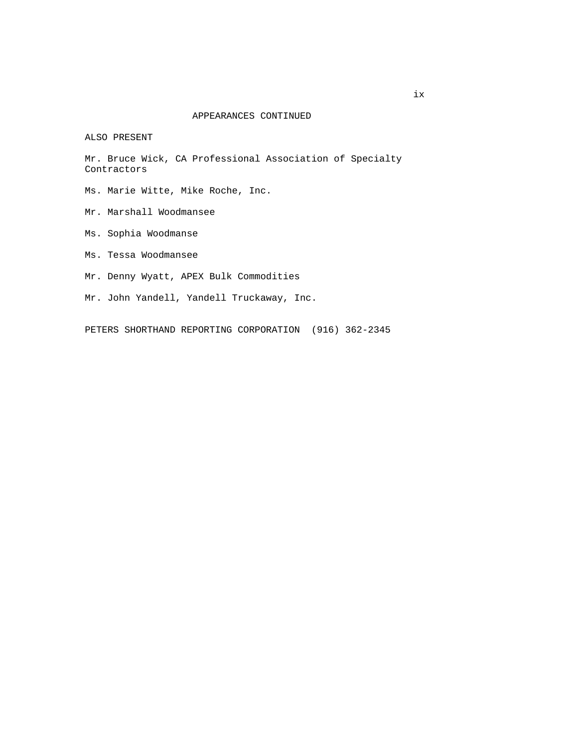ALSO PRESENT

 Mr. Bruce Wick, CA Professional Association of Specialty Contractors

Ms. Marie Witte, Mike Roche, Inc.

- Mr. Marshall Woodmansee
- Ms. Sophia Woodmanse
- Ms. Tessa Woodmansee
- Mr. Denny Wyatt, APEX Bulk Commodities
- Mr. John Yandell, Yandell Truckaway, Inc.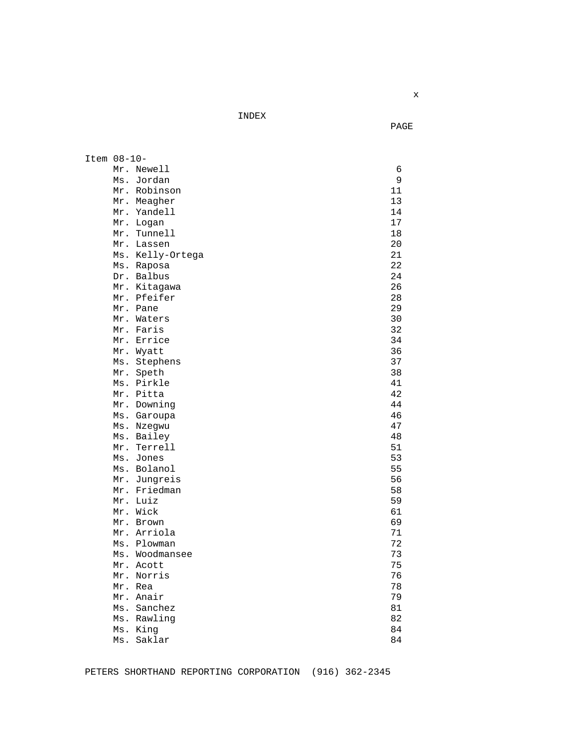INDEX

**PAGE** 

| Item 08-10- |     |                  |    |
|-------------|-----|------------------|----|
|             |     | Mr. Newell       | 6  |
|             | Ms. | Jordan           | 9  |
|             |     | Mr. Robinson     | 11 |
|             |     | Mr. Meagher      | 13 |
|             |     | Mr. Yandell      | 14 |
|             |     | Mr. Logan        | 17 |
|             |     | Mr. Tunnell      | 18 |
|             |     | Mr. Lassen       | 20 |
|             |     | Ms. Kelly-Ortega | 21 |
|             |     | Ms. Raposa       | 22 |
|             |     | Dr. Balbus       | 24 |
|             |     | Mr. Kitagawa     | 26 |
|             |     | Mr. Pfeifer      | 28 |
|             |     | Mr. Pane         | 29 |
|             |     | Mr. Waters       | 30 |
|             |     | Mr. Faris        | 32 |
|             |     | Mr. Errice       | 34 |
|             |     | Mr. Wyatt        | 36 |
|             | Ms. | Stephens         | 37 |
|             | Mr. | Speth            | 38 |
|             |     | Ms. Pirkle       | 41 |
|             |     | Mr. Pitta        | 42 |
|             |     | Mr. Downing      | 44 |
|             |     | Ms. Garoupa      | 46 |
|             |     | Ms. Nzegwu       | 47 |
|             |     | Ms. Bailey       | 48 |
|             | Mr. | Terrell          | 51 |
|             |     | Ms. Jones        | 53 |
|             |     | Ms. Bolanol      | 55 |
|             |     | Mr. Jungreis     | 56 |
|             |     | Mr. Friedman     | 58 |
|             |     | Mr. Luiz         | 59 |
|             |     | Mr. Wick         | 61 |
|             |     | Mr. Brown        | 69 |
|             |     | Mr. Arriola      | 71 |
|             |     | Ms. Plowman      | 72 |
|             |     | Ms. Woodmansee   | 73 |
|             |     | Mr. Acott        | 75 |
|             |     | Mr. Norris       | 76 |
|             |     | Mr. Rea          | 78 |
|             |     | Mr. Anair        | 79 |
|             |     | Ms. Sanchez      | 81 |
|             |     | Ms. Rawling      | 82 |
|             |     | Ms. King         | 84 |
|             | Ms. | Saklar           | 84 |

PETERS SHORTHAND REPORTING CORPORATION (916) 362-2345

**x x**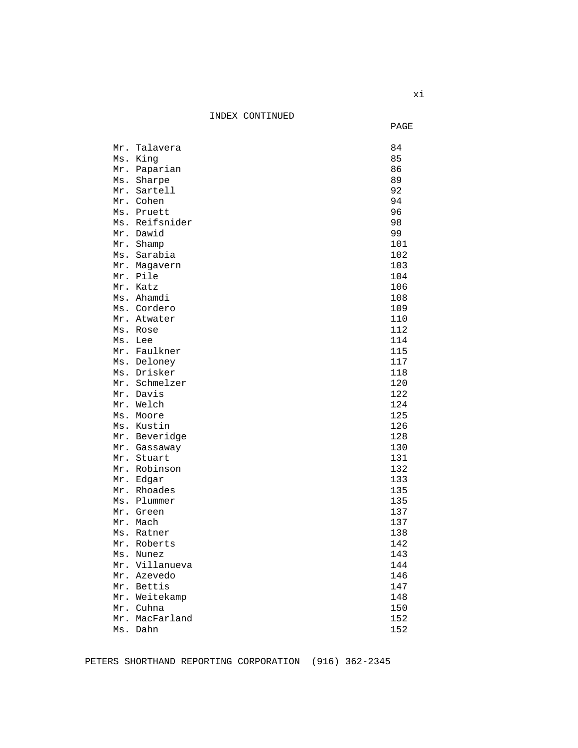INDEX CONTINUED

**PAGE** 

|         | Mr. Talavera             | 84         |
|---------|--------------------------|------------|
|         | Ms. King                 | 85         |
|         | Mr. Paparian             | 86         |
|         | Ms. Sharpe               | 89         |
|         | Mr. Sartell              | 92         |
|         | Mr. Cohen                | 94         |
|         | Ms. Pruett               | 96         |
|         | Ms. Reifsnider           | 98         |
|         | Mr. Dawid                | 99         |
|         | Mr. Shamp                | 101        |
|         | Ms. Sarabia              | 102        |
|         | Mr. Magavern             | 103        |
|         | Mr. Pile                 | 104        |
|         | Mr. Katz                 | 106        |
|         | Ms. Ahamdi               | 108        |
|         | Ms. Cordero              | 109        |
|         | Mr. Atwater              | 110        |
|         | Ms. Rose                 | 112        |
| Ms. Lee |                          | 114        |
|         | Mr. Faulkner             | 115        |
|         | Ms. Deloney              | 117        |
|         | Ms. Drisker              | 118        |
|         | Mr. Schmelzer            | 120        |
|         | Mr. Davis                | 122        |
|         | Mr. Welch                | 124        |
|         | Ms. Moore                | 125        |
|         | Ms. Kustin               | 126        |
|         | Mr. Beveridge            | 128        |
|         | Mr. Gassaway             | 130        |
|         | Mr. Stuart               | 131        |
|         | Mr. Robinson             | 132        |
|         | Mr. Edgar<br>Mr. Rhoades | 133<br>135 |
|         | Ms. Plummer              | 135        |
|         | Mr. Green                | 137        |
|         | Mr. Mach                 | 137        |
|         | Ms. Ratner               | 138        |
|         | Mr. Roberts              | 142        |
|         | Ms. Nunez                | 143        |
|         | Mr. Villanueva           | 144        |
|         | Mr. Azevedo              | 146        |
|         | Mr. Bettis               | 147        |
|         | Mr. Weitekamp            | 148        |
|         | Mr. Cuhna                | 150        |
|         |                          | 152        |
|         | Mr. MacFarland           |            |
|         | Ms. Dahn                 | 152        |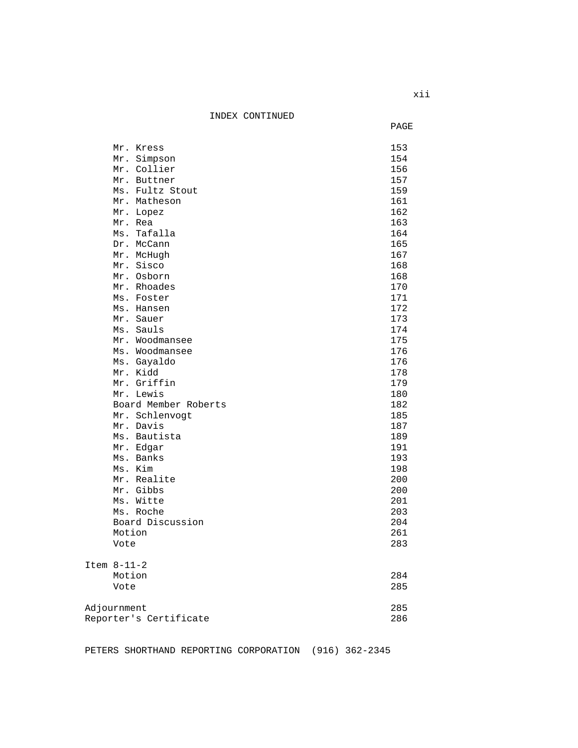INDEX CONTINUED

|                   |                        | PAGE       |
|-------------------|------------------------|------------|
|                   | Mr. Kress              | 153        |
|                   | Mr. Simpson            | 154        |
|                   | Mr. Collier            | 156        |
|                   | Mr. Buttner            | 157        |
|                   | Ms. Fultz Stout        | 159        |
|                   | Mr. Matheson           | 161        |
|                   | Mr. Lopez              | 162        |
|                   | Mr. Rea                | 163        |
|                   | Ms. Tafalla            | 164        |
|                   | Dr. McCann             | 165        |
|                   | Mr. McHugh             | 167        |
|                   | Mr. Sisco              | 168        |
|                   | Mr. Osborn             | 168        |
|                   | Mr. Rhoades            | 170        |
|                   | Ms. Foster             | 171        |
|                   | Ms. Hansen             | 172        |
|                   | Mr. Sauer              | 173        |
|                   | Ms. Sauls              | 174        |
|                   | Mr. Woodmansee         | 175        |
|                   | Ms. Woodmansee         | 176        |
|                   | Ms. Gayaldo            | 176        |
|                   | Mr. Kidd               | 178        |
|                   | Mr. Griffin            | 179        |
|                   | Mr. Lewis              | 180        |
|                   | Board Member Roberts   | 182        |
|                   | Mr. Schlenvogt         | 185        |
|                   | Mr. Davis              | 187        |
|                   | Ms. Bautista           | 189<br>191 |
|                   | Mr. Edgar<br>Ms. Banks | 193        |
|                   | Ms. Kim                | 198        |
|                   | Mr. Realite            | 200        |
|                   | Mr. Gibbs              | 200        |
|                   | Ms. Witte              | 201        |
|                   | Ms. Roche              | 203        |
|                   | Board Discussion       | 204        |
|                   | Motion                 | 261        |
|                   | Vote                   | 283        |
| Item $8 - 11 - 2$ |                        |            |
|                   | Motion                 | 284        |
|                   | Vote                   | 285        |
|                   |                        |            |
| Adjournment       |                        | 285        |
|                   | Reporter's Certificate | 286        |
|                   |                        |            |

PETERS SHORTHAND REPORTING CORPORATION (916) 362-2345

xii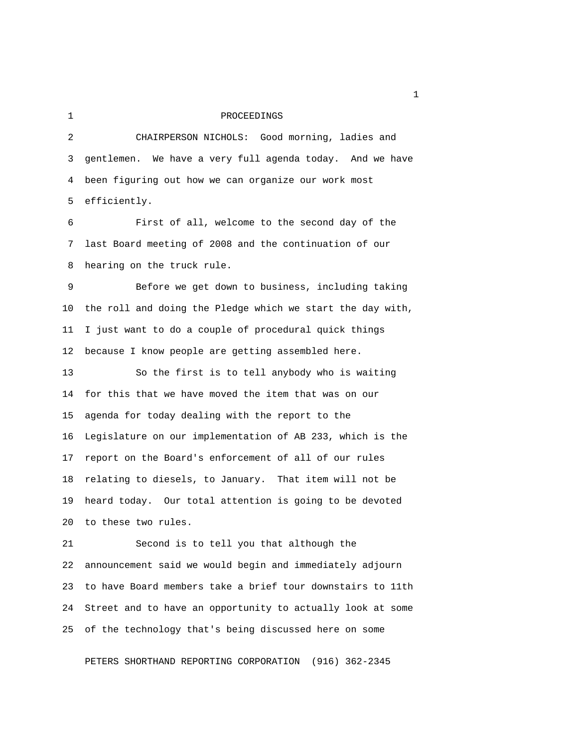# 1 PROCEEDINGS

 2 CHAIRPERSON NICHOLS: Good morning, ladies and 3 gentlemen. We have a very full agenda today. And we have 4 been figuring out how we can organize our work most 5 efficiently.

 6 First of all, welcome to the second day of the 7 last Board meeting of 2008 and the continuation of our 8 hearing on the truck rule.

 9 Before we get down to business, including taking 10 the roll and doing the Pledge which we start the day with, 11 I just want to do a couple of procedural quick things 12 because I know people are getting assembled here.

13 So the first is to tell anybody who is waiting 14 for this that we have moved the item that was on our 15 agenda for today dealing with the report to the 16 Legislature on our implementation of AB 233, which is the 17 report on the Board's enforcement of all of our rules 18 relating to diesels, to January. That item will not be 19 heard today. Our total attention is going to be devoted 20 to these two rules.

21 Second is to tell you that although the 22 announcement said we would begin and immediately adjourn 23 to have Board members take a brief tour downstairs to 11th 24 Street and to have an opportunity to actually look at some 25 of the technology that's being discussed here on some

PETERS SHORTHAND REPORTING CORPORATION (916) 362-2345

 $1<sub>1</sub>$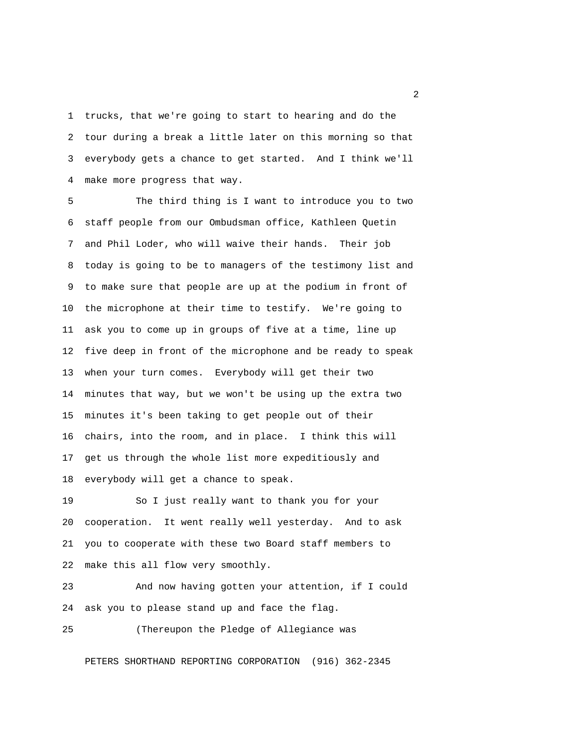1 trucks, that we're going to start to hearing and do the 2 tour during a break a little later on this morning so that 3 everybody gets a chance to get started. And I think we'll 4 make more progress that way.

 5 The third thing is I want to introduce you to two 6 staff people from our Ombudsman office, Kathleen Quetin 7 and Phil Loder, who will waive their hands. Their job 8 today is going to be to managers of the testimony list and 9 to make sure that people are up at the podium in front of 10 the microphone at their time to testify. We're going to 11 ask you to come up in groups of five at a time, line up 12 five deep in front of the microphone and be ready to speak 13 when your turn comes. Everybody will get their two 14 minutes that way, but we won't be using up the extra two 15 minutes it's been taking to get people out of their 16 chairs, into the room, and in place. I think this will 17 get us through the whole list more expeditiously and 18 everybody will get a chance to speak.

19 So I just really want to thank you for your 20 cooperation. It went really well yesterday. And to ask 21 you to cooperate with these two Board staff members to 22 make this all flow very smoothly.

23 And now having gotten your attention, if I could 24 ask you to please stand up and face the flag.

25 (Thereupon the Pledge of Allegiance was

PETERS SHORTHAND REPORTING CORPORATION (916) 362-2345

 $\overline{2}$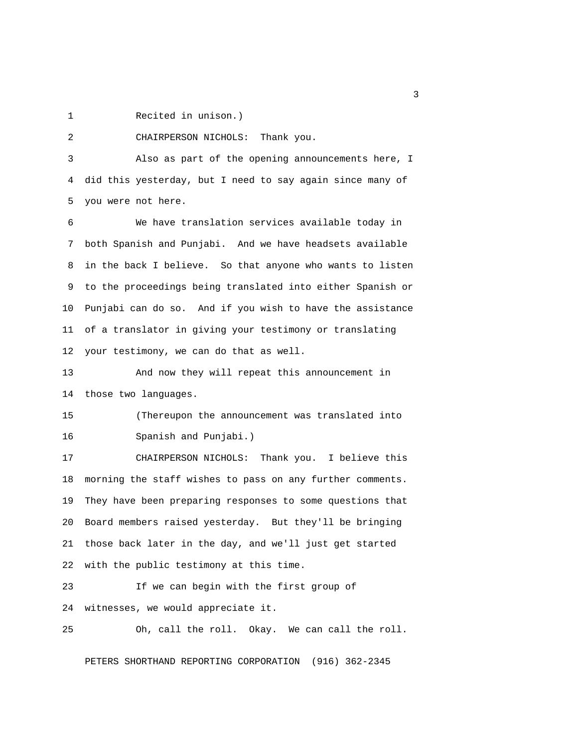1 Recited in unison.)

2 CHAIRPERSON NICHOLS: Thank you.

 3 Also as part of the opening announcements here, I 4 did this yesterday, but I need to say again since many of 5 you were not here.

 6 We have translation services available today in 7 both Spanish and Punjabi. And we have headsets available 8 in the back I believe. So that anyone who wants to listen 9 to the proceedings being translated into either Spanish or 10 Punjabi can do so. And if you wish to have the assistance 11 of a translator in giving your testimony or translating 12 your testimony, we can do that as well.

13 And now they will repeat this announcement in 14 those two languages.

15 (Thereupon the announcement was translated into 16 Spanish and Punjabi.)

17 CHAIRPERSON NICHOLS: Thank you. I believe this 18 morning the staff wishes to pass on any further comments. 19 They have been preparing responses to some questions that 20 Board members raised yesterday. But they'll be bringing 21 those back later in the day, and we'll just get started 22 with the public testimony at this time.

23 If we can begin with the first group of 24 witnesses, we would appreciate it.

25 Oh, call the roll. Okay. We can call the roll.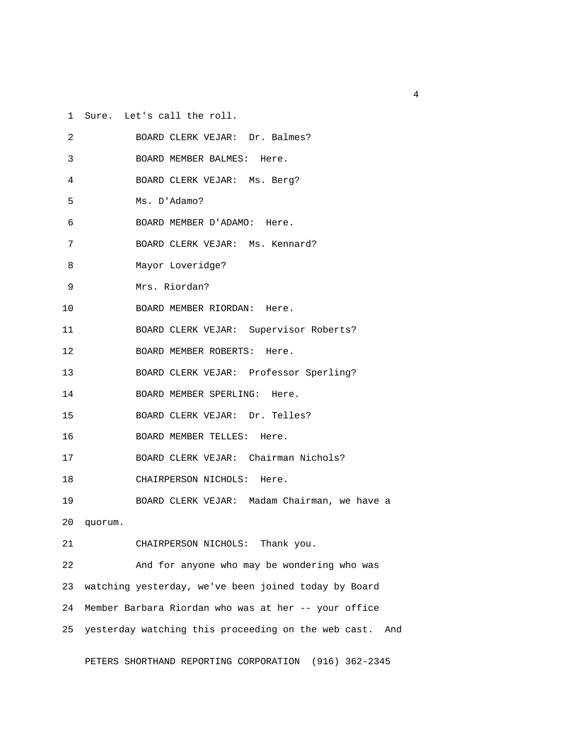1 Sure. Let's call the roll.

| 2  | BOARD CLERK VEJAR: Dr. Balmes?                             |
|----|------------------------------------------------------------|
| 3  | BOARD MEMBER BALMES: Here.                                 |
| 4  | BOARD CLERK VEJAR: Ms. Berg?                               |
| 5  | Ms. D'Adamo?                                               |
| 6  | BOARD MEMBER D'ADAMO: Here.                                |
| 7  | BOARD CLERK VEJAR: Ms. Kennard?                            |
| 8  | Mayor Loveridge?                                           |
| 9  | Mrs. Riordan?                                              |
| 10 | BOARD MEMBER RIORDAN: Here.                                |
| 11 | BOARD CLERK VEJAR: Supervisor Roberts?                     |
| 12 | BOARD MEMBER ROBERTS: Here.                                |
| 13 | BOARD CLERK VEJAR: Professor Sperling?                     |
| 14 | BOARD MEMBER SPERLING: Here.                               |
| 15 | BOARD CLERK VEJAR: Dr. Telles?                             |
| 16 | BOARD MEMBER TELLES: Here.                                 |
| 17 | BOARD CLERK VEJAR: Chairman Nichols?                       |
| 18 | CHAIRPERSON NICHOLS: Here.                                 |
| 19 | BOARD CLERK VEJAR: Madam Chairman, we have a               |
| 20 | quorum.                                                    |
| 21 | CHAIRPERSON NICHOLS: Thank you.                            |
| 22 | And for anyone who may be wondering who was                |
| 23 | watching yesterday, we've been joined today by Board       |
| 24 | Member Barbara Riordan who was at her -- your office       |
| 25 | yesterday watching this proceeding on the web cast.<br>And |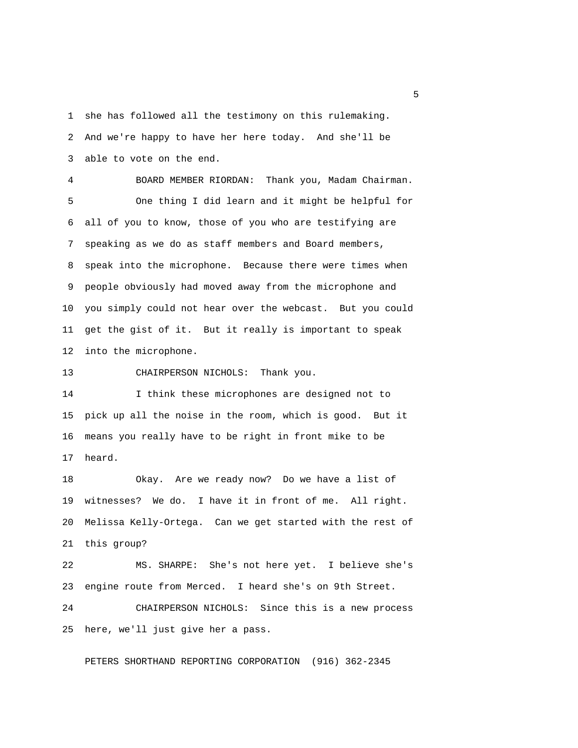1 she has followed all the testimony on this rulemaking. 2 And we're happy to have her here today. And she'll be 3 able to vote on the end.

 4 BOARD MEMBER RIORDAN: Thank you, Madam Chairman. 5 One thing I did learn and it might be helpful for 6 all of you to know, those of you who are testifying are 7 speaking as we do as staff members and Board members, 8 speak into the microphone. Because there were times when 9 people obviously had moved away from the microphone and 10 you simply could not hear over the webcast. But you could 11 get the gist of it. But it really is important to speak 12 into the microphone.

13 CHAIRPERSON NICHOLS: Thank you.

14 I think these microphones are designed not to 15 pick up all the noise in the room, which is good. But it 16 means you really have to be right in front mike to be 17 heard.

18 Okay. Are we ready now? Do we have a list of 19 witnesses? We do. I have it in front of me. All right. 20 Melissa Kelly-Ortega. Can we get started with the rest of 21 this group?

22 MS. SHARPE: She's not here yet. I believe she's 23 engine route from Merced. I heard she's on 9th Street.

24 CHAIRPERSON NICHOLS: Since this is a new process 25 here, we'll just give her a pass.

PETERS SHORTHAND REPORTING CORPORATION (916) 362-2345

 $\sim$  5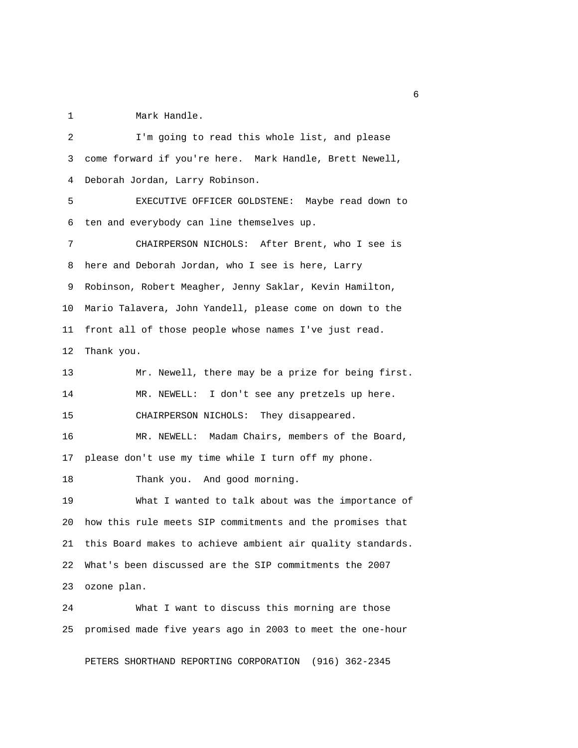1 Mark Handle.

 2 I'm going to read this whole list, and please 3 come forward if you're here. Mark Handle, Brett Newell, 4 Deborah Jordan, Larry Robinson. 5 EXECUTIVE OFFICER GOLDSTENE: Maybe read down to 6 ten and everybody can line themselves up. 7 CHAIRPERSON NICHOLS: After Brent, who I see is 8 here and Deborah Jordan, who I see is here, Larry 9 Robinson, Robert Meagher, Jenny Saklar, Kevin Hamilton, 10 Mario Talavera, John Yandell, please come on down to the 11 front all of those people whose names I've just read. 12 Thank you. 13 Mr. Newell, there may be a prize for being first. 14 MR. NEWELL: I don't see any pretzels up here. 15 CHAIRPERSON NICHOLS: They disappeared. 16 MR. NEWELL: Madam Chairs, members of the Board, 17 please don't use my time while I turn off my phone. 18 Thank you. And good morning. 19 What I wanted to talk about was the importance of 20 how this rule meets SIP commitments and the promises that 21 this Board makes to achieve ambient air quality standards. 22 What's been discussed are the SIP commitments the 2007 23 ozone plan. 24 What I want to discuss this morning are those

PETERS SHORTHAND REPORTING CORPORATION (916) 362-2345

25 promised made five years ago in 2003 to meet the one-hour

 $\sim$  6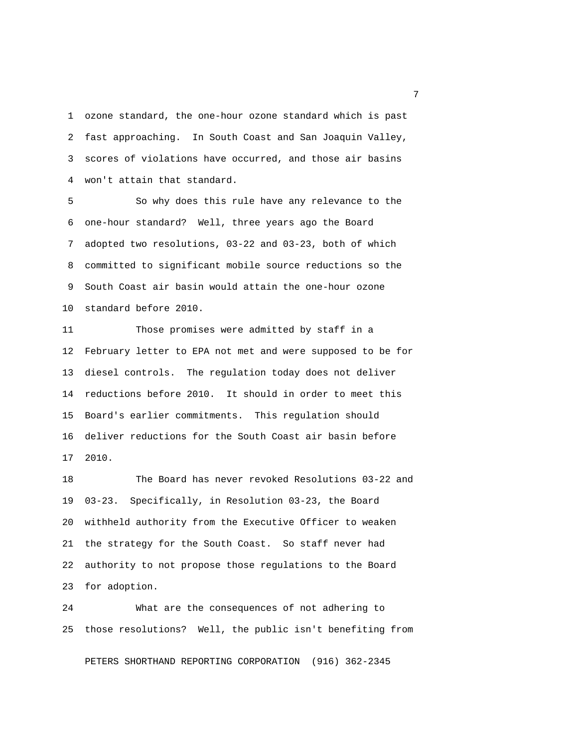1 ozone standard, the one-hour ozone standard which is past 2 fast approaching. In South Coast and San Joaquin Valley, 3 scores of violations have occurred, and those air basins 4 won't attain that standard.

 5 So why does this rule have any relevance to the 6 one-hour standard? Well, three years ago the Board 7 adopted two resolutions, 03-22 and 03-23, both of which 8 committed to significant mobile source reductions so the 9 South Coast air basin would attain the one-hour ozone 10 standard before 2010.

11 Those promises were admitted by staff in a 12 February letter to EPA not met and were supposed to be for 13 diesel controls. The regulation today does not deliver 14 reductions before 2010. It should in order to meet this 15 Board's earlier commitments. This regulation should 16 deliver reductions for the South Coast air basin before 17 2010.

18 The Board has never revoked Resolutions 03-22 and 19 03-23. Specifically, in Resolution 03-23, the Board 20 withheld authority from the Executive Officer to weaken 21 the strategy for the South Coast. So staff never had 22 authority to not propose those regulations to the Board 23 for adoption.

24 What are the consequences of not adhering to 25 those resolutions? Well, the public isn't benefiting from

PETERS SHORTHAND REPORTING CORPORATION (916) 362-2345

<u>2</u> The contract of the contract of the contract of the contract of the contract of the contract of the contract of the contract of the contract of the contract of the contract of the contract of the contract of the contra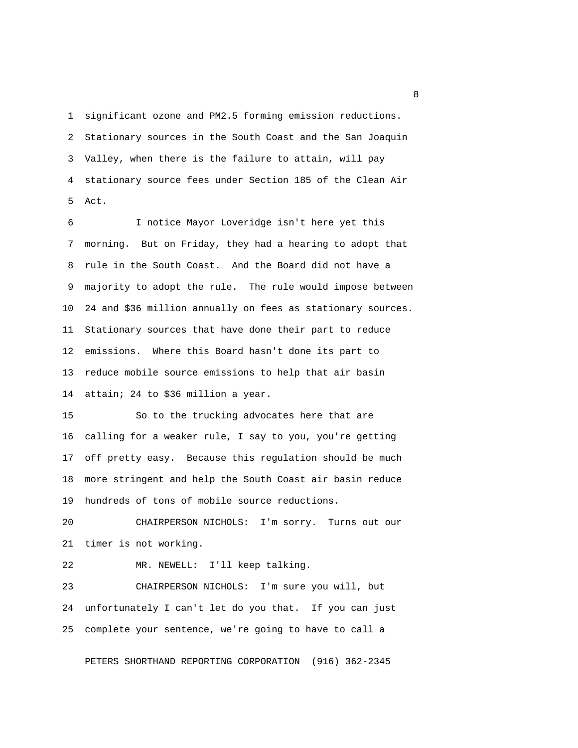1 significant ozone and PM2.5 forming emission reductions. 2 Stationary sources in the South Coast and the San Joaquin 3 Valley, when there is the failure to attain, will pay 4 stationary source fees under Section 185 of the Clean Air 5 Act.

 6 I notice Mayor Loveridge isn't here yet this 7 morning. But on Friday, they had a hearing to adopt that 8 rule in the South Coast. And the Board did not have a 9 majority to adopt the rule. The rule would impose between 10 24 and \$36 million annually on fees as stationary sources. 11 Stationary sources that have done their part to reduce 12 emissions. Where this Board hasn't done its part to 13 reduce mobile source emissions to help that air basin 14 attain; 24 to \$36 million a year.

15 So to the trucking advocates here that are 16 calling for a weaker rule, I say to you, you're getting 17 off pretty easy. Because this regulation should be much 18 more stringent and help the South Coast air basin reduce 19 hundreds of tons of mobile source reductions.

20 CHAIRPERSON NICHOLS: I'm sorry. Turns out our 21 timer is not working.

22 MR. NEWELL: I'll keep talking.

23 CHAIRPERSON NICHOLS: I'm sure you will, but 24 unfortunately I can't let do you that. If you can just 25 complete your sentence, we're going to have to call a

PETERS SHORTHAND REPORTING CORPORATION (916) 362-2345

experience of the state of the state of the state of the state of the state of the state of the state of the s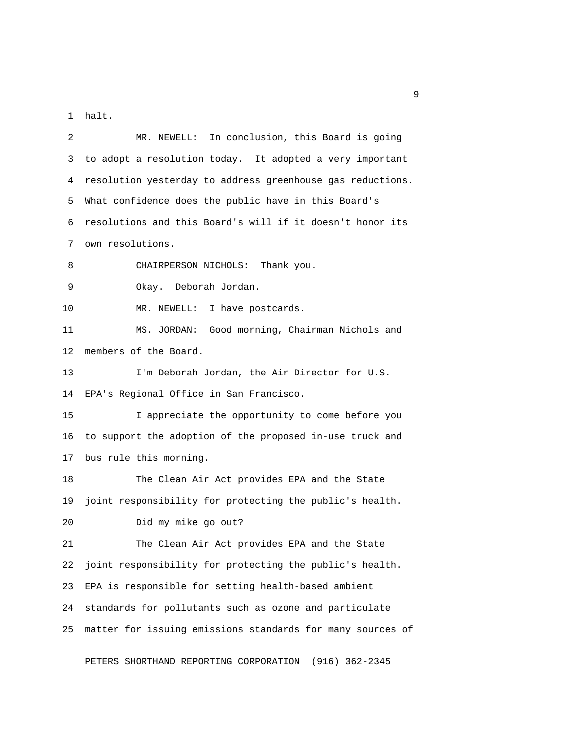1 halt.

 2 MR. NEWELL: In conclusion, this Board is going 3 to adopt a resolution today. It adopted a very important 4 resolution yesterday to address greenhouse gas reductions. 5 What confidence does the public have in this Board's 6 resolutions and this Board's will if it doesn't honor its 7 own resolutions. 8 CHAIRPERSON NICHOLS: Thank you. 9 Okay. Deborah Jordan. 10 MR. NEWELL: I have postcards. 11 MS. JORDAN: Good morning, Chairman Nichols and 12 members of the Board. 13 I'm Deborah Jordan, the Air Director for U.S. 14 EPA's Regional Office in San Francisco. 15 I appreciate the opportunity to come before you 16 to support the adoption of the proposed in-use truck and 17 bus rule this morning. 18 The Clean Air Act provides EPA and the State 19 joint responsibility for protecting the public's health. 20 Did my mike go out? 21 The Clean Air Act provides EPA and the State 22 joint responsibility for protecting the public's health. 23 EPA is responsible for setting health-based ambient 24 standards for pollutants such as ozone and particulate 25 matter for issuing emissions standards for many sources of

PETERS SHORTHAND REPORTING CORPORATION (916) 362-2345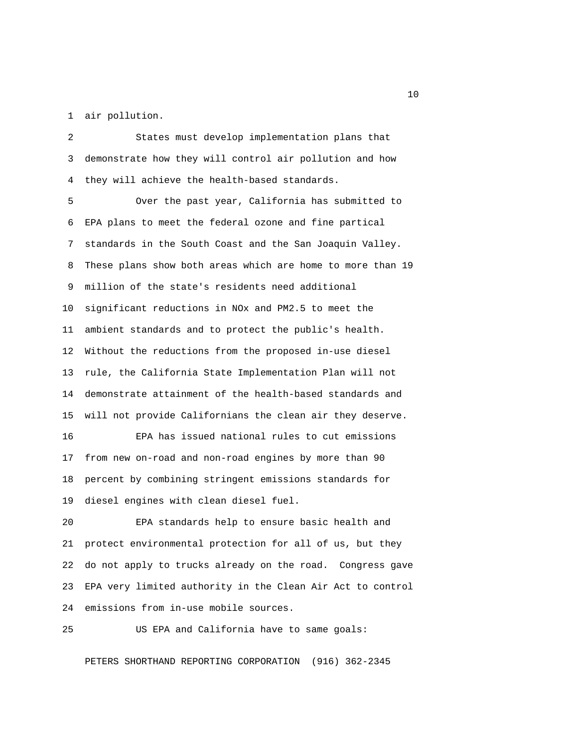1 air pollution.

 2 States must develop implementation plans that 3 demonstrate how they will control air pollution and how 4 they will achieve the health-based standards. 5 Over the past year, California has submitted to 6 EPA plans to meet the federal ozone and fine partical 7 standards in the South Coast and the San Joaquin Valley. 8 These plans show both areas which are home to more than 19 9 million of the state's residents need additional 10 significant reductions in NOx and PM2.5 to meet the 11 ambient standards and to protect the public's health. 12 Without the reductions from the proposed in-use diesel 13 rule, the California State Implementation Plan will not 14 demonstrate attainment of the health-based standards and 15 will not provide Californians the clean air they deserve. 16 EPA has issued national rules to cut emissions 17 from new on-road and non-road engines by more than 90 18 percent by combining stringent emissions standards for 19 diesel engines with clean diesel fuel. 20 EPA standards help to ensure basic health and 21 protect environmental protection for all of us, but they 22 do not apply to trucks already on the road. Congress gave 23 EPA very limited authority in the Clean Air Act to control

25 US EPA and California have to same goals:

PETERS SHORTHAND REPORTING CORPORATION (916) 362-2345

24 emissions from in-use mobile sources.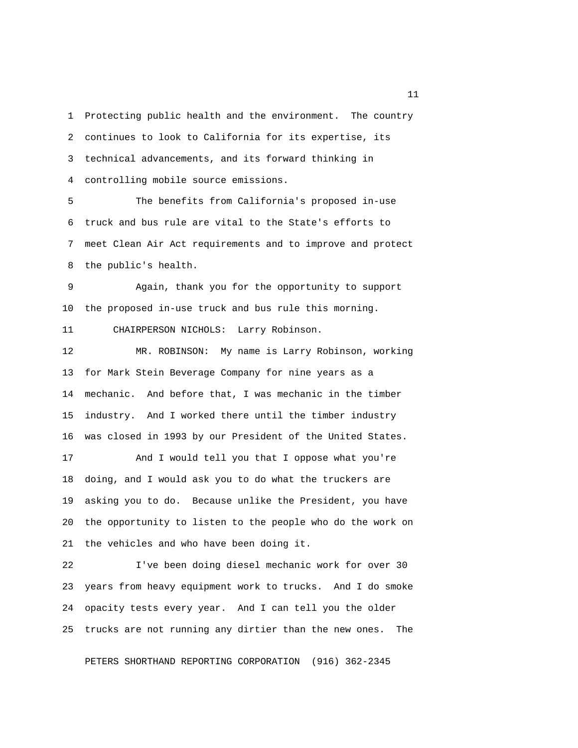1 Protecting public health and the environment. The country 2 continues to look to California for its expertise, its 3 technical advancements, and its forward thinking in 4 controlling mobile source emissions.

 5 The benefits from California's proposed in-use 6 truck and bus rule are vital to the State's efforts to 7 meet Clean Air Act requirements and to improve and protect 8 the public's health.

 9 Again, thank you for the opportunity to support 10 the proposed in-use truck and bus rule this morning.

11 CHAIRPERSON NICHOLS: Larry Robinson.

12 MR. ROBINSON: My name is Larry Robinson, working 13 for Mark Stein Beverage Company for nine years as a 14 mechanic. And before that, I was mechanic in the timber 15 industry. And I worked there until the timber industry 16 was closed in 1993 by our President of the United States.

17 And I would tell you that I oppose what you're 18 doing, and I would ask you to do what the truckers are 19 asking you to do. Because unlike the President, you have 20 the opportunity to listen to the people who do the work on 21 the vehicles and who have been doing it.

22 I've been doing diesel mechanic work for over 30 23 years from heavy equipment work to trucks. And I do smoke 24 opacity tests every year. And I can tell you the older 25 trucks are not running any dirtier than the new ones. The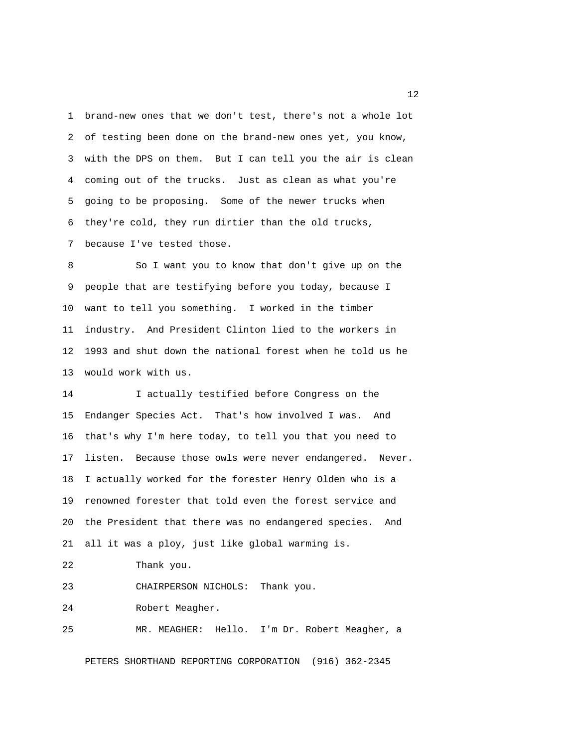1 brand-new ones that we don't test, there's not a whole lot 2 of testing been done on the brand-new ones yet, you know, 3 with the DPS on them. But I can tell you the air is clean 4 coming out of the trucks. Just as clean as what you're 5 going to be proposing. Some of the newer trucks when 6 they're cold, they run dirtier than the old trucks, 7 because I've tested those.

 8 So I want you to know that don't give up on the 9 people that are testifying before you today, because I 10 want to tell you something. I worked in the timber 11 industry. And President Clinton lied to the workers in 12 1993 and shut down the national forest when he told us he 13 would work with us.

14 I actually testified before Congress on the 15 Endanger Species Act. That's how involved I was. And 16 that's why I'm here today, to tell you that you need to 17 listen. Because those owls were never endangered. Never. 18 I actually worked for the forester Henry Olden who is a 19 renowned forester that told even the forest service and 20 the President that there was no endangered species. And 21 all it was a ploy, just like global warming is. 22 Thank you.

23 CHAIRPERSON NICHOLS: Thank you.

24 Robert Meagher.

25 MR. MEAGHER: Hello. I'm Dr. Robert Meagher, a

PETERS SHORTHAND REPORTING CORPORATION (916) 362-2345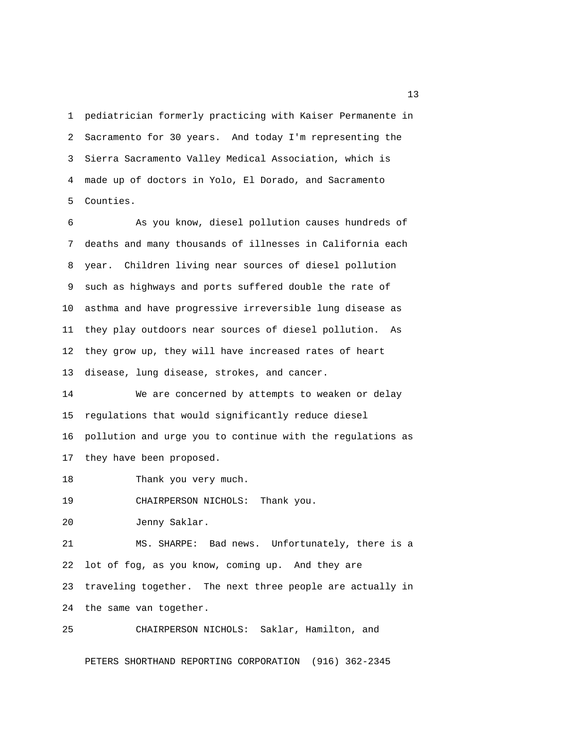1 pediatrician formerly practicing with Kaiser Permanente in 2 Sacramento for 30 years. And today I'm representing the 3 Sierra Sacramento Valley Medical Association, which is 4 made up of doctors in Yolo, El Dorado, and Sacramento 5 Counties.

 6 As you know, diesel pollution causes hundreds of 7 deaths and many thousands of illnesses in California each 8 year. Children living near sources of diesel pollution 9 such as highways and ports suffered double the rate of 10 asthma and have progressive irreversible lung disease as 11 they play outdoors near sources of diesel pollution. As 12 they grow up, they will have increased rates of heart 13 disease, lung disease, strokes, and cancer.

14 We are concerned by attempts to weaken or delay 15 regulations that would significantly reduce diesel 16 pollution and urge you to continue with the regulations as 17 they have been proposed.

18 Thank you very much.

19 CHAIRPERSON NICHOLS: Thank you.

20 Jenny Saklar.

21 MS. SHARPE: Bad news. Unfortunately, there is a 22 lot of fog, as you know, coming up. And they are 23 traveling together. The next three people are actually in 24 the same van together.

25 CHAIRPERSON NICHOLS: Saklar, Hamilton, and

PETERS SHORTHAND REPORTING CORPORATION (916) 362-2345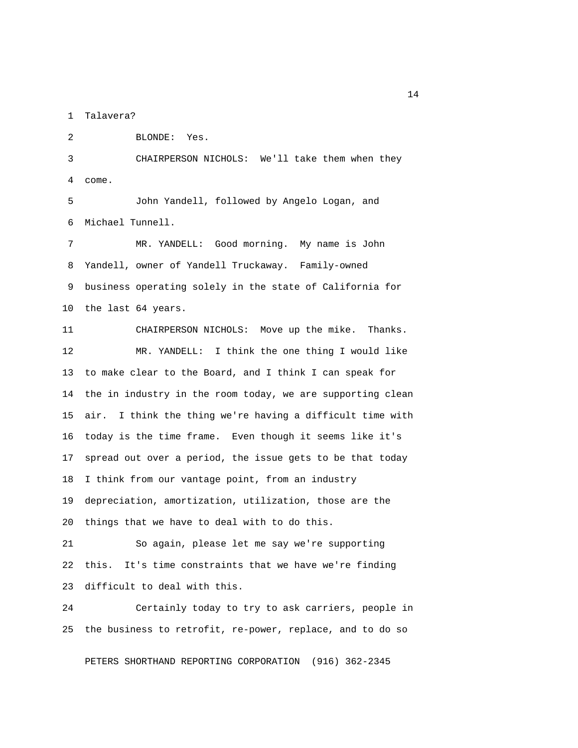1 Talavera?

2 BLONDE: Yes.

 3 CHAIRPERSON NICHOLS: We'll take them when they 4 come.

 5 John Yandell, followed by Angelo Logan, and 6 Michael Tunnell.

 7 MR. YANDELL: Good morning. My name is John 8 Yandell, owner of Yandell Truckaway. Family-owned 9 business operating solely in the state of California for 10 the last 64 years.

11 CHAIRPERSON NICHOLS: Move up the mike. Thanks. 12 MR. YANDELL: I think the one thing I would like 13 to make clear to the Board, and I think I can speak for 14 the in industry in the room today, we are supporting clean 15 air. I think the thing we're having a difficult time with 16 today is the time frame. Even though it seems like it's 17 spread out over a period, the issue gets to be that today 18 I think from our vantage point, from an industry 19 depreciation, amortization, utilization, those are the 20 things that we have to deal with to do this.

21 So again, please let me say we're supporting 22 this. It's time constraints that we have we're finding 23 difficult to deal with this.

24 Certainly today to try to ask carriers, people in 25 the business to retrofit, re-power, replace, and to do so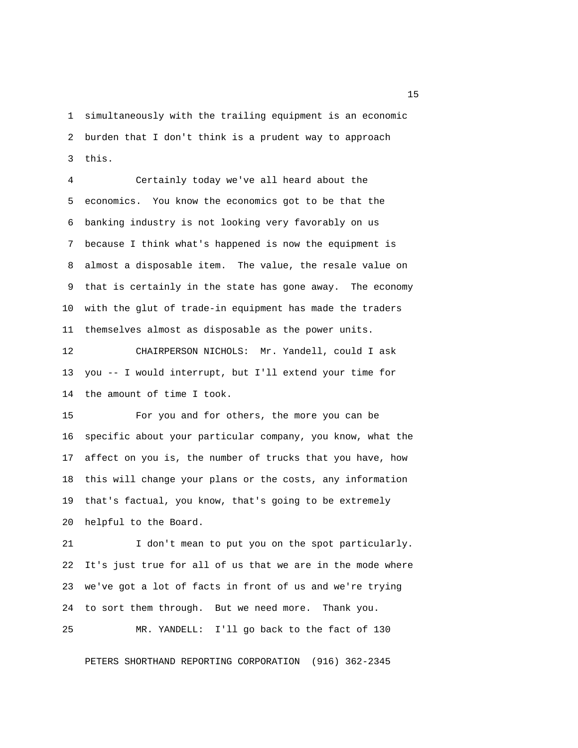1 simultaneously with the trailing equipment is an economic 2 burden that I don't think is a prudent way to approach 3 this.

 4 Certainly today we've all heard about the 5 economics. You know the economics got to be that the 6 banking industry is not looking very favorably on us 7 because I think what's happened is now the equipment is 8 almost a disposable item. The value, the resale value on 9 that is certainly in the state has gone away. The economy 10 with the glut of trade-in equipment has made the traders 11 themselves almost as disposable as the power units.

12 CHAIRPERSON NICHOLS: Mr. Yandell, could I ask 13 you -- I would interrupt, but I'll extend your time for 14 the amount of time I took.

15 For you and for others, the more you can be 16 specific about your particular company, you know, what the 17 affect on you is, the number of trucks that you have, how 18 this will change your plans or the costs, any information 19 that's factual, you know, that's going to be extremely 20 helpful to the Board.

21 I don't mean to put you on the spot particularly. 22 It's just true for all of us that we are in the mode where 23 we've got a lot of facts in front of us and we're trying 24 to sort them through. But we need more. Thank you.

PETERS SHORTHAND REPORTING CORPORATION (916) 362-2345

25 MR. YANDELL: I'll go back to the fact of 130

n 15 and 15 and 15 and 15 and 15 and 15 and 15 and 15 and 15 and 15 and 15 and 15 and 15 and 15 and 15 and 15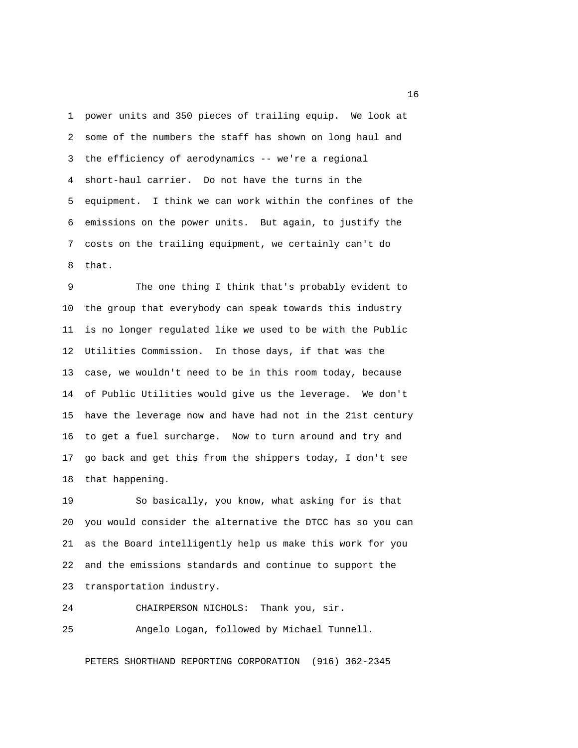1 power units and 350 pieces of trailing equip. We look at 2 some of the numbers the staff has shown on long haul and 3 the efficiency of aerodynamics -- we're a regional 4 short-haul carrier. Do not have the turns in the 5 equipment. I think we can work within the confines of the 6 emissions on the power units. But again, to justify the 7 costs on the trailing equipment, we certainly can't do 8 that.

 9 The one thing I think that's probably evident to 10 the group that everybody can speak towards this industry 11 is no longer regulated like we used to be with the Public 12 Utilities Commission. In those days, if that was the 13 case, we wouldn't need to be in this room today, because 14 of Public Utilities would give us the leverage. We don't 15 have the leverage now and have had not in the 21st century 16 to get a fuel surcharge. Now to turn around and try and 17 go back and get this from the shippers today, I don't see 18 that happening.

19 So basically, you know, what asking for is that 20 you would consider the alternative the DTCC has so you can 21 as the Board intelligently help us make this work for you 22 and the emissions standards and continue to support the 23 transportation industry.

24 CHAIRPERSON NICHOLS: Thank you, sir.

25 Angelo Logan, followed by Michael Tunnell.

PETERS SHORTHAND REPORTING CORPORATION (916) 362-2345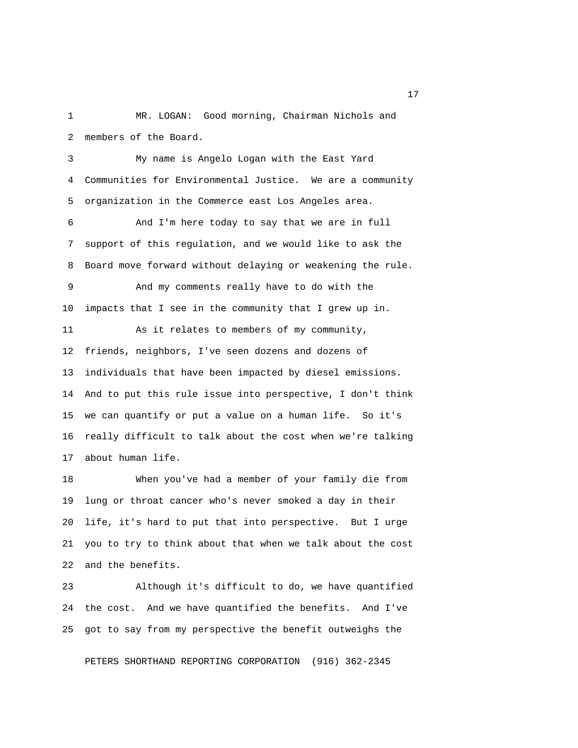1 MR. LOGAN: Good morning, Chairman Nichols and 2 members of the Board.

 3 My name is Angelo Logan with the East Yard 4 Communities for Environmental Justice. We are a community 5 organization in the Commerce east Los Angeles area.

 6 And I'm here today to say that we are in full 7 support of this regulation, and we would like to ask the 8 Board move forward without delaying or weakening the rule.

 9 And my comments really have to do with the 10 impacts that I see in the community that I grew up in.

11 As it relates to members of my community, 12 friends, neighbors, I've seen dozens and dozens of 13 individuals that have been impacted by diesel emissions. 14 And to put this rule issue into perspective, I don't think 15 we can quantify or put a value on a human life. So it's 16 really difficult to talk about the cost when we're talking 17 about human life.

18 When you've had a member of your family die from 19 lung or throat cancer who's never smoked a day in their 20 life, it's hard to put that into perspective. But I urge 21 you to try to think about that when we talk about the cost 22 and the benefits.

23 Although it's difficult to do, we have quantified 24 the cost. And we have quantified the benefits. And I've 25 got to say from my perspective the benefit outweighs the

PETERS SHORTHAND REPORTING CORPORATION (916) 362-2345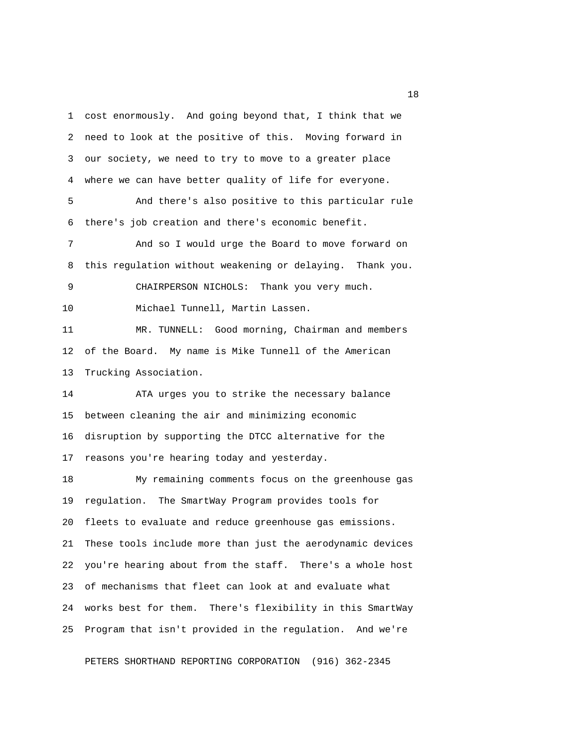1 cost enormously. And going beyond that, I think that we 2 need to look at the positive of this. Moving forward in 3 our society, we need to try to move to a greater place 4 where we can have better quality of life for everyone. 5 And there's also positive to this particular rule 6 there's job creation and there's economic benefit. 7 And so I would urge the Board to move forward on 8 this regulation without weakening or delaying. Thank you. 9 CHAIRPERSON NICHOLS: Thank you very much. 10 Michael Tunnell, Martin Lassen. 11 MR. TUNNELL: Good morning, Chairman and members 12 of the Board. My name is Mike Tunnell of the American 13 Trucking Association. 14 ATA urges you to strike the necessary balance 15 between cleaning the air and minimizing economic 16 disruption by supporting the DTCC alternative for the 17 reasons you're hearing today and yesterday. 18 My remaining comments focus on the greenhouse gas 19 regulation. The SmartWay Program provides tools for 20 fleets to evaluate and reduce greenhouse gas emissions. 21 These tools include more than just the aerodynamic devices 22 you're hearing about from the staff. There's a whole host 23 of mechanisms that fleet can look at and evaluate what 24 works best for them. There's flexibility in this SmartWay

PETERS SHORTHAND REPORTING CORPORATION (916) 362-2345

25 Program that isn't provided in the regulation. And we're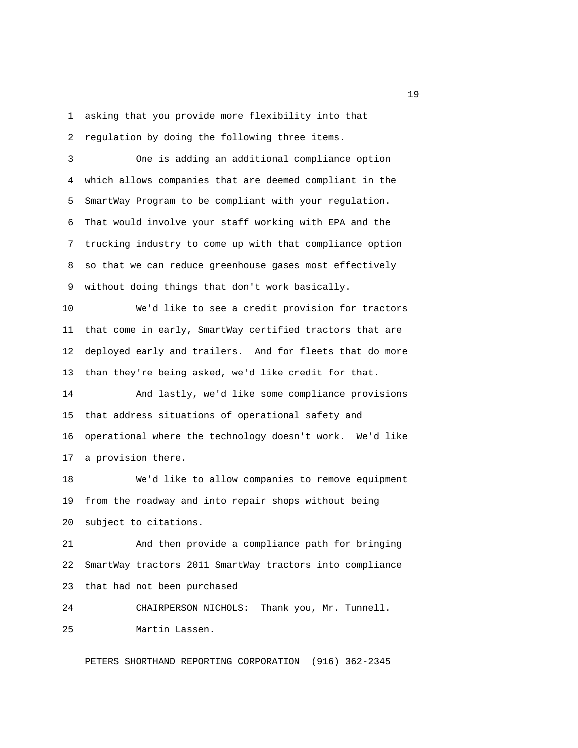1 asking that you provide more flexibility into that 2 regulation by doing the following three items.

 3 One is adding an additional compliance option 4 which allows companies that are deemed compliant in the 5 SmartWay Program to be compliant with your regulation. 6 That would involve your staff working with EPA and the 7 trucking industry to come up with that compliance option 8 so that we can reduce greenhouse gases most effectively 9 without doing things that don't work basically.

10 We'd like to see a credit provision for tractors 11 that come in early, SmartWay certified tractors that are 12 deployed early and trailers. And for fleets that do more 13 than they're being asked, we'd like credit for that.

14 And lastly, we'd like some compliance provisions 15 that address situations of operational safety and 16 operational where the technology doesn't work. We'd like 17 a provision there.

18 We'd like to allow companies to remove equipment 19 from the roadway and into repair shops without being 20 subject to citations.

21 And then provide a compliance path for bringing 22 SmartWay tractors 2011 SmartWay tractors into compliance 23 that had not been purchased

24 CHAIRPERSON NICHOLS: Thank you, Mr. Tunnell. 25 Martin Lassen.

PETERS SHORTHAND REPORTING CORPORATION (916) 362-2345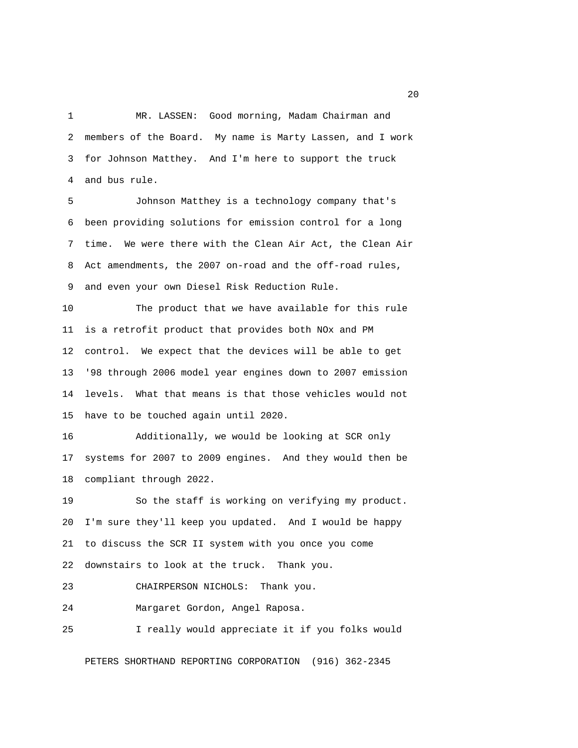1 MR. LASSEN: Good morning, Madam Chairman and 2 members of the Board. My name is Marty Lassen, and I work 3 for Johnson Matthey. And I'm here to support the truck 4 and bus rule.

 5 Johnson Matthey is a technology company that's 6 been providing solutions for emission control for a long 7 time. We were there with the Clean Air Act, the Clean Air 8 Act amendments, the 2007 on-road and the off-road rules, 9 and even your own Diesel Risk Reduction Rule.

10 The product that we have available for this rule 11 is a retrofit product that provides both NOx and PM 12 control. We expect that the devices will be able to get 13 '98 through 2006 model year engines down to 2007 emission 14 levels. What that means is that those vehicles would not 15 have to be touched again until 2020.

16 Additionally, we would be looking at SCR only 17 systems for 2007 to 2009 engines. And they would then be 18 compliant through 2022.

19 So the staff is working on verifying my product. 20 I'm sure they'll keep you updated. And I would be happy 21 to discuss the SCR II system with you once you come 22 downstairs to look at the truck. Thank you.

23 CHAIRPERSON NICHOLS: Thank you.

24 Margaret Gordon, Angel Raposa.

25 I really would appreciate it if you folks would

PETERS SHORTHAND REPORTING CORPORATION (916) 362-2345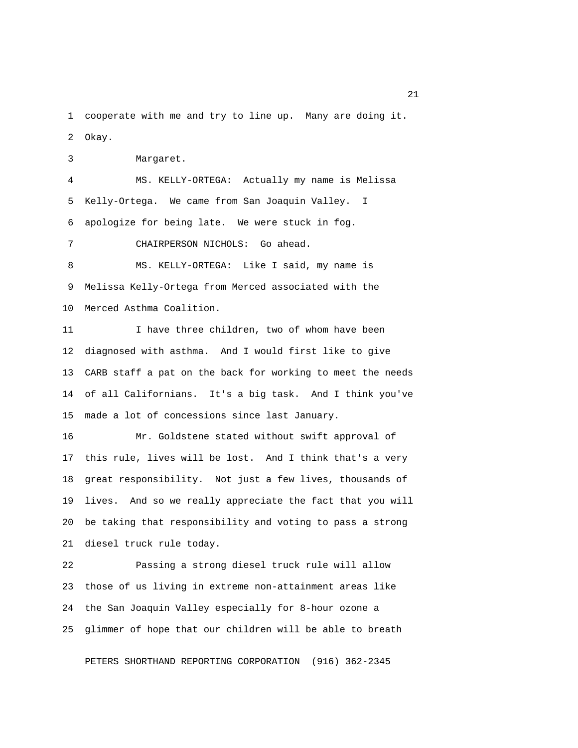1 cooperate with me and try to line up. Many are doing it. 2 Okay.

3 Margaret.

 4 MS. KELLY-ORTEGA: Actually my name is Melissa 5 Kelly-Ortega. We came from San Joaquin Valley. I 6 apologize for being late. We were stuck in fog.

7 CHAIRPERSON NICHOLS: Go ahead.

 8 MS. KELLY-ORTEGA: Like I said, my name is 9 Melissa Kelly-Ortega from Merced associated with the 10 Merced Asthma Coalition.

11 I have three children, two of whom have been 12 diagnosed with asthma. And I would first like to give 13 CARB staff a pat on the back for working to meet the needs 14 of all Californians. It's a big task. And I think you've 15 made a lot of concessions since last January.

16 Mr. Goldstene stated without swift approval of 17 this rule, lives will be lost. And I think that's a very 18 great responsibility. Not just a few lives, thousands of 19 lives. And so we really appreciate the fact that you will 20 be taking that responsibility and voting to pass a strong 21 diesel truck rule today.

22 Passing a strong diesel truck rule will allow 23 those of us living in extreme non-attainment areas like 24 the San Joaquin Valley especially for 8-hour ozone a 25 glimmer of hope that our children will be able to breath

PETERS SHORTHAND REPORTING CORPORATION (916) 362-2345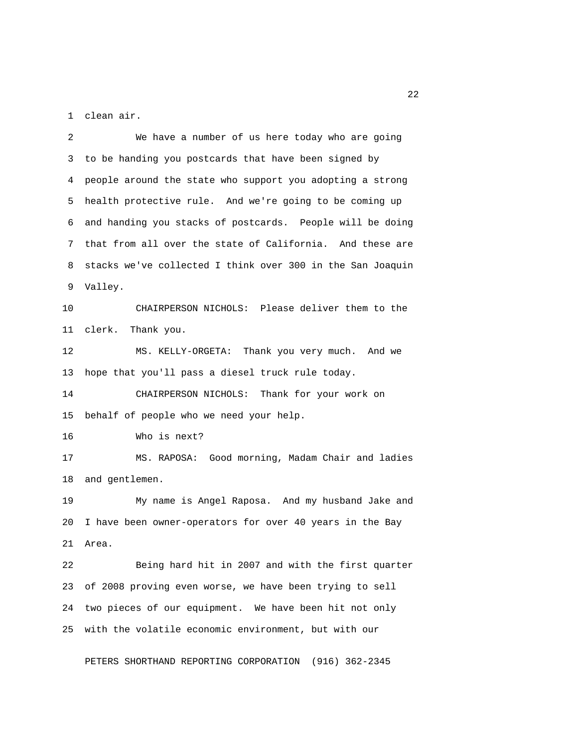1 clean air.

 2 We have a number of us here today who are going 3 to be handing you postcards that have been signed by 4 people around the state who support you adopting a strong 5 health protective rule. And we're going to be coming up 6 and handing you stacks of postcards. People will be doing 7 that from all over the state of California. And these are 8 stacks we've collected I think over 300 in the San Joaquin 9 Valley.

10 CHAIRPERSON NICHOLS: Please deliver them to the 11 clerk. Thank you.

12 MS. KELLY-ORGETA: Thank you very much. And we 13 hope that you'll pass a diesel truck rule today.

14 CHAIRPERSON NICHOLS: Thank for your work on 15 behalf of people who we need your help.

16 Who is next?

17 MS. RAPOSA: Good morning, Madam Chair and ladies 18 and gentlemen.

19 My name is Angel Raposa. And my husband Jake and 20 I have been owner-operators for over 40 years in the Bay 21 Area.

22 Being hard hit in 2007 and with the first quarter 23 of 2008 proving even worse, we have been trying to sell 24 two pieces of our equipment. We have been hit not only 25 with the volatile economic environment, but with our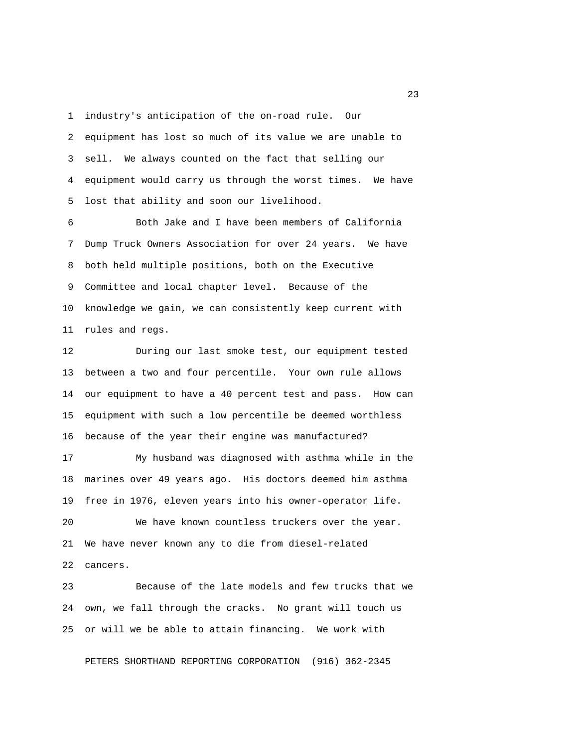1 industry's anticipation of the on-road rule. Our 2 equipment has lost so much of its value we are unable to 3 sell. We always counted on the fact that selling our 4 equipment would carry us through the worst times. We have 5 lost that ability and soon our livelihood.

 6 Both Jake and I have been members of California 7 Dump Truck Owners Association for over 24 years. We have 8 both held multiple positions, both on the Executive 9 Committee and local chapter level. Because of the 10 knowledge we gain, we can consistently keep current with 11 rules and regs.

12 During our last smoke test, our equipment tested 13 between a two and four percentile. Your own rule allows 14 our equipment to have a 40 percent test and pass. How can 15 equipment with such a low percentile be deemed worthless 16 because of the year their engine was manufactured?

17 My husband was diagnosed with asthma while in the 18 marines over 49 years ago. His doctors deemed him asthma 19 free in 1976, eleven years into his owner-operator life.

20 We have known countless truckers over the year. 21 We have never known any to die from diesel-related 22 cancers.

23 Because of the late models and few trucks that we 24 own, we fall through the cracks. No grant will touch us 25 or will we be able to attain financing. We work with

PETERS SHORTHAND REPORTING CORPORATION (916) 362-2345

23 and 23 and 23 and 23 and 23 and 23 and 23 and 23 and 23 and 23 and 23 and 23 and 23 and 23 and 23 and 23 and 23 and 23 and 23 and 23 and 23 and 23 and 24 and 25 and 25 and 25 and 25 and 26 and 26 and 26 and 26 and 26 an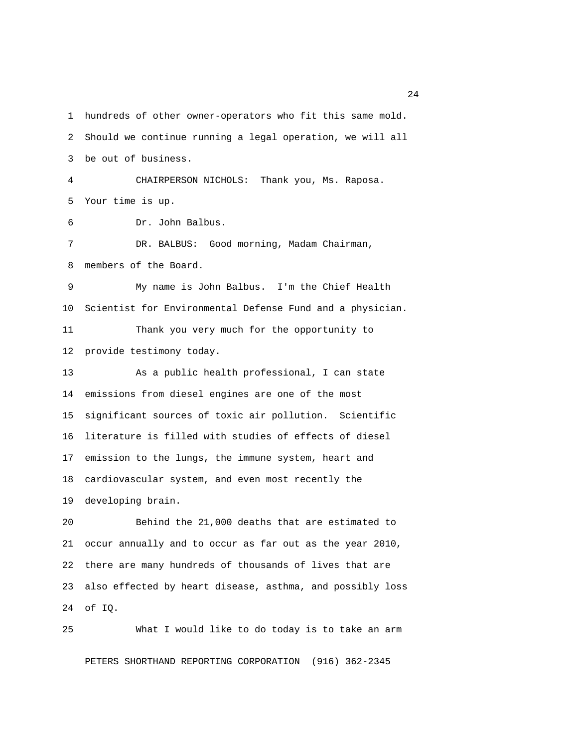1 hundreds of other owner-operators who fit this same mold. 2 Should we continue running a legal operation, we will all 3 be out of business. 4 CHAIRPERSON NICHOLS: Thank you, Ms. Raposa. 5 Your time is up. 6 Dr. John Balbus. 7 DR. BALBUS: Good morning, Madam Chairman, 8 members of the Board. 9 My name is John Balbus. I'm the Chief Health 10 Scientist for Environmental Defense Fund and a physician. 11 Thank you very much for the opportunity to 12 provide testimony today. 13 As a public health professional, I can state 14 emissions from diesel engines are one of the most 15 significant sources of toxic air pollution. Scientific 16 literature is filled with studies of effects of diesel 17 emission to the lungs, the immune system, heart and 18 cardiovascular system, and even most recently the 19 developing brain. 20 Behind the 21,000 deaths that are estimated to 21 occur annually and to occur as far out as the year 2010, 22 there are many hundreds of thousands of lives that are 23 also effected by heart disease, asthma, and possibly loss

24 of IQ.

25 What I would like to do today is to take an arm PETERS SHORTHAND REPORTING CORPORATION (916) 362-2345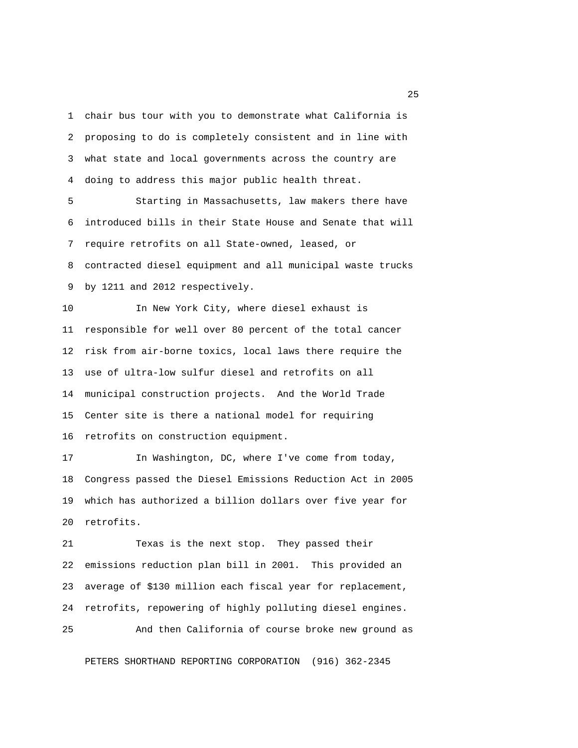1 chair bus tour with you to demonstrate what California is 2 proposing to do is completely consistent and in line with 3 what state and local governments across the country are 4 doing to address this major public health threat.

 5 Starting in Massachusetts, law makers there have 6 introduced bills in their State House and Senate that will 7 require retrofits on all State-owned, leased, or 8 contracted diesel equipment and all municipal waste trucks 9 by 1211 and 2012 respectively.

10 In New York City, where diesel exhaust is 11 responsible for well over 80 percent of the total cancer 12 risk from air-borne toxics, local laws there require the 13 use of ultra-low sulfur diesel and retrofits on all 14 municipal construction projects. And the World Trade 15 Center site is there a national model for requiring 16 retrofits on construction equipment.

17 In Washington, DC, where I've come from today, 18 Congress passed the Diesel Emissions Reduction Act in 2005 19 which has authorized a billion dollars over five year for 20 retrofits.

21 Texas is the next stop. They passed their 22 emissions reduction plan bill in 2001. This provided an 23 average of \$130 million each fiscal year for replacement, 24 retrofits, repowering of highly polluting diesel engines.

PETERS SHORTHAND REPORTING CORPORATION (916) 362-2345

25 And then California of course broke new ground as

25 and 25 and 25 and 25 and 25 and 25 and 25 and 25 and 25 and 25 and 25 and 25 and 25 and 25 and 25 and 25 and 25 and 25 and 25 and 25 and 25 and 25 and 25 and 25 and 25 and 25 and 25 and 25 and 25 and 26 and 26 and 26 an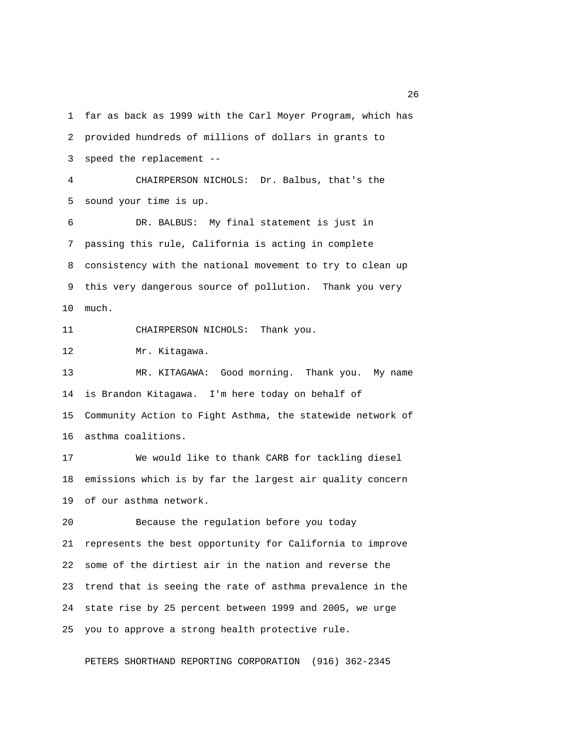1 far as back as 1999 with the Carl Moyer Program, which has 2 provided hundreds of millions of dollars in grants to 3 speed the replacement -- 4 CHAIRPERSON NICHOLS: Dr. Balbus, that's the 5 sound your time is up. 6 DR. BALBUS: My final statement is just in 7 passing this rule, California is acting in complete 8 consistency with the national movement to try to clean up 9 this very dangerous source of pollution. Thank you very 10 much. 11 CHAIRPERSON NICHOLS: Thank you. 12 Mr. Kitagawa. 13 MR. KITAGAWA: Good morning. Thank you. My name 14 is Brandon Kitagawa. I'm here today on behalf of 15 Community Action to Fight Asthma, the statewide network of 16 asthma coalitions. 17 We would like to thank CARB for tackling diesel 18 emissions which is by far the largest air quality concern 19 of our asthma network. 20 Because the regulation before you today 21 represents the best opportunity for California to improve 22 some of the dirtiest air in the nation and reverse the 23 trend that is seeing the rate of asthma prevalence in the 24 state rise by 25 percent between 1999 and 2005, we urge 25 you to approve a strong health protective rule.

PETERS SHORTHAND REPORTING CORPORATION (916) 362-2345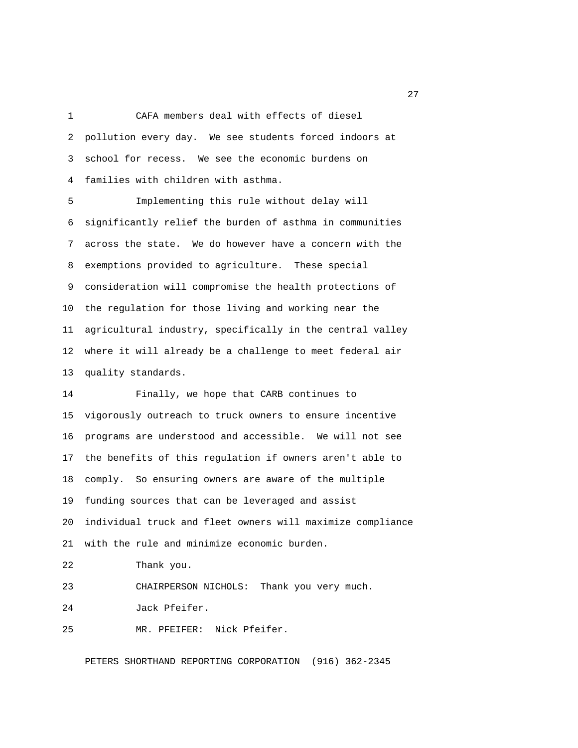1 CAFA members deal with effects of diesel 2 pollution every day. We see students forced indoors at 3 school for recess. We see the economic burdens on 4 families with children with asthma.

 5 Implementing this rule without delay will 6 significantly relief the burden of asthma in communities 7 across the state. We do however have a concern with the 8 exemptions provided to agriculture. These special 9 consideration will compromise the health protections of 10 the regulation for those living and working near the 11 agricultural industry, specifically in the central valley 12 where it will already be a challenge to meet federal air 13 quality standards.

14 Finally, we hope that CARB continues to 15 vigorously outreach to truck owners to ensure incentive 16 programs are understood and accessible. We will not see 17 the benefits of this regulation if owners aren't able to 18 comply. So ensuring owners are aware of the multiple 19 funding sources that can be leveraged and assist 20 individual truck and fleet owners will maximize compliance 21 with the rule and minimize economic burden. 22 Thank you.

23 CHAIRPERSON NICHOLS: Thank you very much.

24 Jack Pfeifer.

25 MR. PFEIFER: Nick Pfeifer.

PETERS SHORTHAND REPORTING CORPORATION (916) 362-2345

27 and 27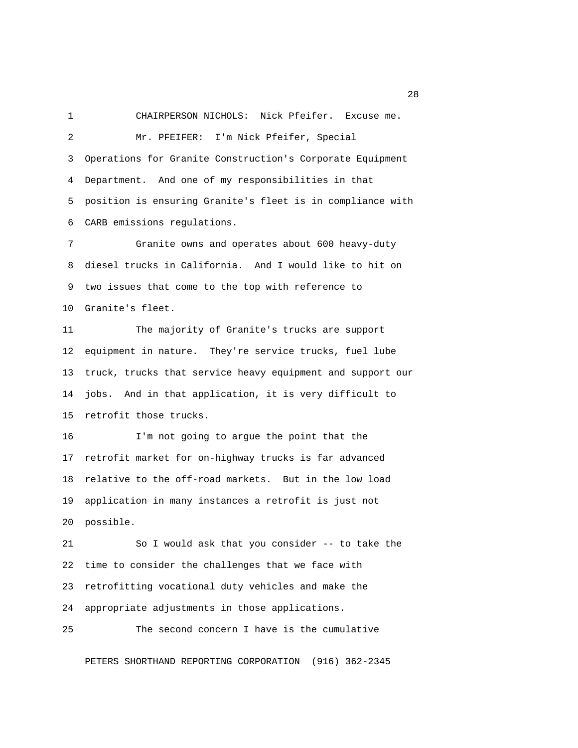1 CHAIRPERSON NICHOLS: Nick Pfeifer. Excuse me. 2 Mr. PFEIFER: I'm Nick Pfeifer, Special 3 Operations for Granite Construction's Corporate Equipment 4 Department. And one of my responsibilities in that 5 position is ensuring Granite's fleet is in compliance with 6 CARB emissions regulations.

 7 Granite owns and operates about 600 heavy-duty 8 diesel trucks in California. And I would like to hit on 9 two issues that come to the top with reference to 10 Granite's fleet.

11 The majority of Granite's trucks are support 12 equipment in nature. They're service trucks, fuel lube 13 truck, trucks that service heavy equipment and support our 14 jobs. And in that application, it is very difficult to 15 retrofit those trucks.

16 I'm not going to argue the point that the 17 retrofit market for on-highway trucks is far advanced 18 relative to the off-road markets. But in the low load 19 application in many instances a retrofit is just not 20 possible.

21 So I would ask that you consider -- to take the 22 time to consider the challenges that we face with 23 retrofitting vocational duty vehicles and make the 24 appropriate adjustments in those applications.

25 The second concern I have is the cumulative

PETERS SHORTHAND REPORTING CORPORATION (916) 362-2345

28 and 28 and 28 and 28 and 28 and 28 and 28 and 28 and 28 and 28 and 28 and 28 and 28 and 28 and 28 and 28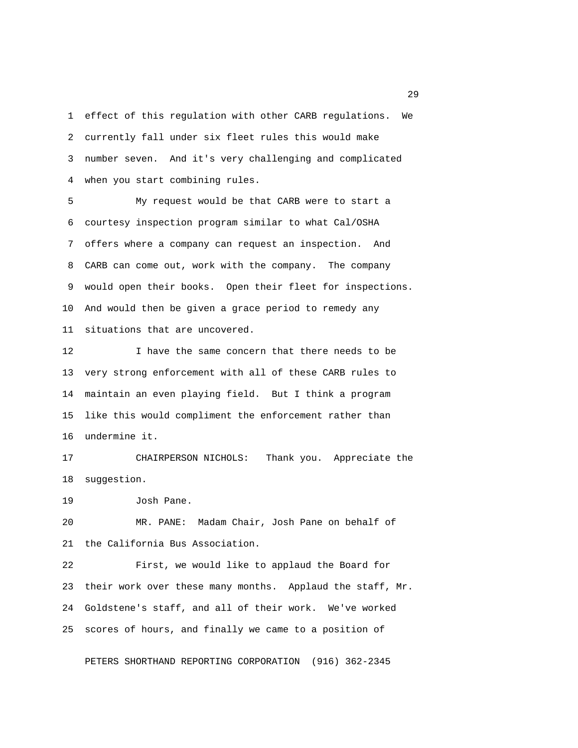1 effect of this regulation with other CARB regulations. We 2 currently fall under six fleet rules this would make 3 number seven. And it's very challenging and complicated 4 when you start combining rules.

 5 My request would be that CARB were to start a 6 courtesy inspection program similar to what Cal/OSHA 7 offers where a company can request an inspection. And 8 CARB can come out, work with the company. The company 9 would open their books. Open their fleet for inspections. 10 And would then be given a grace period to remedy any 11 situations that are uncovered.

12 I have the same concern that there needs to be 13 very strong enforcement with all of these CARB rules to 14 maintain an even playing field. But I think a program 15 like this would compliment the enforcement rather than 16 undermine it.

17 CHAIRPERSON NICHOLS: Thank you. Appreciate the 18 suggestion.

19 Josh Pane.

20 MR. PANE: Madam Chair, Josh Pane on behalf of 21 the California Bus Association.

22 First, we would like to applaud the Board for 23 their work over these many months. Applaud the staff, Mr. 24 Goldstene's staff, and all of their work. We've worked 25 scores of hours, and finally we came to a position of

PETERS SHORTHAND REPORTING CORPORATION (916) 362-2345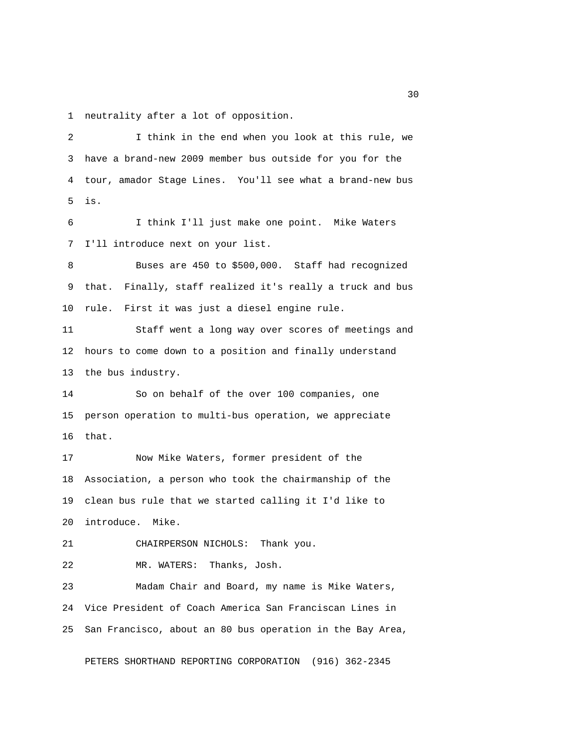1 neutrality after a lot of opposition.

 2 I think in the end when you look at this rule, we 3 have a brand-new 2009 member bus outside for you for the 4 tour, amador Stage Lines. You'll see what a brand-new bus 5 is. 6 I think I'll just make one point. Mike Waters 7 I'll introduce next on your list. 8 Buses are 450 to \$500,000. Staff had recognized 9 that. Finally, staff realized it's really a truck and bus 10 rule. First it was just a diesel engine rule. 11 Staff went a long way over scores of meetings and 12 hours to come down to a position and finally understand 13 the bus industry. 14 So on behalf of the over 100 companies, one 15 person operation to multi-bus operation, we appreciate 16 that. 17 Now Mike Waters, former president of the 18 Association, a person who took the chairmanship of the 19 clean bus rule that we started calling it I'd like to 20 introduce. Mike. 21 CHAIRPERSON NICHOLS: Thank you. 22 MR. WATERS: Thanks, Josh. 23 Madam Chair and Board, my name is Mike Waters, 24 Vice President of Coach America San Franciscan Lines in 25 San Francisco, about an 80 bus operation in the Bay Area, PETERS SHORTHAND REPORTING CORPORATION (916) 362-2345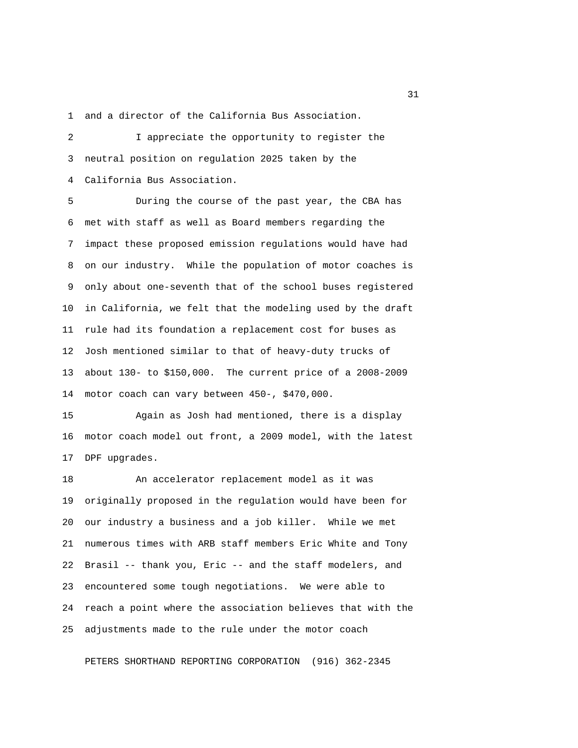1 and a director of the California Bus Association.

 2 I appreciate the opportunity to register the 3 neutral position on regulation 2025 taken by the 4 California Bus Association.

 5 During the course of the past year, the CBA has 6 met with staff as well as Board members regarding the 7 impact these proposed emission regulations would have had 8 on our industry. While the population of motor coaches is 9 only about one-seventh that of the school buses registered 10 in California, we felt that the modeling used by the draft 11 rule had its foundation a replacement cost for buses as 12 Josh mentioned similar to that of heavy-duty trucks of 13 about 130- to \$150,000. The current price of a 2008-2009 14 motor coach can vary between 450-, \$470,000.

15 Again as Josh had mentioned, there is a display 16 motor coach model out front, a 2009 model, with the latest 17 DPF upgrades.

18 An accelerator replacement model as it was 19 originally proposed in the regulation would have been for 20 our industry a business and a job killer. While we met 21 numerous times with ARB staff members Eric White and Tony 22 Brasil -- thank you, Eric -- and the staff modelers, and 23 encountered some tough negotiations. We were able to 24 reach a point where the association believes that with the 25 adjustments made to the rule under the motor coach

PETERS SHORTHAND REPORTING CORPORATION (916) 362-2345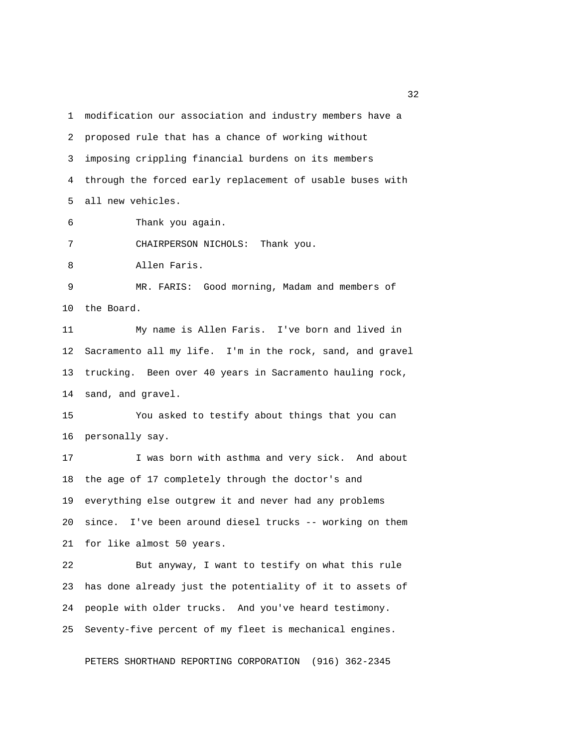1 modification our association and industry members have a 2 proposed rule that has a chance of working without 3 imposing crippling financial burdens on its members 4 through the forced early replacement of usable buses with 5 all new vehicles. 6 Thank you again. 7 CHAIRPERSON NICHOLS: Thank you. 8 Allen Faris. 9 MR. FARIS: Good morning, Madam and members of 10 the Board. 11 My name is Allen Faris. I've born and lived in 12 Sacramento all my life. I'm in the rock, sand, and gravel 13 trucking. Been over 40 years in Sacramento hauling rock, 14 sand, and gravel. 15 You asked to testify about things that you can 16 personally say. 17 I was born with asthma and very sick. And about 18 the age of 17 completely through the doctor's and 19 everything else outgrew it and never had any problems 20 since. I've been around diesel trucks -- working on them 21 for like almost 50 years. 22 But anyway, I want to testify on what this rule 23 has done already just the potentiality of it to assets of 24 people with older trucks. And you've heard testimony. 25 Seventy-five percent of my fleet is mechanical engines.

PETERS SHORTHAND REPORTING CORPORATION (916) 362-2345

 $32<sup>2</sup>$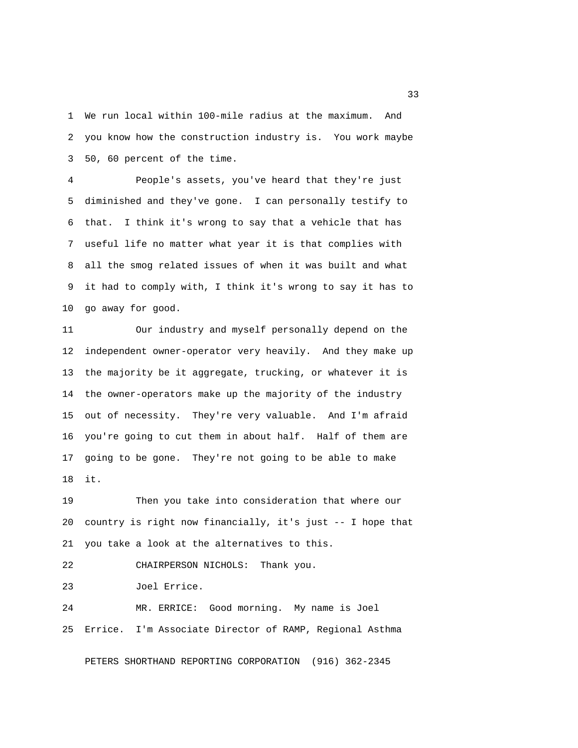1 We run local within 100-mile radius at the maximum. And 2 you know how the construction industry is. You work maybe 3 50, 60 percent of the time.

 4 People's assets, you've heard that they're just 5 diminished and they've gone. I can personally testify to 6 that. I think it's wrong to say that a vehicle that has 7 useful life no matter what year it is that complies with 8 all the smog related issues of when it was built and what 9 it had to comply with, I think it's wrong to say it has to 10 go away for good.

11 Our industry and myself personally depend on the 12 independent owner-operator very heavily. And they make up 13 the majority be it aggregate, trucking, or whatever it is 14 the owner-operators make up the majority of the industry 15 out of necessity. They're very valuable. And I'm afraid 16 you're going to cut them in about half. Half of them are 17 going to be gone. They're not going to be able to make 18 it.

19 Then you take into consideration that where our 20 country is right now financially, it's just -- I hope that 21 you take a look at the alternatives to this.

22 CHAIRPERSON NICHOLS: Thank you.

23 Joel Errice.

24 MR. ERRICE: Good morning. My name is Joel 25 Errice. I'm Associate Director of RAMP, Regional Asthma

PETERS SHORTHAND REPORTING CORPORATION (916) 362-2345

 $33<sup>2</sup>$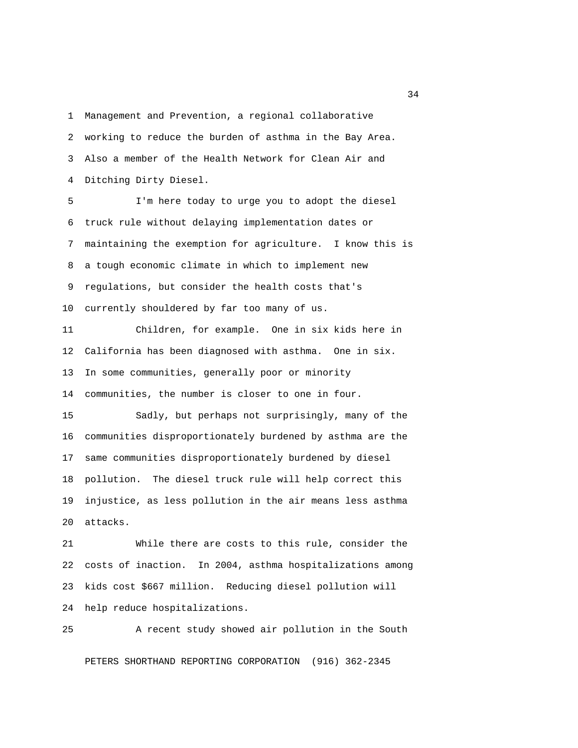1 Management and Prevention, a regional collaborative 2 working to reduce the burden of asthma in the Bay Area. 3 Also a member of the Health Network for Clean Air and 4 Ditching Dirty Diesel.

 5 I'm here today to urge you to adopt the diesel 6 truck rule without delaying implementation dates or 7 maintaining the exemption for agriculture. I know this is 8 a tough economic climate in which to implement new 9 regulations, but consider the health costs that's 10 currently shouldered by far too many of us.

11 Children, for example. One in six kids here in 12 California has been diagnosed with asthma. One in six. 13 In some communities, generally poor or minority 14 communities, the number is closer to one in four.

15 Sadly, but perhaps not surprisingly, many of the 16 communities disproportionately burdened by asthma are the 17 same communities disproportionately burdened by diesel 18 pollution. The diesel truck rule will help correct this 19 injustice, as less pollution in the air means less asthma 20 attacks.

21 While there are costs to this rule, consider the 22 costs of inaction. In 2004, asthma hospitalizations among 23 kids cost \$667 million. Reducing diesel pollution will 24 help reduce hospitalizations.

25 A recent study showed air pollution in the South PETERS SHORTHAND REPORTING CORPORATION (916) 362-2345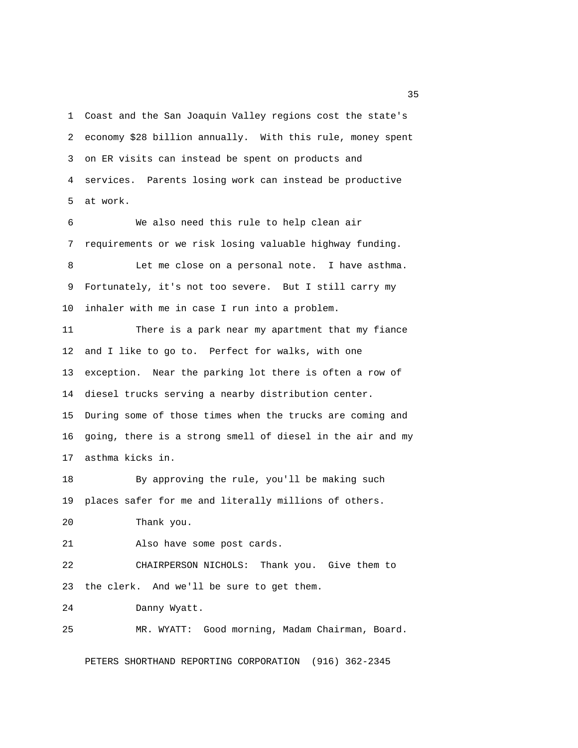1 Coast and the San Joaquin Valley regions cost the state's 2 economy \$28 billion annually. With this rule, money spent 3 on ER visits can instead be spent on products and 4 services. Parents losing work can instead be productive 5 at work.

 6 We also need this rule to help clean air 7 requirements or we risk losing valuable highway funding. 8 Let me close on a personal note. I have asthma. 9 Fortunately, it's not too severe. But I still carry my 10 inhaler with me in case I run into a problem. 11 There is a park near my apartment that my fiance 12 and I like to go to. Perfect for walks, with one 13 exception. Near the parking lot there is often a row of 14 diesel trucks serving a nearby distribution center. 15 During some of those times when the trucks are coming and

16 going, there is a strong smell of diesel in the air and my 17 asthma kicks in.

18 By approving the rule, you'll be making such 19 places safer for me and literally millions of others.

20 Thank you.

21 Also have some post cards.

22 CHAIRPERSON NICHOLS: Thank you. Give them to 23 the clerk. And we'll be sure to get them.

24 Danny Wyatt.

25 MR. WYATT: Good morning, Madam Chairman, Board.

PETERS SHORTHAND REPORTING CORPORATION (916) 362-2345

<u>35</u>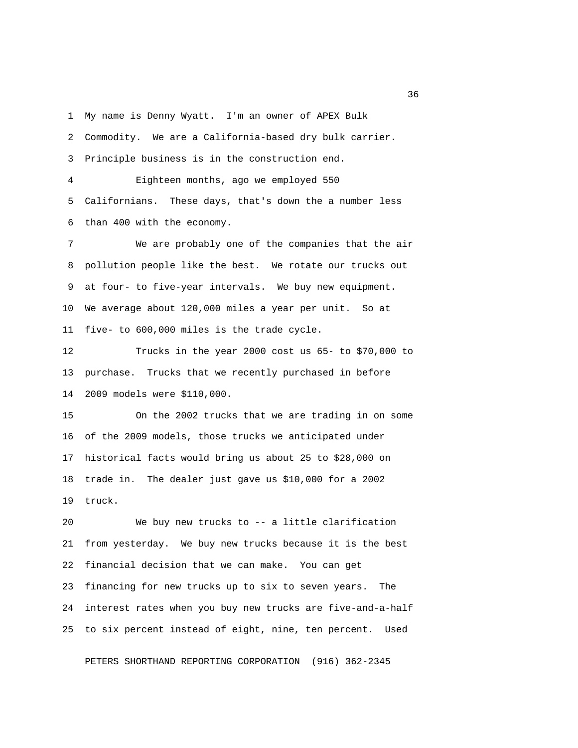1 My name is Denny Wyatt. I'm an owner of APEX Bulk

2 Commodity. We are a California-based dry bulk carrier.

3 Principle business is in the construction end.

 4 Eighteen months, ago we employed 550 5 Californians. These days, that's down the a number less 6 than 400 with the economy.

 7 We are probably one of the companies that the air 8 pollution people like the best. We rotate our trucks out 9 at four- to five-year intervals. We buy new equipment. 10 We average about 120,000 miles a year per unit. So at 11 five- to 600,000 miles is the trade cycle.

12 Trucks in the year 2000 cost us 65- to \$70,000 to 13 purchase. Trucks that we recently purchased in before 14 2009 models were \$110,000.

15 On the 2002 trucks that we are trading in on some 16 of the 2009 models, those trucks we anticipated under 17 historical facts would bring us about 25 to \$28,000 on 18 trade in. The dealer just gave us \$10,000 for a 2002 19 truck.

20 We buy new trucks to -- a little clarification 21 from yesterday. We buy new trucks because it is the best 22 financial decision that we can make. You can get 23 financing for new trucks up to six to seven years. The 24 interest rates when you buy new trucks are five-and-a-half 25 to six percent instead of eight, nine, ten percent. Used

PETERS SHORTHAND REPORTING CORPORATION (916) 362-2345

 $36<sup>2</sup>$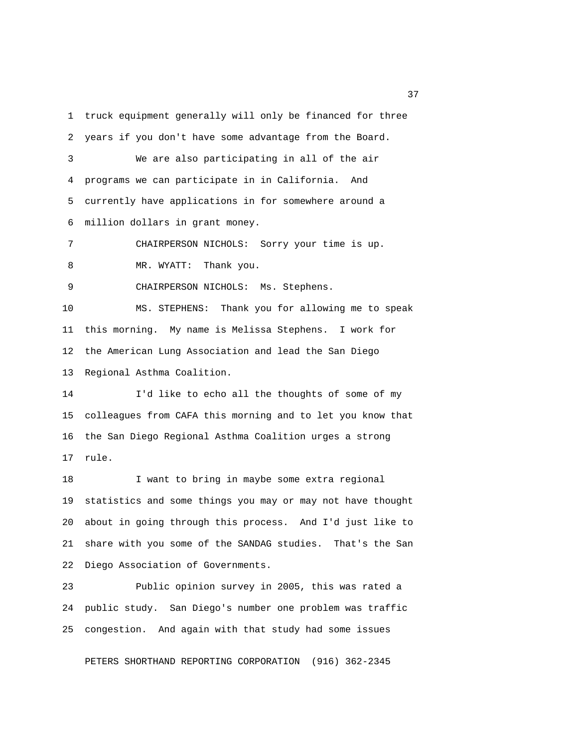1 truck equipment generally will only be financed for three 2 years if you don't have some advantage from the Board. 3 We are also participating in all of the air 4 programs we can participate in in California. And 5 currently have applications in for somewhere around a 6 million dollars in grant money. 7 CHAIRPERSON NICHOLS: Sorry your time is up. 8 MR. WYATT: Thank you. 9 CHAIRPERSON NICHOLS: Ms. Stephens. 10 MS. STEPHENS: Thank you for allowing me to speak 11 this morning. My name is Melissa Stephens. I work for 12 the American Lung Association and lead the San Diego 13 Regional Asthma Coalition. 14 I'd like to echo all the thoughts of some of my 15 colleagues from CAFA this morning and to let you know that 16 the San Diego Regional Asthma Coalition urges a strong

17 rule.

18 I want to bring in maybe some extra regional 19 statistics and some things you may or may not have thought 20 about in going through this process. And I'd just like to 21 share with you some of the SANDAG studies. That's the San 22 Diego Association of Governments.

23 Public opinion survey in 2005, this was rated a 24 public study. San Diego's number one problem was traffic 25 congestion. And again with that study had some issues

PETERS SHORTHAND REPORTING CORPORATION (916) 362-2345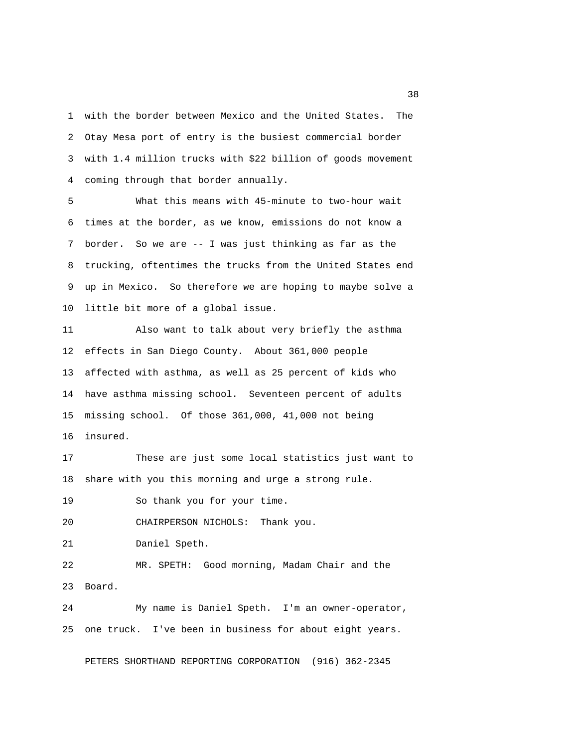1 with the border between Mexico and the United States. The 2 Otay Mesa port of entry is the busiest commercial border 3 with 1.4 million trucks with \$22 billion of goods movement 4 coming through that border annually.

 5 What this means with 45-minute to two-hour wait 6 times at the border, as we know, emissions do not know a 7 border. So we are -- I was just thinking as far as the 8 trucking, oftentimes the trucks from the United States end 9 up in Mexico. So therefore we are hoping to maybe solve a 10 little bit more of a global issue.

11 Also want to talk about very briefly the asthma 12 effects in San Diego County. About 361,000 people 13 affected with asthma, as well as 25 percent of kids who 14 have asthma missing school. Seventeen percent of adults 15 missing school. Of those 361,000, 41,000 not being 16 insured.

17 These are just some local statistics just want to 18 share with you this morning and urge a strong rule.

19 So thank you for your time.

20 CHAIRPERSON NICHOLS: Thank you.

21 Daniel Speth.

22 MR. SPETH: Good morning, Madam Chair and the 23 Board.

24 My name is Daniel Speth. I'm an owner-operator, 25 one truck. I've been in business for about eight years.

PETERS SHORTHAND REPORTING CORPORATION (916) 362-2345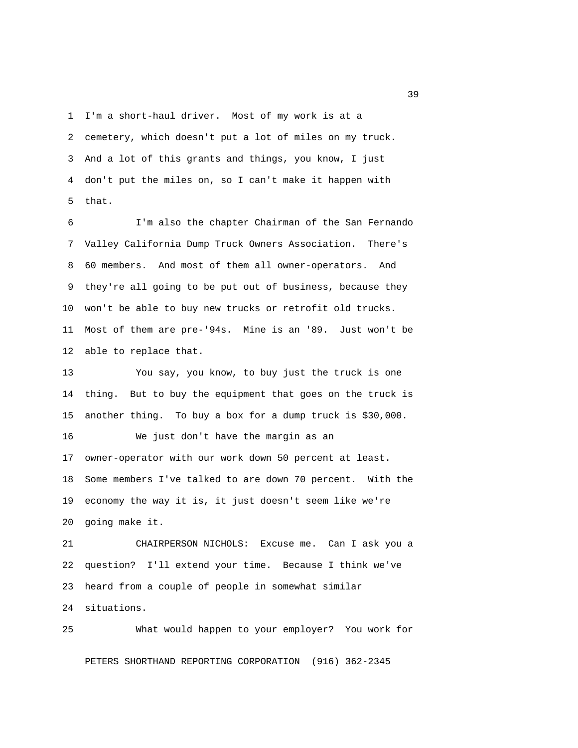1 I'm a short-haul driver. Most of my work is at a 2 cemetery, which doesn't put a lot of miles on my truck. 3 And a lot of this grants and things, you know, I just 4 don't put the miles on, so I can't make it happen with 5 that.

 6 I'm also the chapter Chairman of the San Fernando 7 Valley California Dump Truck Owners Association. There's 8 60 members. And most of them all owner-operators. And 9 they're all going to be put out of business, because they 10 won't be able to buy new trucks or retrofit old trucks. 11 Most of them are pre-'94s. Mine is an '89. Just won't be 12 able to replace that.

13 You say, you know, to buy just the truck is one 14 thing. But to buy the equipment that goes on the truck is 15 another thing. To buy a box for a dump truck is \$30,000. 16 We just don't have the margin as an 17 owner-operator with our work down 50 percent at least. 18 Some members I've talked to are down 70 percent. With the 19 economy the way it is, it just doesn't seem like we're 20 going make it.

21 CHAIRPERSON NICHOLS: Excuse me. Can I ask you a 22 question? I'll extend your time. Because I think we've 23 heard from a couple of people in somewhat similar 24 situations.

25 What would happen to your employer? You work for PETERS SHORTHAND REPORTING CORPORATION (916) 362-2345

 $39<sup>2</sup>$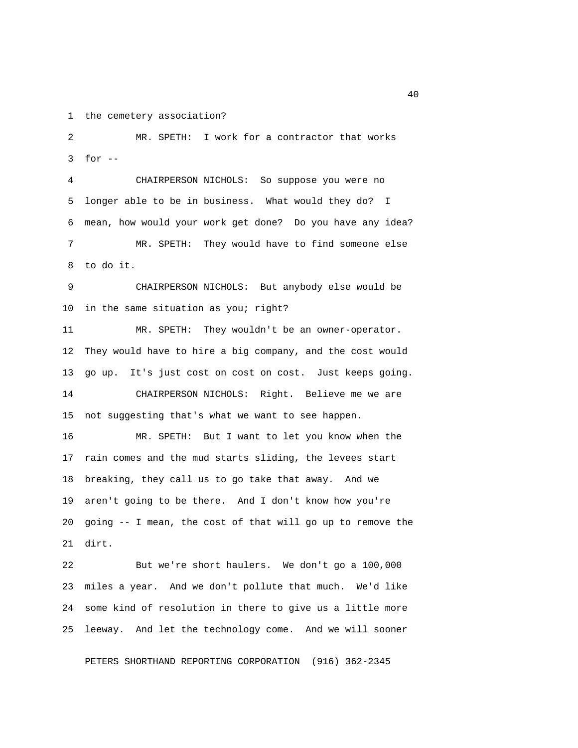1 the cemetery association?

 2 MR. SPETH: I work for a contractor that works 3 for --

 4 CHAIRPERSON NICHOLS: So suppose you were no 5 longer able to be in business. What would they do? I 6 mean, how would your work get done? Do you have any idea? 7 MR. SPETH: They would have to find someone else 8 to do it.

 9 CHAIRPERSON NICHOLS: But anybody else would be 10 in the same situation as you; right?

11 MR. SPETH: They wouldn't be an owner-operator. 12 They would have to hire a big company, and the cost would 13 go up. It's just cost on cost on cost. Just keeps going. 14 CHAIRPERSON NICHOLS: Right. Believe me we are 15 not suggesting that's what we want to see happen.

16 MR. SPETH: But I want to let you know when the 17 rain comes and the mud starts sliding, the levees start 18 breaking, they call us to go take that away. And we 19 aren't going to be there. And I don't know how you're 20 going -- I mean, the cost of that will go up to remove the 21 dirt.

22 But we're short haulers. We don't go a 100,000 23 miles a year. And we don't pollute that much. We'd like 24 some kind of resolution in there to give us a little more 25 leeway. And let the technology come. And we will sooner

PETERS SHORTHAND REPORTING CORPORATION (916) 362-2345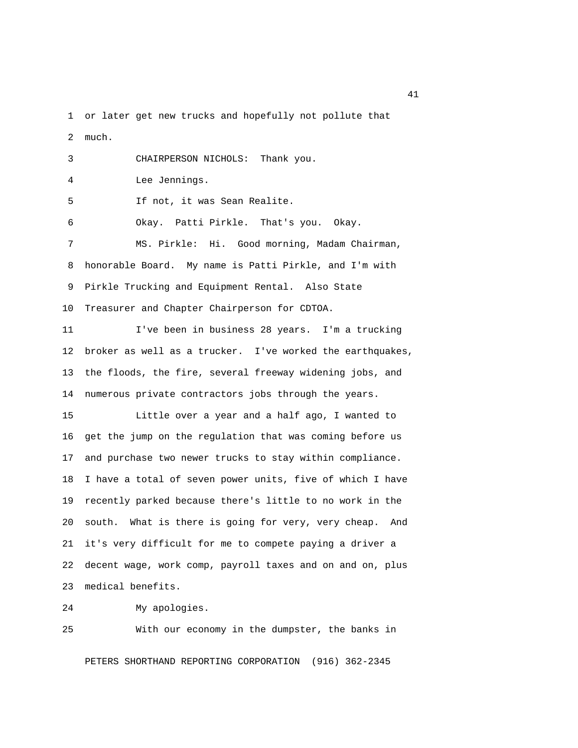1 or later get new trucks and hopefully not pollute that 2 much.

| 3 | CHAIRPERSON NICHOLS: Thank you.                        |
|---|--------------------------------------------------------|
| 4 | Lee Jennings.                                          |
| 5 | If not, it was Sean Realite.                           |
| 6 | Okay. Patti Pirkle. That's you. Okay.                  |
| 7 | MS. Pirkle: Hi. Good morning, Madam Chairman,          |
| 8 | honorable Board. My name is Patti Pirkle, and I'm with |
|   | 9 Pirkle Trucking and Equipment Rental. Also State     |
|   | 10 Treasurer and Chapter Chairperson for CDTOA.        |

11 I've been in business 28 years. I'm a trucking 12 broker as well as a trucker. I've worked the earthquakes, 13 the floods, the fire, several freeway widening jobs, and 14 numerous private contractors jobs through the years.

15 Little over a year and a half ago, I wanted to 16 get the jump on the regulation that was coming before us 17 and purchase two newer trucks to stay within compliance. 18 I have a total of seven power units, five of which I have 19 recently parked because there's little to no work in the 20 south. What is there is going for very, very cheap. And 21 it's very difficult for me to compete paying a driver a 22 decent wage, work comp, payroll taxes and on and on, plus 23 medical benefits.

24 My apologies.

25 With our economy in the dumpster, the banks in

PETERS SHORTHAND REPORTING CORPORATION (916) 362-2345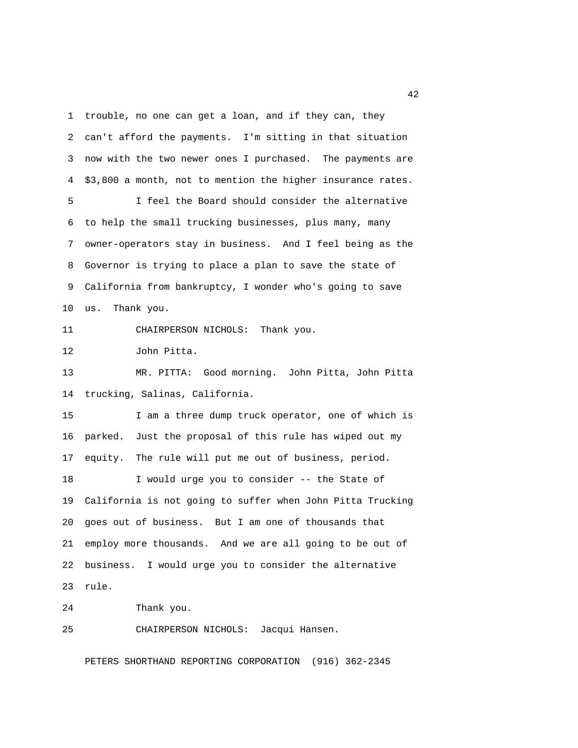1 trouble, no one can get a loan, and if they can, they 2 can't afford the payments. I'm sitting in that situation 3 now with the two newer ones I purchased. The payments are 4 \$3,800 a month, not to mention the higher insurance rates. 5 I feel the Board should consider the alternative 6 to help the small trucking businesses, plus many, many 7 owner-operators stay in business. And I feel being as the 8 Governor is trying to place a plan to save the state of 9 California from bankruptcy, I wonder who's going to save 10 us. Thank you. 11 CHAIRPERSON NICHOLS: Thank you. 12 John Pitta. 13 MR. PITTA: Good morning. John Pitta, John Pitta 14 trucking, Salinas, California. 15 I am a three dump truck operator, one of which is 16 parked. Just the proposal of this rule has wiped out my 17 equity. The rule will put me out of business, period. 18 I would urge you to consider -- the State of 19 California is not going to suffer when John Pitta Trucking 20 goes out of business. But I am one of thousands that 21 employ more thousands. And we are all going to be out of 22 business. I would urge you to consider the alternative 23 rule. 24 Thank you.

25 CHAIRPERSON NICHOLS: Jacqui Hansen.

PETERS SHORTHAND REPORTING CORPORATION (916) 362-2345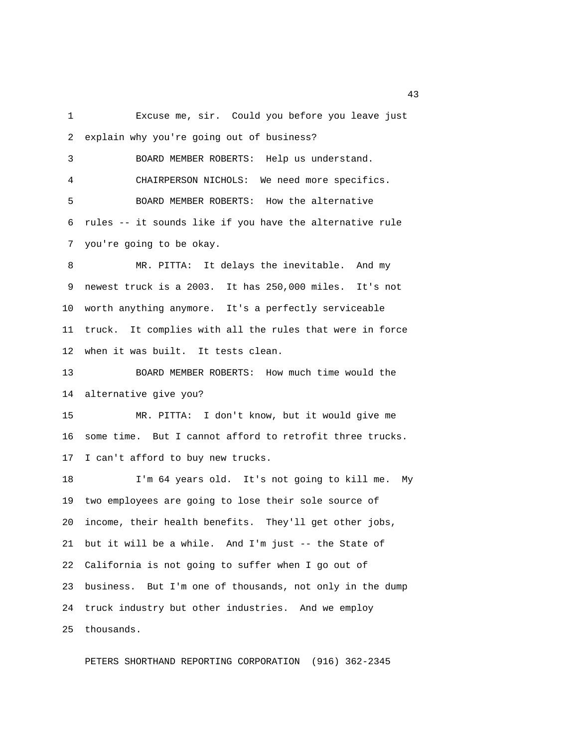1 Excuse me, sir. Could you before you leave just 2 explain why you're going out of business? 3 BOARD MEMBER ROBERTS: Help us understand. 4 CHAIRPERSON NICHOLS: We need more specifics. 5 BOARD MEMBER ROBERTS: How the alternative 6 rules -- it sounds like if you have the alternative rule 7 you're going to be okay. 8 MR. PITTA: It delays the inevitable. And my 9 newest truck is a 2003. It has 250,000 miles. It's not 10 worth anything anymore. It's a perfectly serviceable 11 truck. It complies with all the rules that were in force 12 when it was built. It tests clean. 13 BOARD MEMBER ROBERTS: How much time would the 14 alternative give you? 15 MR. PITTA: I don't know, but it would give me 16 some time. But I cannot afford to retrofit three trucks. 17 I can't afford to buy new trucks. 18 I'm 64 years old. It's not going to kill me. My 19 two employees are going to lose their sole source of 20 income, their health benefits. They'll get other jobs, 21 but it will be a while. And I'm just -- the State of 22 California is not going to suffer when I go out of 23 business. But I'm one of thousands, not only in the dump 24 truck industry but other industries. And we employ

PETERS SHORTHAND REPORTING CORPORATION (916) 362-2345

25 thousands.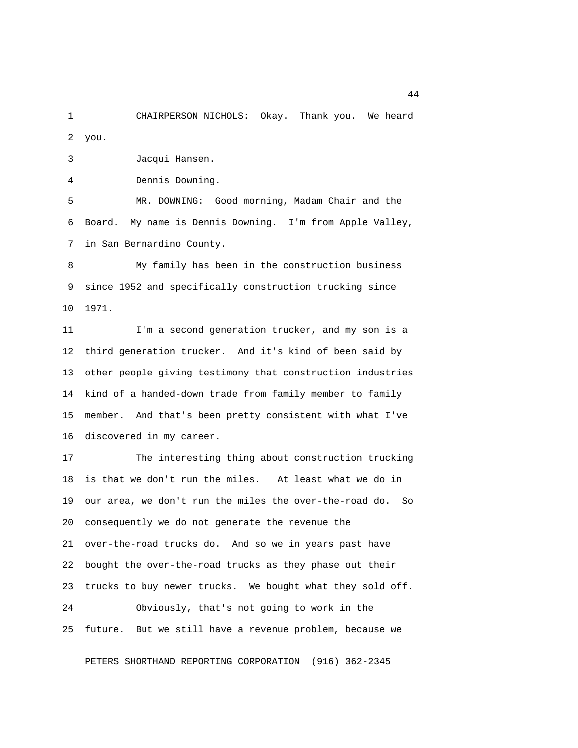1 CHAIRPERSON NICHOLS: Okay. Thank you. We heard 2 you.

3 Jacqui Hansen.

4 Dennis Downing.

 5 MR. DOWNING: Good morning, Madam Chair and the 6 Board. My name is Dennis Downing. I'm from Apple Valley, 7 in San Bernardino County.

 8 My family has been in the construction business 9 since 1952 and specifically construction trucking since 10 1971.

11 I'm a second generation trucker, and my son is a 12 third generation trucker. And it's kind of been said by 13 other people giving testimony that construction industries 14 kind of a handed-down trade from family member to family 15 member. And that's been pretty consistent with what I've 16 discovered in my career.

17 The interesting thing about construction trucking 18 is that we don't run the miles. At least what we do in 19 our area, we don't run the miles the over-the-road do. So 20 consequently we do not generate the revenue the 21 over-the-road trucks do. And so we in years past have 22 bought the over-the-road trucks as they phase out their 23 trucks to buy newer trucks. We bought what they sold off. 24 Obviously, that's not going to work in the 25 future. But we still have a revenue problem, because we

PETERS SHORTHAND REPORTING CORPORATION (916) 362-2345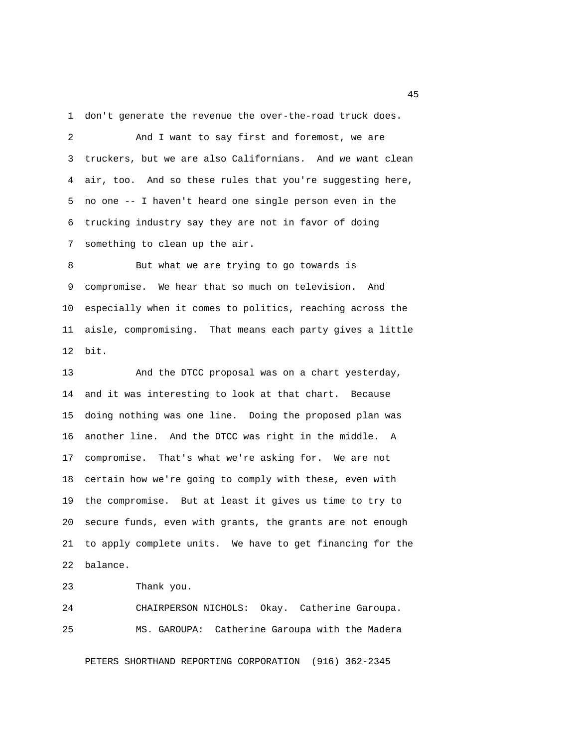1 don't generate the revenue the over-the-road truck does.

 2 And I want to say first and foremost, we are 3 truckers, but we are also Californians. And we want clean 4 air, too. And so these rules that you're suggesting here, 5 no one -- I haven't heard one single person even in the 6 trucking industry say they are not in favor of doing 7 something to clean up the air.

 8 But what we are trying to go towards is 9 compromise. We hear that so much on television. And 10 especially when it comes to politics, reaching across the 11 aisle, compromising. That means each party gives a little 12 bit.

13 And the DTCC proposal was on a chart yesterday, 14 and it was interesting to look at that chart. Because 15 doing nothing was one line. Doing the proposed plan was 16 another line. And the DTCC was right in the middle. A 17 compromise. That's what we're asking for. We are not 18 certain how we're going to comply with these, even with 19 the compromise. But at least it gives us time to try to 20 secure funds, even with grants, the grants are not enough 21 to apply complete units. We have to get financing for the 22 balance.

23 Thank you.

24 CHAIRPERSON NICHOLS: Okay. Catherine Garoupa. 25 MS. GAROUPA: Catherine Garoupa with the Madera

PETERS SHORTHAND REPORTING CORPORATION (916) 362-2345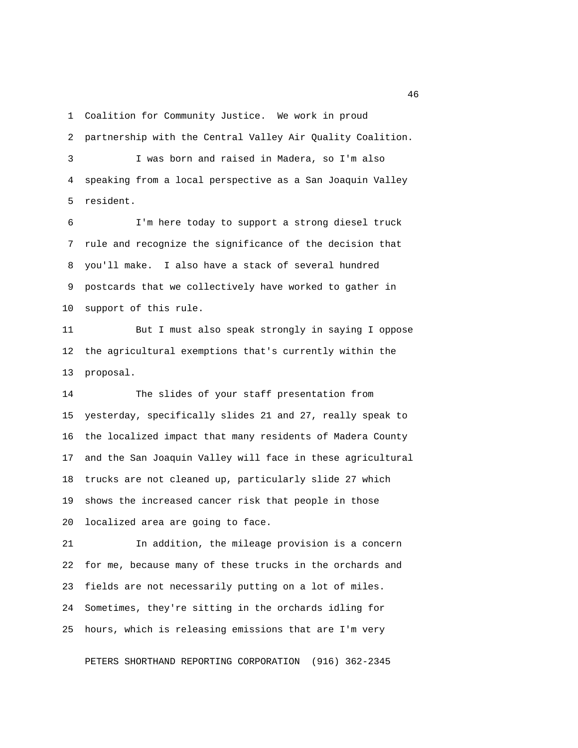1 Coalition for Community Justice. We work in proud

2 partnership with the Central Valley Air Quality Coalition.

 3 I was born and raised in Madera, so I'm also 4 speaking from a local perspective as a San Joaquin Valley 5 resident.

 6 I'm here today to support a strong diesel truck 7 rule and recognize the significance of the decision that 8 you'll make. I also have a stack of several hundred 9 postcards that we collectively have worked to gather in 10 support of this rule.

11 But I must also speak strongly in saying I oppose 12 the agricultural exemptions that's currently within the 13 proposal.

14 The slides of your staff presentation from 15 yesterday, specifically slides 21 and 27, really speak to 16 the localized impact that many residents of Madera County 17 and the San Joaquin Valley will face in these agricultural 18 trucks are not cleaned up, particularly slide 27 which 19 shows the increased cancer risk that people in those 20 localized area are going to face.

21 In addition, the mileage provision is a concern 22 for me, because many of these trucks in the orchards and 23 fields are not necessarily putting on a lot of miles. 24 Sometimes, they're sitting in the orchards idling for 25 hours, which is releasing emissions that are I'm very

PETERS SHORTHAND REPORTING CORPORATION (916) 362-2345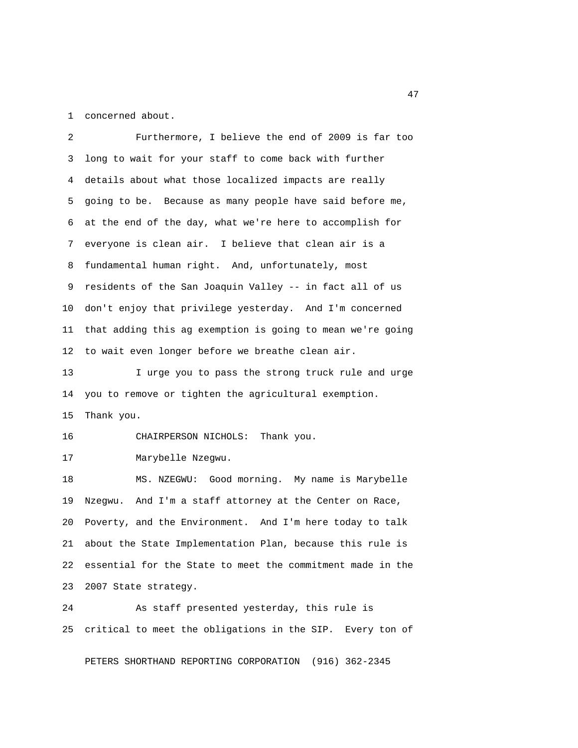1 concerned about.

 2 Furthermore, I believe the end of 2009 is far too 3 long to wait for your staff to come back with further 4 details about what those localized impacts are really 5 going to be. Because as many people have said before me, 6 at the end of the day, what we're here to accomplish for 7 everyone is clean air. I believe that clean air is a 8 fundamental human right. And, unfortunately, most 9 residents of the San Joaquin Valley -- in fact all of us 10 don't enjoy that privilege yesterday. And I'm concerned 11 that adding this ag exemption is going to mean we're going 12 to wait even longer before we breathe clean air. 13 I urge you to pass the strong truck rule and urge 14 you to remove or tighten the agricultural exemption. 15 Thank you. 16 CHAIRPERSON NICHOLS: Thank you. 17 Marybelle Nzegwu. 18 MS. NZEGWU: Good morning. My name is Marybelle 19 Nzegwu. And I'm a staff attorney at the Center on Race, 20 Poverty, and the Environment. And I'm here today to talk 21 about the State Implementation Plan, because this rule is 22 essential for the State to meet the commitment made in the 23 2007 State strategy.

24 As staff presented yesterday, this rule is 25 critical to meet the obligations in the SIP. Every ton of

PETERS SHORTHAND REPORTING CORPORATION (916) 362-2345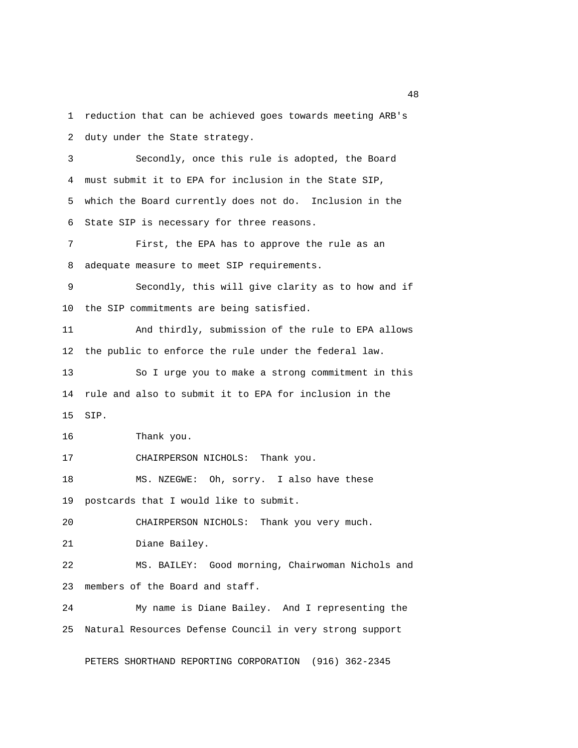1 reduction that can be achieved goes towards meeting ARB's 2 duty under the State strategy. 3 Secondly, once this rule is adopted, the Board 4 must submit it to EPA for inclusion in the State SIP, 5 which the Board currently does not do. Inclusion in the 6 State SIP is necessary for three reasons. 7 First, the EPA has to approve the rule as an 8 adequate measure to meet SIP requirements. 9 Secondly, this will give clarity as to how and if 10 the SIP commitments are being satisfied. 11 And thirdly, submission of the rule to EPA allows 12 the public to enforce the rule under the federal law. 13 So I urge you to make a strong commitment in this 14 rule and also to submit it to EPA for inclusion in the 15 SIP. 16 Thank you. 17 CHAIRPERSON NICHOLS: Thank you. 18 MS. NZEGWE: Oh, sorry. I also have these 19 postcards that I would like to submit. 20 CHAIRPERSON NICHOLS: Thank you very much. 21 Diane Bailey. 22 MS. BAILEY: Good morning, Chairwoman Nichols and 23 members of the Board and staff. 24 My name is Diane Bailey. And I representing the 25 Natural Resources Defense Council in very strong support

PETERS SHORTHAND REPORTING CORPORATION (916) 362-2345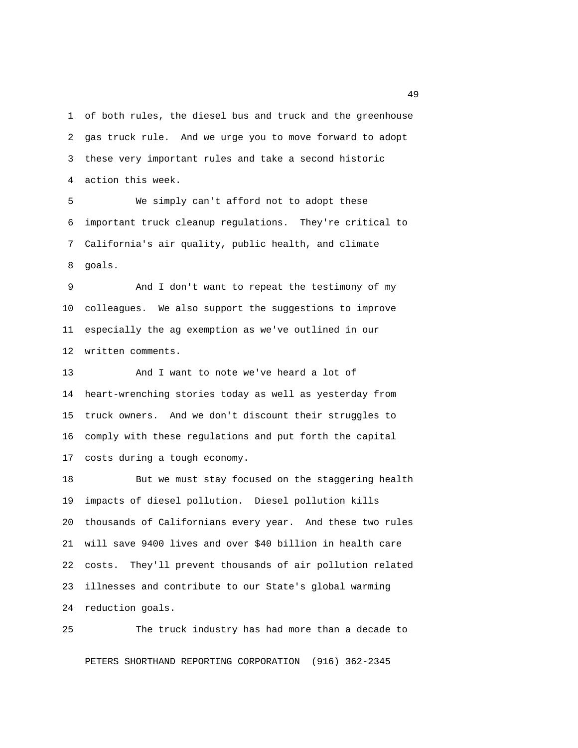1 of both rules, the diesel bus and truck and the greenhouse 2 gas truck rule. And we urge you to move forward to adopt 3 these very important rules and take a second historic 4 action this week.

 5 We simply can't afford not to adopt these 6 important truck cleanup regulations. They're critical to 7 California's air quality, public health, and climate 8 goals.

 9 And I don't want to repeat the testimony of my 10 colleagues. We also support the suggestions to improve 11 especially the ag exemption as we've outlined in our 12 written comments.

13 And I want to note we've heard a lot of 14 heart-wrenching stories today as well as yesterday from 15 truck owners. And we don't discount their struggles to 16 comply with these regulations and put forth the capital 17 costs during a tough economy.

18 But we must stay focused on the staggering health 19 impacts of diesel pollution. Diesel pollution kills 20 thousands of Californians every year. And these two rules 21 will save 9400 lives and over \$40 billion in health care 22 costs. They'll prevent thousands of air pollution related 23 illnesses and contribute to our State's global warming 24 reduction goals.

25 The truck industry has had more than a decade to PETERS SHORTHAND REPORTING CORPORATION (916) 362-2345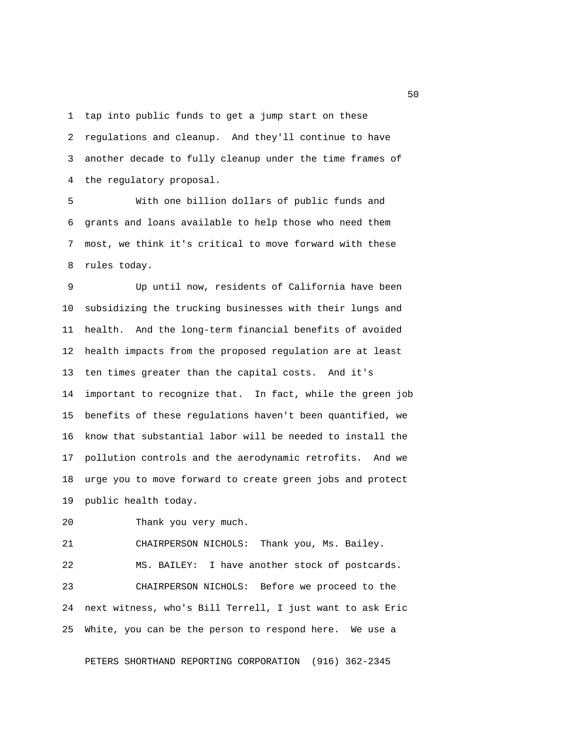1 tap into public funds to get a jump start on these 2 regulations and cleanup. And they'll continue to have 3 another decade to fully cleanup under the time frames of 4 the regulatory proposal.

 5 With one billion dollars of public funds and 6 grants and loans available to help those who need them 7 most, we think it's critical to move forward with these 8 rules today.

 9 Up until now, residents of California have been 10 subsidizing the trucking businesses with their lungs and 11 health. And the long-term financial benefits of avoided 12 health impacts from the proposed regulation are at least 13 ten times greater than the capital costs. And it's 14 important to recognize that. In fact, while the green job 15 benefits of these regulations haven't been quantified, we 16 know that substantial labor will be needed to install the 17 pollution controls and the aerodynamic retrofits. And we 18 urge you to move forward to create green jobs and protect 19 public health today.

20 Thank you very much.

21 CHAIRPERSON NICHOLS: Thank you, Ms. Bailey.

22 MS. BAILEY: I have another stock of postcards. 23 CHAIRPERSON NICHOLS: Before we proceed to the 24 next witness, who's Bill Terrell, I just want to ask Eric 25 White, you can be the person to respond here. We use a

PETERS SHORTHAND REPORTING CORPORATION (916) 362-2345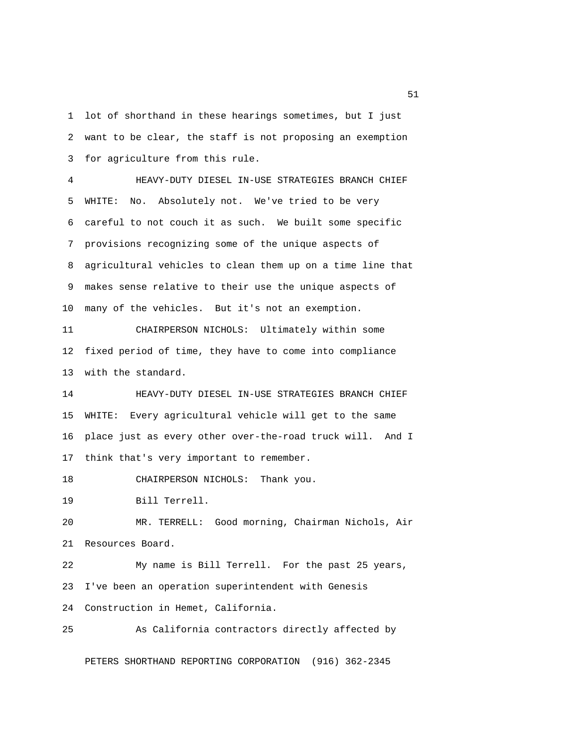1 lot of shorthand in these hearings sometimes, but I just 2 want to be clear, the staff is not proposing an exemption 3 for agriculture from this rule.

 4 HEAVY-DUTY DIESEL IN-USE STRATEGIES BRANCH CHIEF 5 WHITE: No. Absolutely not. We've tried to be very 6 careful to not couch it as such. We built some specific 7 provisions recognizing some of the unique aspects of 8 agricultural vehicles to clean them up on a time line that 9 makes sense relative to their use the unique aspects of 10 many of the vehicles. But it's not an exemption.

11 CHAIRPERSON NICHOLS: Ultimately within some 12 fixed period of time, they have to come into compliance 13 with the standard.

14 HEAVY-DUTY DIESEL IN-USE STRATEGIES BRANCH CHIEF 15 WHITE: Every agricultural vehicle will get to the same 16 place just as every other over-the-road truck will. And I 17 think that's very important to remember.

18 CHAIRPERSON NICHOLS: Thank you.

19 Bill Terrell.

20 MR. TERRELL: Good morning, Chairman Nichols, Air 21 Resources Board.

22 My name is Bill Terrell. For the past 25 years, 23 I've been an operation superintendent with Genesis 24 Construction in Hemet, California.

25 As California contractors directly affected by

PETERS SHORTHAND REPORTING CORPORATION (916) 362-2345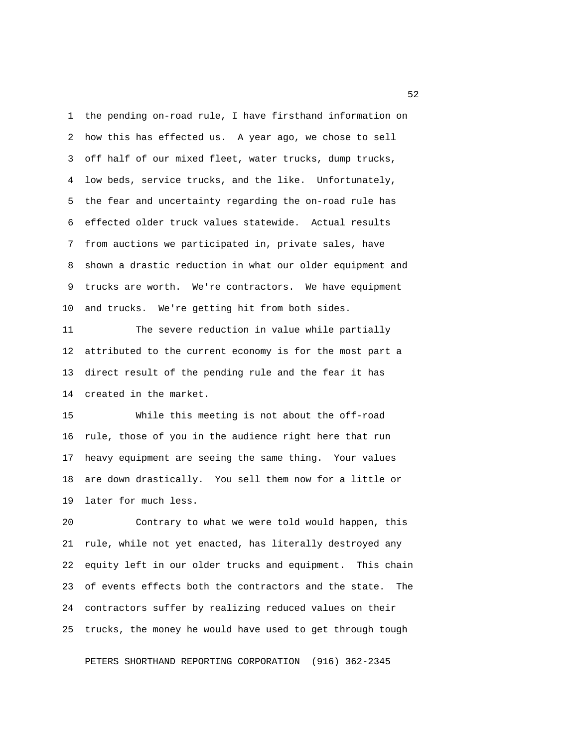1 the pending on-road rule, I have firsthand information on 2 how this has effected us. A year ago, we chose to sell 3 off half of our mixed fleet, water trucks, dump trucks, 4 low beds, service trucks, and the like. Unfortunately, 5 the fear and uncertainty regarding the on-road rule has 6 effected older truck values statewide. Actual results 7 from auctions we participated in, private sales, have 8 shown a drastic reduction in what our older equipment and 9 trucks are worth. We're contractors. We have equipment 10 and trucks. We're getting hit from both sides.

11 The severe reduction in value while partially 12 attributed to the current economy is for the most part a 13 direct result of the pending rule and the fear it has 14 created in the market.

15 While this meeting is not about the off-road 16 rule, those of you in the audience right here that run 17 heavy equipment are seeing the same thing. Your values 18 are down drastically. You sell them now for a little or 19 later for much less.

20 Contrary to what we were told would happen, this 21 rule, while not yet enacted, has literally destroyed any 22 equity left in our older trucks and equipment. This chain 23 of events effects both the contractors and the state. The 24 contractors suffer by realizing reduced values on their 25 trucks, the money he would have used to get through tough

PETERS SHORTHAND REPORTING CORPORATION (916) 362-2345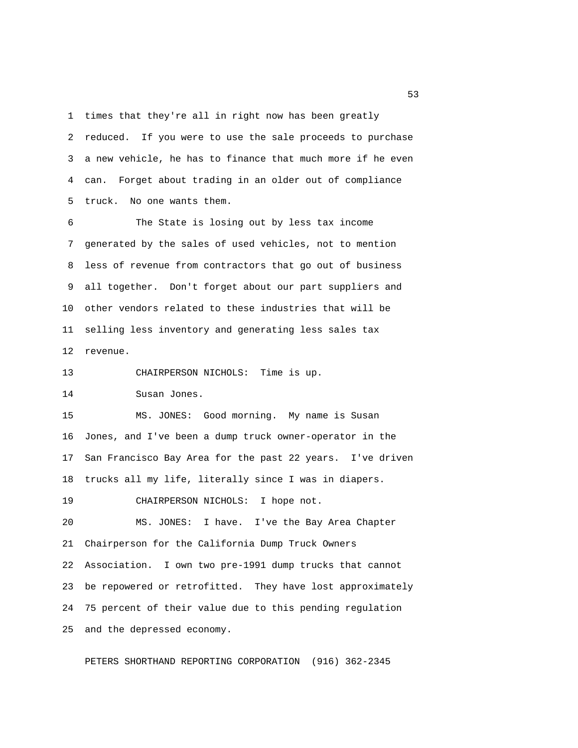1 times that they're all in right now has been greatly 2 reduced. If you were to use the sale proceeds to purchase 3 a new vehicle, he has to finance that much more if he even 4 can. Forget about trading in an older out of compliance 5 truck. No one wants them.

 6 The State is losing out by less tax income 7 generated by the sales of used vehicles, not to mention 8 less of revenue from contractors that go out of business 9 all together. Don't forget about our part suppliers and 10 other vendors related to these industries that will be 11 selling less inventory and generating less sales tax 12 revenue.

13 CHAIRPERSON NICHOLS: Time is up.

14 Susan Jones.

15 MS. JONES: Good morning. My name is Susan 16 Jones, and I've been a dump truck owner-operator in the 17 San Francisco Bay Area for the past 22 years. I've driven 18 trucks all my life, literally since I was in diapers.

19 CHAIRPERSON NICHOLS: I hope not.

20 MS. JONES: I have. I've the Bay Area Chapter 21 Chairperson for the California Dump Truck Owners 22 Association. I own two pre-1991 dump trucks that cannot 23 be repowered or retrofitted. They have lost approximately 24 75 percent of their value due to this pending regulation 25 and the depressed economy.

PETERS SHORTHAND REPORTING CORPORATION (916) 362-2345

 $\sim$  53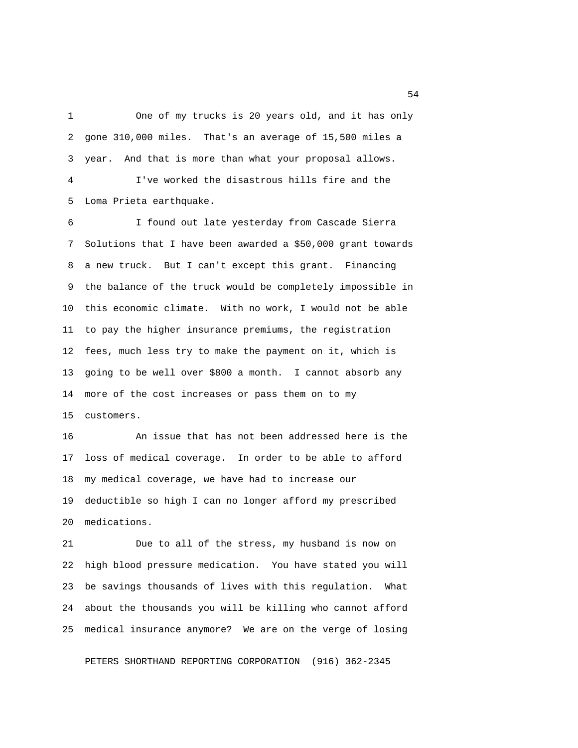1 One of my trucks is 20 years old, and it has only 2 gone 310,000 miles. That's an average of 15,500 miles a 3 year. And that is more than what your proposal allows. 4 I've worked the disastrous hills fire and the

5 Loma Prieta earthquake.

 6 I found out late yesterday from Cascade Sierra 7 Solutions that I have been awarded a \$50,000 grant towards 8 a new truck. But I can't except this grant. Financing 9 the balance of the truck would be completely impossible in 10 this economic climate. With no work, I would not be able 11 to pay the higher insurance premiums, the registration 12 fees, much less try to make the payment on it, which is 13 going to be well over \$800 a month. I cannot absorb any 14 more of the cost increases or pass them on to my 15 customers.

16 An issue that has not been addressed here is the 17 loss of medical coverage. In order to be able to afford 18 my medical coverage, we have had to increase our 19 deductible so high I can no longer afford my prescribed 20 medications.

21 Due to all of the stress, my husband is now on 22 high blood pressure medication. You have stated you will 23 be savings thousands of lives with this regulation. What 24 about the thousands you will be killing who cannot afford 25 medical insurance anymore? We are on the verge of losing

PETERS SHORTHAND REPORTING CORPORATION (916) 362-2345

 $54<sup>th</sup>$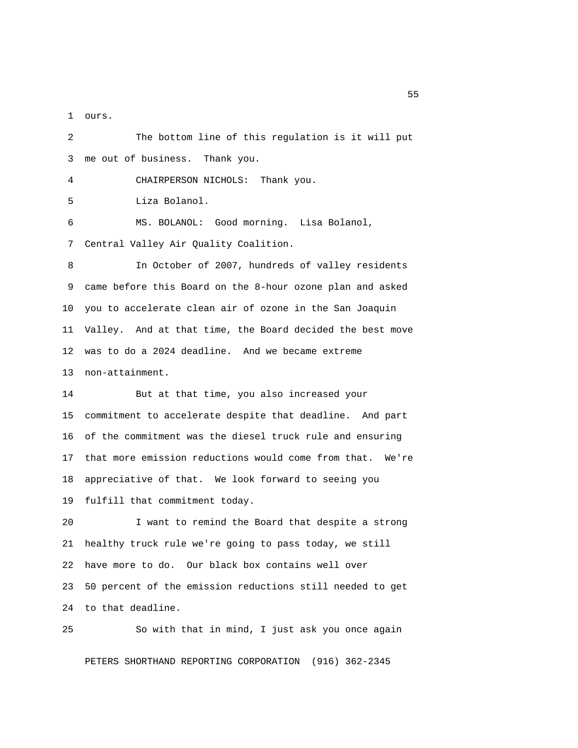1 ours.

 2 The bottom line of this regulation is it will put 3 me out of business. Thank you. 4 CHAIRPERSON NICHOLS: Thank you. 5 Liza Bolanol. 6 MS. BOLANOL: Good morning. Lisa Bolanol, 7 Central Valley Air Quality Coalition. 8 In October of 2007, hundreds of valley residents 9 came before this Board on the 8-hour ozone plan and asked 10 you to accelerate clean air of ozone in the San Joaquin 11 Valley. And at that time, the Board decided the best move 12 was to do a 2024 deadline. And we became extreme 13 non-attainment. 14 But at that time, you also increased your 15 commitment to accelerate despite that deadline. And part 16 of the commitment was the diesel truck rule and ensuring 17 that more emission reductions would come from that. We're 18 appreciative of that. We look forward to seeing you 19 fulfill that commitment today. 20 I want to remind the Board that despite a strong 21 healthy truck rule we're going to pass today, we still 22 have more to do. Our black box contains well over 23 50 percent of the emission reductions still needed to get 24 to that deadline. 25 So with that in mind, I just ask you once again

PETERS SHORTHAND REPORTING CORPORATION (916) 362-2345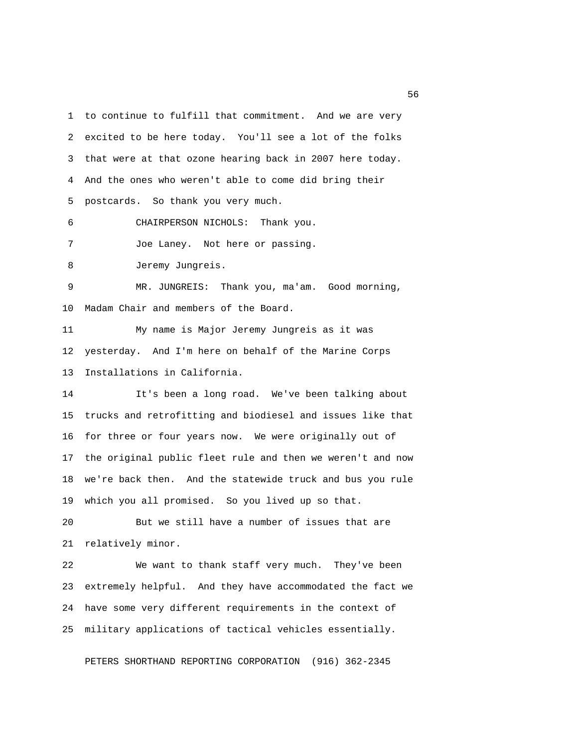1 to continue to fulfill that commitment. And we are very 2 excited to be here today. You'll see a lot of the folks 3 that were at that ozone hearing back in 2007 here today. 4 And the ones who weren't able to come did bring their 5 postcards. So thank you very much. 6 CHAIRPERSON NICHOLS: Thank you. 7 Joe Laney. Not here or passing. 8 Jeremy Jungreis. 9 MR. JUNGREIS: Thank you, ma'am. Good morning, 10 Madam Chair and members of the Board. 11 My name is Major Jeremy Jungreis as it was 12 yesterday. And I'm here on behalf of the Marine Corps 13 Installations in California. 14 It's been a long road. We've been talking about 15 trucks and retrofitting and biodiesel and issues like that 16 for three or four years now. We were originally out of 17 the original public fleet rule and then we weren't and now 18 we're back then. And the statewide truck and bus you rule 19 which you all promised. So you lived up so that. 20 But we still have a number of issues that are 21 relatively minor. 22 We want to thank staff very much. They've been 23 extremely helpful. And they have accommodated the fact we 24 have some very different requirements in the context of 25 military applications of tactical vehicles essentially.

PETERS SHORTHAND REPORTING CORPORATION (916) 362-2345

 $56<sub>5</sub>$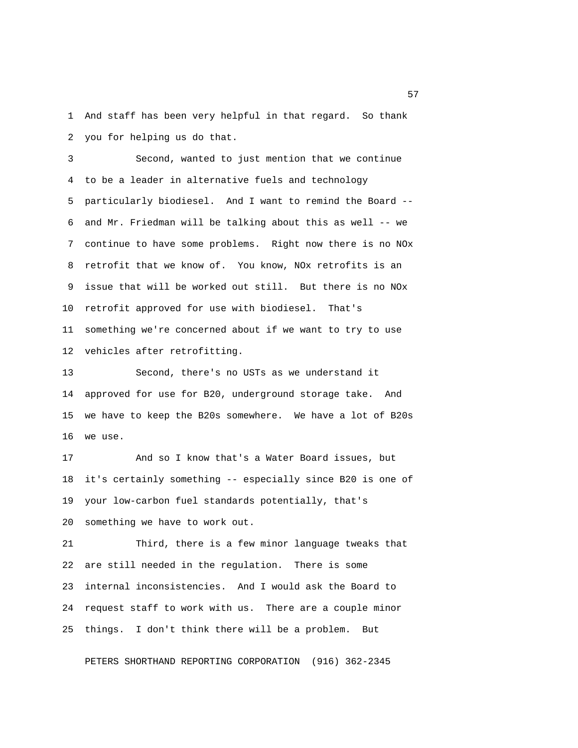1 And staff has been very helpful in that regard. So thank 2 you for helping us do that.

 3 Second, wanted to just mention that we continue 4 to be a leader in alternative fuels and technology 5 particularly biodiesel. And I want to remind the Board -- 6 and Mr. Friedman will be talking about this as well -- we 7 continue to have some problems. Right now there is no NOx 8 retrofit that we know of. You know, NOx retrofits is an 9 issue that will be worked out still. But there is no NOx 10 retrofit approved for use with biodiesel. That's 11 something we're concerned about if we want to try to use 12 vehicles after retrofitting.

13 Second, there's no USTs as we understand it 14 approved for use for B20, underground storage take. And 15 we have to keep the B20s somewhere. We have a lot of B20s 16 we use.

17 And so I know that's a Water Board issues, but 18 it's certainly something -- especially since B20 is one of 19 your low-carbon fuel standards potentially, that's 20 something we have to work out.

21 Third, there is a few minor language tweaks that 22 are still needed in the regulation. There is some 23 internal inconsistencies. And I would ask the Board to 24 request staff to work with us. There are a couple minor 25 things. I don't think there will be a problem. But

PETERS SHORTHAND REPORTING CORPORATION (916) 362-2345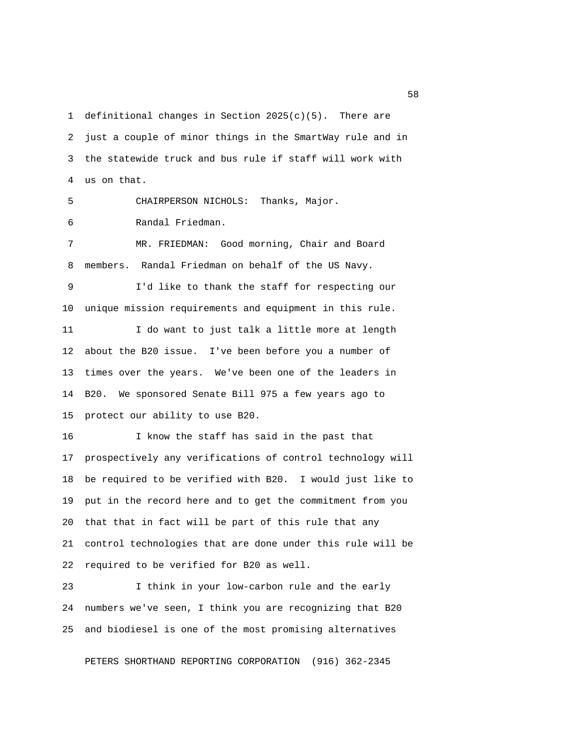1 definitional changes in Section  $2025(c)(5)$ . There are 2 just a couple of minor things in the SmartWay rule and in 3 the statewide truck and bus rule if staff will work with 4 us on that.

5 CHAIRPERSON NICHOLS: Thanks, Major.

6 Randal Friedman.

 7 MR. FRIEDMAN: Good morning, Chair and Board 8 members. Randal Friedman on behalf of the US Navy.

 9 I'd like to thank the staff for respecting our 10 unique mission requirements and equipment in this rule. 11 I do want to just talk a little more at length

12 about the B20 issue. I've been before you a number of 13 times over the years. We've been one of the leaders in 14 B20. We sponsored Senate Bill 975 a few years ago to 15 protect our ability to use B20.

16 I know the staff has said in the past that 17 prospectively any verifications of control technology will 18 be required to be verified with B20. I would just like to 19 put in the record here and to get the commitment from you 20 that that in fact will be part of this rule that any 21 control technologies that are done under this rule will be 22 required to be verified for B20 as well.

23 I think in your low-carbon rule and the early 24 numbers we've seen, I think you are recognizing that B20 25 and biodiesel is one of the most promising alternatives

PETERS SHORTHAND REPORTING CORPORATION (916) 362-2345

<u>58</u> Samuel Control of the Control of the Control of the Control of the Control of the Control of the Control of the Control of the Control of the Control of the Control of the Control of the Control of the Control of the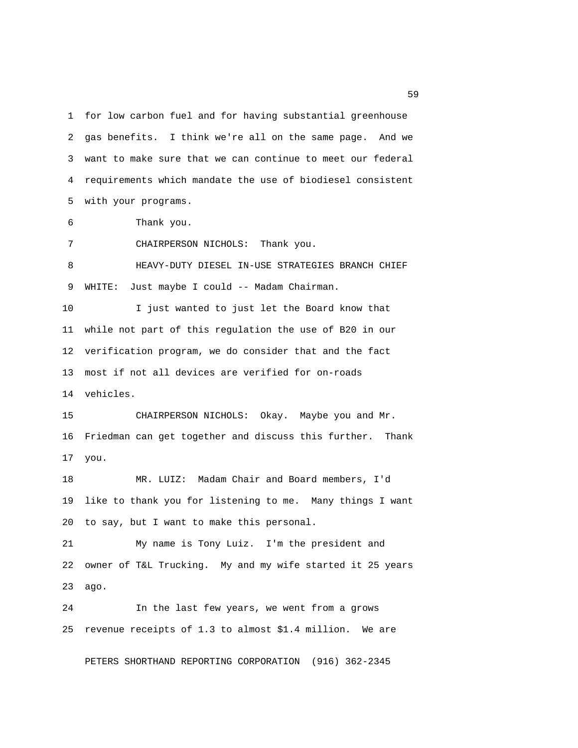1 for low carbon fuel and for having substantial greenhouse 2 gas benefits. I think we're all on the same page. And we 3 want to make sure that we can continue to meet our federal 4 requirements which mandate the use of biodiesel consistent 5 with your programs.

6 Thank you.

7 CHAIRPERSON NICHOLS: Thank you.

 8 HEAVY-DUTY DIESEL IN-USE STRATEGIES BRANCH CHIEF 9 WHITE: Just maybe I could -- Madam Chairman.

10 I just wanted to just let the Board know that 11 while not part of this regulation the use of B20 in our 12 verification program, we do consider that and the fact 13 most if not all devices are verified for on-roads 14 vehicles.

15 CHAIRPERSON NICHOLS: Okay. Maybe you and Mr. 16 Friedman can get together and discuss this further. Thank 17 you.

18 MR. LUIZ: Madam Chair and Board members, I'd 19 like to thank you for listening to me. Many things I want 20 to say, but I want to make this personal.

21 My name is Tony Luiz. I'm the president and 22 owner of T&L Trucking. My and my wife started it 25 years 23 ago.

24 In the last few years, we went from a grows 25 revenue receipts of 1.3 to almost \$1.4 million. We are

PETERS SHORTHAND REPORTING CORPORATION (916) 362-2345

 $59<sub>59</sub>$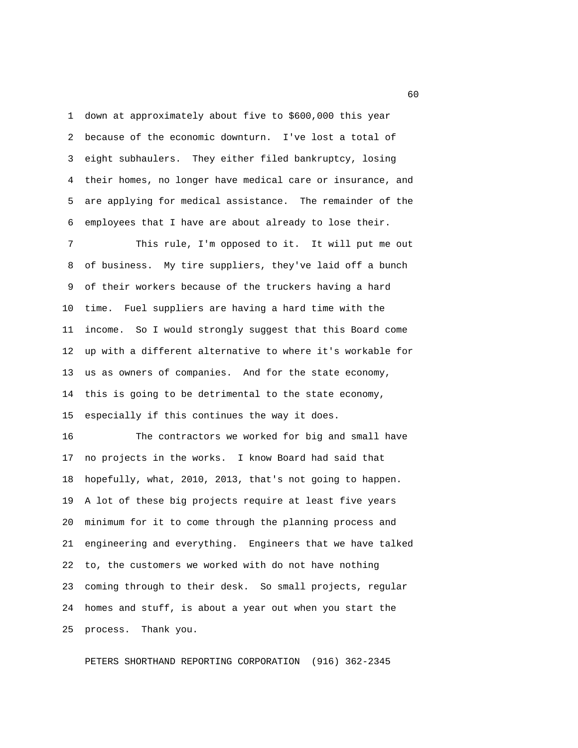1 down at approximately about five to \$600,000 this year 2 because of the economic downturn. I've lost a total of 3 eight subhaulers. They either filed bankruptcy, losing 4 their homes, no longer have medical care or insurance, and 5 are applying for medical assistance. The remainder of the 6 employees that I have are about already to lose their.

 7 This rule, I'm opposed to it. It will put me out 8 of business. My tire suppliers, they've laid off a bunch 9 of their workers because of the truckers having a hard 10 time. Fuel suppliers are having a hard time with the 11 income. So I would strongly suggest that this Board come 12 up with a different alternative to where it's workable for 13 us as owners of companies. And for the state economy, 14 this is going to be detrimental to the state economy, 15 especially if this continues the way it does.

16 The contractors we worked for big and small have 17 no projects in the works. I know Board had said that 18 hopefully, what, 2010, 2013, that's not going to happen. 19 A lot of these big projects require at least five years 20 minimum for it to come through the planning process and 21 engineering and everything. Engineers that we have talked 22 to, the customers we worked with do not have nothing 23 coming through to their desk. So small projects, regular 24 homes and stuff, is about a year out when you start the 25 process. Thank you.

PETERS SHORTHAND REPORTING CORPORATION (916) 362-2345

 $\sim$  60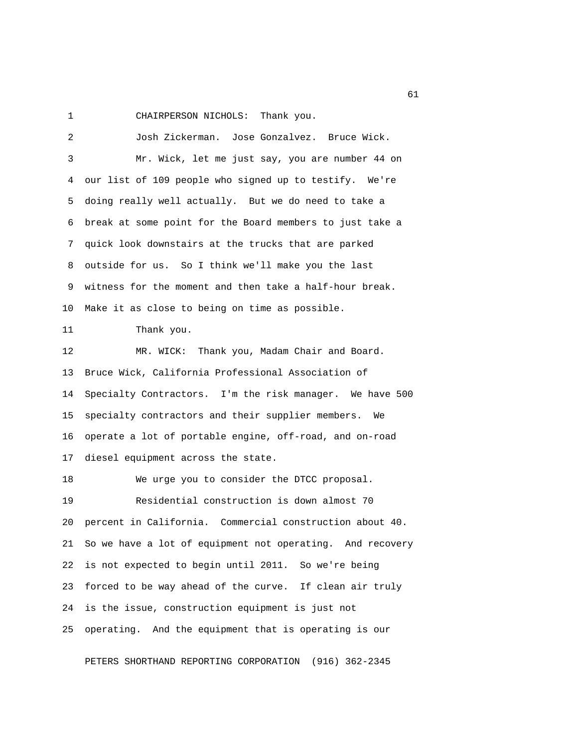1 CHAIRPERSON NICHOLS: Thank you.

 2 Josh Zickerman. Jose Gonzalvez. Bruce Wick. 3 Mr. Wick, let me just say, you are number 44 on 4 our list of 109 people who signed up to testify. We're 5 doing really well actually. But we do need to take a 6 break at some point for the Board members to just take a 7 quick look downstairs at the trucks that are parked 8 outside for us. So I think we'll make you the last 9 witness for the moment and then take a half-hour break. 10 Make it as close to being on time as possible. 11 Thank you. 12 MR. WICK: Thank you, Madam Chair and Board. 13 Bruce Wick, California Professional Association of 14 Specialty Contractors. I'm the risk manager. We have 500 15 specialty contractors and their supplier members. We 16 operate a lot of portable engine, off-road, and on-road 17 diesel equipment across the state. 18 We urge you to consider the DTCC proposal. 19 Residential construction is down almost 70 20 percent in California. Commercial construction about 40. 21 So we have a lot of equipment not operating. And recovery 22 is not expected to begin until 2011. So we're being 23 forced to be way ahead of the curve. If clean air truly 24 is the issue, construction equipment is just not 25 operating. And the equipment that is operating is our

PETERS SHORTHAND REPORTING CORPORATION (916) 362-2345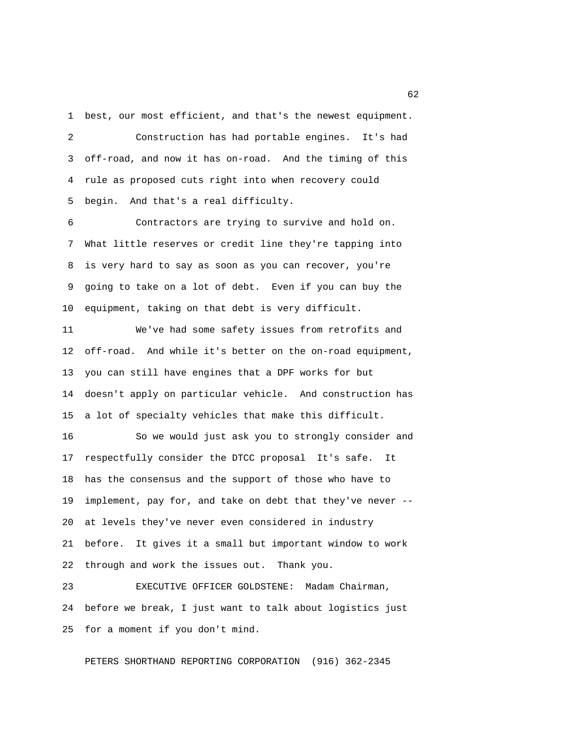1 best, our most efficient, and that's the newest equipment.

 2 Construction has had portable engines. It's had 3 off-road, and now it has on-road. And the timing of this 4 rule as proposed cuts right into when recovery could 5 begin. And that's a real difficulty.

 6 Contractors are trying to survive and hold on. 7 What little reserves or credit line they're tapping into 8 is very hard to say as soon as you can recover, you're 9 going to take on a lot of debt. Even if you can buy the 10 equipment, taking on that debt is very difficult.

11 We've had some safety issues from retrofits and 12 off-road. And while it's better on the on-road equipment, 13 you can still have engines that a DPF works for but 14 doesn't apply on particular vehicle. And construction has 15 a lot of specialty vehicles that make this difficult.

16 So we would just ask you to strongly consider and 17 respectfully consider the DTCC proposal It's safe. It 18 has the consensus and the support of those who have to 19 implement, pay for, and take on debt that they've never -- 20 at levels they've never even considered in industry 21 before. It gives it a small but important window to work 22 through and work the issues out. Thank you.

23 EXECUTIVE OFFICER GOLDSTENE: Madam Chairman, 24 before we break, I just want to talk about logistics just 25 for a moment if you don't mind.

PETERS SHORTHAND REPORTING CORPORATION (916) 362-2345

 $\sim$  62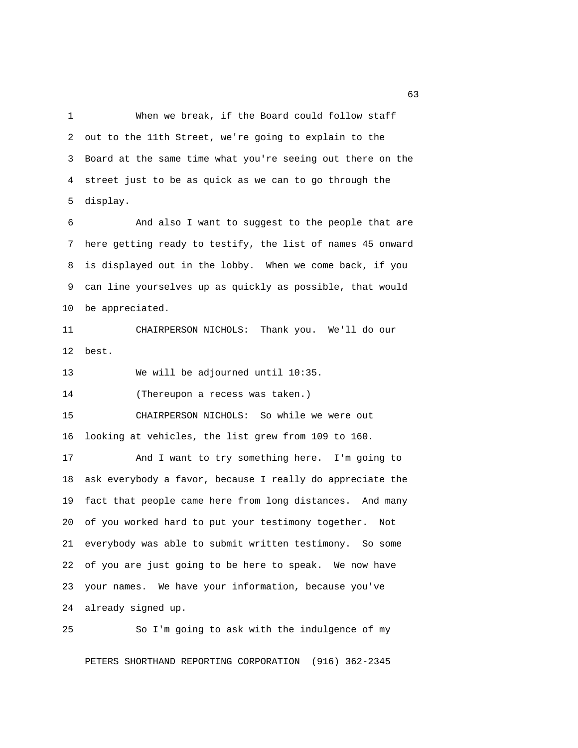1 When we break, if the Board could follow staff 2 out to the 11th Street, we're going to explain to the 3 Board at the same time what you're seeing out there on the 4 street just to be as quick as we can to go through the 5 display.

 6 And also I want to suggest to the people that are 7 here getting ready to testify, the list of names 45 onward 8 is displayed out in the lobby. When we come back, if you 9 can line yourselves up as quickly as possible, that would 10 be appreciated.

11 CHAIRPERSON NICHOLS: Thank you. We'll do our 12 best.

13 We will be adjourned until 10:35.

14 (Thereupon a recess was taken.)

15 CHAIRPERSON NICHOLS: So while we were out 16 looking at vehicles, the list grew from 109 to 160.

17 And I want to try something here. I'm going to 18 ask everybody a favor, because I really do appreciate the 19 fact that people came here from long distances. And many 20 of you worked hard to put your testimony together. Not 21 everybody was able to submit written testimony. So some 22 of you are just going to be here to speak. We now have 23 your names. We have your information, because you've 24 already signed up.

25 So I'm going to ask with the indulgence of my

PETERS SHORTHAND REPORTING CORPORATION (916) 362-2345

 $\sim$  63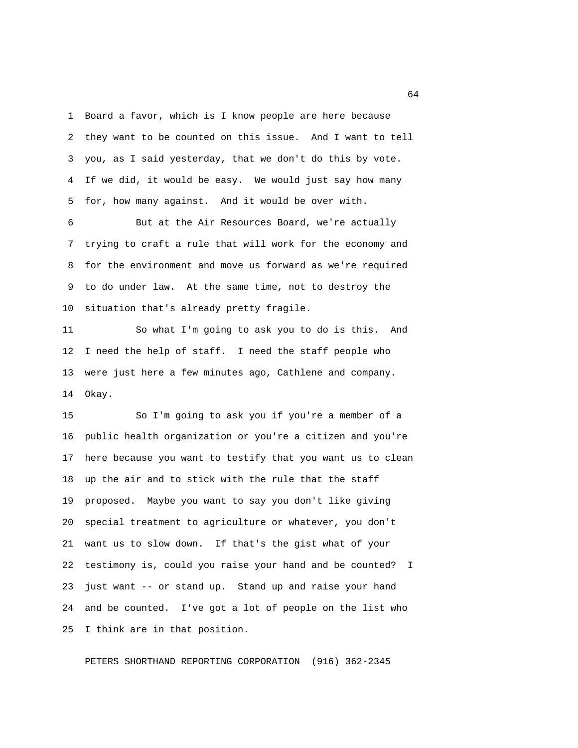1 Board a favor, which is I know people are here because 2 they want to be counted on this issue. And I want to tell 3 you, as I said yesterday, that we don't do this by vote. 4 If we did, it would be easy. We would just say how many 5 for, how many against. And it would be over with.

 6 But at the Air Resources Board, we're actually 7 trying to craft a rule that will work for the economy and 8 for the environment and move us forward as we're required 9 to do under law. At the same time, not to destroy the 10 situation that's already pretty fragile.

11 So what I'm going to ask you to do is this. And 12 I need the help of staff. I need the staff people who 13 were just here a few minutes ago, Cathlene and company. 14 Okay.

15 So I'm going to ask you if you're a member of a 16 public health organization or you're a citizen and you're 17 here because you want to testify that you want us to clean 18 up the air and to stick with the rule that the staff 19 proposed. Maybe you want to say you don't like giving 20 special treatment to agriculture or whatever, you don't 21 want us to slow down. If that's the gist what of your 22 testimony is, could you raise your hand and be counted? I 23 just want -- or stand up. Stand up and raise your hand 24 and be counted. I've got a lot of people on the list who 25 I think are in that position.

PETERS SHORTHAND REPORTING CORPORATION (916) 362-2345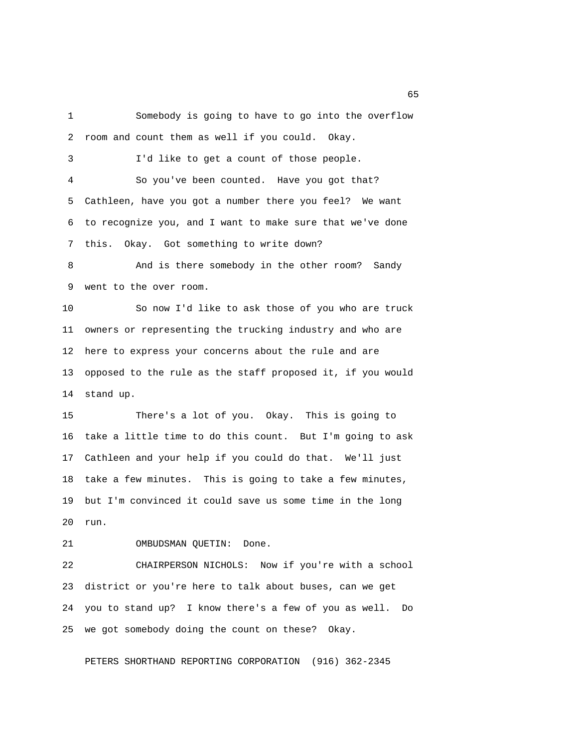1 Somebody is going to have to go into the overflow 2 room and count them as well if you could. Okay. 3 I'd like to get a count of those people. 4 So you've been counted. Have you got that? 5 Cathleen, have you got a number there you feel? We want 6 to recognize you, and I want to make sure that we've done 7 this. Okay. Got something to write down?

 8 And is there somebody in the other room? Sandy 9 went to the over room.

10 So now I'd like to ask those of you who are truck 11 owners or representing the trucking industry and who are 12 here to express your concerns about the rule and are 13 opposed to the rule as the staff proposed it, if you would 14 stand up.

15 There's a lot of you. Okay. This is going to 16 take a little time to do this count. But I'm going to ask 17 Cathleen and your help if you could do that. We'll just 18 take a few minutes. This is going to take a few minutes, 19 but I'm convinced it could save us some time in the long 20 run.

21 OMBUDSMAN QUETIN: Done.

22 CHAIRPERSON NICHOLS: Now if you're with a school 23 district or you're here to talk about buses, can we get 24 you to stand up? I know there's a few of you as well. Do 25 we got somebody doing the count on these? Okay.

PETERS SHORTHAND REPORTING CORPORATION (916) 362-2345

 $\sim$  65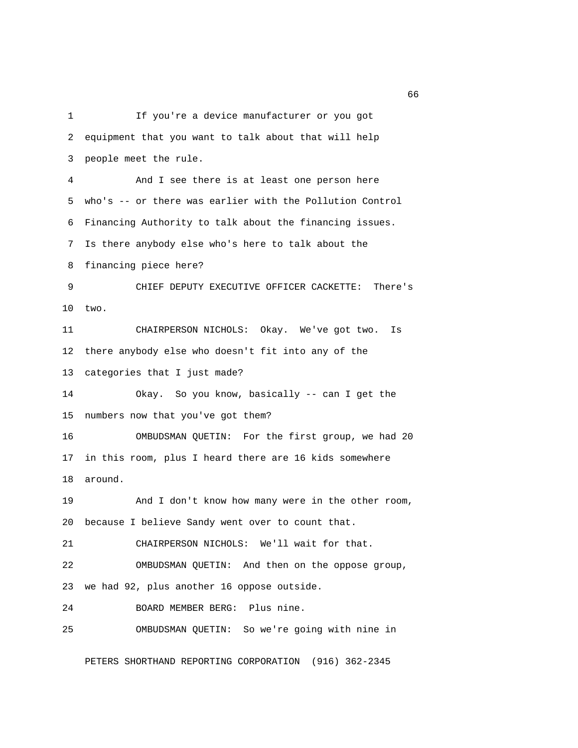1 If you're a device manufacturer or you got 2 equipment that you want to talk about that will help 3 people meet the rule. 4 And I see there is at least one person here 5 who's -- or there was earlier with the Pollution Control 6 Financing Authority to talk about the financing issues. 7 Is there anybody else who's here to talk about the 8 financing piece here? 9 CHIEF DEPUTY EXECUTIVE OFFICER CACKETTE: There's 10 two. 11 CHAIRPERSON NICHOLS: Okay. We've got two. Is 12 there anybody else who doesn't fit into any of the 13 categories that I just made? 14 Okay. So you know, basically -- can I get the 15 numbers now that you've got them? 16 OMBUDSMAN QUETIN: For the first group, we had 20 17 in this room, plus I heard there are 16 kids somewhere 18 around. 19 And I don't know how many were in the other room, 20 because I believe Sandy went over to count that. 21 CHAIRPERSON NICHOLS: We'll wait for that. 22 OMBUDSMAN QUETIN: And then on the oppose group, 23 we had 92, plus another 16 oppose outside. 24 BOARD MEMBER BERG: Plus nine. 25 OMBUDSMAN QUETIN: So we're going with nine in PETERS SHORTHAND REPORTING CORPORATION (916) 362-2345

 $\sim$  66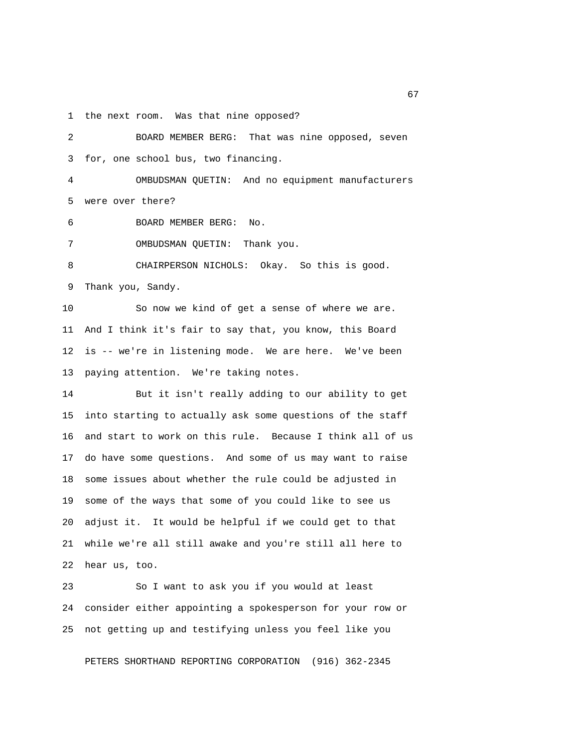1 the next room. Was that nine opposed?

 2 BOARD MEMBER BERG: That was nine opposed, seven 3 for, one school bus, two financing. 4 OMBUDSMAN QUETIN: And no equipment manufacturers 5 were over there? 6 BOARD MEMBER BERG: No. 7 OMBUDSMAN QUETIN: Thank you. 8 CHAIRPERSON NICHOLS: Okay. So this is good. 9 Thank you, Sandy. 10 So now we kind of get a sense of where we are. 11 And I think it's fair to say that, you know, this Board 12 is -- we're in listening mode. We are here. We've been 13 paying attention. We're taking notes. 14 But it isn't really adding to our ability to get 15 into starting to actually ask some questions of the staff 16 and start to work on this rule. Because I think all of us 17 do have some questions. And some of us may want to raise 18 some issues about whether the rule could be adjusted in 19 some of the ways that some of you could like to see us 20 adjust it. It would be helpful if we could get to that 21 while we're all still awake and you're still all here to 22 hear us, too.

23 So I want to ask you if you would at least 24 consider either appointing a spokesperson for your row or 25 not getting up and testifying unless you feel like you

PETERS SHORTHAND REPORTING CORPORATION (916) 362-2345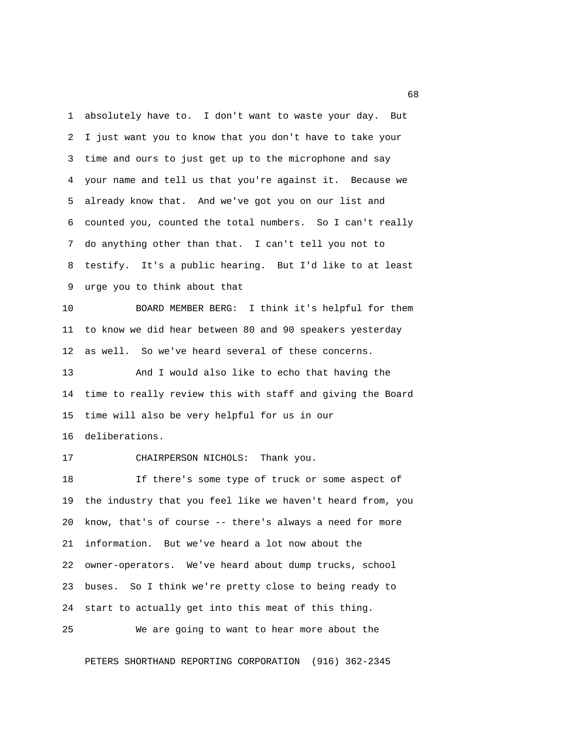1 absolutely have to. I don't want to waste your day. But 2 I just want you to know that you don't have to take your 3 time and ours to just get up to the microphone and say 4 your name and tell us that you're against it. Because we 5 already know that. And we've got you on our list and 6 counted you, counted the total numbers. So I can't really 7 do anything other than that. I can't tell you not to 8 testify. It's a public hearing. But I'd like to at least 9 urge you to think about that

10 BOARD MEMBER BERG: I think it's helpful for them 11 to know we did hear between 80 and 90 speakers yesterday 12 as well. So we've heard several of these concerns.

13 And I would also like to echo that having the 14 time to really review this with staff and giving the Board 15 time will also be very helpful for us in our 16 deliberations.

## 17 CHAIRPERSON NICHOLS: Thank you.

18 If there's some type of truck or some aspect of 19 the industry that you feel like we haven't heard from, you 20 know, that's of course -- there's always a need for more 21 information. But we've heard a lot now about the 22 owner-operators. We've heard about dump trucks, school 23 buses. So I think we're pretty close to being ready to 24 start to actually get into this meat of this thing.

25 We are going to want to hear more about the

PETERS SHORTHAND REPORTING CORPORATION (916) 362-2345

 $\sim$  68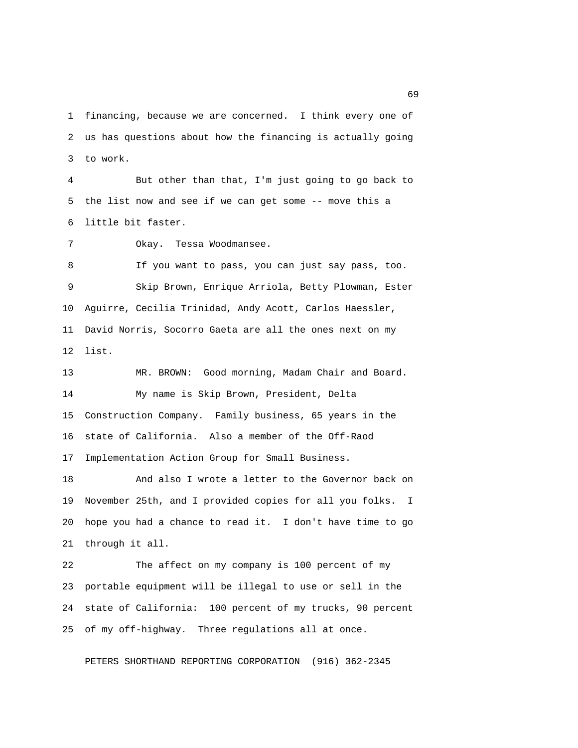1 financing, because we are concerned. I think every one of 2 us has questions about how the financing is actually going 3 to work.

 4 But other than that, I'm just going to go back to 5 the list now and see if we can get some -- move this a 6 little bit faster.

7 Okay. Tessa Woodmansee.

 8 If you want to pass, you can just say pass, too. 9 Skip Brown, Enrique Arriola, Betty Plowman, Ester 10 Aguirre, Cecilia Trinidad, Andy Acott, Carlos Haessler, 11 David Norris, Socorro Gaeta are all the ones next on my 12 list.

13 MR. BROWN: Good morning, Madam Chair and Board. 14 My name is Skip Brown, President, Delta 15 Construction Company. Family business, 65 years in the 16 state of California. Also a member of the Off-Raod 17 Implementation Action Group for Small Business.

18 And also I wrote a letter to the Governor back on 19 November 25th, and I provided copies for all you folks. I 20 hope you had a chance to read it. I don't have time to go 21 through it all.

22 The affect on my company is 100 percent of my 23 portable equipment will be illegal to use or sell in the 24 state of California: 100 percent of my trucks, 90 percent 25 of my off-highway. Three regulations all at once.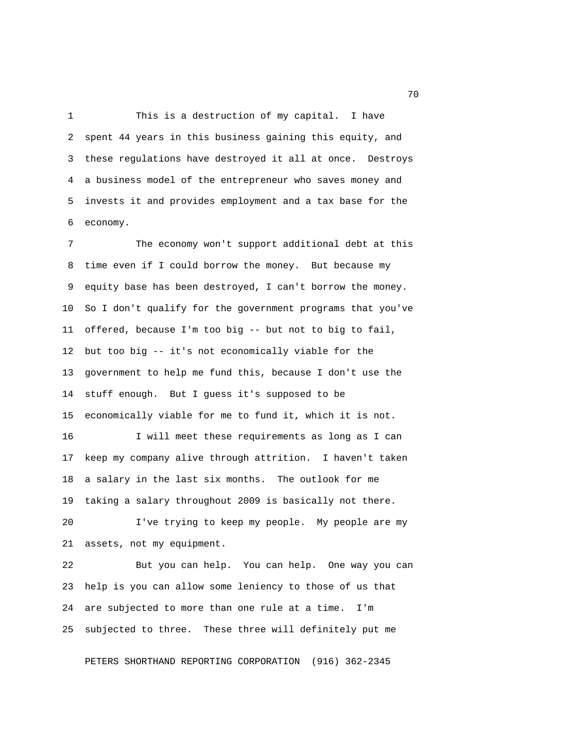1 This is a destruction of my capital. I have 2 spent 44 years in this business gaining this equity, and 3 these regulations have destroyed it all at once. Destroys 4 a business model of the entrepreneur who saves money and 5 invests it and provides employment and a tax base for the 6 economy.

 7 The economy won't support additional debt at this 8 time even if I could borrow the money. But because my 9 equity base has been destroyed, I can't borrow the money. 10 So I don't qualify for the government programs that you've 11 offered, because I'm too big -- but not to big to fail, 12 but too big -- it's not economically viable for the 13 government to help me fund this, because I don't use the 14 stuff enough. But I guess it's supposed to be 15 economically viable for me to fund it, which it is not. 16 I will meet these requirements as long as I can 17 keep my company alive through attrition. I haven't taken 18 a salary in the last six months. The outlook for me

19 taking a salary throughout 2009 is basically not there.

20 I've trying to keep my people. My people are my 21 assets, not my equipment.

22 But you can help. You can help. One way you can 23 help is you can allow some leniency to those of us that 24 are subjected to more than one rule at a time. I'm 25 subjected to three. These three will definitely put me

PETERS SHORTHAND REPORTING CORPORATION (916) 362-2345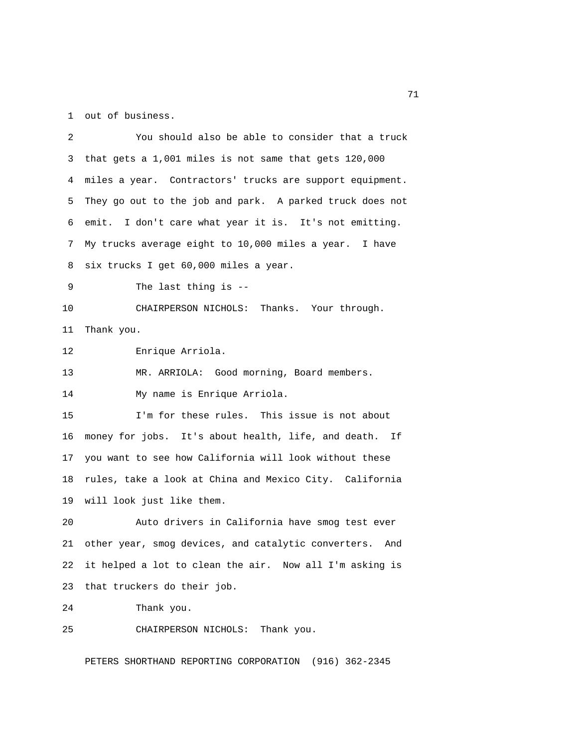1 out of business.

| 2  | You should also be able to consider that a truck             |
|----|--------------------------------------------------------------|
| 3  | that gets a 1,001 miles is not same that gets 120,000        |
| 4  | miles a year. Contractors' trucks are support equipment.     |
| 5  | They go out to the job and park. A parked truck does not     |
| 6  | emit. I don't care what year it is. It's not emitting.       |
| 7  | My trucks average eight to 10,000 miles a year. I have       |
| 8  | six trucks I get 60,000 miles a year.                        |
| 9  | The last thing is $-$ -                                      |
| 10 | CHAIRPERSON NICHOLS: Thanks. Your through.                   |
| 11 | Thank you.                                                   |
| 12 | Enrique Arriola.                                             |
| 13 | MR. ARRIOLA: Good morning, Board members.                    |
| 14 | My name is Enrique Arriola.                                  |
| 15 | I'm for these rules. This issue is not about                 |
| 16 | money for jobs. It's about health, life, and death. If       |
| 17 | you want to see how California will look without these       |
| 18 | rules, take a look at China and Mexico City. California      |
| 19 | will look just like them.                                    |
| 20 | Auto drivers in California have smog test ever               |
| 21 | other year, smog devices, and catalytic converters. And      |
| 22 | it helped a lot to clean the air. Now all I'm asking is      |
| 23 | that truckers do their job.                                  |
| 24 | Thank you.                                                   |
| 25 | CHAIRPERSON NICHOLS: Thank you.                              |
|    | PETERS SHORTHAND REPORTING CORPORATION<br>$(916) 362 - 2345$ |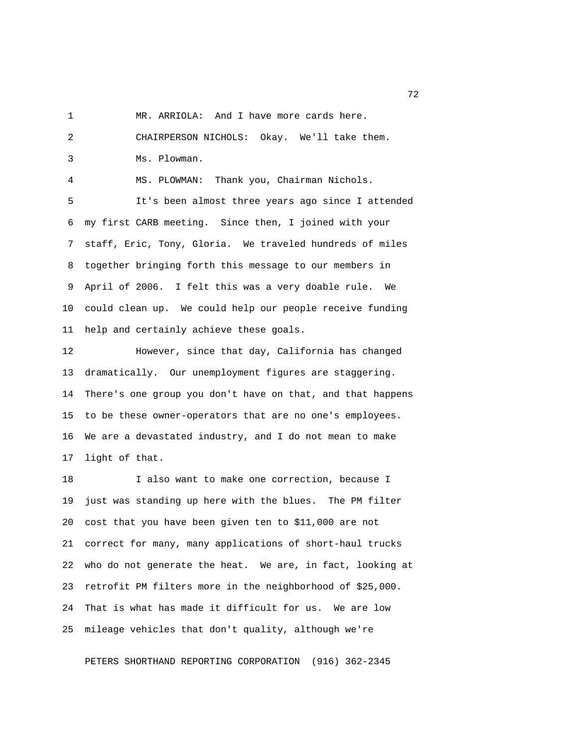1 MR. ARRIOLA: And I have more cards here.

 2 CHAIRPERSON NICHOLS: Okay. We'll take them. 3 Ms. Plowman.

4 MS. PLOWMAN: Thank you, Chairman Nichols.

 5 It's been almost three years ago since I attended 6 my first CARB meeting. Since then, I joined with your 7 staff, Eric, Tony, Gloria. We traveled hundreds of miles 8 together bringing forth this message to our members in 9 April of 2006. I felt this was a very doable rule. We 10 could clean up. We could help our people receive funding 11 help and certainly achieve these goals.

12 However, since that day, California has changed 13 dramatically. Our unemployment figures are staggering. 14 There's one group you don't have on that, and that happens 15 to be these owner-operators that are no one's employees. 16 We are a devastated industry, and I do not mean to make 17 light of that.

18 I also want to make one correction, because I 19 just was standing up here with the blues. The PM filter 20 cost that you have been given ten to \$11,000 are not 21 correct for many, many applications of short-haul trucks 22 who do not generate the heat. We are, in fact, looking at 23 retrofit PM filters more in the neighborhood of \$25,000. 24 That is what has made it difficult for us. We are low 25 mileage vehicles that don't quality, although we're

PETERS SHORTHAND REPORTING CORPORATION (916) 362-2345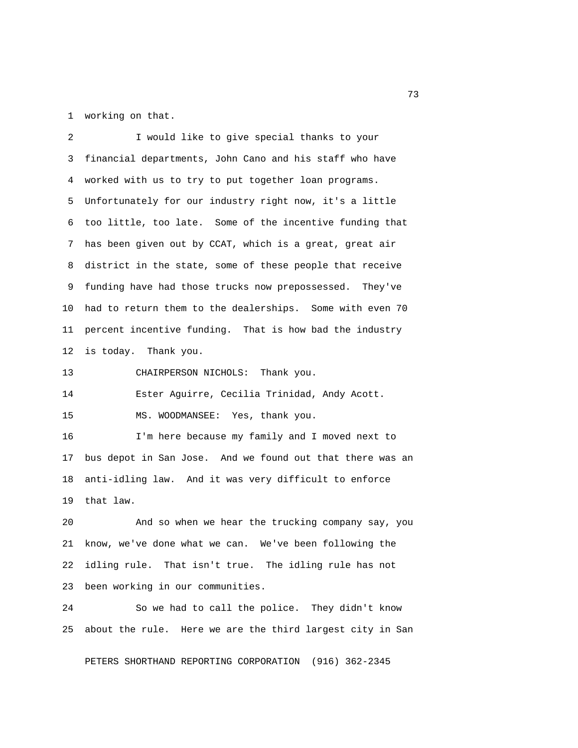1 working on that.

 2 I would like to give special thanks to your 3 financial departments, John Cano and his staff who have 4 worked with us to try to put together loan programs. 5 Unfortunately for our industry right now, it's a little 6 too little, too late. Some of the incentive funding that 7 has been given out by CCAT, which is a great, great air 8 district in the state, some of these people that receive 9 funding have had those trucks now prepossessed. They've 10 had to return them to the dealerships. Some with even 70 11 percent incentive funding. That is how bad the industry 12 is today. Thank you.

13 CHAIRPERSON NICHOLS: Thank you.

14 Ester Aguirre, Cecilia Trinidad, Andy Acott.

15 MS. WOODMANSEE: Yes, thank you.

16 I'm here because my family and I moved next to 17 bus depot in San Jose. And we found out that there was an 18 anti-idling law. And it was very difficult to enforce 19 that law.

20 And so when we hear the trucking company say, you 21 know, we've done what we can. We've been following the 22 idling rule. That isn't true. The idling rule has not 23 been working in our communities.

24 So we had to call the police. They didn't know 25 about the rule. Here we are the third largest city in San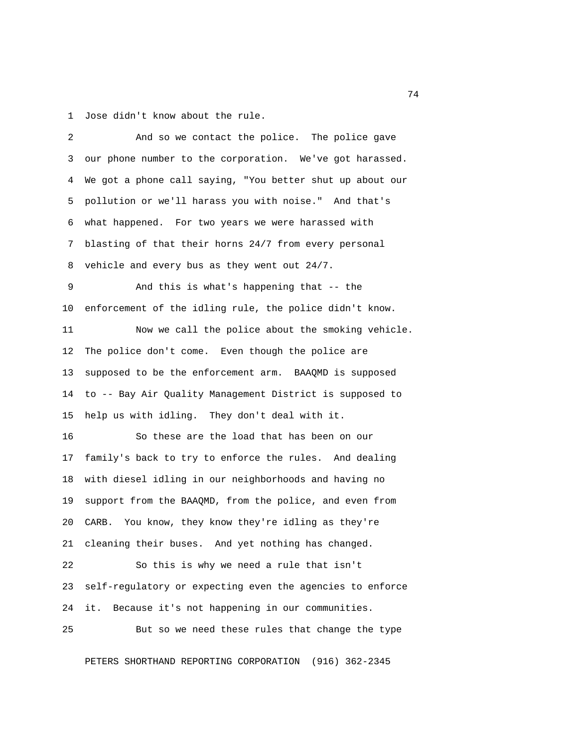1 Jose didn't know about the rule.

| 2  | And so we contact the police. The police gave             |
|----|-----------------------------------------------------------|
| 3  | our phone number to the corporation. We've got harassed.  |
| 4  | We got a phone call saying, "You better shut up about our |
| 5  | pollution or we'll harass you with noise." And that's     |
| 6  | what happened. For two years we were harassed with        |
| 7  | blasting of that their horns 24/7 from every personal     |
| 8  | vehicle and every bus as they went out 24/7.              |
| 9  | And this is what's happening that -- the                  |
| 10 | enforcement of the idling rule, the police didn't know.   |
| 11 | Now we call the police about the smoking vehicle.         |
| 12 | The police don't come. Even though the police are         |
| 13 | supposed to be the enforcement arm. BAAQMD is supposed    |
| 14 | to -- Bay Air Quality Management District is supposed to  |
| 15 | help us with idling. They don't deal with it.             |
| 16 | So these are the load that has been on our                |
| 17 | family's back to try to enforce the rules. And dealing    |
| 18 | with diesel idling in our neighborhoods and having no     |
| 19 | support from the BAAQMD, from the police, and even from   |
| 20 | CARB. You know, they know they're idling as they're       |
| 21 | cleaning their buses. And yet nothing has changed.        |
| 22 | So this is why we need a rule that isn't                  |
| 23 | self-regulatory or expecting even the agencies to enforce |
| 24 | Because it's not happening in our communities.<br>it.     |
| 25 | But so we need these rules that change the type           |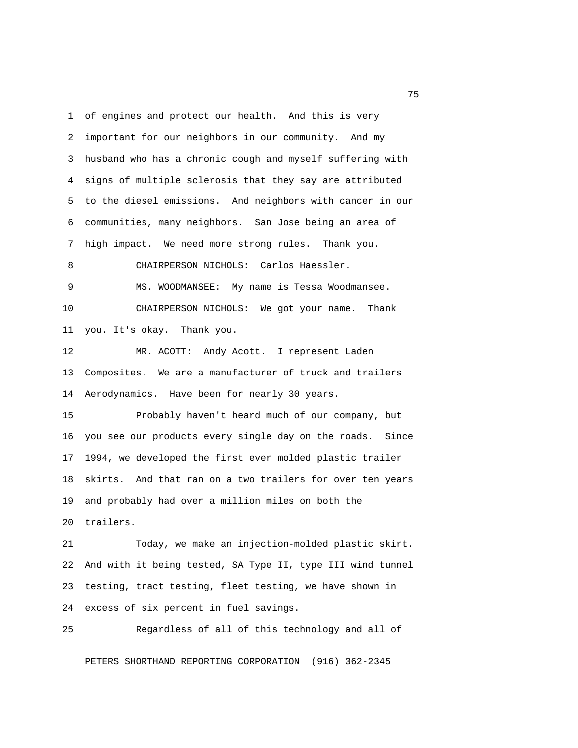1 of engines and protect our health. And this is very 2 important for our neighbors in our community. And my 3 husband who has a chronic cough and myself suffering with 4 signs of multiple sclerosis that they say are attributed 5 to the diesel emissions. And neighbors with cancer in our 6 communities, many neighbors. San Jose being an area of 7 high impact. We need more strong rules. Thank you. 8 CHAIRPERSON NICHOLS: Carlos Haessler. 9 MS. WOODMANSEE: My name is Tessa Woodmansee. 10 CHAIRPERSON NICHOLS: We got your name. Thank 11 you. It's okay. Thank you. 12 MR. ACOTT: Andy Acott. I represent Laden 13 Composites. We are a manufacturer of truck and trailers 14 Aerodynamics. Have been for nearly 30 years. 15 Probably haven't heard much of our company, but 16 you see our products every single day on the roads. Since 17 1994, we developed the first ever molded plastic trailer 18 skirts. And that ran on a two trailers for over ten years 19 and probably had over a million miles on both the 20 trailers. 21 Today, we make an injection-molded plastic skirt.

22 And with it being tested, SA Type II, type III wind tunnel 23 testing, tract testing, fleet testing, we have shown in 24 excess of six percent in fuel savings.

25 Regardless of all of this technology and all of

PETERS SHORTHAND REPORTING CORPORATION (916) 362-2345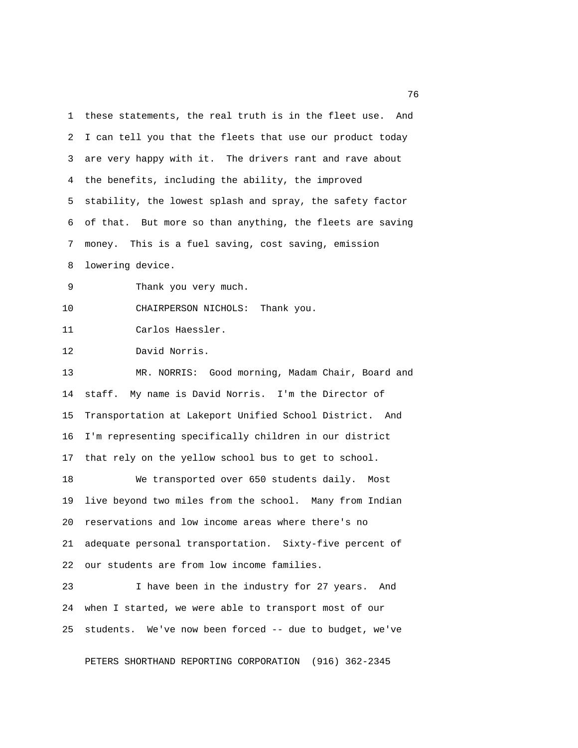1 these statements, the real truth is in the fleet use. And 2 I can tell you that the fleets that use our product today 3 are very happy with it. The drivers rant and rave about 4 the benefits, including the ability, the improved 5 stability, the lowest splash and spray, the safety factor 6 of that. But more so than anything, the fleets are saving 7 money. This is a fuel saving, cost saving, emission 8 lowering device. 9 Thank you very much. 10 CHAIRPERSON NICHOLS: Thank you. 11 Carlos Haessler. 12 David Norris. 13 MR. NORRIS: Good morning, Madam Chair, Board and 14 staff. My name is David Norris. I'm the Director of 15 Transportation at Lakeport Unified School District. And 16 I'm representing specifically children in our district 17 that rely on the yellow school bus to get to school. 18 We transported over 650 students daily. Most 19 live beyond two miles from the school. Many from Indian

20 reservations and low income areas where there's no 21 adequate personal transportation. Sixty-five percent of 22 our students are from low income families.

23 I have been in the industry for 27 years. And 24 when I started, we were able to transport most of our 25 students. We've now been forced -- due to budget, we've

PETERS SHORTHAND REPORTING CORPORATION (916) 362-2345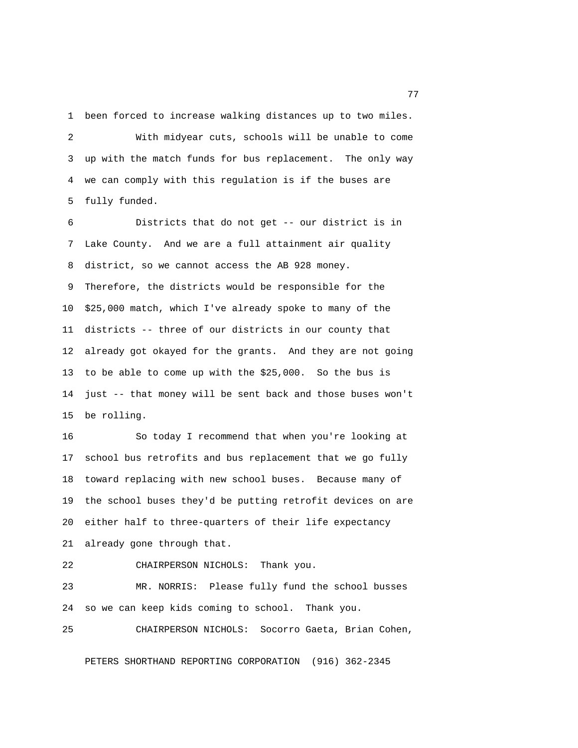1 been forced to increase walking distances up to two miles.

 2 With midyear cuts, schools will be unable to come 3 up with the match funds for bus replacement. The only way 4 we can comply with this regulation is if the buses are 5 fully funded.

 6 Districts that do not get -- our district is in 7 Lake County. And we are a full attainment air quality 8 district, so we cannot access the AB 928 money. 9 Therefore, the districts would be responsible for the 10 \$25,000 match, which I've already spoke to many of the 11 districts -- three of our districts in our county that 12 already got okayed for the grants. And they are not going 13 to be able to come up with the \$25,000. So the bus is 14 just -- that money will be sent back and those buses won't 15 be rolling.

16 So today I recommend that when you're looking at 17 school bus retrofits and bus replacement that we go fully 18 toward replacing with new school buses. Because many of 19 the school buses they'd be putting retrofit devices on are 20 either half to three-quarters of their life expectancy 21 already gone through that.

22 CHAIRPERSON NICHOLS: Thank you.

23 MR. NORRIS: Please fully fund the school busses 24 so we can keep kids coming to school. Thank you.

25 CHAIRPERSON NICHOLS: Socorro Gaeta, Brian Cohen,

PETERS SHORTHAND REPORTING CORPORATION (916) 362-2345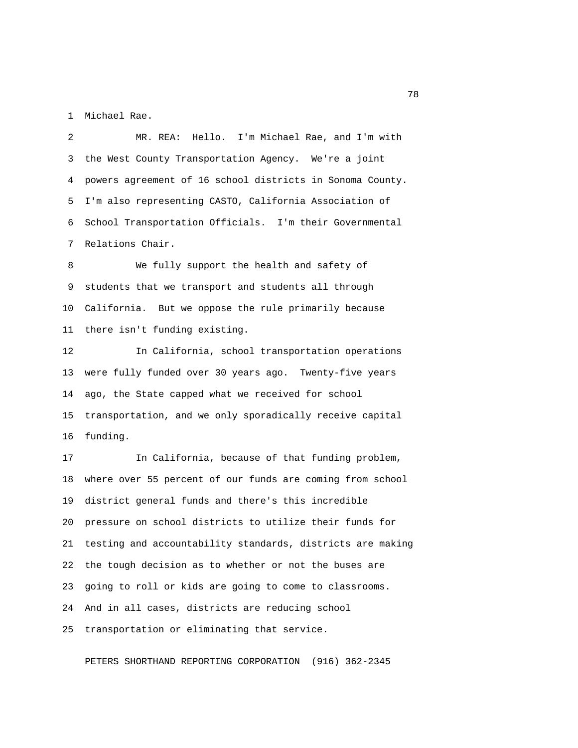1 Michael Rae.

 2 MR. REA: Hello. I'm Michael Rae, and I'm with 3 the West County Transportation Agency. We're a joint 4 powers agreement of 16 school districts in Sonoma County. 5 I'm also representing CASTO, California Association of 6 School Transportation Officials. I'm their Governmental 7 Relations Chair.

 8 We fully support the health and safety of 9 students that we transport and students all through 10 California. But we oppose the rule primarily because 11 there isn't funding existing.

12 In California, school transportation operations 13 were fully funded over 30 years ago. Twenty-five years 14 ago, the State capped what we received for school 15 transportation, and we only sporadically receive capital 16 funding.

17 In California, because of that funding problem, 18 where over 55 percent of our funds are coming from school 19 district general funds and there's this incredible 20 pressure on school districts to utilize their funds for 21 testing and accountability standards, districts are making 22 the tough decision as to whether or not the buses are 23 going to roll or kids are going to come to classrooms. 24 And in all cases, districts are reducing school 25 transportation or eliminating that service.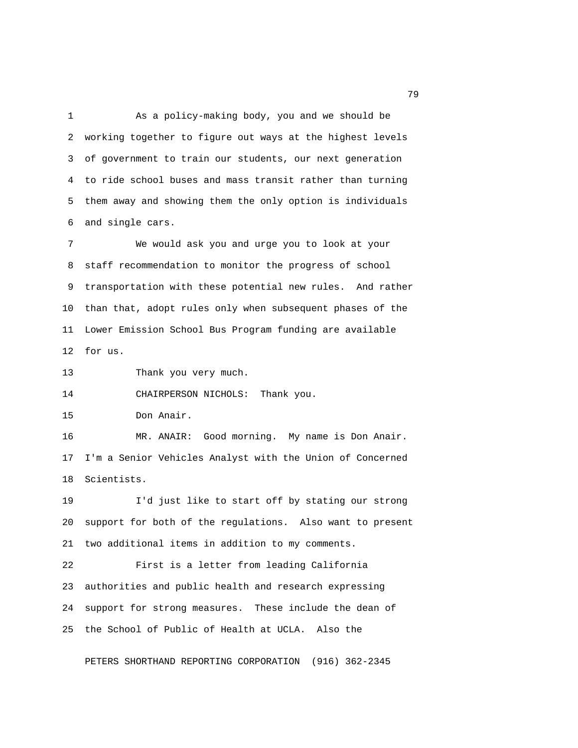1 As a policy-making body, you and we should be 2 working together to figure out ways at the highest levels 3 of government to train our students, our next generation 4 to ride school buses and mass transit rather than turning 5 them away and showing them the only option is individuals 6 and single cars.

 7 We would ask you and urge you to look at your 8 staff recommendation to monitor the progress of school 9 transportation with these potential new rules. And rather 10 than that, adopt rules only when subsequent phases of the 11 Lower Emission School Bus Program funding are available 12 for us.

13 Thank you very much.

14 CHAIRPERSON NICHOLS: Thank you.

15 Don Anair.

16 MR. ANAIR: Good morning. My name is Don Anair. 17 I'm a Senior Vehicles Analyst with the Union of Concerned 18 Scientists.

19 I'd just like to start off by stating our strong 20 support for both of the regulations. Also want to present 21 two additional items in addition to my comments.

22 First is a letter from leading California 23 authorities and public health and research expressing 24 support for strong measures. These include the dean of 25 the School of Public of Health at UCLA. Also the

PETERS SHORTHAND REPORTING CORPORATION (916) 362-2345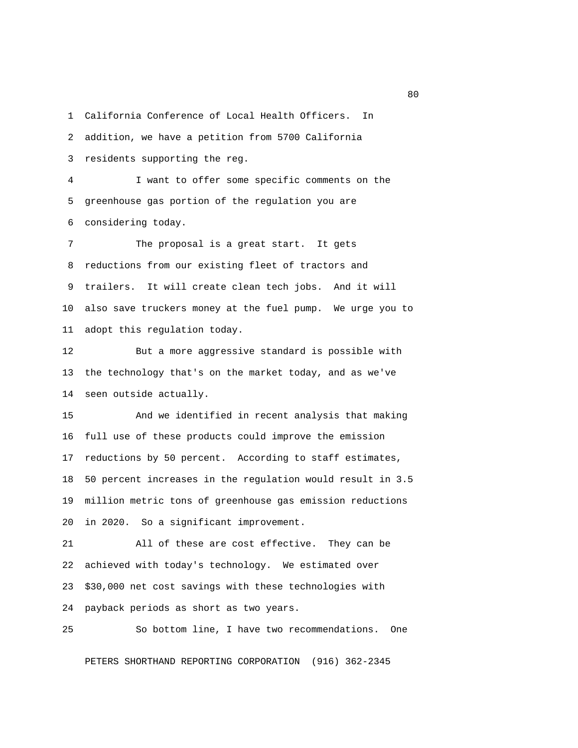1 California Conference of Local Health Officers. In

2 addition, we have a petition from 5700 California

3 residents supporting the reg.

 4 I want to offer some specific comments on the 5 greenhouse gas portion of the regulation you are 6 considering today.

 7 The proposal is a great start. It gets 8 reductions from our existing fleet of tractors and 9 trailers. It will create clean tech jobs. And it will 10 also save truckers money at the fuel pump. We urge you to 11 adopt this regulation today.

12 But a more aggressive standard is possible with 13 the technology that's on the market today, and as we've 14 seen outside actually.

15 And we identified in recent analysis that making 16 full use of these products could improve the emission 17 reductions by 50 percent. According to staff estimates, 18 50 percent increases in the regulation would result in 3.5 19 million metric tons of greenhouse gas emission reductions 20 in 2020. So a significant improvement.

21 All of these are cost effective. They can be 22 achieved with today's technology. We estimated over 23 \$30,000 net cost savings with these technologies with 24 payback periods as short as two years.



25 So bottom line, I have two recommendations. One

PETERS SHORTHAND REPORTING CORPORATION (916) 362-2345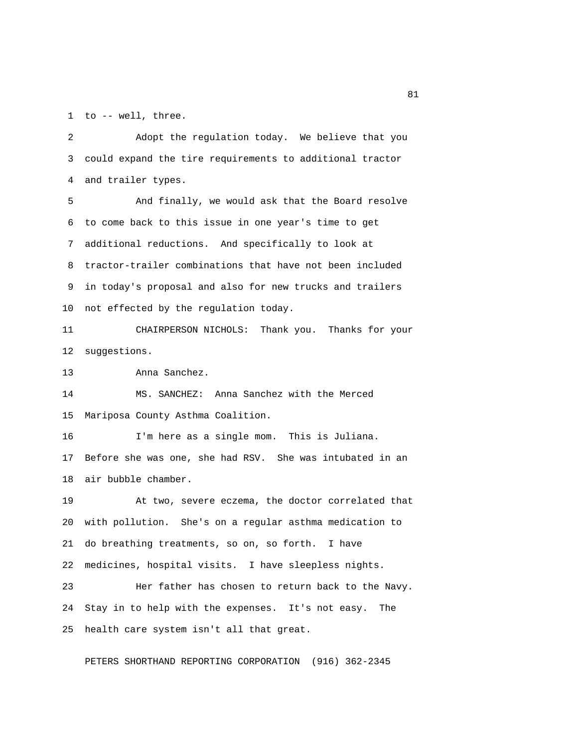1 to -- well, three.

 2 Adopt the regulation today. We believe that you 3 could expand the tire requirements to additional tractor 4 and trailer types.

 5 And finally, we would ask that the Board resolve 6 to come back to this issue in one year's time to get 7 additional reductions. And specifically to look at 8 tractor-trailer combinations that have not been included 9 in today's proposal and also for new trucks and trailers 10 not effected by the regulation today.

11 CHAIRPERSON NICHOLS: Thank you. Thanks for your 12 suggestions.

13 Anna Sanchez.

14 MS. SANCHEZ: Anna Sanchez with the Merced 15 Mariposa County Asthma Coalition.

16 I'm here as a single mom. This is Juliana. 17 Before she was one, she had RSV. She was intubated in an 18 air bubble chamber.

19 At two, severe eczema, the doctor correlated that 20 with pollution. She's on a regular asthma medication to 21 do breathing treatments, so on, so forth. I have 22 medicines, hospital visits. I have sleepless nights.

23 Her father has chosen to return back to the Navy. 24 Stay in to help with the expenses. It's not easy. The 25 health care system isn't all that great.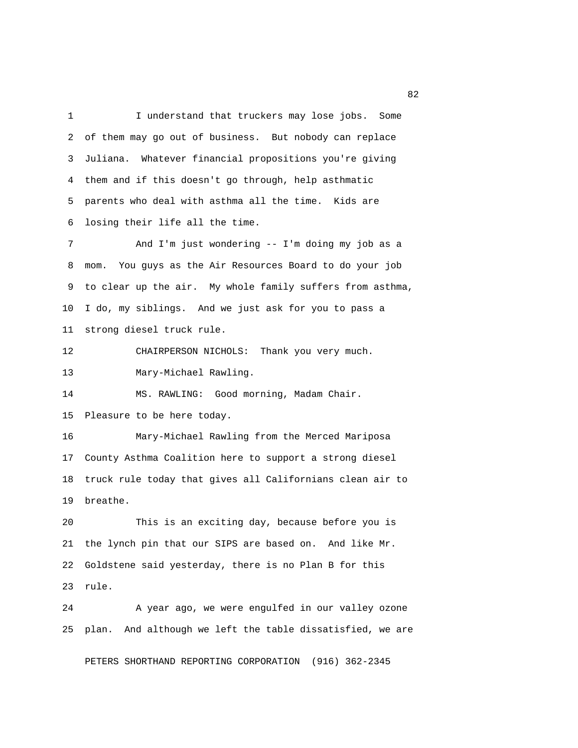1 I understand that truckers may lose jobs. Some 2 of them may go out of business. But nobody can replace 3 Juliana. Whatever financial propositions you're giving 4 them and if this doesn't go through, help asthmatic 5 parents who deal with asthma all the time. Kids are 6 losing their life all the time.

7 And I'm just wondering -- I'm doing my job as a 8 mom. You guys as the Air Resources Board to do your job 9 to clear up the air. My whole family suffers from asthma, 10 I do, my siblings. And we just ask for you to pass a 11 strong diesel truck rule.

12 CHAIRPERSON NICHOLS: Thank you very much.

13 Mary-Michael Rawling.

14 MS. RAWLING: Good morning, Madam Chair.

15 Pleasure to be here today.

16 Mary-Michael Rawling from the Merced Mariposa 17 County Asthma Coalition here to support a strong diesel 18 truck rule today that gives all Californians clean air to 19 breathe.

20 This is an exciting day, because before you is 21 the lynch pin that our SIPS are based on. And like Mr. 22 Goldstene said yesterday, there is no Plan B for this 23 rule.

24 A year ago, we were engulfed in our valley ozone 25 plan. And although we left the table dissatisfied, we are

PETERS SHORTHAND REPORTING CORPORATION (916) 362-2345

experience of the contract of the contract of the contract of the contract of the contract of the contract of the contract of the contract of the contract of the contract of the contract of the contract of the contract of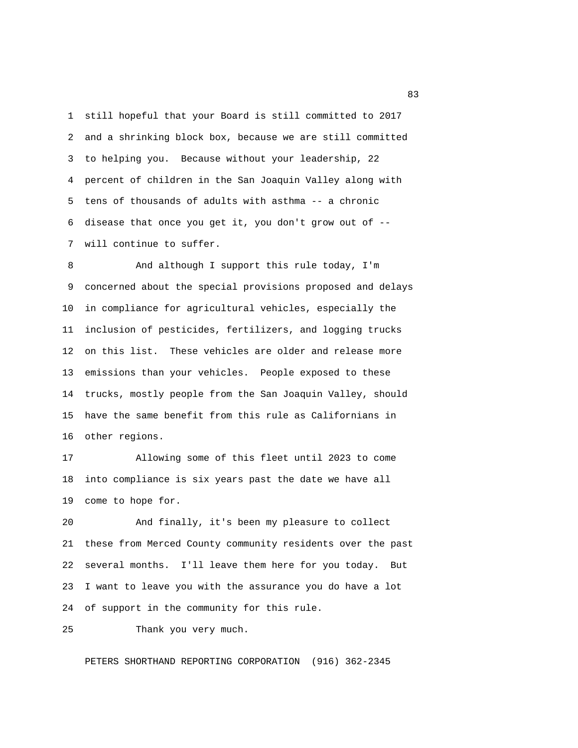1 still hopeful that your Board is still committed to 2017 2 and a shrinking block box, because we are still committed 3 to helping you. Because without your leadership, 22 4 percent of children in the San Joaquin Valley along with 5 tens of thousands of adults with asthma -- a chronic 6 disease that once you get it, you don't grow out of -- 7 will continue to suffer.

8 And although I support this rule today, I'm 9 concerned about the special provisions proposed and delays 10 in compliance for agricultural vehicles, especially the 11 inclusion of pesticides, fertilizers, and logging trucks 12 on this list. These vehicles are older and release more 13 emissions than your vehicles. People exposed to these 14 trucks, mostly people from the San Joaquin Valley, should 15 have the same benefit from this rule as Californians in 16 other regions.

17 Allowing some of this fleet until 2023 to come 18 into compliance is six years past the date we have all 19 come to hope for.

20 And finally, it's been my pleasure to collect 21 these from Merced County community residents over the past 22 several months. I'll leave them here for you today. But 23 I want to leave you with the assurance you do have a lot 24 of support in the community for this rule.

25 Thank you very much.

PETERS SHORTHAND REPORTING CORPORATION (916) 362-2345

experience of the state of the state of the state of the state of the state of the state of the state of the s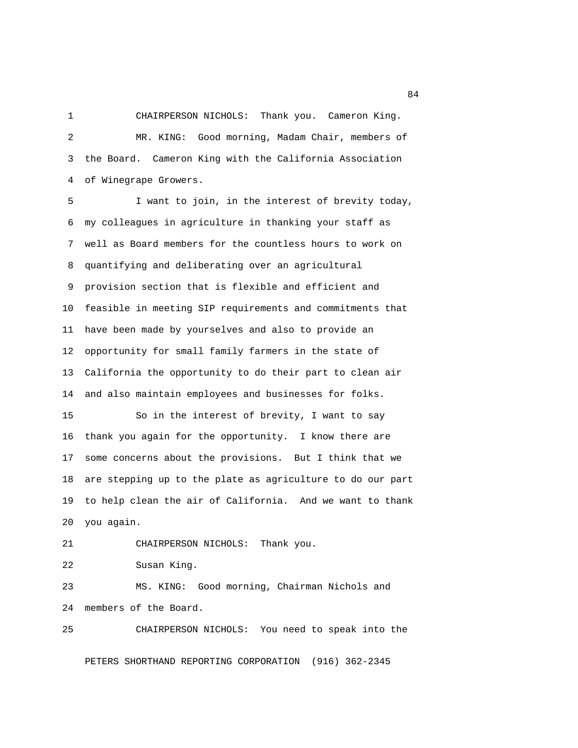1 CHAIRPERSON NICHOLS: Thank you. Cameron King.

 2 MR. KING: Good morning, Madam Chair, members of 3 the Board. Cameron King with the California Association 4 of Winegrape Growers.

 5 I want to join, in the interest of brevity today, 6 my colleagues in agriculture in thanking your staff as 7 well as Board members for the countless hours to work on 8 quantifying and deliberating over an agricultural 9 provision section that is flexible and efficient and 10 feasible in meeting SIP requirements and commitments that 11 have been made by yourselves and also to provide an 12 opportunity for small family farmers in the state of 13 California the opportunity to do their part to clean air 14 and also maintain employees and businesses for folks.

15 So in the interest of brevity, I want to say 16 thank you again for the opportunity. I know there are 17 some concerns about the provisions. But I think that we 18 are stepping up to the plate as agriculture to do our part 19 to help clean the air of California. And we want to thank 20 you again.

21 CHAIRPERSON NICHOLS: Thank you.

22 Susan King.

23 MS. KING: Good morning, Chairman Nichols and 24 members of the Board.

25 CHAIRPERSON NICHOLS: You need to speak into the

PETERS SHORTHAND REPORTING CORPORATION (916) 362-2345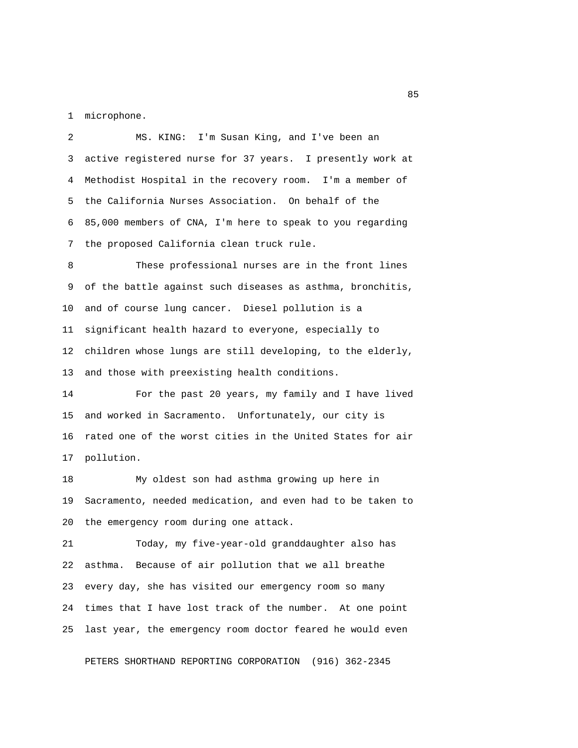1 microphone.

 2 MS. KING: I'm Susan King, and I've been an 3 active registered nurse for 37 years. I presently work at 4 Methodist Hospital in the recovery room. I'm a member of 5 the California Nurses Association. On behalf of the 6 85,000 members of CNA, I'm here to speak to you regarding 7 the proposed California clean truck rule.

 8 These professional nurses are in the front lines 9 of the battle against such diseases as asthma, bronchitis, 10 and of course lung cancer. Diesel pollution is a 11 significant health hazard to everyone, especially to 12 children whose lungs are still developing, to the elderly, 13 and those with preexisting health conditions.

14 For the past 20 years, my family and I have lived 15 and worked in Sacramento. Unfortunately, our city is 16 rated one of the worst cities in the United States for air 17 pollution.

18 My oldest son had asthma growing up here in 19 Sacramento, needed medication, and even had to be taken to 20 the emergency room during one attack.

21 Today, my five-year-old granddaughter also has 22 asthma. Because of air pollution that we all breathe 23 every day, she has visited our emergency room so many 24 times that I have lost track of the number. At one point 25 last year, the emergency room doctor feared he would even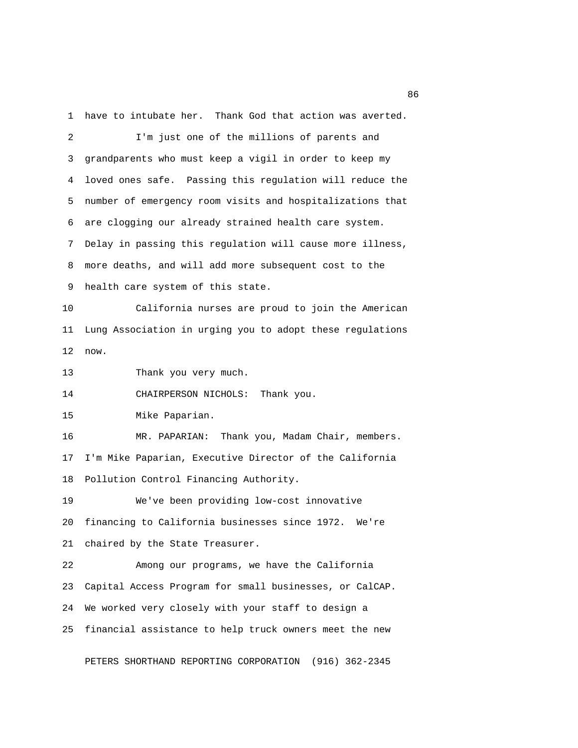1 have to intubate her. Thank God that action was averted.

 2 I'm just one of the millions of parents and 3 grandparents who must keep a vigil in order to keep my 4 loved ones safe. Passing this regulation will reduce the 5 number of emergency room visits and hospitalizations that 6 are clogging our already strained health care system. 7 Delay in passing this regulation will cause more illness, 8 more deaths, and will add more subsequent cost to the 9 health care system of this state. 10 California nurses are proud to join the American 11 Lung Association in urging you to adopt these regulations 12 now. 13 Thank you very much. 14 CHAIRPERSON NICHOLS: Thank you. 15 Mike Paparian. 16 MR. PAPARIAN: Thank you, Madam Chair, members. 17 I'm Mike Paparian, Executive Director of the California 18 Pollution Control Financing Authority. 19 We've been providing low-cost innovative 20 financing to California businesses since 1972. We're 21 chaired by the State Treasurer. 22 Among our programs, we have the California 23 Capital Access Program for small businesses, or CalCAP. 24 We worked very closely with your staff to design a 25 financial assistance to help truck owners meet the new

PETERS SHORTHAND REPORTING CORPORATION (916) 362-2345

<u>and the state of the state of the state of the state of the state of the state of the state of the state of the state of the state of the state of the state of the state of the state of the state of the state of the state</u>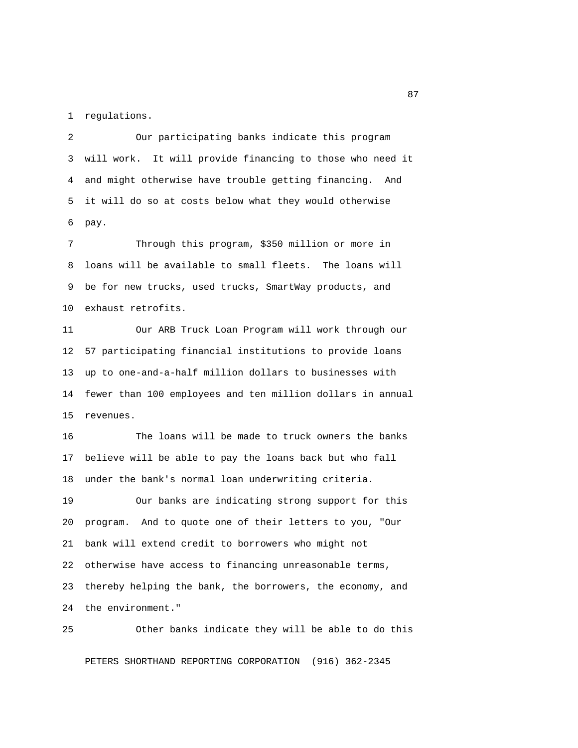1 regulations.

 2 Our participating banks indicate this program 3 will work. It will provide financing to those who need it 4 and might otherwise have trouble getting financing. And 5 it will do so at costs below what they would otherwise 6 pay.

 7 Through this program, \$350 million or more in 8 loans will be available to small fleets. The loans will 9 be for new trucks, used trucks, SmartWay products, and 10 exhaust retrofits.

11 Our ARB Truck Loan Program will work through our 12 57 participating financial institutions to provide loans 13 up to one-and-a-half million dollars to businesses with 14 fewer than 100 employees and ten million dollars in annual 15 revenues.

16 The loans will be made to truck owners the banks 17 believe will be able to pay the loans back but who fall 18 under the bank's normal loan underwriting criteria.

19 Our banks are indicating strong support for this 20 program. And to quote one of their letters to you, "Our 21 bank will extend credit to borrowers who might not 22 otherwise have access to financing unreasonable terms, 23 thereby helping the bank, the borrowers, the economy, and 24 the environment."

25 Other banks indicate they will be able to do this PETERS SHORTHAND REPORTING CORPORATION (916) 362-2345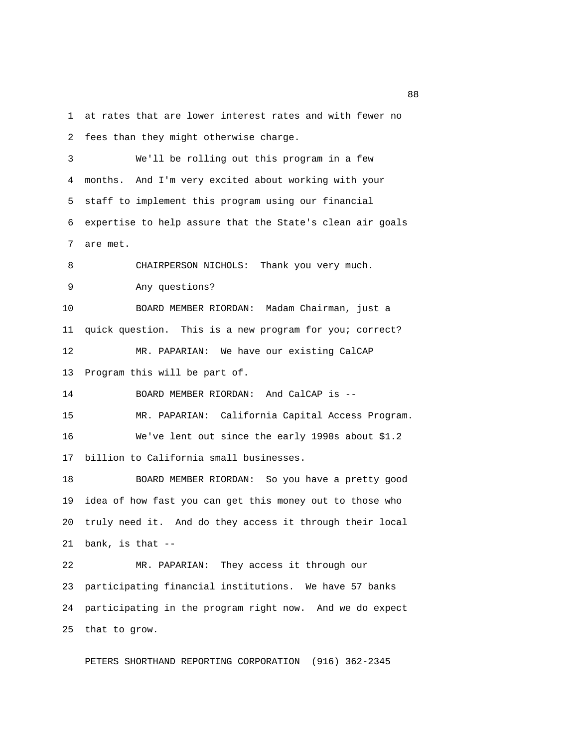1 at rates that are lower interest rates and with fewer no 2 fees than they might otherwise charge.

 3 We'll be rolling out this program in a few 4 months. And I'm very excited about working with your 5 staff to implement this program using our financial 6 expertise to help assure that the State's clean air goals 7 are met.

8 CHAIRPERSON NICHOLS: Thank you very much.

9 Any questions?

10 BOARD MEMBER RIORDAN: Madam Chairman, just a 11 quick question. This is a new program for you; correct? 12 MR. PAPARIAN: We have our existing CalCAP

13 Program this will be part of.

14 BOARD MEMBER RIORDAN: And CalCAP is --

15 MR. PAPARIAN: California Capital Access Program. 16 We've lent out since the early 1990s about \$1.2 17 billion to California small businesses.

18 BOARD MEMBER RIORDAN: So you have a pretty good 19 idea of how fast you can get this money out to those who 20 truly need it. And do they access it through their local 21 bank, is that --

22 MR. PAPARIAN: They access it through our 23 participating financial institutions. We have 57 banks 24 participating in the program right now. And we do expect 25 that to grow.

PETERS SHORTHAND REPORTING CORPORATION (916) 362-2345

en de la construction de la construction de la construction de la construction de la construction de la constr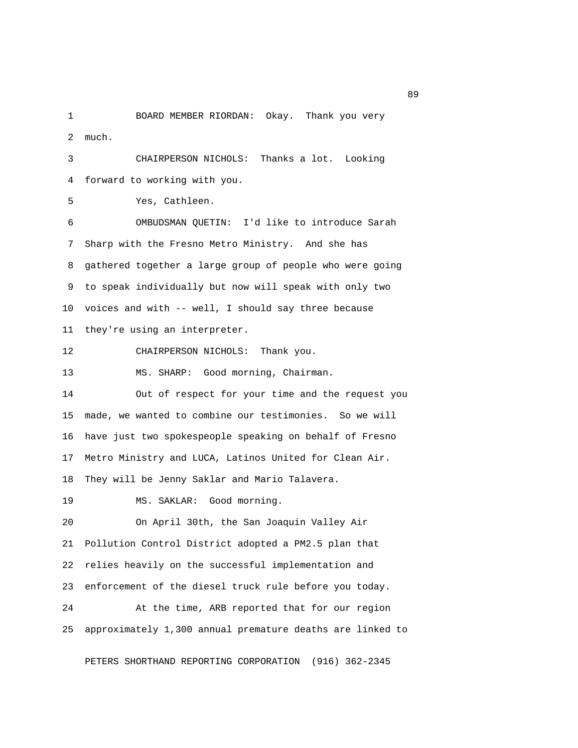1 BOARD MEMBER RIORDAN: Okay. Thank you very 2 much.

 3 CHAIRPERSON NICHOLS: Thanks a lot. Looking 4 forward to working with you.

5 Yes, Cathleen.

 6 OMBUDSMAN QUETIN: I'd like to introduce Sarah 7 Sharp with the Fresno Metro Ministry. And she has 8 gathered together a large group of people who were going 9 to speak individually but now will speak with only two 10 voices and with -- well, I should say three because 11 they're using an interpreter.

12 CHAIRPERSON NICHOLS: Thank you.

13 MS. SHARP: Good morning, Chairman.

14 Out of respect for your time and the request you 15 made, we wanted to combine our testimonies. So we will 16 have just two spokespeople speaking on behalf of Fresno 17 Metro Ministry and LUCA, Latinos United for Clean Air. 18 They will be Jenny Saklar and Mario Talavera.

19 MS. SAKLAR: Good morning.

20 On April 30th, the San Joaquin Valley Air 21 Pollution Control District adopted a PM2.5 plan that 22 relies heavily on the successful implementation and 23 enforcement of the diesel truck rule before you today. 24 At the time, ARB reported that for our region 25 approximately 1,300 annual premature deaths are linked to

PETERS SHORTHAND REPORTING CORPORATION (916) 362-2345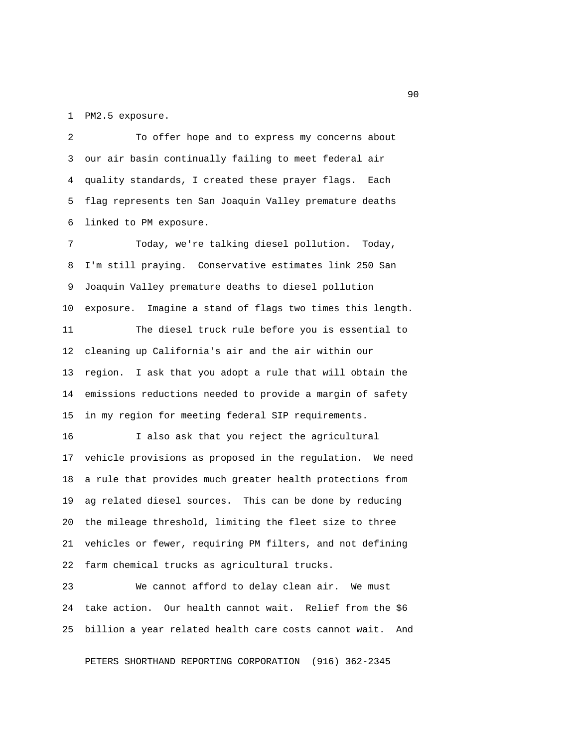1 PM2.5 exposure.

 2 To offer hope and to express my concerns about 3 our air basin continually failing to meet federal air 4 quality standards, I created these prayer flags. Each 5 flag represents ten San Joaquin Valley premature deaths 6 linked to PM exposure.

 7 Today, we're talking diesel pollution. Today, 8 I'm still praying. Conservative estimates link 250 San 9 Joaquin Valley premature deaths to diesel pollution 10 exposure. Imagine a stand of flags two times this length. 11 The diesel truck rule before you is essential to 12 cleaning up California's air and the air within our 13 region. I ask that you adopt a rule that will obtain the 14 emissions reductions needed to provide a margin of safety 15 in my region for meeting federal SIP requirements.

16 I also ask that you reject the agricultural 17 vehicle provisions as proposed in the regulation. We need 18 a rule that provides much greater health protections from 19 ag related diesel sources. This can be done by reducing 20 the mileage threshold, limiting the fleet size to three 21 vehicles or fewer, requiring PM filters, and not defining 22 farm chemical trucks as agricultural trucks.

23 We cannot afford to delay clean air. We must 24 take action. Our health cannot wait. Relief from the \$6 25 billion a year related health care costs cannot wait. And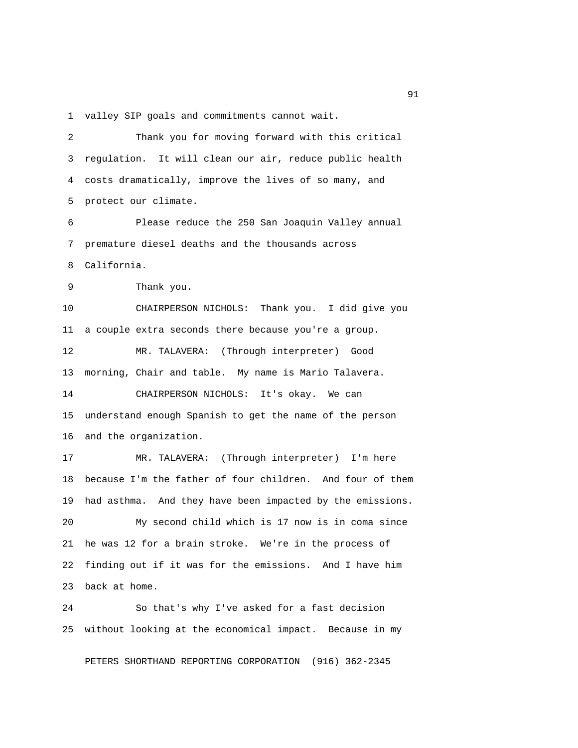1 valley SIP goals and commitments cannot wait.

 2 Thank you for moving forward with this critical 3 regulation. It will clean our air, reduce public health 4 costs dramatically, improve the lives of so many, and 5 protect our climate. 6 Please reduce the 250 San Joaquin Valley annual 7 premature diesel deaths and the thousands across 8 California. 9 Thank you. 10 CHAIRPERSON NICHOLS: Thank you. I did give you 11 a couple extra seconds there because you're a group. 12 MR. TALAVERA: (Through interpreter) Good 13 morning, Chair and table. My name is Mario Talavera. 14 CHAIRPERSON NICHOLS: It's okay. We can 15 understand enough Spanish to get the name of the person 16 and the organization. 17 MR. TALAVERA: (Through interpreter) I'm here 18 because I'm the father of four children. And four of them 19 had asthma. And they have been impacted by the emissions. 20 My second child which is 17 now is in coma since 21 he was 12 for a brain stroke. We're in the process of 22 finding out if it was for the emissions. And I have him 23 back at home. 24 So that's why I've asked for a fast decision

25 without looking at the economical impact. Because in my

PETERS SHORTHAND REPORTING CORPORATION (916) 362-2345

experience of the state of the state of the state of the state of the state of the state of the state of the s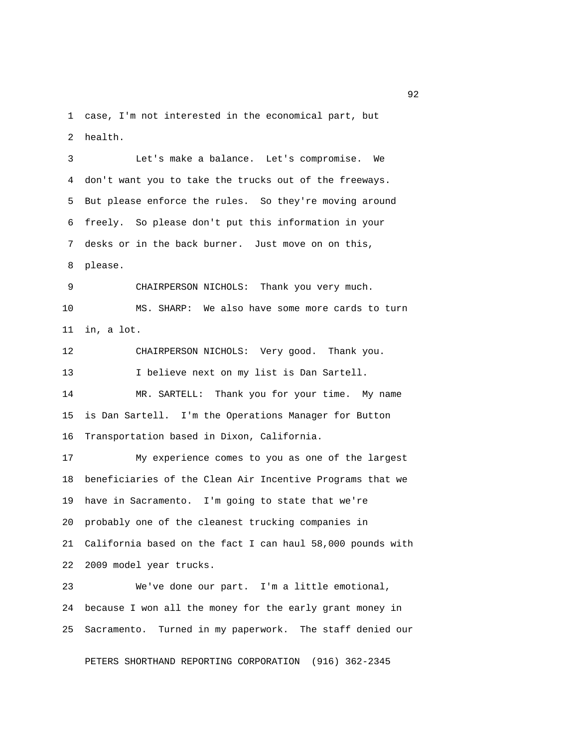1 case, I'm not interested in the economical part, but 2 health.

 3 Let's make a balance. Let's compromise. We 4 don't want you to take the trucks out of the freeways. 5 But please enforce the rules. So they're moving around 6 freely. So please don't put this information in your 7 desks or in the back burner. Just move on on this, 8 please. 9 CHAIRPERSON NICHOLS: Thank you very much. 10 MS. SHARP: We also have some more cards to turn 11 in, a lot. 12 CHAIRPERSON NICHOLS: Very good. Thank you. 13 I believe next on my list is Dan Sartell. 14 MR. SARTELL: Thank you for your time. My name 15 is Dan Sartell. I'm the Operations Manager for Button 16 Transportation based in Dixon, California. 17 My experience comes to you as one of the largest 18 beneficiaries of the Clean Air Incentive Programs that we 19 have in Sacramento. I'm going to state that we're 20 probably one of the cleanest trucking companies in 21 California based on the fact I can haul 58,000 pounds with 22 2009 model year trucks. 23 We've done our part. I'm a little emotional,

24 because I won all the money for the early grant money in 25 Sacramento. Turned in my paperwork. The staff denied our

PETERS SHORTHAND REPORTING CORPORATION (916) 362-2345

 $\sim$  92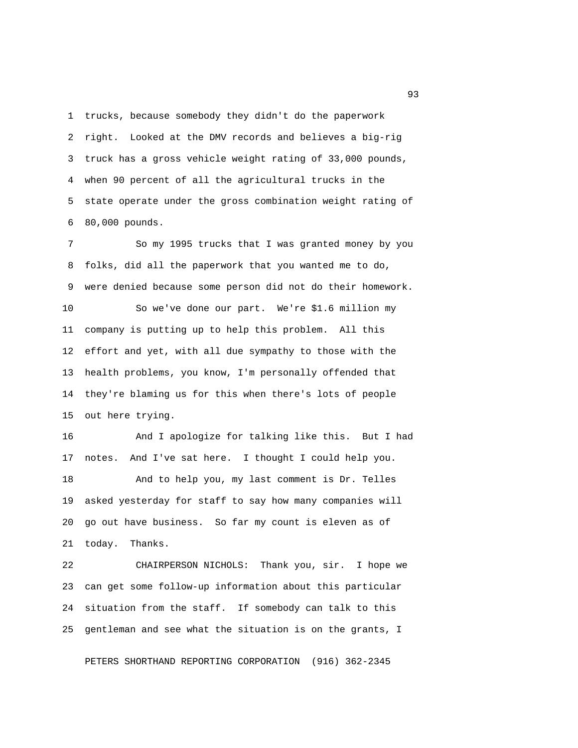1 trucks, because somebody they didn't do the paperwork 2 right. Looked at the DMV records and believes a big-rig 3 truck has a gross vehicle weight rating of 33,000 pounds, 4 when 90 percent of all the agricultural trucks in the 5 state operate under the gross combination weight rating of 6 80,000 pounds.

 7 So my 1995 trucks that I was granted money by you 8 folks, did all the paperwork that you wanted me to do, 9 were denied because some person did not do their homework. 10 So we've done our part. We're \$1.6 million my 11 company is putting up to help this problem. All this 12 effort and yet, with all due sympathy to those with the 13 health problems, you know, I'm personally offended that 14 they're blaming us for this when there's lots of people

15 out here trying.

16 And I apologize for talking like this. But I had 17 notes. And I've sat here. I thought I could help you. 18 And to help you, my last comment is Dr. Telles 19 asked yesterday for staff to say how many companies will 20 go out have business. So far my count is eleven as of 21 today. Thanks.

22 CHAIRPERSON NICHOLS: Thank you, sir. I hope we 23 can get some follow-up information about this particular 24 situation from the staff. If somebody can talk to this 25 gentleman and see what the situation is on the grants, I

PETERS SHORTHAND REPORTING CORPORATION (916) 362-2345

experience of the contract of the contract of the contract of the contract of the contract of the contract of the contract of the contract of the contract of the contract of the contract of the contract of the contract of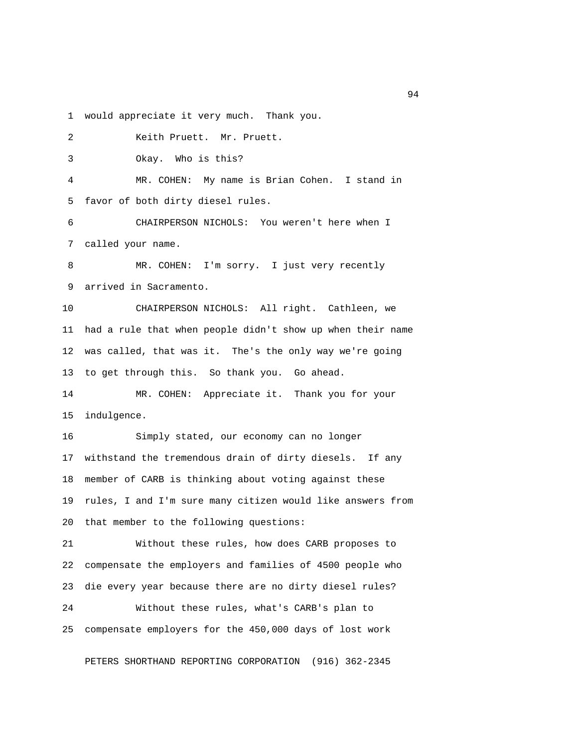1 would appreciate it very much. Thank you.

 2 Keith Pruett. Mr. Pruett. 3 Okay. Who is this? 4 MR. COHEN: My name is Brian Cohen. I stand in 5 favor of both dirty diesel rules. 6 CHAIRPERSON NICHOLS: You weren't here when I 7 called your name. 8 MR. COHEN: I'm sorry. I just very recently 9 arrived in Sacramento. 10 CHAIRPERSON NICHOLS: All right. Cathleen, we 11 had a rule that when people didn't show up when their name 12 was called, that was it. The's the only way we're going 13 to get through this. So thank you. Go ahead. 14 MR. COHEN: Appreciate it. Thank you for your 15 indulgence. 16 Simply stated, our economy can no longer 17 withstand the tremendous drain of dirty diesels. If any 18 member of CARB is thinking about voting against these 19 rules, I and I'm sure many citizen would like answers from 20 that member to the following questions: 21 Without these rules, how does CARB proposes to 22 compensate the employers and families of 4500 people who 23 die every year because there are no dirty diesel rules? 24 Without these rules, what's CARB's plan to 25 compensate employers for the 450,000 days of lost work

PETERS SHORTHAND REPORTING CORPORATION (916) 362-2345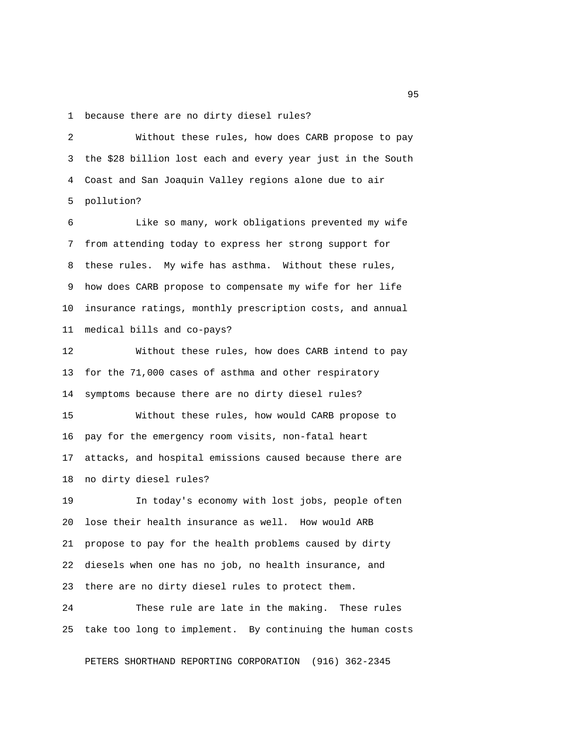1 because there are no dirty diesel rules?

 2 Without these rules, how does CARB propose to pay 3 the \$28 billion lost each and every year just in the South 4 Coast and San Joaquin Valley regions alone due to air 5 pollution?

 6 Like so many, work obligations prevented my wife 7 from attending today to express her strong support for 8 these rules. My wife has asthma. Without these rules, 9 how does CARB propose to compensate my wife for her life 10 insurance ratings, monthly prescription costs, and annual 11 medical bills and co-pays?

12 Without these rules, how does CARB intend to pay 13 for the 71,000 cases of asthma and other respiratory 14 symptoms because there are no dirty diesel rules?

15 Without these rules, how would CARB propose to 16 pay for the emergency room visits, non-fatal heart 17 attacks, and hospital emissions caused because there are 18 no dirty diesel rules?

19 In today's economy with lost jobs, people often 20 lose their health insurance as well. How would ARB 21 propose to pay for the health problems caused by dirty 22 diesels when one has no job, no health insurance, and 23 there are no dirty diesel rules to protect them.

24 These rule are late in the making. These rules 25 take too long to implement. By continuing the human costs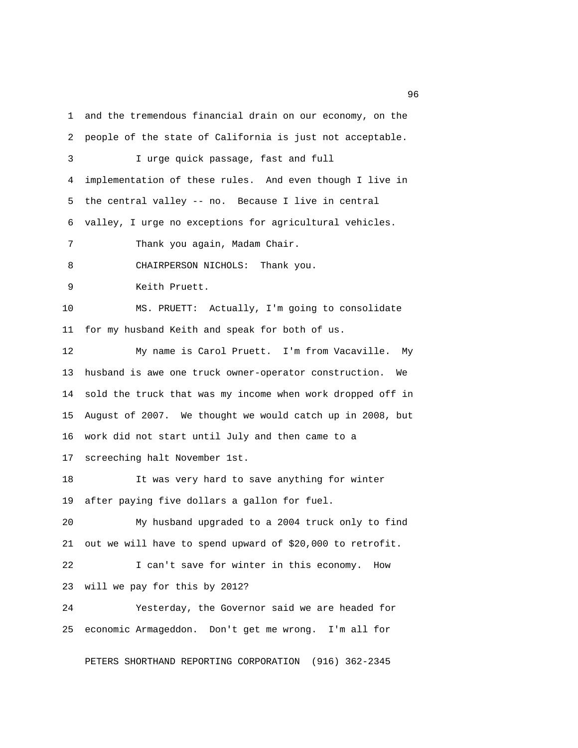1 and the tremendous financial drain on our economy, on the 2 people of the state of California is just not acceptable. 3 I urge quick passage, fast and full 4 implementation of these rules. And even though I live in 5 the central valley -- no. Because I live in central 6 valley, I urge no exceptions for agricultural vehicles. 7 Thank you again, Madam Chair. 8 CHAIRPERSON NICHOLS: Thank you. 9 Keith Pruett. 10 MS. PRUETT: Actually, I'm going to consolidate 11 for my husband Keith and speak for both of us. 12 My name is Carol Pruett. I'm from Vacaville. My 13 husband is awe one truck owner-operator construction. We 14 sold the truck that was my income when work dropped off in 15 August of 2007. We thought we would catch up in 2008, but 16 work did not start until July and then came to a 17 screeching halt November 1st. 18 It was very hard to save anything for winter

19 after paying five dollars a gallon for fuel.

20 My husband upgraded to a 2004 truck only to find 21 out we will have to spend upward of \$20,000 to retrofit.

22 I can't save for winter in this economy. How 23 will we pay for this by 2012?

24 Yesterday, the Governor said we are headed for 25 economic Armageddon. Don't get me wrong. I'm all for

PETERS SHORTHAND REPORTING CORPORATION (916) 362-2345

<u>96 and the state of the state of the state of the state of the state of the state of the state of the state of the state of the state of the state of the state of the state of the state of the state of the state of the st</u>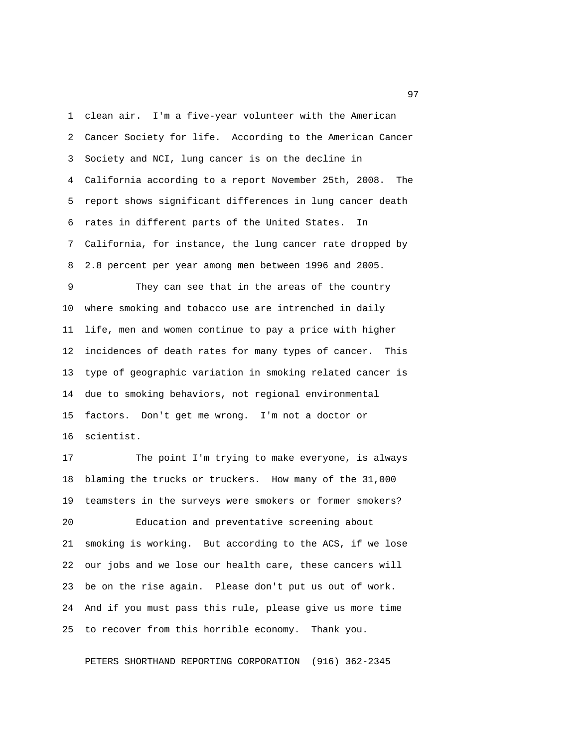1 clean air. I'm a five-year volunteer with the American 2 Cancer Society for life. According to the American Cancer 3 Society and NCI, lung cancer is on the decline in 4 California according to a report November 25th, 2008. The 5 report shows significant differences in lung cancer death 6 rates in different parts of the United States. In 7 California, for instance, the lung cancer rate dropped by 8 2.8 percent per year among men between 1996 and 2005.

 9 They can see that in the areas of the country 10 where smoking and tobacco use are intrenched in daily 11 life, men and women continue to pay a price with higher 12 incidences of death rates for many types of cancer. This 13 type of geographic variation in smoking related cancer is 14 due to smoking behaviors, not regional environmental 15 factors. Don't get me wrong. I'm not a doctor or 16 scientist.

17 The point I'm trying to make everyone, is always 18 blaming the trucks or truckers. How many of the 31,000 19 teamsters in the surveys were smokers or former smokers? 20 Education and preventative screening about 21 smoking is working. But according to the ACS, if we lose 22 our jobs and we lose our health care, these cancers will 23 be on the rise again. Please don't put us out of work. 24 And if you must pass this rule, please give us more time 25 to recover from this horrible economy. Thank you.

PETERS SHORTHAND REPORTING CORPORATION (916) 362-2345

experience of the contract of the contract of the contract of the contract of the contract of the contract of the contract of the contract of the contract of the contract of the contract of the contract of the contract of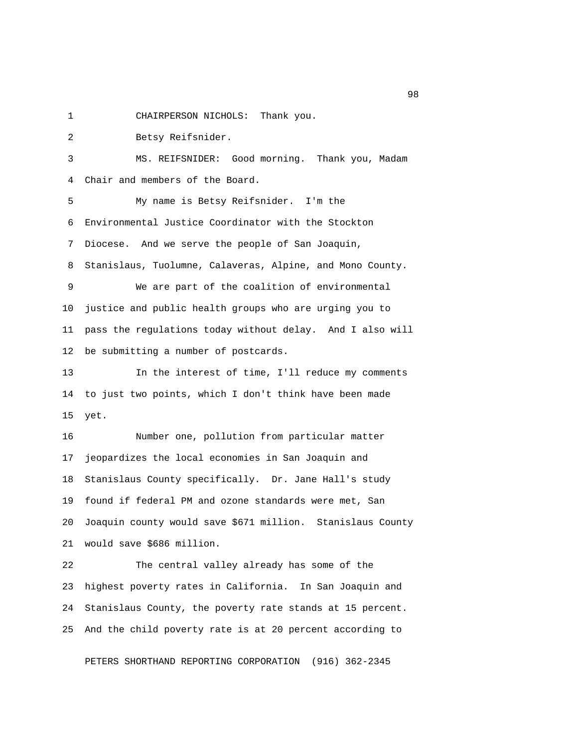1 CHAIRPERSON NICHOLS: Thank you.

2 Betsy Reifsnider.

 3 MS. REIFSNIDER: Good morning. Thank you, Madam 4 Chair and members of the Board.

 5 My name is Betsy Reifsnider. I'm the 6 Environmental Justice Coordinator with the Stockton 7 Diocese. And we serve the people of San Joaquin, 8 Stanislaus, Tuolumne, Calaveras, Alpine, and Mono County. 9 We are part of the coalition of environmental 10 justice and public health groups who are urging you to 11 pass the regulations today without delay. And I also will 12 be submitting a number of postcards.

13 In the interest of time, I'll reduce my comments 14 to just two points, which I don't think have been made 15 yet.

16 Number one, pollution from particular matter 17 jeopardizes the local economies in San Joaquin and 18 Stanislaus County specifically. Dr. Jane Hall's study 19 found if federal PM and ozone standards were met, San 20 Joaquin county would save \$671 million. Stanislaus County 21 would save \$686 million.

22 The central valley already has some of the 23 highest poverty rates in California. In San Joaquin and 24 Stanislaus County, the poverty rate stands at 15 percent. 25 And the child poverty rate is at 20 percent according to

PETERS SHORTHAND REPORTING CORPORATION (916) 362-2345

en 1980 en 1980 en 1980 en 1980 en 1980 en 1980 en 1980 en 1980 en 1980 en 1980 en 1980 en 1980 en 1980 en 19<br>De grote en 1980 en 1980 en 1980 en 1980 en 1980 en 1980 en 1980 en 1980 en 1980 en 1980 en 1980 en 1980 en 19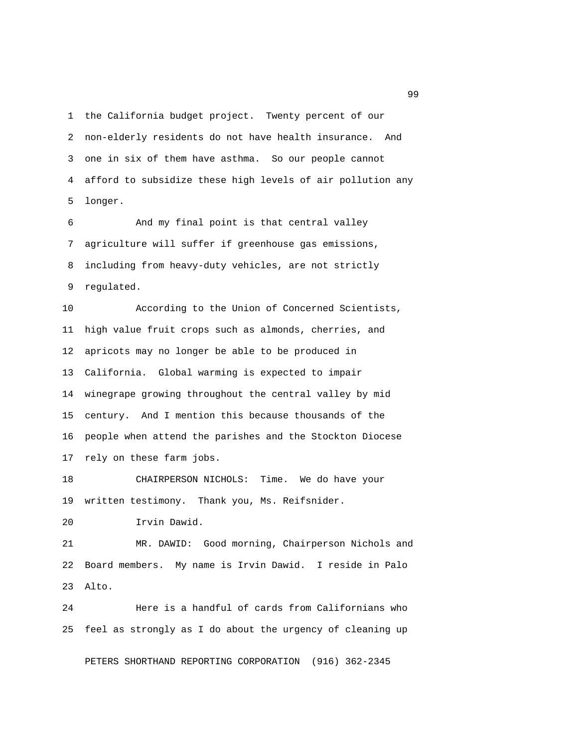1 the California budget project. Twenty percent of our 2 non-elderly residents do not have health insurance. And 3 one in six of them have asthma. So our people cannot 4 afford to subsidize these high levels of air pollution any 5 longer.

 6 And my final point is that central valley 7 agriculture will suffer if greenhouse gas emissions, 8 including from heavy-duty vehicles, are not strictly 9 regulated.

10 According to the Union of Concerned Scientists, 11 high value fruit crops such as almonds, cherries, and 12 apricots may no longer be able to be produced in 13 California. Global warming is expected to impair 14 winegrape growing throughout the central valley by mid 15 century. And I mention this because thousands of the 16 people when attend the parishes and the Stockton Diocese 17 rely on these farm jobs.

18 CHAIRPERSON NICHOLS: Time. We do have your 19 written testimony. Thank you, Ms. Reifsnider.

20 Irvin Dawid.

21 MR. DAWID: Good morning, Chairperson Nichols and 22 Board members. My name is Irvin Dawid. I reside in Palo 23 Alto.

24 Here is a handful of cards from Californians who 25 feel as strongly as I do about the urgency of cleaning up

PETERS SHORTHAND REPORTING CORPORATION (916) 362-2345

en de la construcción de la construcción de la construcción de la construcción de la construcción de la constr<br>1990 - En el construcción de la construcción de la construcción de la construcción de la construcción de la co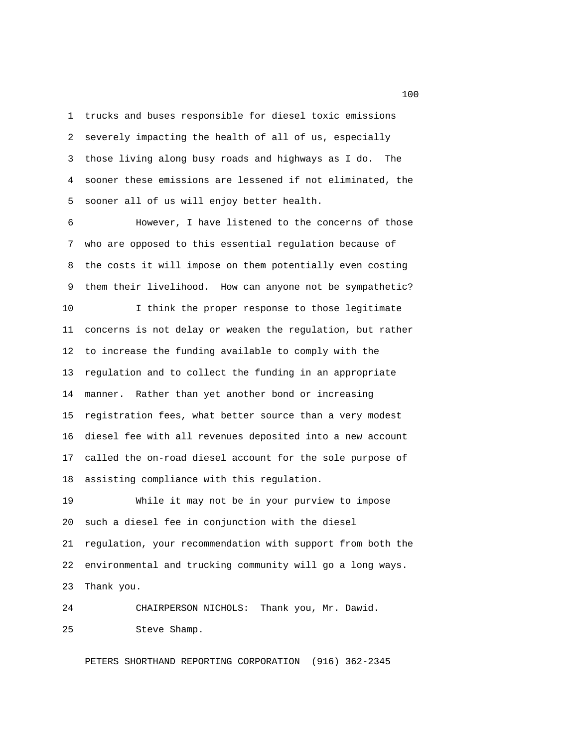1 trucks and buses responsible for diesel toxic emissions 2 severely impacting the health of all of us, especially 3 those living along busy roads and highways as I do. The 4 sooner these emissions are lessened if not eliminated, the 5 sooner all of us will enjoy better health.

 6 However, I have listened to the concerns of those 7 who are opposed to this essential regulation because of 8 the costs it will impose on them potentially even costing 9 them their livelihood. How can anyone not be sympathetic?

10 I think the proper response to those legitimate 11 concerns is not delay or weaken the regulation, but rather 12 to increase the funding available to comply with the 13 regulation and to collect the funding in an appropriate 14 manner. Rather than yet another bond or increasing 15 registration fees, what better source than a very modest 16 diesel fee with all revenues deposited into a new account 17 called the on-road diesel account for the sole purpose of 18 assisting compliance with this regulation.

19 While it may not be in your purview to impose 20 such a diesel fee in conjunction with the diesel 21 regulation, your recommendation with support from both the 22 environmental and trucking community will go a long ways. 23 Thank you.

24 CHAIRPERSON NICHOLS: Thank you, Mr. Dawid. 25 Steve Shamp.

PETERS SHORTHAND REPORTING CORPORATION (916) 362-2345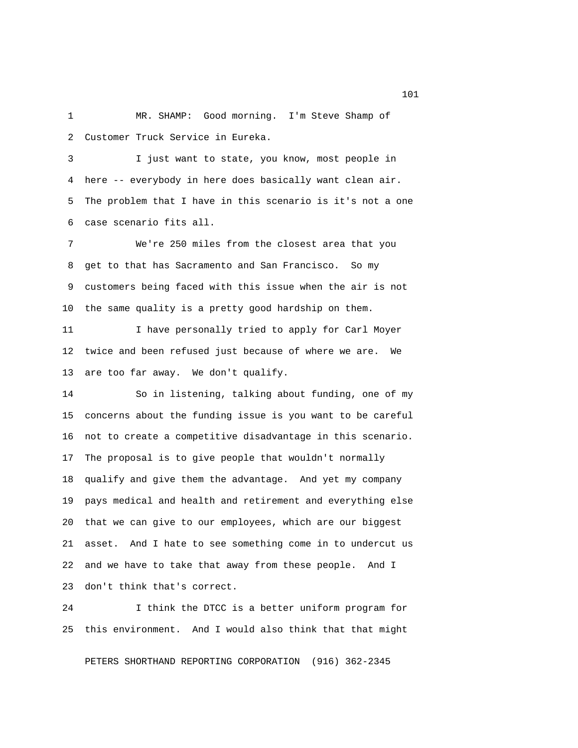1 MR. SHAMP: Good morning. I'm Steve Shamp of 2 Customer Truck Service in Eureka.

 3 I just want to state, you know, most people in 4 here -- everybody in here does basically want clean air. 5 The problem that I have in this scenario is it's not a one 6 case scenario fits all.

 7 We're 250 miles from the closest area that you 8 get to that has Sacramento and San Francisco. So my 9 customers being faced with this issue when the air is not 10 the same quality is a pretty good hardship on them.

11 I have personally tried to apply for Carl Moyer 12 twice and been refused just because of where we are. We 13 are too far away. We don't qualify.

14 So in listening, talking about funding, one of my 15 concerns about the funding issue is you want to be careful 16 not to create a competitive disadvantage in this scenario. 17 The proposal is to give people that wouldn't normally 18 qualify and give them the advantage. And yet my company 19 pays medical and health and retirement and everything else 20 that we can give to our employees, which are our biggest 21 asset. And I hate to see something come in to undercut us 22 and we have to take that away from these people. And I 23 don't think that's correct.

24 I think the DTCC is a better uniform program for 25 this environment. And I would also think that that might

PETERS SHORTHAND REPORTING CORPORATION (916) 362-2345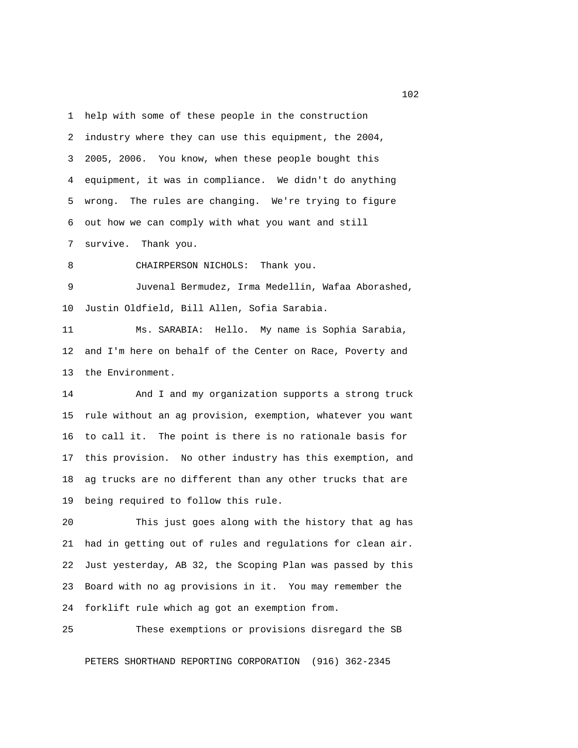1 help with some of these people in the construction 2 industry where they can use this equipment, the 2004, 3 2005, 2006. You know, when these people bought this 4 equipment, it was in compliance. We didn't do anything 5 wrong. The rules are changing. We're trying to figure 6 out how we can comply with what you want and still

7 survive. Thank you.

8 CHAIRPERSON NICHOLS: Thank you.

 9 Juvenal Bermudez, Irma Medellin, Wafaa Aborashed, 10 Justin Oldfield, Bill Allen, Sofia Sarabia.

11 Ms. SARABIA: Hello. My name is Sophia Sarabia, 12 and I'm here on behalf of the Center on Race, Poverty and 13 the Environment.

14 And I and my organization supports a strong truck 15 rule without an ag provision, exemption, whatever you want 16 to call it. The point is there is no rationale basis for 17 this provision. No other industry has this exemption, and 18 ag trucks are no different than any other trucks that are 19 being required to follow this rule.

20 This just goes along with the history that ag has 21 had in getting out of rules and regulations for clean air. 22 Just yesterday, AB 32, the Scoping Plan was passed by this 23 Board with no ag provisions in it. You may remember the 24 forklift rule which ag got an exemption from.

25 These exemptions or provisions disregard the SB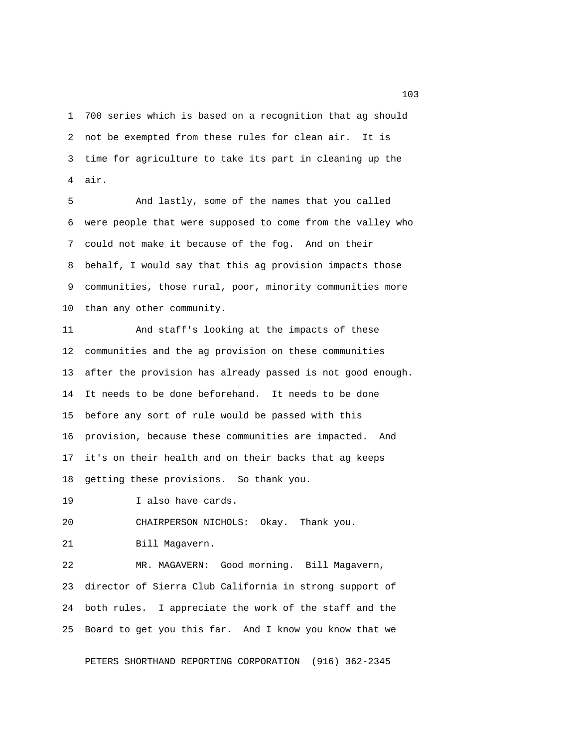1 700 series which is based on a recognition that ag should 2 not be exempted from these rules for clean air. It is 3 time for agriculture to take its part in cleaning up the 4 air.

 5 And lastly, some of the names that you called 6 were people that were supposed to come from the valley who 7 could not make it because of the fog. And on their 8 behalf, I would say that this ag provision impacts those 9 communities, those rural, poor, minority communities more 10 than any other community.

11 And staff's looking at the impacts of these 12 communities and the ag provision on these communities 13 after the provision has already passed is not good enough. 14 It needs to be done beforehand. It needs to be done 15 before any sort of rule would be passed with this 16 provision, because these communities are impacted. And 17 it's on their health and on their backs that ag keeps 18 getting these provisions. So thank you.

19 I also have cards.

20 CHAIRPERSON NICHOLS: Okay. Thank you.

21 Bill Magavern.

22 MR. MAGAVERN: Good morning. Bill Magavern, 23 director of Sierra Club California in strong support of 24 both rules. I appreciate the work of the staff and the 25 Board to get you this far. And I know you know that we

PETERS SHORTHAND REPORTING CORPORATION (916) 362-2345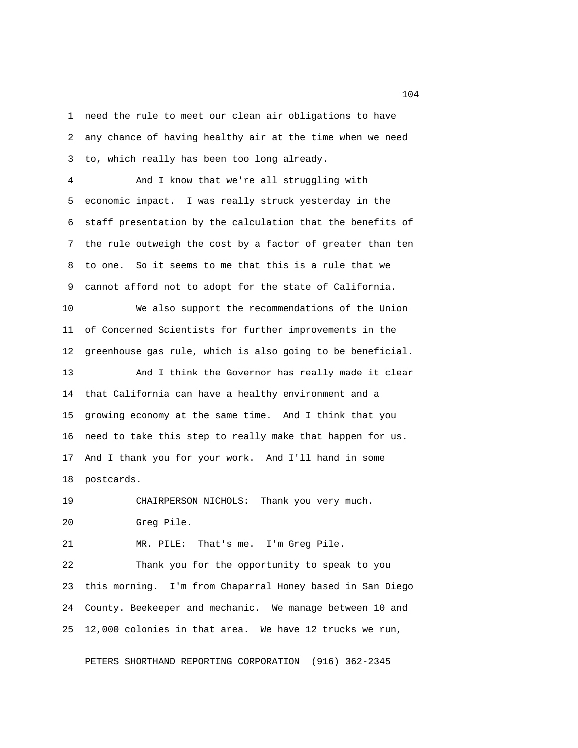1 need the rule to meet our clean air obligations to have 2 any chance of having healthy air at the time when we need 3 to, which really has been too long already.

 4 And I know that we're all struggling with 5 economic impact. I was really struck yesterday in the 6 staff presentation by the calculation that the benefits of 7 the rule outweigh the cost by a factor of greater than ten 8 to one. So it seems to me that this is a rule that we 9 cannot afford not to adopt for the state of California.

10 We also support the recommendations of the Union 11 of Concerned Scientists for further improvements in the 12 greenhouse gas rule, which is also going to be beneficial.

13 And I think the Governor has really made it clear 14 that California can have a healthy environment and a 15 growing economy at the same time. And I think that you 16 need to take this step to really make that happen for us. 17 And I thank you for your work. And I'll hand in some 18 postcards.

19 CHAIRPERSON NICHOLS: Thank you very much. 20 Greg Pile.

21 MR. PILE: That's me. I'm Greg Pile.

22 Thank you for the opportunity to speak to you 23 this morning. I'm from Chaparral Honey based in San Diego 24 County. Beekeeper and mechanic. We manage between 10 and 25 12,000 colonies in that area. We have 12 trucks we run,

PETERS SHORTHAND REPORTING CORPORATION (916) 362-2345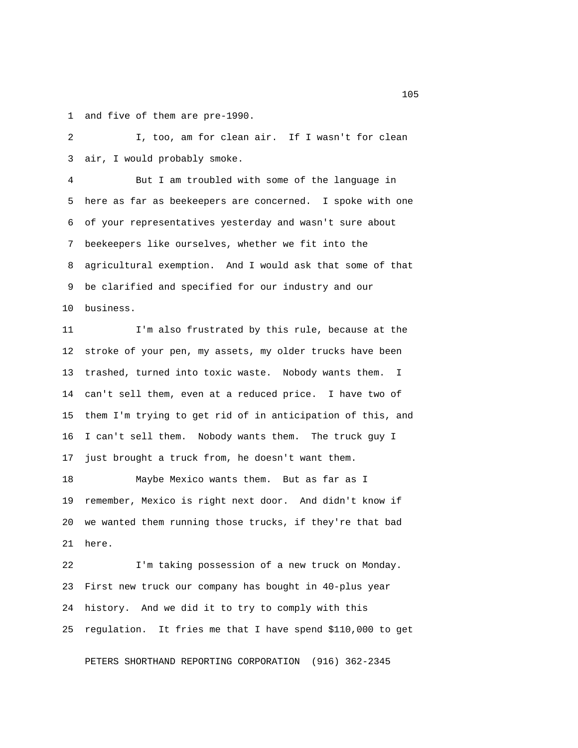1 and five of them are pre-1990.

 2 I, too, am for clean air. If I wasn't for clean 3 air, I would probably smoke.

 4 But I am troubled with some of the language in 5 here as far as beekeepers are concerned. I spoke with one 6 of your representatives yesterday and wasn't sure about 7 beekeepers like ourselves, whether we fit into the 8 agricultural exemption. And I would ask that some of that 9 be clarified and specified for our industry and our 10 business.

11 I'm also frustrated by this rule, because at the 12 stroke of your pen, my assets, my older trucks have been 13 trashed, turned into toxic waste. Nobody wants them. I 14 can't sell them, even at a reduced price. I have two of 15 them I'm trying to get rid of in anticipation of this, and 16 I can't sell them. Nobody wants them. The truck guy I 17 just brought a truck from, he doesn't want them.

18 Maybe Mexico wants them. But as far as I 19 remember, Mexico is right next door. And didn't know if 20 we wanted them running those trucks, if they're that bad 21 here.

22 I'm taking possession of a new truck on Monday. 23 First new truck our company has bought in 40-plus year 24 history. And we did it to try to comply with this 25 regulation. It fries me that I have spend \$110,000 to get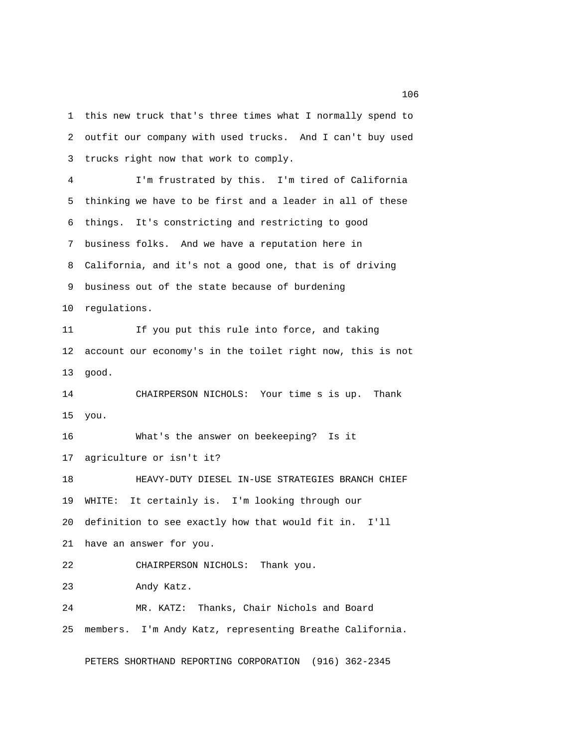1 this new truck that's three times what I normally spend to 2 outfit our company with used trucks. And I can't buy used 3 trucks right now that work to comply.

 4 I'm frustrated by this. I'm tired of California 5 thinking we have to be first and a leader in all of these 6 things. It's constricting and restricting to good 7 business folks. And we have a reputation here in 8 California, and it's not a good one, that is of driving 9 business out of the state because of burdening 10 regulations. 11 If you put this rule into force, and taking 12 account our economy's in the toilet right now, this is not 13 good. 14 CHAIRPERSON NICHOLS: Your time s is up. Thank 15 you. 16 What's the answer on beekeeping? Is it 17 agriculture or isn't it? 18 HEAVY-DUTY DIESEL IN-USE STRATEGIES BRANCH CHIEF 19 WHITE: It certainly is. I'm looking through our 20 definition to see exactly how that would fit in. I'll 21 have an answer for you. 22 CHAIRPERSON NICHOLS: Thank you. 23 Andy Katz. 24 MR. KATZ: Thanks, Chair Nichols and Board

25 members. I'm Andy Katz, representing Breathe California.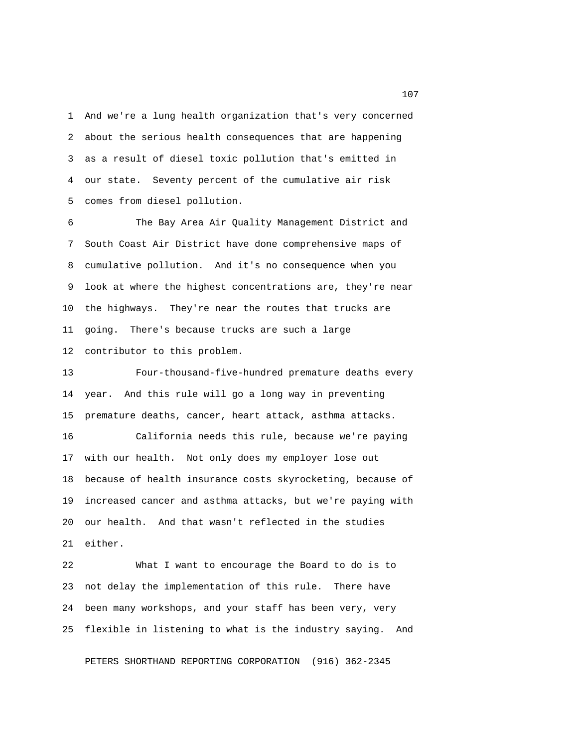1 And we're a lung health organization that's very concerned 2 about the serious health consequences that are happening 3 as a result of diesel toxic pollution that's emitted in 4 our state. Seventy percent of the cumulative air risk 5 comes from diesel pollution.

 6 The Bay Area Air Quality Management District and 7 South Coast Air District have done comprehensive maps of 8 cumulative pollution. And it's no consequence when you 9 look at where the highest concentrations are, they're near 10 the highways. They're near the routes that trucks are 11 going. There's because trucks are such a large 12 contributor to this problem.

13 Four-thousand-five-hundred premature deaths every 14 year. And this rule will go a long way in preventing 15 premature deaths, cancer, heart attack, asthma attacks.

16 California needs this rule, because we're paying 17 with our health. Not only does my employer lose out 18 because of health insurance costs skyrocketing, because of 19 increased cancer and asthma attacks, but we're paying with 20 our health. And that wasn't reflected in the studies 21 either.

22 What I want to encourage the Board to do is to 23 not delay the implementation of this rule. There have 24 been many workshops, and your staff has been very, very 25 flexible in listening to what is the industry saying. And

PETERS SHORTHAND REPORTING CORPORATION (916) 362-2345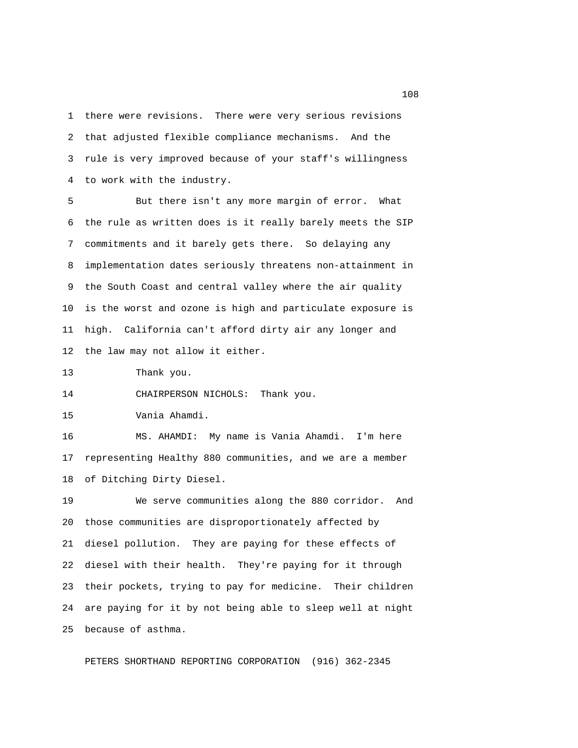1 there were revisions. There were very serious revisions 2 that adjusted flexible compliance mechanisms. And the 3 rule is very improved because of your staff's willingness 4 to work with the industry.

 5 But there isn't any more margin of error. What 6 the rule as written does is it really barely meets the SIP 7 commitments and it barely gets there. So delaying any 8 implementation dates seriously threatens non-attainment in 9 the South Coast and central valley where the air quality 10 is the worst and ozone is high and particulate exposure is 11 high. California can't afford dirty air any longer and 12 the law may not allow it either.

13 Thank you.

14 CHAIRPERSON NICHOLS: Thank you.

15 Vania Ahamdi.

16 MS. AHAMDI: My name is Vania Ahamdi. I'm here 17 representing Healthy 880 communities, and we are a member 18 of Ditching Dirty Diesel.

19 We serve communities along the 880 corridor. And 20 those communities are disproportionately affected by 21 diesel pollution. They are paying for these effects of 22 diesel with their health. They're paying for it through 23 their pockets, trying to pay for medicine. Their children 24 are paying for it by not being able to sleep well at night 25 because of asthma.

PETERS SHORTHAND REPORTING CORPORATION (916) 362-2345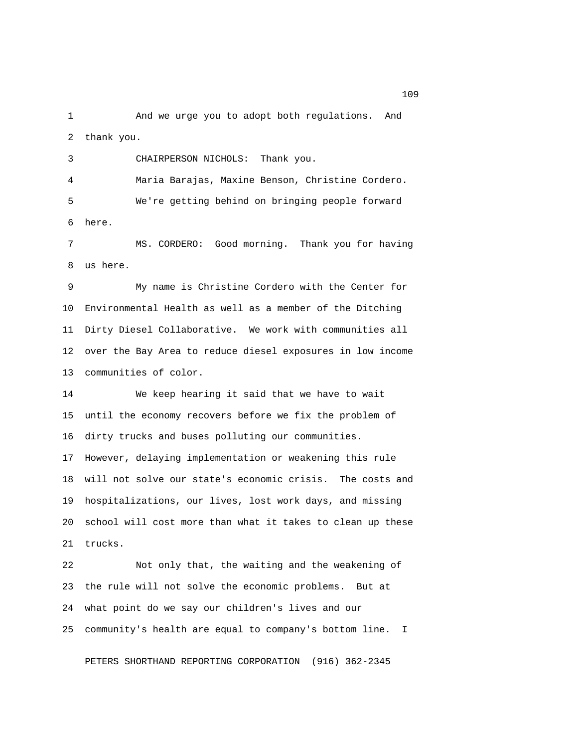1 And we urge you to adopt both regulations. And 2 thank you.

 3 CHAIRPERSON NICHOLS: Thank you. 4 Maria Barajas, Maxine Benson, Christine Cordero. 5 We're getting behind on bringing people forward 6 here.

 7 MS. CORDERO: Good morning. Thank you for having 8 us here.

 9 My name is Christine Cordero with the Center for 10 Environmental Health as well as a member of the Ditching 11 Dirty Diesel Collaborative. We work with communities all 12 over the Bay Area to reduce diesel exposures in low income 13 communities of color.

14 We keep hearing it said that we have to wait 15 until the economy recovers before we fix the problem of 16 dirty trucks and buses polluting our communities. 17 However, delaying implementation or weakening this rule 18 will not solve our state's economic crisis. The costs and 19 hospitalizations, our lives, lost work days, and missing 20 school will cost more than what it takes to clean up these 21 trucks.

22 Not only that, the waiting and the weakening of 23 the rule will not solve the economic problems. But at 24 what point do we say our children's lives and our 25 community's health are equal to company's bottom line. I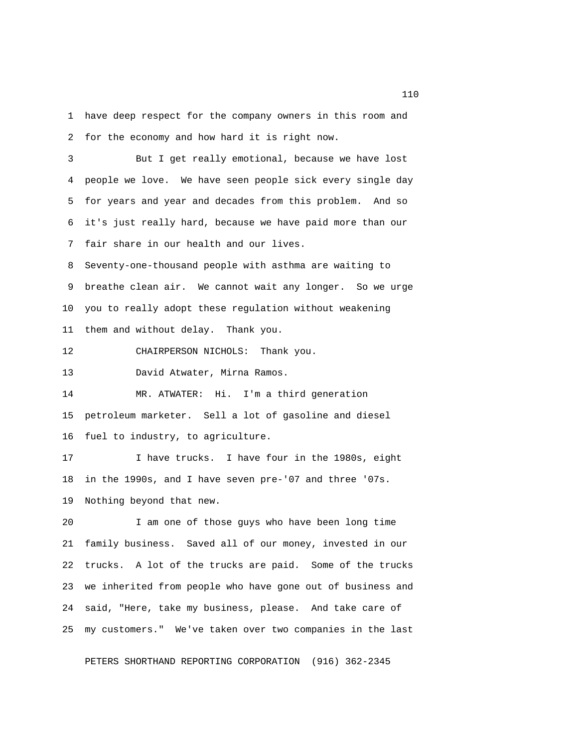1 have deep respect for the company owners in this room and 2 for the economy and how hard it is right now.

 3 But I get really emotional, because we have lost 4 people we love. We have seen people sick every single day 5 for years and year and decades from this problem. And so 6 it's just really hard, because we have paid more than our 7 fair share in our health and our lives.

 8 Seventy-one-thousand people with asthma are waiting to 9 breathe clean air. We cannot wait any longer. So we urge 10 you to really adopt these regulation without weakening 11 them and without delay. Thank you.

12 CHAIRPERSON NICHOLS: Thank you.

13 David Atwater, Mirna Ramos.

14 MR. ATWATER: Hi. I'm a third generation 15 petroleum marketer. Sell a lot of gasoline and diesel 16 fuel to industry, to agriculture.

17 I have trucks. I have four in the 1980s, eight 18 in the 1990s, and I have seven pre-'07 and three '07s. 19 Nothing beyond that new.

20 I am one of those guys who have been long time 21 family business. Saved all of our money, invested in our 22 trucks. A lot of the trucks are paid. Some of the trucks 23 we inherited from people who have gone out of business and 24 said, "Here, take my business, please. And take care of 25 my customers." We've taken over two companies in the last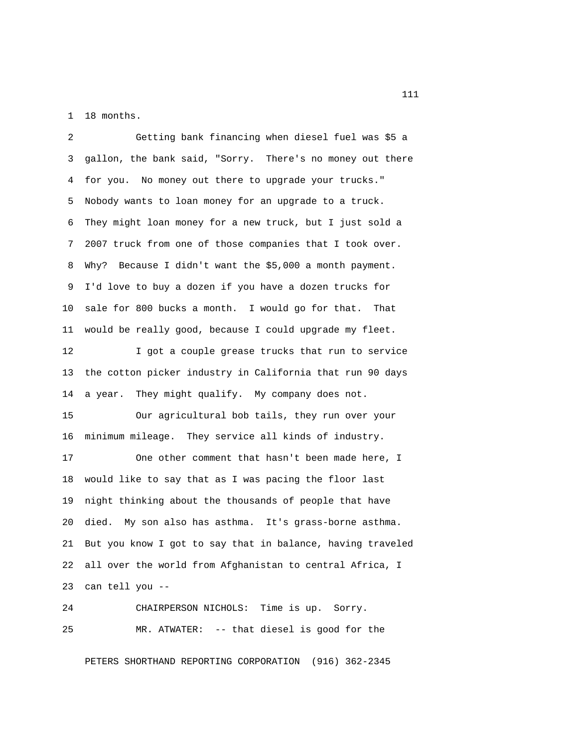1 18 months.

 2 Getting bank financing when diesel fuel was \$5 a 3 gallon, the bank said, "Sorry. There's no money out there 4 for you. No money out there to upgrade your trucks." 5 Nobody wants to loan money for an upgrade to a truck. 6 They might loan money for a new truck, but I just sold a 7 2007 truck from one of those companies that I took over. 8 Why? Because I didn't want the \$5,000 a month payment. 9 I'd love to buy a dozen if you have a dozen trucks for 10 sale for 800 bucks a month. I would go for that. That 11 would be really good, because I could upgrade my fleet.

12 I got a couple grease trucks that run to service 13 the cotton picker industry in California that run 90 days 14 a year. They might qualify. My company does not.

15 Our agricultural bob tails, they run over your 16 minimum mileage. They service all kinds of industry.

17 One other comment that hasn't been made here, I 18 would like to say that as I was pacing the floor last 19 night thinking about the thousands of people that have 20 died. My son also has asthma. It's grass-borne asthma. 21 But you know I got to say that in balance, having traveled 22 all over the world from Afghanistan to central Africa, I 23 can tell you --

24 CHAIRPERSON NICHOLS: Time is up. Sorry. 25 MR. ATWATER: -- that diesel is good for the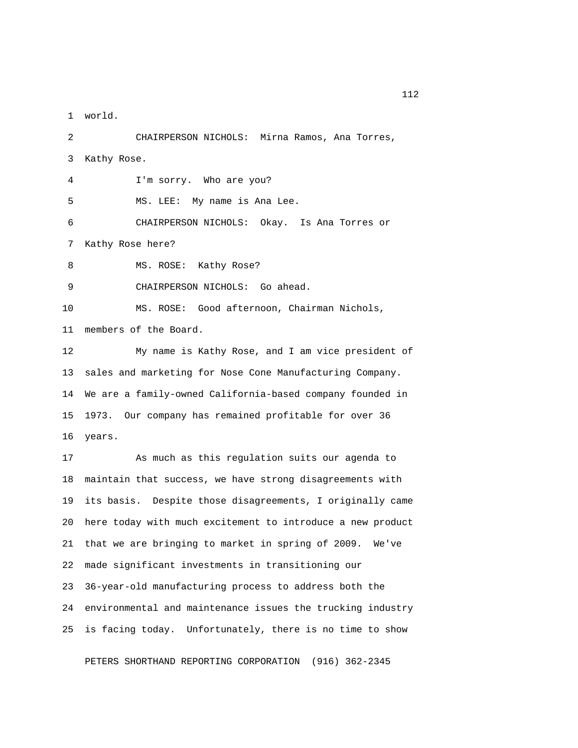1 world.

 2 CHAIRPERSON NICHOLS: Mirna Ramos, Ana Torres, 3 Kathy Rose. 4 I'm sorry. Who are you? 5 MS. LEE: My name is Ana Lee. 6 CHAIRPERSON NICHOLS: Okay. Is Ana Torres or 7 Kathy Rose here? 8 MS. ROSE: Kathy Rose? 9 CHAIRPERSON NICHOLS: Go ahead. 10 MS. ROSE: Good afternoon, Chairman Nichols, 11 members of the Board. 12 My name is Kathy Rose, and I am vice president of 13 sales and marketing for Nose Cone Manufacturing Company. 14 We are a family-owned California-based company founded in 15 1973. Our company has remained profitable for over 36 16 years. 17 As much as this regulation suits our agenda to 18 maintain that success, we have strong disagreements with 19 its basis. Despite those disagreements, I originally came 20 here today with much excitement to introduce a new product 21 that we are bringing to market in spring of 2009. We've 22 made significant investments in transitioning our 23 36-year-old manufacturing process to address both the 24 environmental and maintenance issues the trucking industry 25 is facing today. Unfortunately, there is no time to show

PETERS SHORTHAND REPORTING CORPORATION (916) 362-2345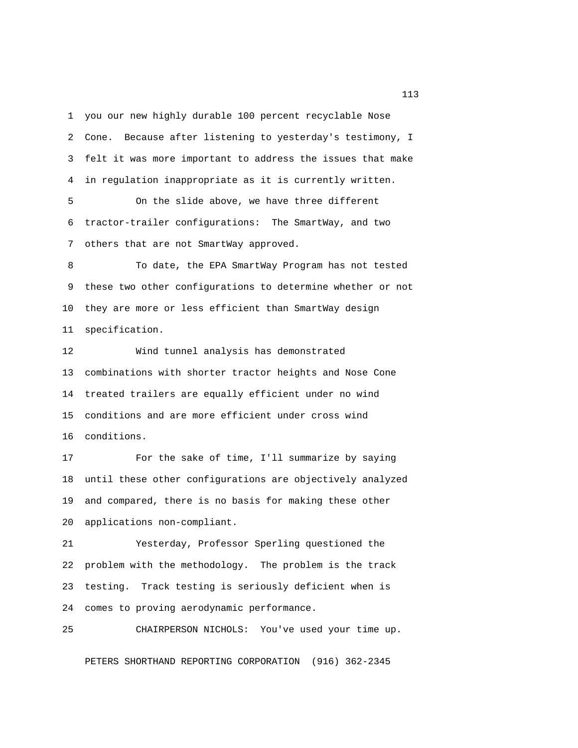1 you our new highly durable 100 percent recyclable Nose 2 Cone. Because after listening to yesterday's testimony, I 3 felt it was more important to address the issues that make 4 in regulation inappropriate as it is currently written.

 5 On the slide above, we have three different 6 tractor-trailer configurations: The SmartWay, and two 7 others that are not SmartWay approved.

 8 To date, the EPA SmartWay Program has not tested 9 these two other configurations to determine whether or not 10 they are more or less efficient than SmartWay design 11 specification.

12 Wind tunnel analysis has demonstrated 13 combinations with shorter tractor heights and Nose Cone 14 treated trailers are equally efficient under no wind 15 conditions and are more efficient under cross wind 16 conditions.

17 For the sake of time, I'll summarize by saying 18 until these other configurations are objectively analyzed 19 and compared, there is no basis for making these other 20 applications non-compliant.

21 Yesterday, Professor Sperling questioned the 22 problem with the methodology. The problem is the track 23 testing. Track testing is seriously deficient when is 24 comes to proving aerodynamic performance.

25 CHAIRPERSON NICHOLS: You've used your time up.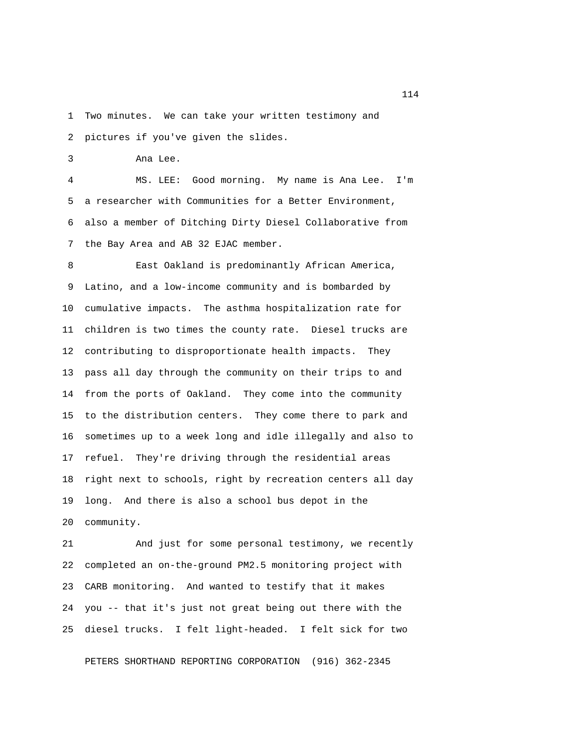1 Two minutes. We can take your written testimony and

2 pictures if you've given the slides.

3 Ana Lee.

 4 MS. LEE: Good morning. My name is Ana Lee. I'm 5 a researcher with Communities for a Better Environment, 6 also a member of Ditching Dirty Diesel Collaborative from 7 the Bay Area and AB 32 EJAC member.

 8 East Oakland is predominantly African America, 9 Latino, and a low-income community and is bombarded by 10 cumulative impacts. The asthma hospitalization rate for 11 children is two times the county rate. Diesel trucks are 12 contributing to disproportionate health impacts. They 13 pass all day through the community on their trips to and 14 from the ports of Oakland. They come into the community 15 to the distribution centers. They come there to park and 16 sometimes up to a week long and idle illegally and also to 17 refuel. They're driving through the residential areas 18 right next to schools, right by recreation centers all day 19 long. And there is also a school bus depot in the 20 community.

21 And just for some personal testimony, we recently 22 completed an on-the-ground PM2.5 monitoring project with 23 CARB monitoring. And wanted to testify that it makes 24 you -- that it's just not great being out there with the 25 diesel trucks. I felt light-headed. I felt sick for two

PETERS SHORTHAND REPORTING CORPORATION (916) 362-2345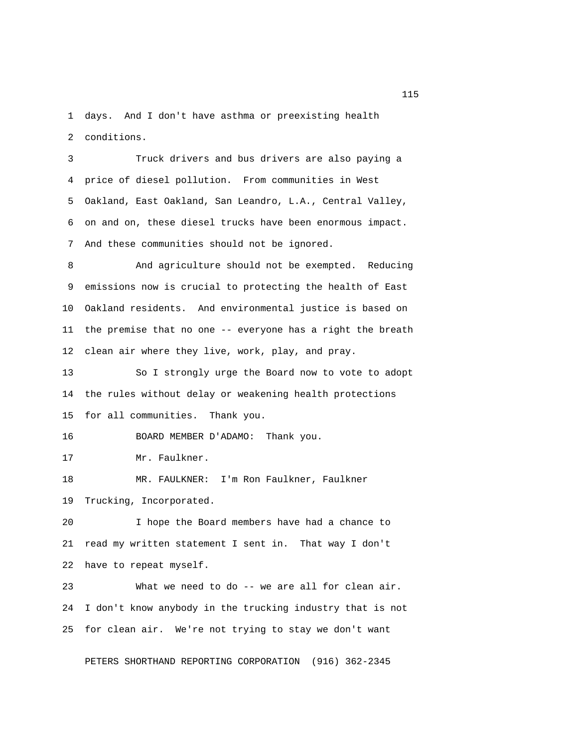1 days. And I don't have asthma or preexisting health 2 conditions.

 3 Truck drivers and bus drivers are also paying a 4 price of diesel pollution. From communities in West 5 Oakland, East Oakland, San Leandro, L.A., Central Valley, 6 on and on, these diesel trucks have been enormous impact. 7 And these communities should not be ignored.

 8 And agriculture should not be exempted. Reducing 9 emissions now is crucial to protecting the health of East 10 Oakland residents. And environmental justice is based on 11 the premise that no one -- everyone has a right the breath 12 clean air where they live, work, play, and pray.

13 So I strongly urge the Board now to vote to adopt 14 the rules without delay or weakening health protections 15 for all communities. Thank you.

16 BOARD MEMBER D'ADAMO: Thank you.

17 Mr. Faulkner.

18 MR. FAULKNER: I'm Ron Faulkner, Faulkner 19 Trucking, Incorporated.

20 I hope the Board members have had a chance to 21 read my written statement I sent in. That way I don't 22 have to repeat myself.

23 What we need to do -- we are all for clean air. 24 I don't know anybody in the trucking industry that is not 25 for clean air. We're not trying to stay we don't want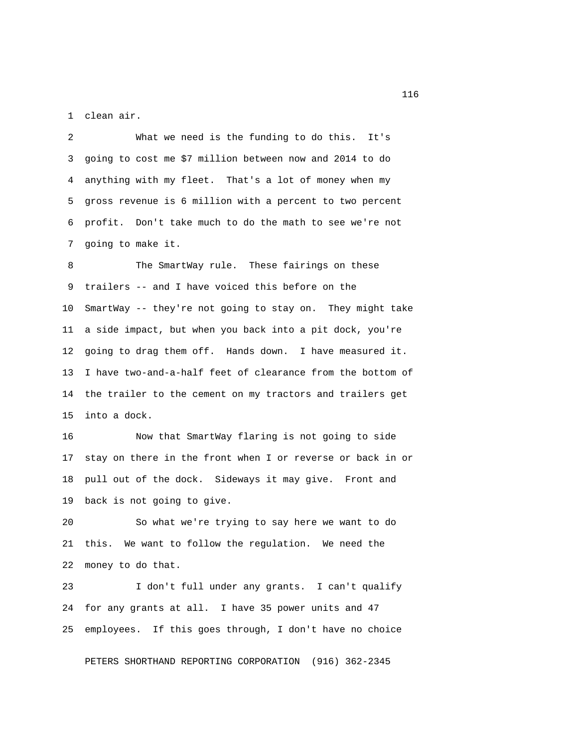1 clean air.

 2 What we need is the funding to do this. It's 3 going to cost me \$7 million between now and 2014 to do 4 anything with my fleet. That's a lot of money when my 5 gross revenue is 6 million with a percent to two percent 6 profit. Don't take much to do the math to see we're not 7 going to make it.

8 The SmartWay rule. These fairings on these 9 trailers -- and I have voiced this before on the 10 SmartWay -- they're not going to stay on. They might take 11 a side impact, but when you back into a pit dock, you're 12 going to drag them off. Hands down. I have measured it. 13 I have two-and-a-half feet of clearance from the bottom of 14 the trailer to the cement on my tractors and trailers get 15 into a dock.

16 Now that SmartWay flaring is not going to side 17 stay on there in the front when I or reverse or back in or 18 pull out of the dock. Sideways it may give. Front and 19 back is not going to give.

20 So what we're trying to say here we want to do 21 this. We want to follow the regulation. We need the 22 money to do that.

23 I don't full under any grants. I can't qualify 24 for any grants at all. I have 35 power units and 47 25 employees. If this goes through, I don't have no choice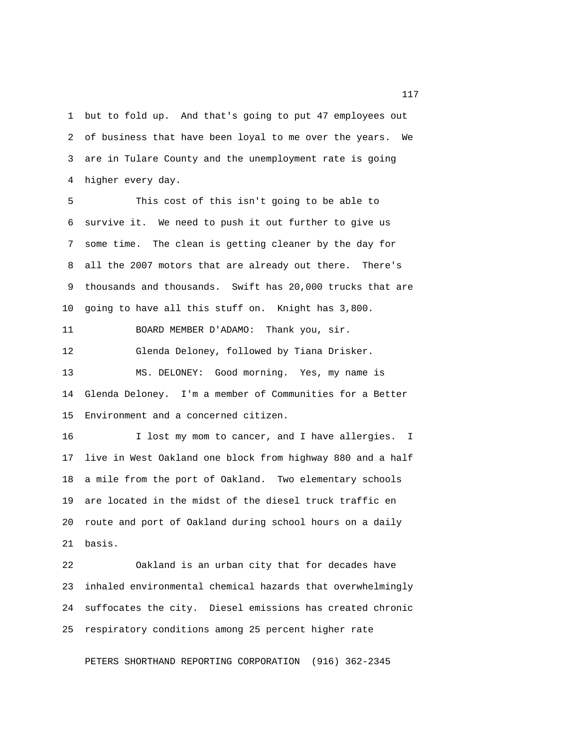1 but to fold up. And that's going to put 47 employees out 2 of business that have been loyal to me over the years. We 3 are in Tulare County and the unemployment rate is going 4 higher every day.

 5 This cost of this isn't going to be able to 6 survive it. We need to push it out further to give us 7 some time. The clean is getting cleaner by the day for 8 all the 2007 motors that are already out there. There's 9 thousands and thousands. Swift has 20,000 trucks that are 10 going to have all this stuff on. Knight has 3,800.

11 BOARD MEMBER D'ADAMO: Thank you, sir.

12 Glenda Deloney, followed by Tiana Drisker.

13 MS. DELONEY: Good morning. Yes, my name is 14 Glenda Deloney. I'm a member of Communities for a Better 15 Environment and a concerned citizen.

16 I lost my mom to cancer, and I have allergies. I 17 live in West Oakland one block from highway 880 and a half 18 a mile from the port of Oakland. Two elementary schools 19 are located in the midst of the diesel truck traffic en 20 route and port of Oakland during school hours on a daily 21 basis.

22 Oakland is an urban city that for decades have 23 inhaled environmental chemical hazards that overwhelmingly 24 suffocates the city. Diesel emissions has created chronic 25 respiratory conditions among 25 percent higher rate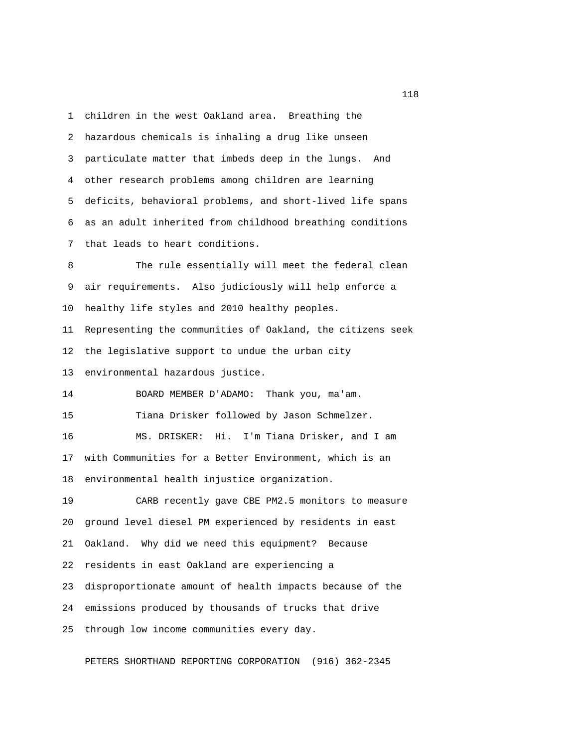1 children in the west Oakland area. Breathing the 2 hazardous chemicals is inhaling a drug like unseen 3 particulate matter that imbeds deep in the lungs. And 4 other research problems among children are learning 5 deficits, behavioral problems, and short-lived life spans 6 as an adult inherited from childhood breathing conditions 7 that leads to heart conditions.

8 The rule essentially will meet the federal clean 9 air requirements. Also judiciously will help enforce a 10 healthy life styles and 2010 healthy peoples. 11 Representing the communities of Oakland, the citizens seek 12 the legislative support to undue the urban city 13 environmental hazardous justice. 14 BOARD MEMBER D'ADAMO: Thank you, ma'am. 15 Tiana Drisker followed by Jason Schmelzer. 16 MS. DRISKER: Hi. I'm Tiana Drisker, and I am 17 with Communities for a Better Environment, which is an 18 environmental health injustice organization. 19 CARB recently gave CBE PM2.5 monitors to measure 20 ground level diesel PM experienced by residents in east 21 Oakland. Why did we need this equipment? Because 22 residents in east Oakland are experiencing a 23 disproportionate amount of health impacts because of the 24 emissions produced by thousands of trucks that drive 25 through low income communities every day.

PETERS SHORTHAND REPORTING CORPORATION (916) 362-2345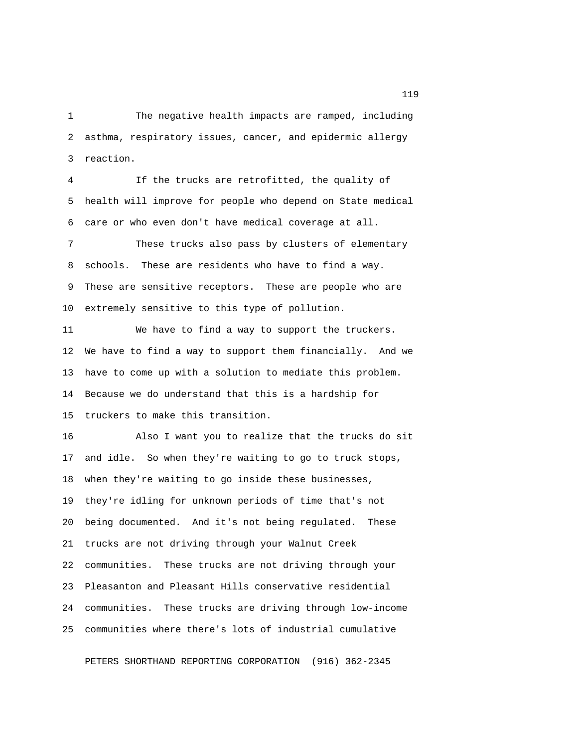1 The negative health impacts are ramped, including 2 asthma, respiratory issues, cancer, and epidermic allergy 3 reaction.

 4 If the trucks are retrofitted, the quality of 5 health will improve for people who depend on State medical 6 care or who even don't have medical coverage at all.

 7 These trucks also pass by clusters of elementary 8 schools. These are residents who have to find a way. 9 These are sensitive receptors. These are people who are 10 extremely sensitive to this type of pollution.

11 We have to find a way to support the truckers. 12 We have to find a way to support them financially. And we 13 have to come up with a solution to mediate this problem. 14 Because we do understand that this is a hardship for 15 truckers to make this transition.

16 Also I want you to realize that the trucks do sit 17 and idle. So when they're waiting to go to truck stops, 18 when they're waiting to go inside these businesses, 19 they're idling for unknown periods of time that's not 20 being documented. And it's not being regulated. These 21 trucks are not driving through your Walnut Creek 22 communities. These trucks are not driving through your 23 Pleasanton and Pleasant Hills conservative residential 24 communities. These trucks are driving through low-income 25 communities where there's lots of industrial cumulative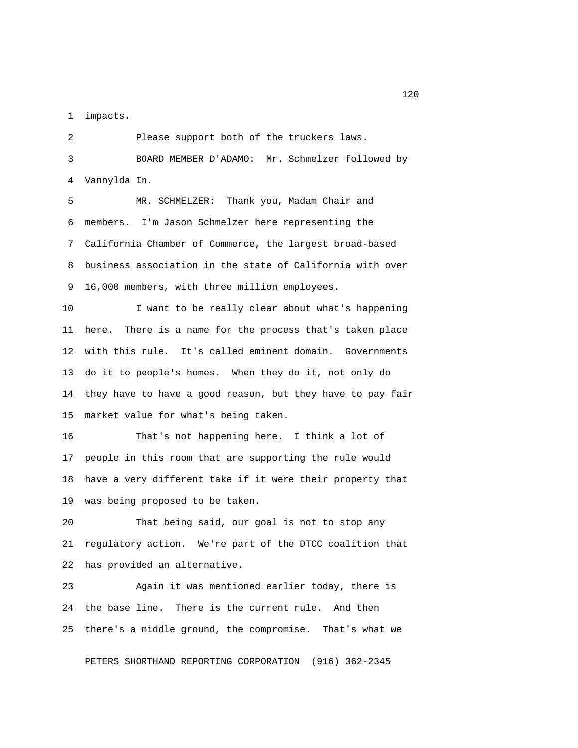1 impacts.

 2 Please support both of the truckers laws. 3 BOARD MEMBER D'ADAMO: Mr. Schmelzer followed by 4 Vannylda In.

 5 MR. SCHMELZER: Thank you, Madam Chair and 6 members. I'm Jason Schmelzer here representing the 7 California Chamber of Commerce, the largest broad-based 8 business association in the state of California with over 9 16,000 members, with three million employees.

10 I want to be really clear about what's happening 11 here. There is a name for the process that's taken place 12 with this rule. It's called eminent domain. Governments 13 do it to people's homes. When they do it, not only do 14 they have to have a good reason, but they have to pay fair 15 market value for what's being taken.

16 That's not happening here. I think a lot of 17 people in this room that are supporting the rule would 18 have a very different take if it were their property that 19 was being proposed to be taken.

20 That being said, our goal is not to stop any 21 regulatory action. We're part of the DTCC coalition that 22 has provided an alternative.

23 Again it was mentioned earlier today, there is 24 the base line. There is the current rule. And then 25 there's a middle ground, the compromise. That's what we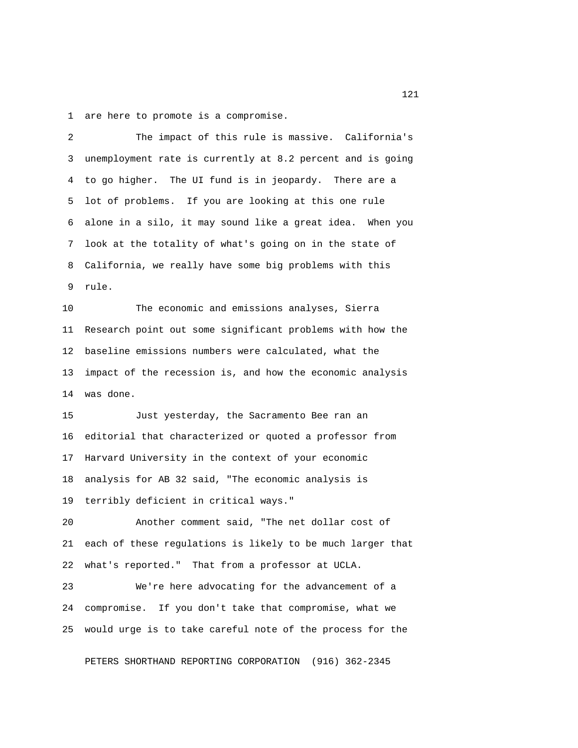1 are here to promote is a compromise.

 2 The impact of this rule is massive. California's 3 unemployment rate is currently at 8.2 percent and is going 4 to go higher. The UI fund is in jeopardy. There are a 5 lot of problems. If you are looking at this one rule 6 alone in a silo, it may sound like a great idea. When you 7 look at the totality of what's going on in the state of 8 California, we really have some big problems with this 9 rule.

10 The economic and emissions analyses, Sierra 11 Research point out some significant problems with how the 12 baseline emissions numbers were calculated, what the 13 impact of the recession is, and how the economic analysis 14 was done.

15 Just yesterday, the Sacramento Bee ran an 16 editorial that characterized or quoted a professor from 17 Harvard University in the context of your economic 18 analysis for AB 32 said, "The economic analysis is 19 terribly deficient in critical ways."

20 Another comment said, "The net dollar cost of 21 each of these regulations is likely to be much larger that 22 what's reported." That from a professor at UCLA.

23 We're here advocating for the advancement of a 24 compromise. If you don't take that compromise, what we 25 would urge is to take careful note of the process for the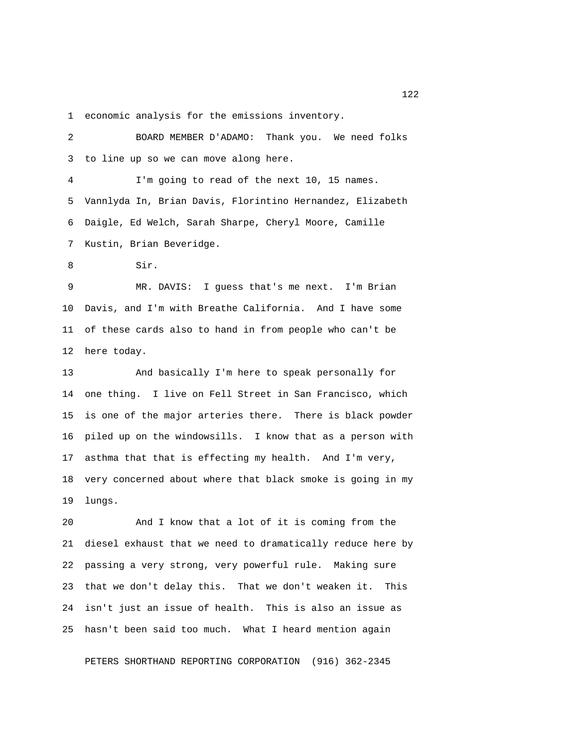1 economic analysis for the emissions inventory.

 2 BOARD MEMBER D'ADAMO: Thank you. We need folks 3 to line up so we can move along here. 4 I'm going to read of the next 10, 15 names. 5 Vannlyda In, Brian Davis, Florintino Hernandez, Elizabeth 6 Daigle, Ed Welch, Sarah Sharpe, Cheryl Moore, Camille 7 Kustin, Brian Beveridge. 8 Sir. 9 MR. DAVIS: I guess that's me next. I'm Brian 10 Davis, and I'm with Breathe California. And I have some 11 of these cards also to hand in from people who can't be 12 here today. 13 And basically I'm here to speak personally for 14 one thing. I live on Fell Street in San Francisco, which 15 is one of the major arteries there. There is black powder 16 piled up on the windowsills. I know that as a person with 17 asthma that that is effecting my health. And I'm very, 18 very concerned about where that black smoke is going in my 19 lungs. 20 And I know that a lot of it is coming from the

21 diesel exhaust that we need to dramatically reduce here by 22 passing a very strong, very powerful rule. Making sure 23 that we don't delay this. That we don't weaken it. This 24 isn't just an issue of health. This is also an issue as 25 hasn't been said too much. What I heard mention again

PETERS SHORTHAND REPORTING CORPORATION (916) 362-2345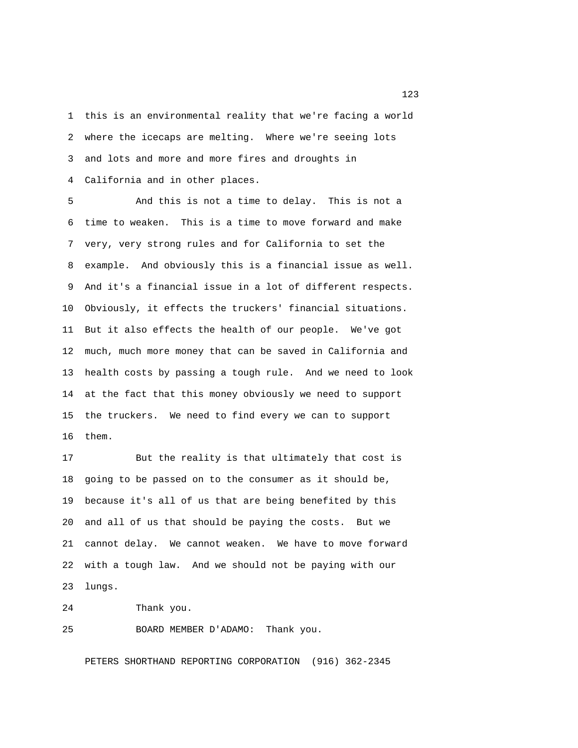1 this is an environmental reality that we're facing a world 2 where the icecaps are melting. Where we're seeing lots 3 and lots and more and more fires and droughts in 4 California and in other places.

 5 And this is not a time to delay. This is not a 6 time to weaken. This is a time to move forward and make 7 very, very strong rules and for California to set the 8 example. And obviously this is a financial issue as well. 9 And it's a financial issue in a lot of different respects. 10 Obviously, it effects the truckers' financial situations. 11 But it also effects the health of our people. We've got 12 much, much more money that can be saved in California and 13 health costs by passing a tough rule. And we need to look 14 at the fact that this money obviously we need to support 15 the truckers. We need to find every we can to support 16 them.

17 But the reality is that ultimately that cost is 18 going to be passed on to the consumer as it should be, 19 because it's all of us that are being benefited by this 20 and all of us that should be paying the costs. But we 21 cannot delay. We cannot weaken. We have to move forward 22 with a tough law. And we should not be paying with our 23 lungs.

24 Thank you.

25 BOARD MEMBER D'ADAMO: Thank you.

PETERS SHORTHAND REPORTING CORPORATION (916) 362-2345

<u>123</u>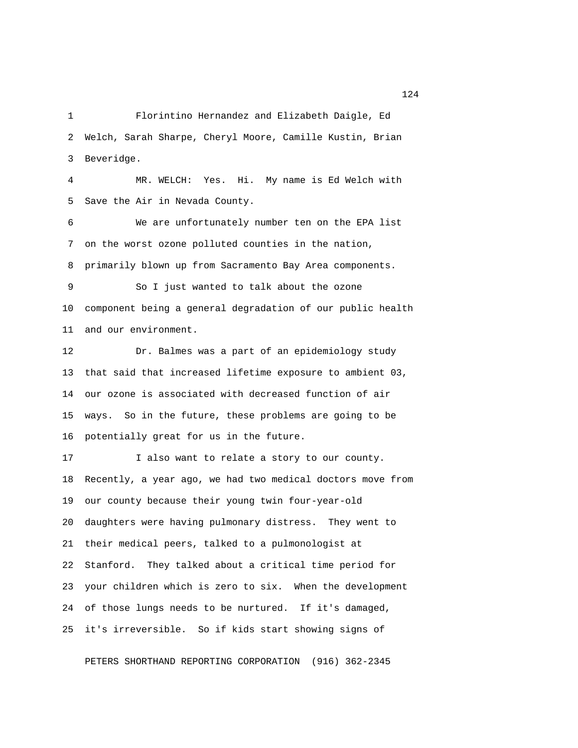1 Florintino Hernandez and Elizabeth Daigle, Ed 2 Welch, Sarah Sharpe, Cheryl Moore, Camille Kustin, Brian 3 Beveridge.

 4 MR. WELCH: Yes. Hi. My name is Ed Welch with 5 Save the Air in Nevada County.

 6 We are unfortunately number ten on the EPA list 7 on the worst ozone polluted counties in the nation, 8 primarily blown up from Sacramento Bay Area components.

 9 So I just wanted to talk about the ozone 10 component being a general degradation of our public health 11 and our environment.

12 Dr. Balmes was a part of an epidemiology study 13 that said that increased lifetime exposure to ambient 03, 14 our ozone is associated with decreased function of air 15 ways. So in the future, these problems are going to be 16 potentially great for us in the future.

17 I also want to relate a story to our county. 18 Recently, a year ago, we had two medical doctors move from 19 our county because their young twin four-year-old 20 daughters were having pulmonary distress. They went to 21 their medical peers, talked to a pulmonologist at 22 Stanford. They talked about a critical time period for 23 your children which is zero to six. When the development 24 of those lungs needs to be nurtured. If it's damaged, 25 it's irreversible. So if kids start showing signs of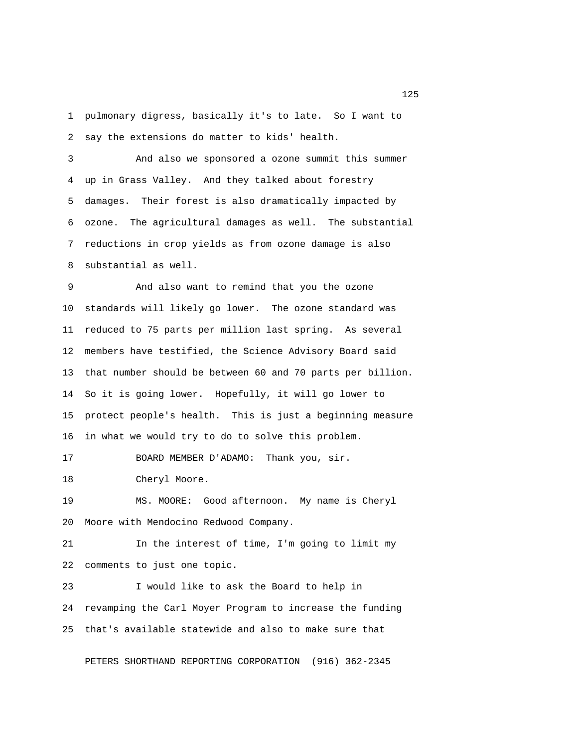1 pulmonary digress, basically it's to late. So I want to 2 say the extensions do matter to kids' health.

 3 And also we sponsored a ozone summit this summer 4 up in Grass Valley. And they talked about forestry 5 damages. Their forest is also dramatically impacted by 6 ozone. The agricultural damages as well. The substantial 7 reductions in crop yields as from ozone damage is also 8 substantial as well.

 9 And also want to remind that you the ozone 10 standards will likely go lower. The ozone standard was 11 reduced to 75 parts per million last spring. As several 12 members have testified, the Science Advisory Board said 13 that number should be between 60 and 70 parts per billion. 14 So it is going lower. Hopefully, it will go lower to 15 protect people's health. This is just a beginning measure 16 in what we would try to do to solve this problem.

17 BOARD MEMBER D'ADAMO: Thank you, sir.

18 Cheryl Moore.

19 MS. MOORE: Good afternoon. My name is Cheryl 20 Moore with Mendocino Redwood Company.

21 In the interest of time, I'm going to limit my 22 comments to just one topic.

23 I would like to ask the Board to help in 24 revamping the Carl Moyer Program to increase the funding 25 that's available statewide and also to make sure that

PETERS SHORTHAND REPORTING CORPORATION (916) 362-2345

n 125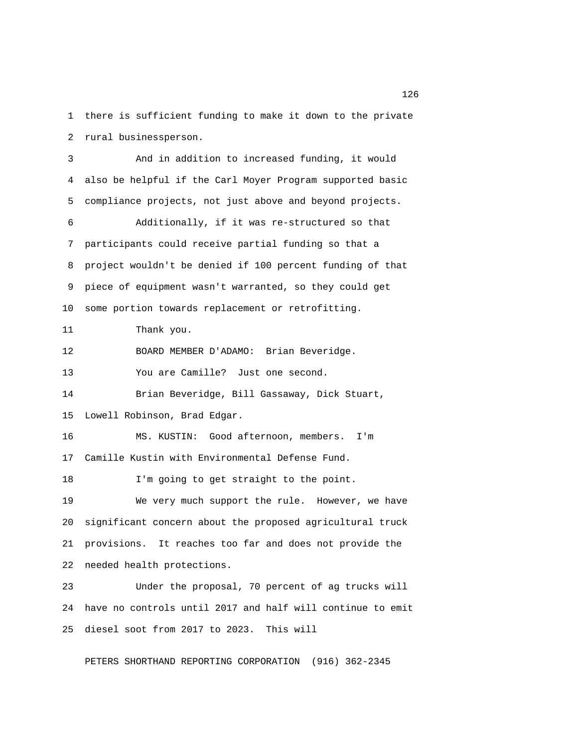1 there is sufficient funding to make it down to the private 2 rural businessperson.

 3 And in addition to increased funding, it would 4 also be helpful if the Carl Moyer Program supported basic 5 compliance projects, not just above and beyond projects. 6 Additionally, if it was re-structured so that 7 participants could receive partial funding so that a 8 project wouldn't be denied if 100 percent funding of that 9 piece of equipment wasn't warranted, so they could get 10 some portion towards replacement or retrofitting. 11 Thank you. 12 BOARD MEMBER D'ADAMO: Brian Beveridge. 13 You are Camille? Just one second. 14 Brian Beveridge, Bill Gassaway, Dick Stuart, 15 Lowell Robinson, Brad Edgar. 16 MS. KUSTIN: Good afternoon, members. I'm 17 Camille Kustin with Environmental Defense Fund. 18 I'm going to get straight to the point. 19 We very much support the rule. However, we have 20 significant concern about the proposed agricultural truck 21 provisions. It reaches too far and does not provide the 22 needed health protections. 23 Under the proposal, 70 percent of ag trucks will 24 have no controls until 2017 and half will continue to emit 25 diesel soot from 2017 to 2023. This will

PETERS SHORTHAND REPORTING CORPORATION (916) 362-2345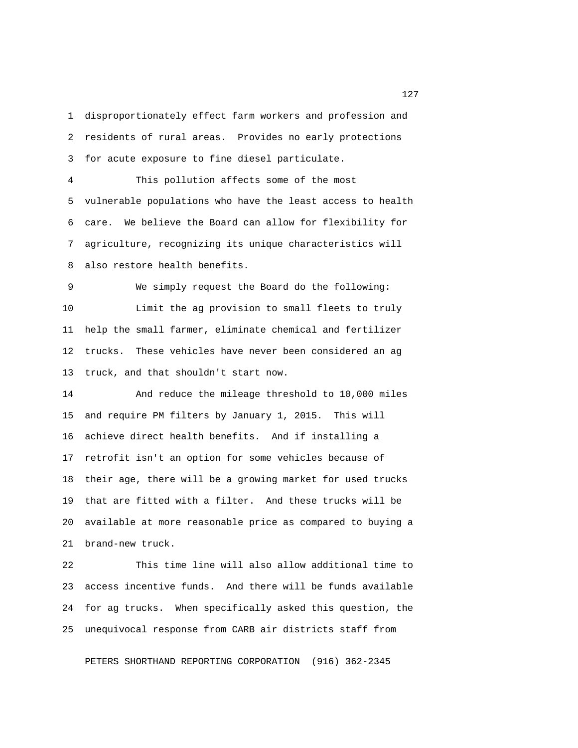1 disproportionately effect farm workers and profession and 2 residents of rural areas. Provides no early protections 3 for acute exposure to fine diesel particulate.

 4 This pollution affects some of the most 5 vulnerable populations who have the least access to health 6 care. We believe the Board can allow for flexibility for 7 agriculture, recognizing its unique characteristics will 8 also restore health benefits.

 9 We simply request the Board do the following: 10 Limit the ag provision to small fleets to truly 11 help the small farmer, eliminate chemical and fertilizer 12 trucks. These vehicles have never been considered an ag 13 truck, and that shouldn't start now.

14 And reduce the mileage threshold to 10,000 miles 15 and require PM filters by January 1, 2015. This will 16 achieve direct health benefits. And if installing a 17 retrofit isn't an option for some vehicles because of 18 their age, there will be a growing market for used trucks 19 that are fitted with a filter. And these trucks will be 20 available at more reasonable price as compared to buying a 21 brand-new truck.

22 This time line will also allow additional time to 23 access incentive funds. And there will be funds available 24 for ag trucks. When specifically asked this question, the 25 unequivocal response from CARB air districts staff from

PETERS SHORTHAND REPORTING CORPORATION (916) 362-2345

127 and 2012 and 2012 and 2012 and 2012 and 2012 and 2012 and 2012 and 2012 and 2012 and 2012 and 2013 and 201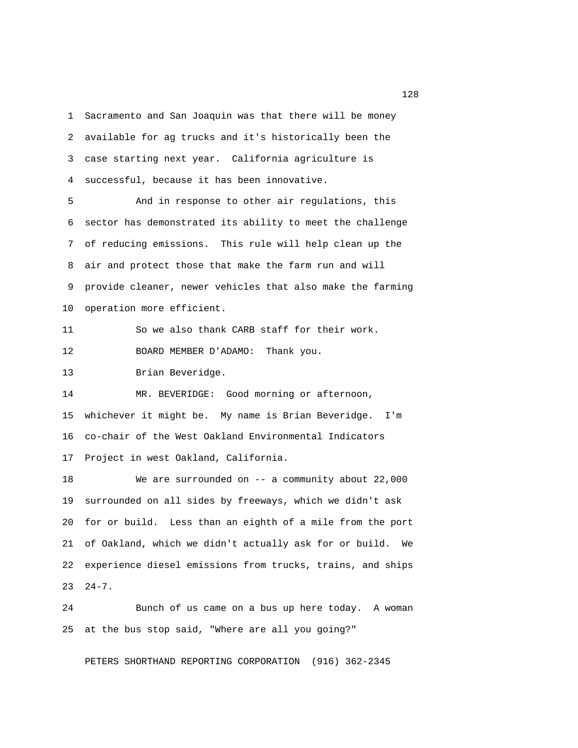1 Sacramento and San Joaquin was that there will be money 2 available for ag trucks and it's historically been the 3 case starting next year. California agriculture is 4 successful, because it has been innovative.

 5 And in response to other air regulations, this 6 sector has demonstrated its ability to meet the challenge 7 of reducing emissions. This rule will help clean up the 8 air and protect those that make the farm run and will 9 provide cleaner, newer vehicles that also make the farming 10 operation more efficient.

11 So we also thank CARB staff for their work.

12 BOARD MEMBER D'ADAMO: Thank you.

13 Brian Beveridge.

14 MR. BEVERIDGE: Good morning or afternoon, 15 whichever it might be. My name is Brian Beveridge. I'm 16 co-chair of the West Oakland Environmental Indicators 17 Project in west Oakland, California.

18 We are surrounded on -- a community about 22,000 19 surrounded on all sides by freeways, which we didn't ask 20 for or build. Less than an eighth of a mile from the port 21 of Oakland, which we didn't actually ask for or build. We 22 experience diesel emissions from trucks, trains, and ships 23 24-7.

24 Bunch of us came on a bus up here today. A woman 25 at the bus stop said, "Where are all you going?"

PETERS SHORTHAND REPORTING CORPORATION (916) 362-2345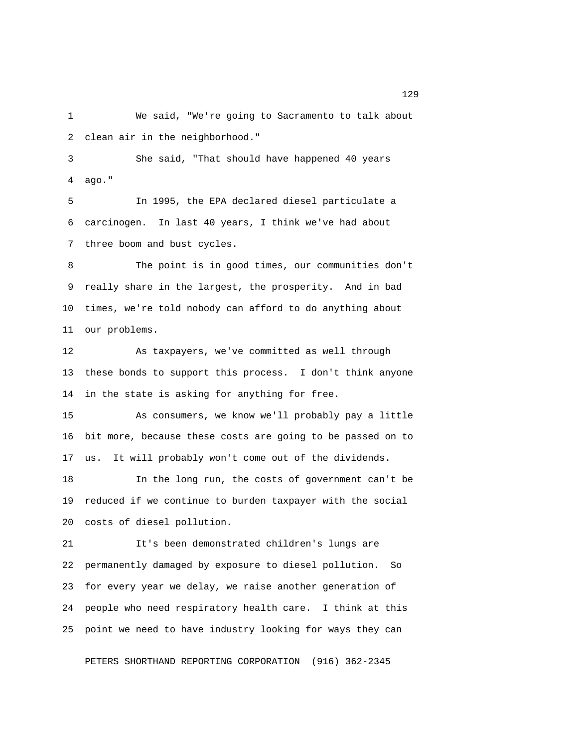1 We said, "We're going to Sacramento to talk about 2 clean air in the neighborhood."

 3 She said, "That should have happened 40 years 4 ago."

 5 In 1995, the EPA declared diesel particulate a 6 carcinogen. In last 40 years, I think we've had about 7 three boom and bust cycles.

 8 The point is in good times, our communities don't 9 really share in the largest, the prosperity. And in bad 10 times, we're told nobody can afford to do anything about 11 our problems.

12 As taxpayers, we've committed as well through 13 these bonds to support this process. I don't think anyone 14 in the state is asking for anything for free.

15 As consumers, we know we'll probably pay a little 16 bit more, because these costs are going to be passed on to 17 us. It will probably won't come out of the dividends.

18 In the long run, the costs of government can't be 19 reduced if we continue to burden taxpayer with the social 20 costs of diesel pollution.

21 It's been demonstrated children's lungs are 22 permanently damaged by exposure to diesel pollution. So 23 for every year we delay, we raise another generation of 24 people who need respiratory health care. I think at this 25 point we need to have industry looking for ways they can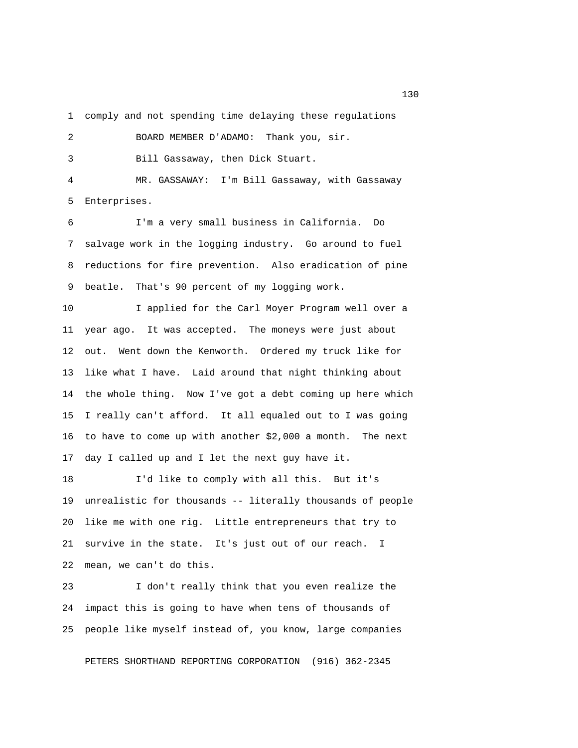1 comply and not spending time delaying these regulations

 2 BOARD MEMBER D'ADAMO: Thank you, sir. 3 Bill Gassaway, then Dick Stuart. 4 MR. GASSAWAY: I'm Bill Gassaway, with Gassaway

5 Enterprises.

 6 I'm a very small business in California. Do 7 salvage work in the logging industry. Go around to fuel 8 reductions for fire prevention. Also eradication of pine 9 beatle. That's 90 percent of my logging work.

10 I applied for the Carl Moyer Program well over a 11 year ago. It was accepted. The moneys were just about 12 out. Went down the Kenworth. Ordered my truck like for 13 like what I have. Laid around that night thinking about 14 the whole thing. Now I've got a debt coming up here which 15 I really can't afford. It all equaled out to I was going 16 to have to come up with another \$2,000 a month. The next 17 day I called up and I let the next guy have it.

18 I'd like to comply with all this. But it's 19 unrealistic for thousands -- literally thousands of people 20 like me with one rig. Little entrepreneurs that try to 21 survive in the state. It's just out of our reach. I 22 mean, we can't do this.

23 I don't really think that you even realize the 24 impact this is going to have when tens of thousands of 25 people like myself instead of, you know, large companies

PETERS SHORTHAND REPORTING CORPORATION (916) 362-2345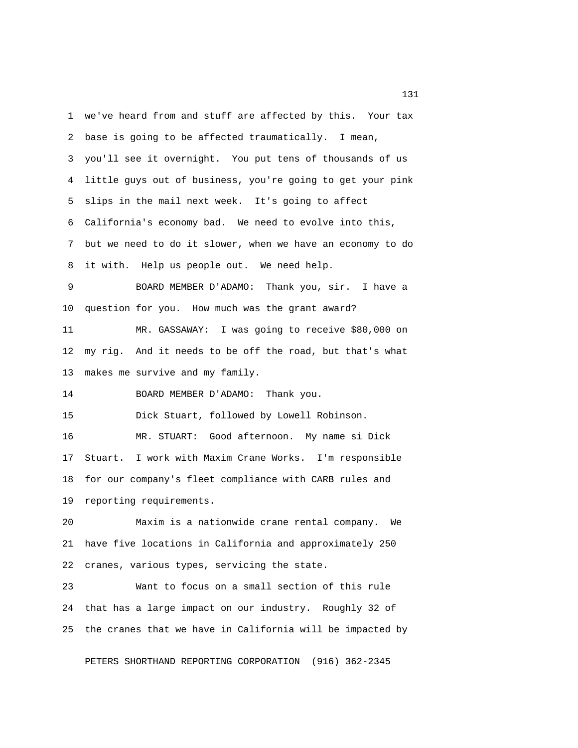1 we've heard from and stuff are affected by this. Your tax 2 base is going to be affected traumatically. I mean, 3 you'll see it overnight. You put tens of thousands of us 4 little guys out of business, you're going to get your pink 5 slips in the mail next week. It's going to affect 6 California's economy bad. We need to evolve into this, 7 but we need to do it slower, when we have an economy to do 8 it with. Help us people out. We need help. 9 BOARD MEMBER D'ADAMO: Thank you, sir. I have a 10 question for you. How much was the grant award? 11 MR. GASSAWAY: I was going to receive \$80,000 on 12 my rig. And it needs to be off the road, but that's what 13 makes me survive and my family. 14 BOARD MEMBER D'ADAMO: Thank you. 15 Dick Stuart, followed by Lowell Robinson. 16 MR. STUART: Good afternoon. My name si Dick 17 Stuart. I work with Maxim Crane Works. I'm responsible 18 for our company's fleet compliance with CARB rules and 19 reporting requirements. 20 Maxim is a nationwide crane rental company. We 21 have five locations in California and approximately 250 22 cranes, various types, servicing the state. 23 Want to focus on a small section of this rule 24 that has a large impact on our industry. Roughly 32 of 25 the cranes that we have in California will be impacted by

PETERS SHORTHAND REPORTING CORPORATION (916) 362-2345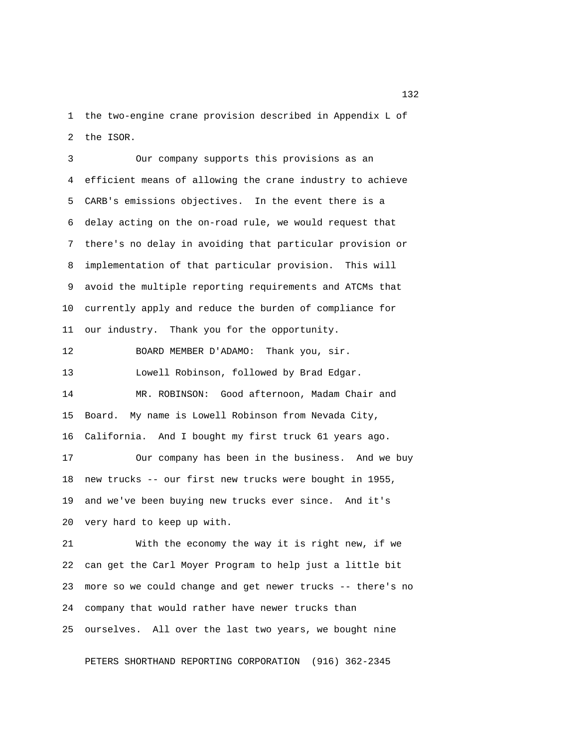1 the two-engine crane provision described in Appendix L of 2 the ISOR.

 3 Our company supports this provisions as an 4 efficient means of allowing the crane industry to achieve 5 CARB's emissions objectives. In the event there is a 6 delay acting on the on-road rule, we would request that 7 there's no delay in avoiding that particular provision or 8 implementation of that particular provision. This will 9 avoid the multiple reporting requirements and ATCMs that 10 currently apply and reduce the burden of compliance for 11 our industry. Thank you for the opportunity. 12 BOARD MEMBER D'ADAMO: Thank you, sir. 13 Lowell Robinson, followed by Brad Edgar. 14 MR. ROBINSON: Good afternoon, Madam Chair and 15 Board. My name is Lowell Robinson from Nevada City, 16 California. And I bought my first truck 61 years ago. 17 Our company has been in the business. And we buy 18 new trucks -- our first new trucks were bought in 1955, 19 and we've been buying new trucks ever since. And it's 20 very hard to keep up with. 21 With the economy the way it is right new, if we 22 can get the Carl Moyer Program to help just a little bit 23 more so we could change and get newer trucks -- there's no 24 company that would rather have newer trucks than 25 ourselves. All over the last two years, we bought nine

PETERS SHORTHAND REPORTING CORPORATION (916) 362-2345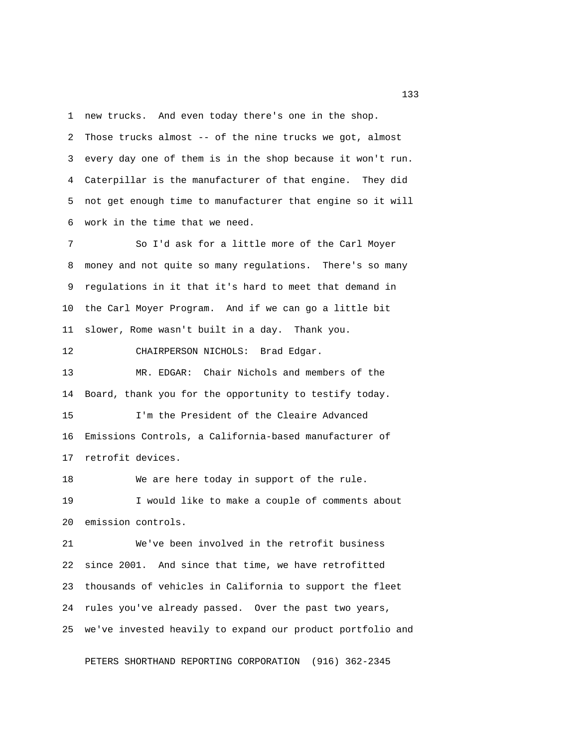1 new trucks. And even today there's one in the shop.

 2 Those trucks almost -- of the nine trucks we got, almost 3 every day one of them is in the shop because it won't run. 4 Caterpillar is the manufacturer of that engine. They did 5 not get enough time to manufacturer that engine so it will 6 work in the time that we need.

 7 So I'd ask for a little more of the Carl Moyer 8 money and not quite so many regulations. There's so many 9 regulations in it that it's hard to meet that demand in 10 the Carl Moyer Program. And if we can go a little bit 11 slower, Rome wasn't built in a day. Thank you.

12 CHAIRPERSON NICHOLS: Brad Edgar.

13 MR. EDGAR: Chair Nichols and members of the 14 Board, thank you for the opportunity to testify today.

15 I'm the President of the Cleaire Advanced 16 Emissions Controls, a California-based manufacturer of 17 retrofit devices.

18 We are here today in support of the rule. 19 I would like to make a couple of comments about 20 emission controls.

21 We've been involved in the retrofit business 22 since 2001. And since that time, we have retrofitted 23 thousands of vehicles in California to support the fleet 24 rules you've already passed. Over the past two years, 25 we've invested heavily to expand our product portfolio and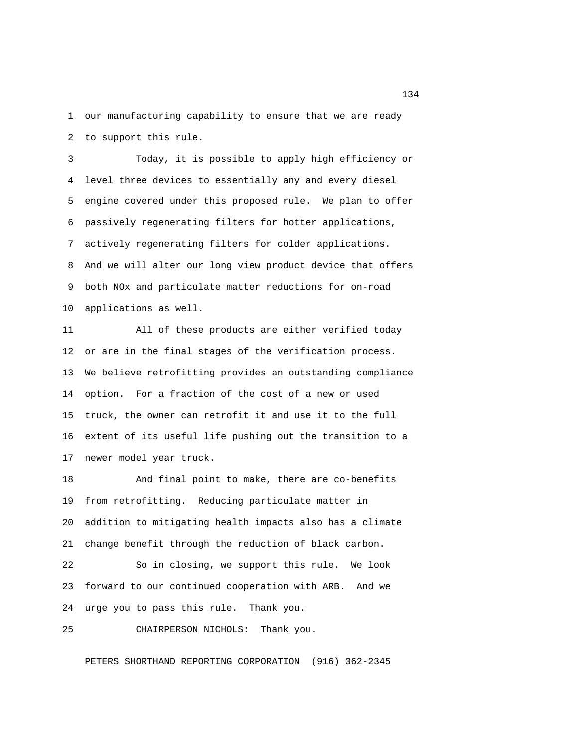1 our manufacturing capability to ensure that we are ready 2 to support this rule.

 3 Today, it is possible to apply high efficiency or 4 level three devices to essentially any and every diesel 5 engine covered under this proposed rule. We plan to offer 6 passively regenerating filters for hotter applications, 7 actively regenerating filters for colder applications. 8 And we will alter our long view product device that offers 9 both NOx and particulate matter reductions for on-road 10 applications as well.

11 All of these products are either verified today 12 or are in the final stages of the verification process. 13 We believe retrofitting provides an outstanding compliance 14 option. For a fraction of the cost of a new or used 15 truck, the owner can retrofit it and use it to the full 16 extent of its useful life pushing out the transition to a 17 newer model year truck.

18 And final point to make, there are co-benefits 19 from retrofitting. Reducing particulate matter in 20 addition to mitigating health impacts also has a climate 21 change benefit through the reduction of black carbon.

22 So in closing, we support this rule. We look 23 forward to our continued cooperation with ARB. And we 24 urge you to pass this rule. Thank you.

25 CHAIRPERSON NICHOLS: Thank you.

PETERS SHORTHAND REPORTING CORPORATION (916) 362-2345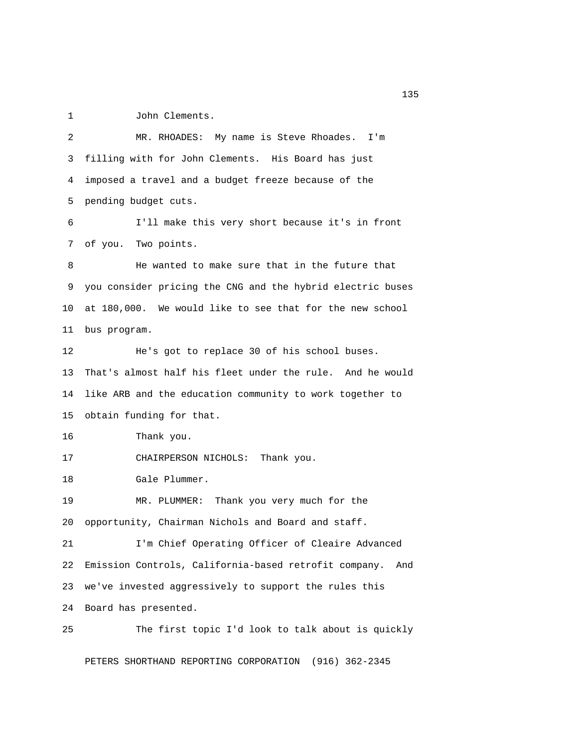1 John Clements.

 2 MR. RHOADES: My name is Steve Rhoades. I'm 3 filling with for John Clements. His Board has just 4 imposed a travel and a budget freeze because of the 5 pending budget cuts. 6 I'll make this very short because it's in front 7 of you. Two points. 8 He wanted to make sure that in the future that 9 you consider pricing the CNG and the hybrid electric buses 10 at 180,000. We would like to see that for the new school 11 bus program. 12 He's got to replace 30 of his school buses. 13 That's almost half his fleet under the rule. And he would 14 like ARB and the education community to work together to 15 obtain funding for that. 16 Thank you. 17 CHAIRPERSON NICHOLS: Thank you. 18 Gale Plummer. 19 MR. PLUMMER: Thank you very much for the 20 opportunity, Chairman Nichols and Board and staff. 21 I'm Chief Operating Officer of Cleaire Advanced 22 Emission Controls, California-based retrofit company. And 23 we've invested aggressively to support the rules this 24 Board has presented. 25 The first topic I'd look to talk about is quickly

PETERS SHORTHAND REPORTING CORPORATION (916) 362-2345

n 135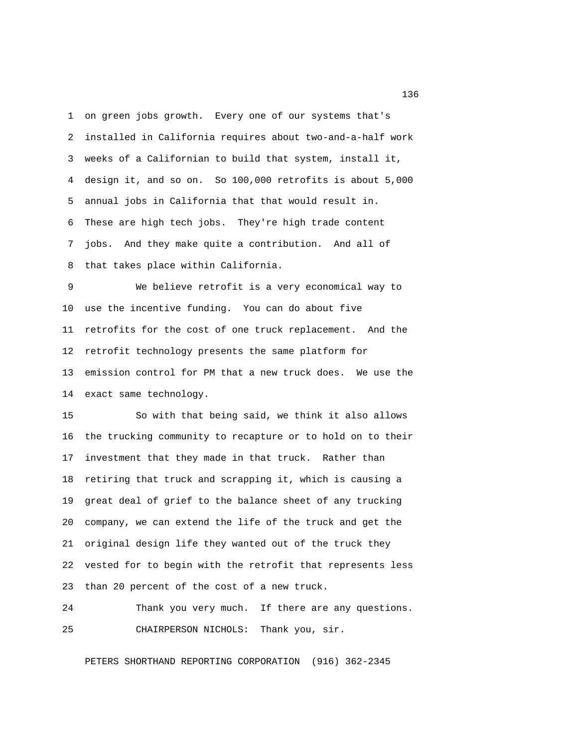1 on green jobs growth. Every one of our systems that's 2 installed in California requires about two-and-a-half work 3 weeks of a Californian to build that system, install it, 4 design it, and so on. So 100,000 retrofits is about 5,000 5 annual jobs in California that that would result in. 6 These are high tech jobs. They're high trade content 7 jobs. And they make quite a contribution. And all of 8 that takes place within California.

 9 We believe retrofit is a very economical way to 10 use the incentive funding. You can do about five 11 retrofits for the cost of one truck replacement. And the 12 retrofit technology presents the same platform for 13 emission control for PM that a new truck does. We use the 14 exact same technology.

15 So with that being said, we think it also allows 16 the trucking community to recapture or to hold on to their 17 investment that they made in that truck. Rather than 18 retiring that truck and scrapping it, which is causing a 19 great deal of grief to the balance sheet of any trucking 20 company, we can extend the life of the truck and get the 21 original design life they wanted out of the truck they 22 vested for to begin with the retrofit that represents less 23 than 20 percent of the cost of a new truck.

## 24 Thank you very much. If there are any questions. 25 CHAIRPERSON NICHOLS: Thank you, sir.

PETERS SHORTHAND REPORTING CORPORATION (916) 362-2345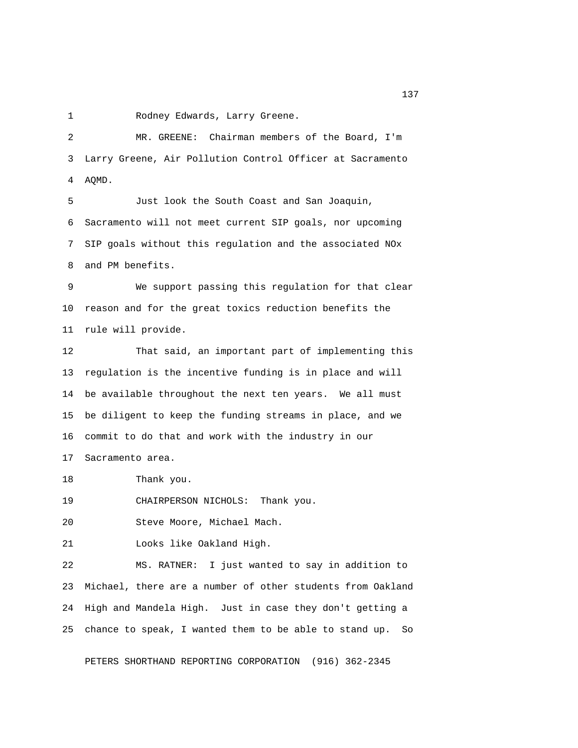1 Rodney Edwards, Larry Greene.

 2 MR. GREENE: Chairman members of the Board, I'm 3 Larry Greene, Air Pollution Control Officer at Sacramento 4 AQMD. 5 Just look the South Coast and San Joaquin, 6 Sacramento will not meet current SIP goals, nor upcoming 7 SIP goals without this regulation and the associated NOx 8 and PM benefits. 9 We support passing this regulation for that clear 10 reason and for the great toxics reduction benefits the 11 rule will provide. 12 That said, an important part of implementing this 13 regulation is the incentive funding is in place and will 14 be available throughout the next ten years. We all must 15 be diligent to keep the funding streams in place, and we 16 commit to do that and work with the industry in our 17 Sacramento area. 18 Thank you. 19 CHAIRPERSON NICHOLS: Thank you. 20 Steve Moore, Michael Mach. 21 Looks like Oakland High. 22 MS. RATNER: I just wanted to say in addition to 23 Michael, there are a number of other students from Oakland 24 High and Mandela High. Just in case they don't getting a 25 chance to speak, I wanted them to be able to stand up. So

PETERS SHORTHAND REPORTING CORPORATION (916) 362-2345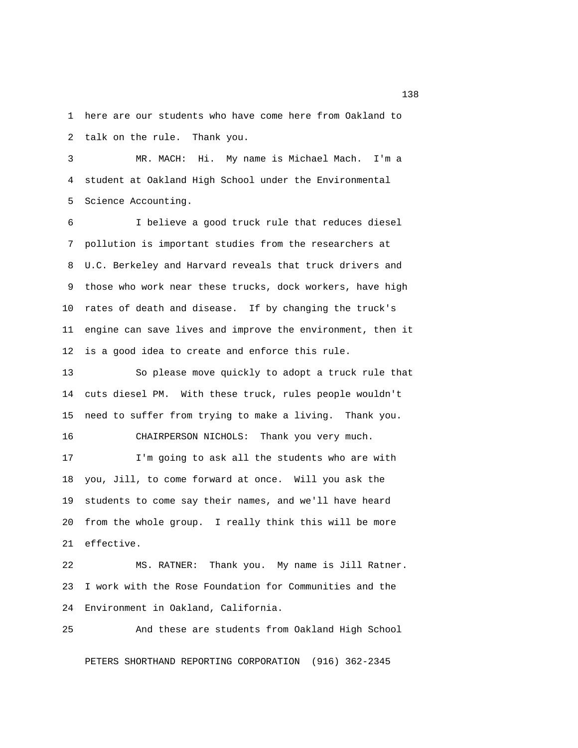1 here are our students who have come here from Oakland to 2 talk on the rule. Thank you.

 3 MR. MACH: Hi. My name is Michael Mach. I'm a 4 student at Oakland High School under the Environmental 5 Science Accounting.

 6 I believe a good truck rule that reduces diesel 7 pollution is important studies from the researchers at 8 U.C. Berkeley and Harvard reveals that truck drivers and 9 those who work near these trucks, dock workers, have high 10 rates of death and disease. If by changing the truck's 11 engine can save lives and improve the environment, then it 12 is a good idea to create and enforce this rule.

13 So please move quickly to adopt a truck rule that 14 cuts diesel PM. With these truck, rules people wouldn't 15 need to suffer from trying to make a living. Thank you. 16 CHAIRPERSON NICHOLS: Thank you very much.

17 I'm going to ask all the students who are with 18 you, Jill, to come forward at once. Will you ask the 19 students to come say their names, and we'll have heard 20 from the whole group. I really think this will be more 21 effective.

22 MS. RATNER: Thank you. My name is Jill Ratner. 23 I work with the Rose Foundation for Communities and the 24 Environment in Oakland, California.

25 And these are students from Oakland High School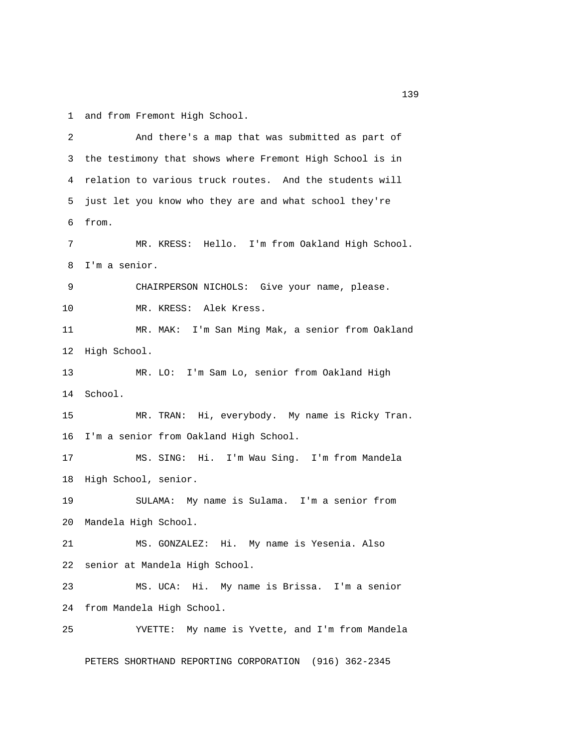1 and from Fremont High School.

 2 And there's a map that was submitted as part of 3 the testimony that shows where Fremont High School is in 4 relation to various truck routes. And the students will 5 just let you know who they are and what school they're 6 from. 7 MR. KRESS: Hello. I'm from Oakland High School. 8 I'm a senior. 9 CHAIRPERSON NICHOLS: Give your name, please. 10 MR. KRESS: Alek Kress. 11 MR. MAK: I'm San Ming Mak, a senior from Oakland 12 High School. 13 MR. LO: I'm Sam Lo, senior from Oakland High 14 School. 15 MR. TRAN: Hi, everybody. My name is Ricky Tran. 16 I'm a senior from Oakland High School. 17 MS. SING: Hi. I'm Wau Sing. I'm from Mandela 18 High School, senior. 19 SULAMA: My name is Sulama. I'm a senior from 20 Mandela High School. 21 MS. GONZALEZ: Hi. My name is Yesenia. Also 22 senior at Mandela High School. 23 MS. UCA: Hi. My name is Brissa. I'm a senior 24 from Mandela High School. 25 YVETTE: My name is Yvette, and I'm from Mandela PETERS SHORTHAND REPORTING CORPORATION (916) 362-2345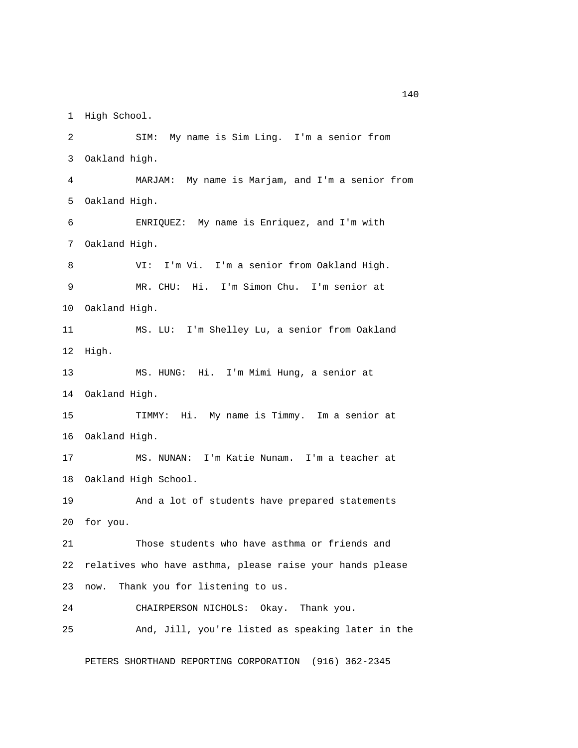1 High School.

 2 SIM: My name is Sim Ling. I'm a senior from 3 Oakland high. 4 MARJAM: My name is Marjam, and I'm a senior from 5 Oakland High. 6 ENRIQUEZ: My name is Enriquez, and I'm with 7 Oakland High. 8 VI: I'm Vi. I'm a senior from Oakland High. 9 MR. CHU: Hi. I'm Simon Chu. I'm senior at 10 Oakland High. 11 MS. LU: I'm Shelley Lu, a senior from Oakland 12 High. 13 MS. HUNG: Hi. I'm Mimi Hung, a senior at 14 Oakland High. 15 TIMMY: Hi. My name is Timmy. Im a senior at 16 Oakland High. 17 MS. NUNAN: I'm Katie Nunam. I'm a teacher at 18 Oakland High School. 19 And a lot of students have prepared statements 20 for you. 21 Those students who have asthma or friends and 22 relatives who have asthma, please raise your hands please 23 now. Thank you for listening to us. 24 CHAIRPERSON NICHOLS: Okay. Thank you. 25 And, Jill, you're listed as speaking later in the

PETERS SHORTHAND REPORTING CORPORATION (916) 362-2345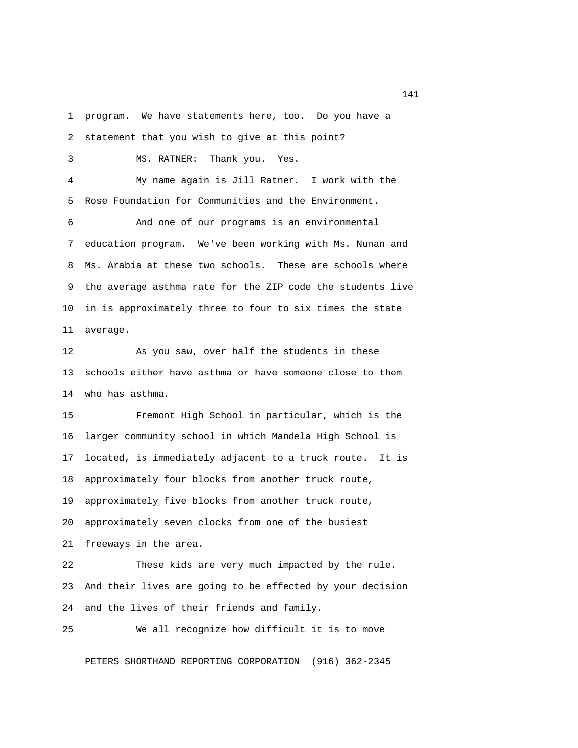1 program. We have statements here, too. Do you have a

2 statement that you wish to give at this point?

3 MS. RATNER: Thank you. Yes.

 4 My name again is Jill Ratner. I work with the 5 Rose Foundation for Communities and the Environment.

 6 And one of our programs is an environmental 7 education program. We've been working with Ms. Nunan and 8 Ms. Arabia at these two schools. These are schools where 9 the average asthma rate for the ZIP code the students live 10 in is approximately three to four to six times the state 11 average.

12 As you saw, over half the students in these 13 schools either have asthma or have someone close to them 14 who has asthma.

15 Fremont High School in particular, which is the 16 larger community school in which Mandela High School is 17 located, is immediately adjacent to a truck route. It is 18 approximately four blocks from another truck route, 19 approximately five blocks from another truck route, 20 approximately seven clocks from one of the busiest 21 freeways in the area. 22 These kids are very much impacted by the rule.

23 And their lives are going to be effected by your decision 24 and the lives of their friends and family.

25 We all recognize how difficult it is to move

PETERS SHORTHAND REPORTING CORPORATION (916) 362-2345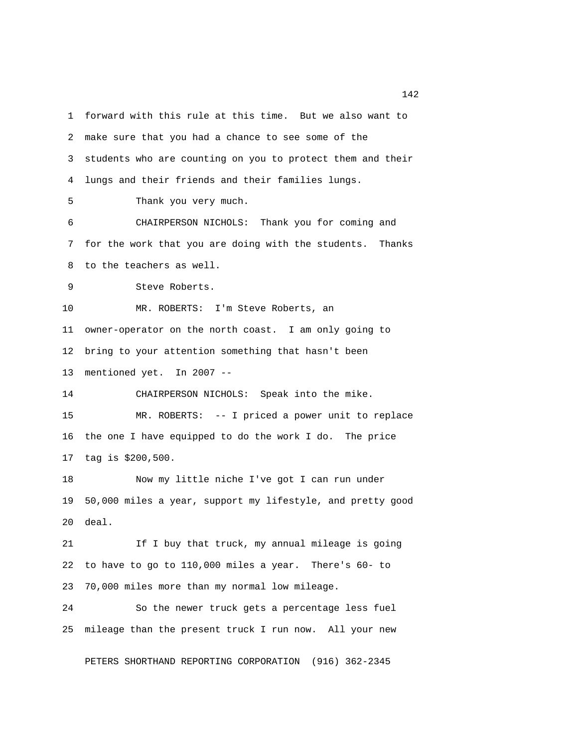1 forward with this rule at this time. But we also want to 2 make sure that you had a chance to see some of the 3 students who are counting on you to protect them and their 4 lungs and their friends and their families lungs. 5 Thank you very much. 6 CHAIRPERSON NICHOLS: Thank you for coming and 7 for the work that you are doing with the students. Thanks 8 to the teachers as well. 9 Steve Roberts. 10 MR. ROBERTS: I'm Steve Roberts, an 11 owner-operator on the north coast. I am only going to 12 bring to your attention something that hasn't been 13 mentioned yet. In 2007 -- 14 CHAIRPERSON NICHOLS: Speak into the mike. 15 MR. ROBERTS: -- I priced a power unit to replace 16 the one I have equipped to do the work I do. The price 17 tag is \$200,500. 18 Now my little niche I've got I can run under 19 50,000 miles a year, support my lifestyle, and pretty good 20 deal. 21 If I buy that truck, my annual mileage is going 22 to have to go to 110,000 miles a year. There's 60- to 23 70,000 miles more than my normal low mileage. 24 So the newer truck gets a percentage less fuel 25 mileage than the present truck I run now. All your new

PETERS SHORTHAND REPORTING CORPORATION (916) 362-2345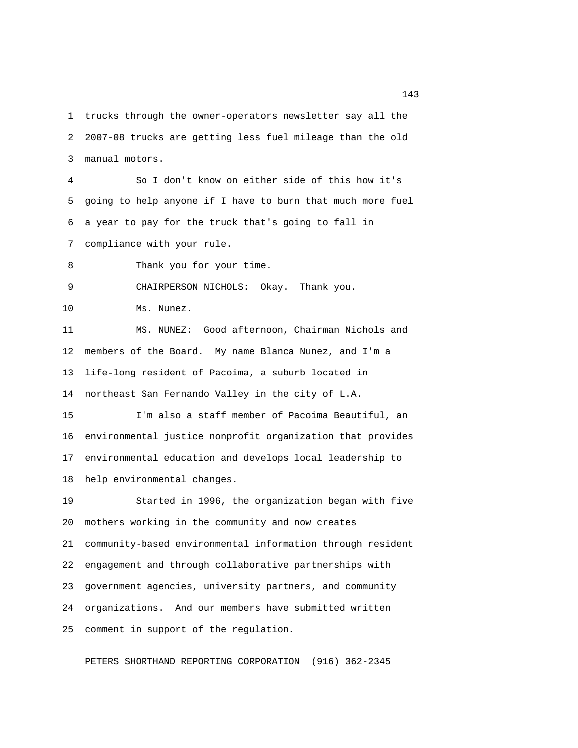1 trucks through the owner-operators newsletter say all the 2 2007-08 trucks are getting less fuel mileage than the old 3 manual motors.

 4 So I don't know on either side of this how it's 5 going to help anyone if I have to burn that much more fuel 6 a year to pay for the truck that's going to fall in 7 compliance with your rule.

8 Thank you for your time.

9 CHAIRPERSON NICHOLS: Okay. Thank you.

10 Ms. Nunez.

11 MS. NUNEZ: Good afternoon, Chairman Nichols and 12 members of the Board. My name Blanca Nunez, and I'm a 13 life-long resident of Pacoima, a suburb located in 14 northeast San Fernando Valley in the city of L.A.

15 I'm also a staff member of Pacoima Beautiful, an 16 environmental justice nonprofit organization that provides 17 environmental education and develops local leadership to 18 help environmental changes.

19 Started in 1996, the organization began with five 20 mothers working in the community and now creates 21 community-based environmental information through resident 22 engagement and through collaborative partnerships with 23 government agencies, university partners, and community 24 organizations. And our members have submitted written 25 comment in support of the regulation.

PETERS SHORTHAND REPORTING CORPORATION (916) 362-2345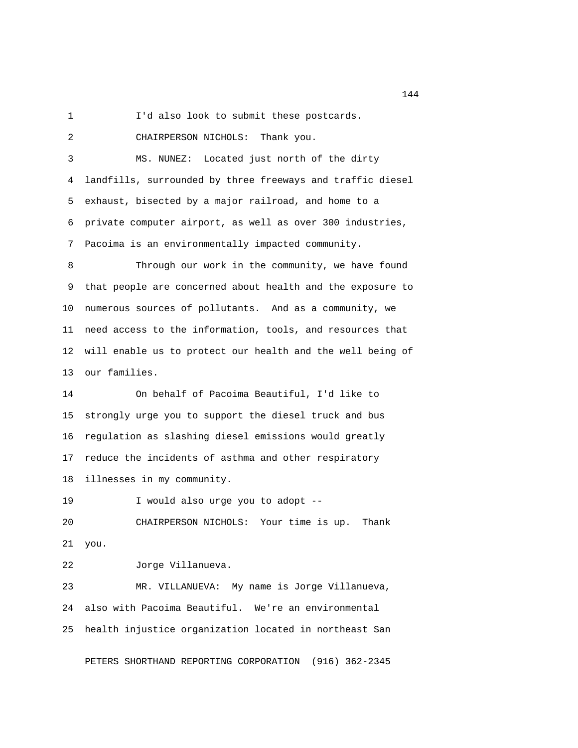1 I'd also look to submit these postcards.

2 CHAIRPERSON NICHOLS: Thank you.

 3 MS. NUNEZ: Located just north of the dirty 4 landfills, surrounded by three freeways and traffic diesel 5 exhaust, bisected by a major railroad, and home to a 6 private computer airport, as well as over 300 industries, 7 Pacoima is an environmentally impacted community.

 8 Through our work in the community, we have found 9 that people are concerned about health and the exposure to 10 numerous sources of pollutants. And as a community, we 11 need access to the information, tools, and resources that 12 will enable us to protect our health and the well being of 13 our families.

14 On behalf of Pacoima Beautiful, I'd like to 15 strongly urge you to support the diesel truck and bus 16 regulation as slashing diesel emissions would greatly 17 reduce the incidents of asthma and other respiratory 18 illnesses in my community.

19 I would also urge you to adopt -- 20 CHAIRPERSON NICHOLS: Your time is up. Thank 21 you.

22 Jorge Villanueva.

23 MR. VILLANUEVA: My name is Jorge Villanueva, 24 also with Pacoima Beautiful. We're an environmental 25 health injustice organization located in northeast San

PETERS SHORTHAND REPORTING CORPORATION (916) 362-2345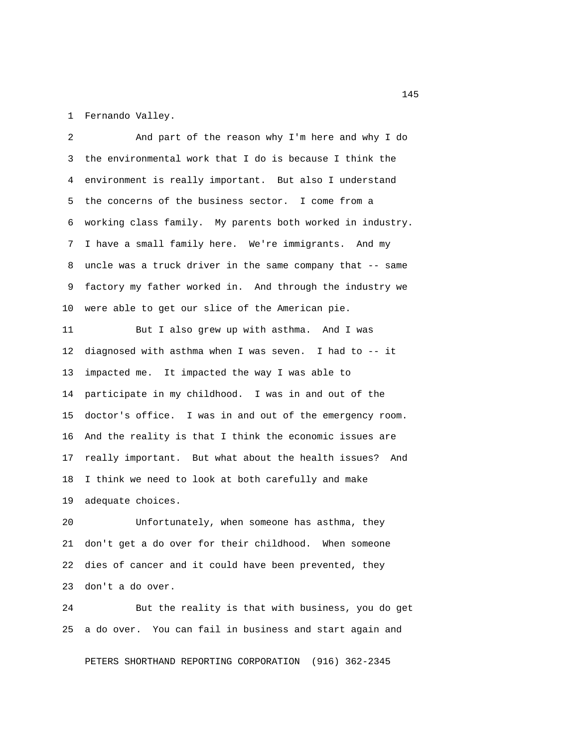1 Fernando Valley.

 2 And part of the reason why I'm here and why I do 3 the environmental work that I do is because I think the 4 environment is really important. But also I understand 5 the concerns of the business sector. I come from a 6 working class family. My parents both worked in industry. 7 I have a small family here. We're immigrants. And my 8 uncle was a truck driver in the same company that -- same 9 factory my father worked in. And through the industry we 10 were able to get our slice of the American pie.

11 But I also grew up with asthma. And I was 12 diagnosed with asthma when I was seven. I had to -- it 13 impacted me. It impacted the way I was able to 14 participate in my childhood. I was in and out of the 15 doctor's office. I was in and out of the emergency room. 16 And the reality is that I think the economic issues are 17 really important. But what about the health issues? And 18 I think we need to look at both carefully and make 19 adequate choices.

20 Unfortunately, when someone has asthma, they 21 don't get a do over for their childhood. When someone 22 dies of cancer and it could have been prevented, they 23 don't a do over.

24 But the reality is that with business, you do get 25 a do over. You can fail in business and start again and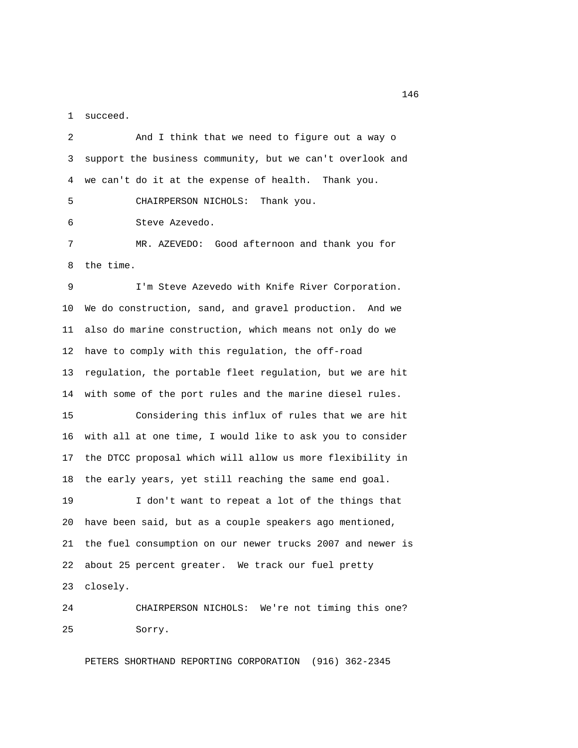1 succeed.

 2 And I think that we need to figure out a way o 3 support the business community, but we can't overlook and 4 we can't do it at the expense of health. Thank you. 5 CHAIRPERSON NICHOLS: Thank you. 6 Steve Azevedo. 7 MR. AZEVEDO: Good afternoon and thank you for 8 the time.

 9 I'm Steve Azevedo with Knife River Corporation. 10 We do construction, sand, and gravel production. And we 11 also do marine construction, which means not only do we 12 have to comply with this regulation, the off-road 13 regulation, the portable fleet regulation, but we are hit 14 with some of the port rules and the marine diesel rules.

15 Considering this influx of rules that we are hit 16 with all at one time, I would like to ask you to consider 17 the DTCC proposal which will allow us more flexibility in 18 the early years, yet still reaching the same end goal.

19 I don't want to repeat a lot of the things that 20 have been said, but as a couple speakers ago mentioned, 21 the fuel consumption on our newer trucks 2007 and newer is 22 about 25 percent greater. We track our fuel pretty 23 closely.

24 CHAIRPERSON NICHOLS: We're not timing this one? 25 Sorry.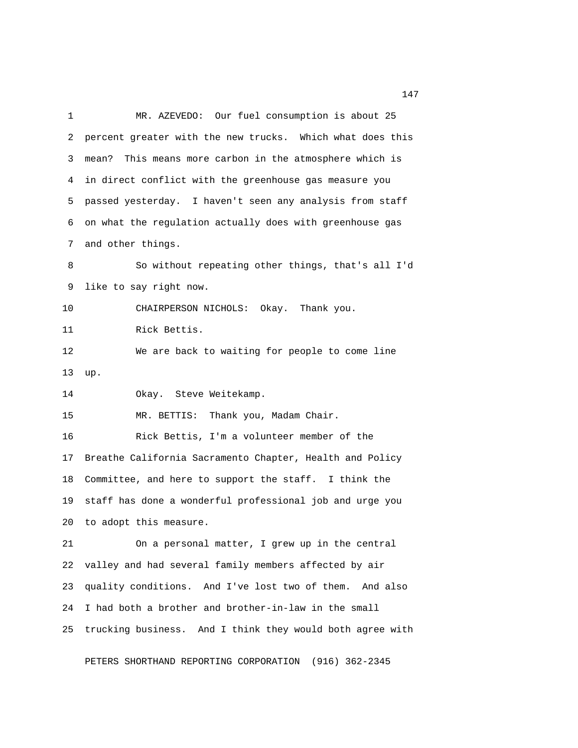1 MR. AZEVEDO: Our fuel consumption is about 25 2 percent greater with the new trucks. Which what does this 3 mean? This means more carbon in the atmosphere which is 4 in direct conflict with the greenhouse gas measure you 5 passed yesterday. I haven't seen any analysis from staff 6 on what the regulation actually does with greenhouse gas 7 and other things. 8 So without repeating other things, that's all I'd 9 like to say right now. 10 CHAIRPERSON NICHOLS: Okay. Thank you. 11 Rick Bettis. 12 We are back to waiting for people to come line 13 up. 14 Okay. Steve Weitekamp. 15 MR. BETTIS: Thank you, Madam Chair. 16 Rick Bettis, I'm a volunteer member of the 17 Breathe California Sacramento Chapter, Health and Policy 18 Committee, and here to support the staff. I think the 19 staff has done a wonderful professional job and urge you 20 to adopt this measure. 21 On a personal matter, I grew up in the central 22 valley and had several family members affected by air 23 quality conditions. And I've lost two of them. And also 24 I had both a brother and brother-in-law in the small 25 trucking business. And I think they would both agree with

PETERS SHORTHAND REPORTING CORPORATION (916) 362-2345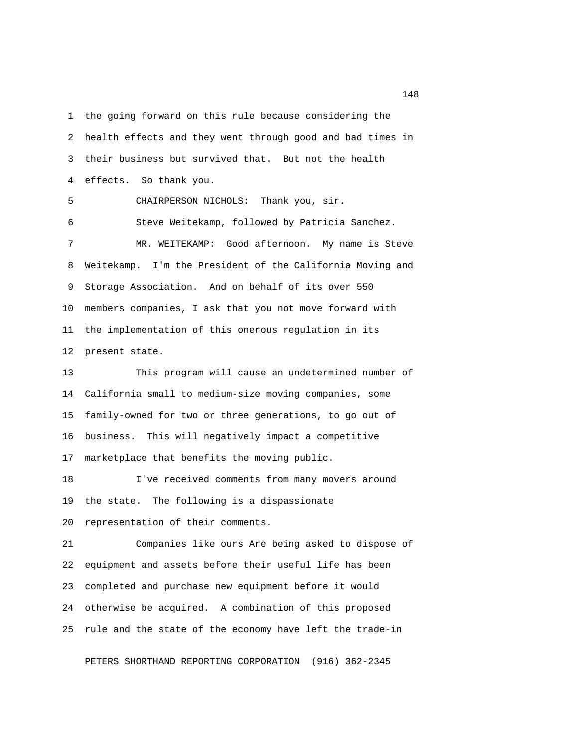1 the going forward on this rule because considering the 2 health effects and they went through good and bad times in 3 their business but survived that. But not the health 4 effects. So thank you. 5 CHAIRPERSON NICHOLS: Thank you, sir. 6 Steve Weitekamp, followed by Patricia Sanchez. 7 MR. WEITEKAMP: Good afternoon. My name is Steve 8 Weitekamp. I'm the President of the California Moving and 9 Storage Association. And on behalf of its over 550 10 members companies, I ask that you not move forward with

12 present state.

13 This program will cause an undetermined number of 14 California small to medium-size moving companies, some 15 family-owned for two or three generations, to go out of 16 business. This will negatively impact a competitive 17 marketplace that benefits the moving public.

11 the implementation of this onerous regulation in its

18 I've received comments from many movers around 19 the state. The following is a dispassionate 20 representation of their comments.

21 Companies like ours Are being asked to dispose of 22 equipment and assets before their useful life has been 23 completed and purchase new equipment before it would 24 otherwise be acquired. A combination of this proposed 25 rule and the state of the economy have left the trade-in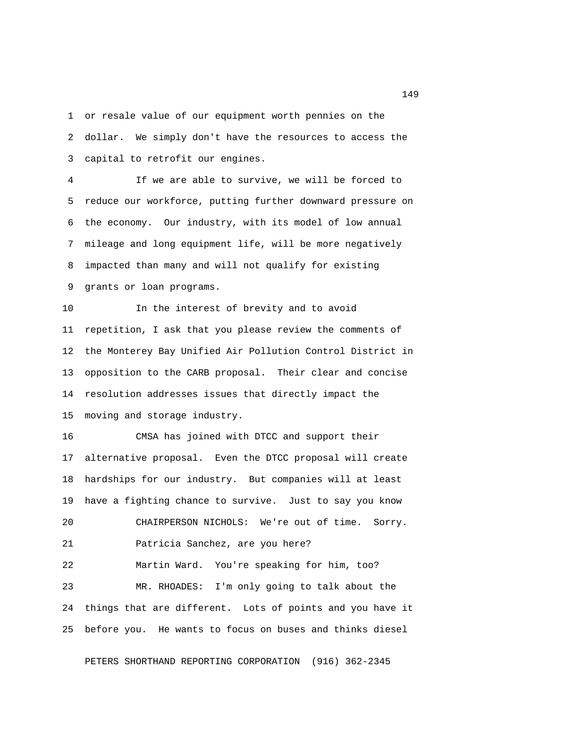1 or resale value of our equipment worth pennies on the 2 dollar. We simply don't have the resources to access the 3 capital to retrofit our engines.

 4 If we are able to survive, we will be forced to 5 reduce our workforce, putting further downward pressure on 6 the economy. Our industry, with its model of low annual 7 mileage and long equipment life, will be more negatively 8 impacted than many and will not qualify for existing 9 grants or loan programs.

10 In the interest of brevity and to avoid 11 repetition, I ask that you please review the comments of 12 the Monterey Bay Unified Air Pollution Control District in 13 opposition to the CARB proposal. Their clear and concise 14 resolution addresses issues that directly impact the 15 moving and storage industry.

16 CMSA has joined with DTCC and support their 17 alternative proposal. Even the DTCC proposal will create 18 hardships for our industry. But companies will at least 19 have a fighting chance to survive. Just to say you know 20 CHAIRPERSON NICHOLS: We're out of time. Sorry. 21 Patricia Sanchez, are you here? 22 Martin Ward. You're speaking for him, too? 23 MR. RHOADES: I'm only going to talk about the 24 things that are different. Lots of points and you have it 25 before you. He wants to focus on buses and thinks diesel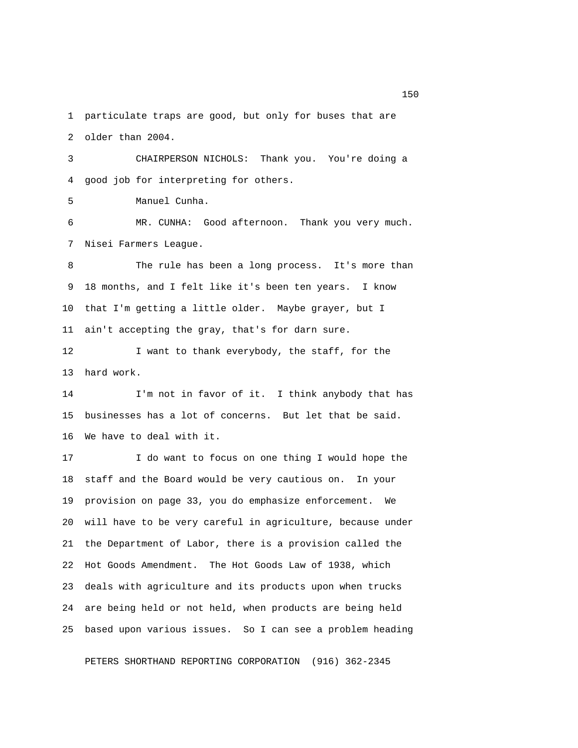1 particulate traps are good, but only for buses that are 2 older than 2004.

 3 CHAIRPERSON NICHOLS: Thank you. You're doing a 4 good job for interpreting for others.

5 Manuel Cunha.

 6 MR. CUNHA: Good afternoon. Thank you very much. 7 Nisei Farmers League.

 8 The rule has been a long process. It's more than 9 18 months, and I felt like it's been ten years. I know 10 that I'm getting a little older. Maybe grayer, but I 11 ain't accepting the gray, that's for darn sure.

12 I want to thank everybody, the staff, for the 13 hard work.

14 I'm not in favor of it. I think anybody that has 15 businesses has a lot of concerns. But let that be said. 16 We have to deal with it.

17 I do want to focus on one thing I would hope the 18 staff and the Board would be very cautious on. In your 19 provision on page 33, you do emphasize enforcement. We 20 will have to be very careful in agriculture, because under 21 the Department of Labor, there is a provision called the 22 Hot Goods Amendment. The Hot Goods Law of 1938, which 23 deals with agriculture and its products upon when trucks 24 are being held or not held, when products are being held 25 based upon various issues. So I can see a problem heading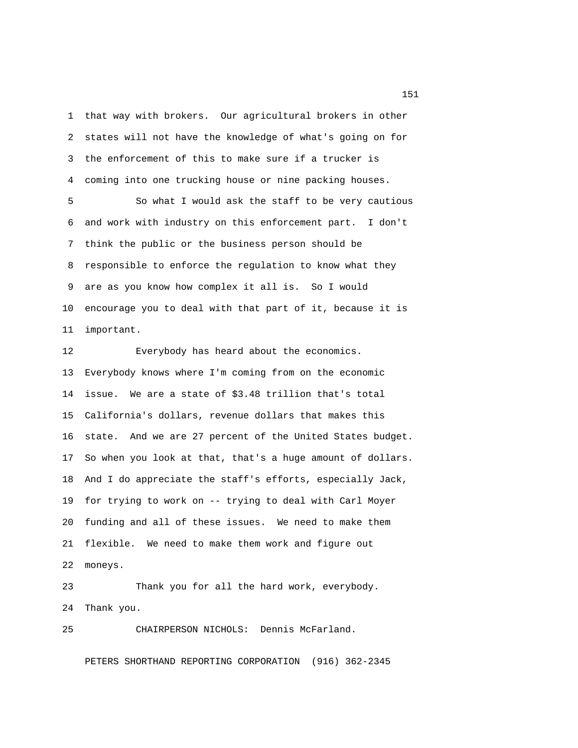1 that way with brokers. Our agricultural brokers in other 2 states will not have the knowledge of what's going on for 3 the enforcement of this to make sure if a trucker is 4 coming into one trucking house or nine packing houses. 5 So what I would ask the staff to be very cautious

 6 and work with industry on this enforcement part. I don't 7 think the public or the business person should be 8 responsible to enforce the regulation to know what they 9 are as you know how complex it all is. So I would 10 encourage you to deal with that part of it, because it is 11 important.

12 Everybody has heard about the economics. 13 Everybody knows where I'm coming from on the economic 14 issue. We are a state of \$3.48 trillion that's total 15 California's dollars, revenue dollars that makes this 16 state. And we are 27 percent of the United States budget. 17 So when you look at that, that's a huge amount of dollars. 18 And I do appreciate the staff's efforts, especially Jack, 19 for trying to work on -- trying to deal with Carl Moyer 20 funding and all of these issues. We need to make them 21 flexible. We need to make them work and figure out 22 moneys.

23 Thank you for all the hard work, everybody. 24 Thank you.

25 CHAIRPERSON NICHOLS: Dennis McFarland.

PETERS SHORTHAND REPORTING CORPORATION (916) 362-2345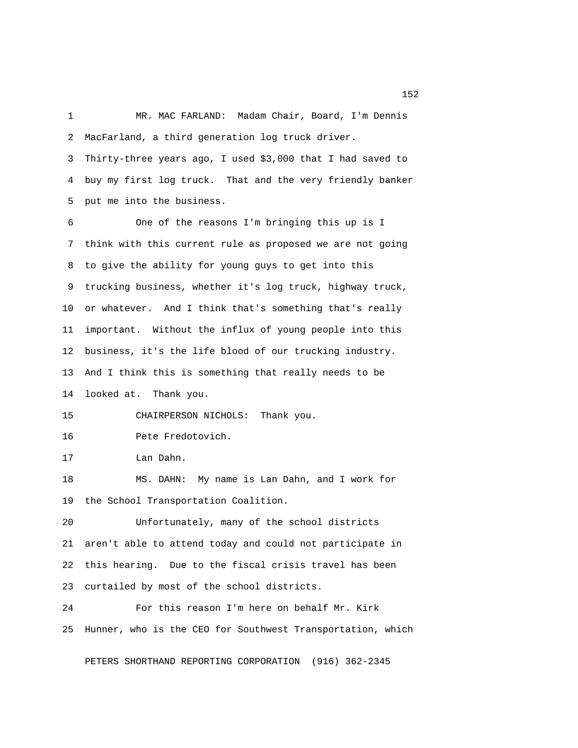1 MR. MAC FARLAND: Madam Chair, Board, I'm Dennis 2 MacFarland, a third generation log truck driver. 3 Thirty-three years ago, I used \$3,000 that I had saved to 4 buy my first log truck. That and the very friendly banker 5 put me into the business. 6 One of the reasons I'm bringing this up is I 7 think with this current rule as proposed we are not going 8 to give the ability for young guys to get into this 9 trucking business, whether it's log truck, highway truck, 10 or whatever. And I think that's something that's really 11 important. Without the influx of young people into this 12 business, it's the life blood of our trucking industry. 13 And I think this is something that really needs to be 14 looked at. Thank you. 15 CHAIRPERSON NICHOLS: Thank you.

16 Pete Fredotovich.

17 Lan Dahn.

18 MS. DAHN: My name is Lan Dahn, and I work for 19 the School Transportation Coalition.

20 Unfortunately, many of the school districts 21 aren't able to attend today and could not participate in 22 this hearing. Due to the fiscal crisis travel has been 23 curtailed by most of the school districts.

24 For this reason I'm here on behalf Mr. Kirk 25 Hunner, who is the CEO for Southwest Transportation, which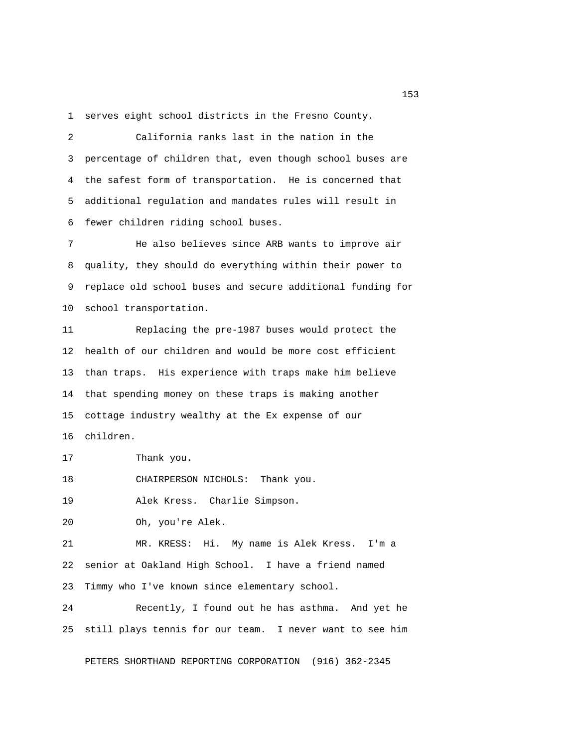1 serves eight school districts in the Fresno County.

 2 California ranks last in the nation in the 3 percentage of children that, even though school buses are 4 the safest form of transportation. He is concerned that 5 additional regulation and mandates rules will result in 6 fewer children riding school buses.

 7 He also believes since ARB wants to improve air 8 quality, they should do everything within their power to 9 replace old school buses and secure additional funding for 10 school transportation.

11 Replacing the pre-1987 buses would protect the 12 health of our children and would be more cost efficient 13 than traps. His experience with traps make him believe 14 that spending money on these traps is making another 15 cottage industry wealthy at the Ex expense of our 16 children.

17 Thank you.

18 CHAIRPERSON NICHOLS: Thank you.

19 Alek Kress. Charlie Simpson.

20 Oh, you're Alek.

21 MR. KRESS: Hi. My name is Alek Kress. I'm a 22 senior at Oakland High School. I have a friend named 23 Timmy who I've known since elementary school.

24 Recently, I found out he has asthma. And yet he 25 still plays tennis for our team. I never want to see him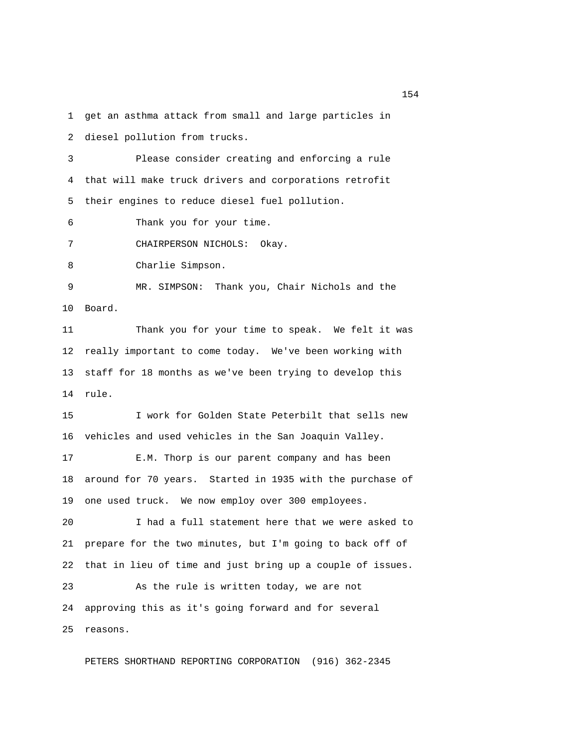1 get an asthma attack from small and large particles in

2 diesel pollution from trucks.

 3 Please consider creating and enforcing a rule 4 that will make truck drivers and corporations retrofit 5 their engines to reduce diesel fuel pollution.

6 Thank you for your time.

7 CHAIRPERSON NICHOLS: Okay.

8 Charlie Simpson.

 9 MR. SIMPSON: Thank you, Chair Nichols and the 10 Board.

11 Thank you for your time to speak. We felt it was 12 really important to come today. We've been working with 13 staff for 18 months as we've been trying to develop this 14 rule.

15 I work for Golden State Peterbilt that sells new 16 vehicles and used vehicles in the San Joaquin Valley.

17 E.M. Thorp is our parent company and has been 18 around for 70 years. Started in 1935 with the purchase of 19 one used truck. We now employ over 300 employees.

20 I had a full statement here that we were asked to 21 prepare for the two minutes, but I'm going to back off of 22 that in lieu of time and just bring up a couple of issues.

23 As the rule is written today, we are not 24 approving this as it's going forward and for several 25 reasons.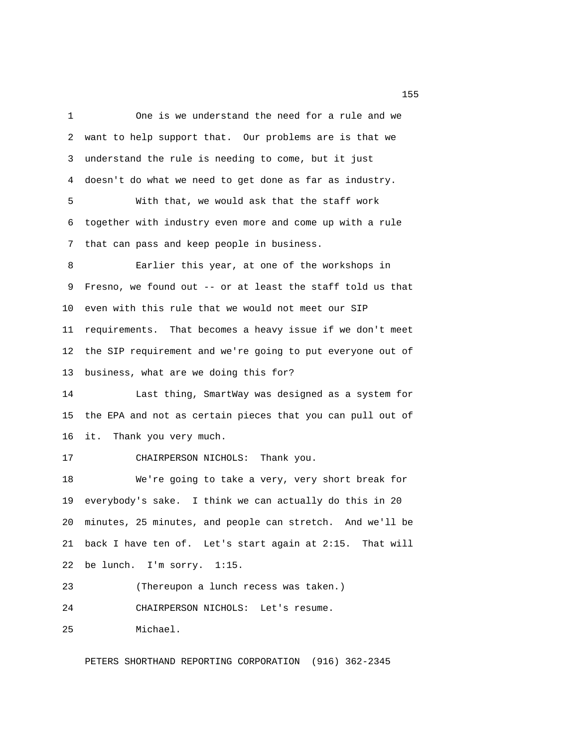1 One is we understand the need for a rule and we 2 want to help support that. Our problems are is that we 3 understand the rule is needing to come, but it just 4 doesn't do what we need to get done as far as industry. 5 With that, we would ask that the staff work 6 together with industry even more and come up with a rule 7 that can pass and keep people in business. 8 Earlier this year, at one of the workshops in 9 Fresno, we found out -- or at least the staff told us that 10 even with this rule that we would not meet our SIP 11 requirements. That becomes a heavy issue if we don't meet 12 the SIP requirement and we're going to put everyone out of 13 business, what are we doing this for? 14 Last thing, SmartWay was designed as a system for 15 the EPA and not as certain pieces that you can pull out of 16 it. Thank you very much. 17 CHAIRPERSON NICHOLS: Thank you. 18 We're going to take a very, very short break for 19 everybody's sake. I think we can actually do this in 20 20 minutes, 25 minutes, and people can stretch. And we'll be 21 back I have ten of. Let's start again at 2:15. That will 22 be lunch. I'm sorry. 1:15. 23 (Thereupon a lunch recess was taken.) 24 CHAIRPERSON NICHOLS: Let's resume. 25 Michael.

PETERS SHORTHAND REPORTING CORPORATION (916) 362-2345

<u>155</u>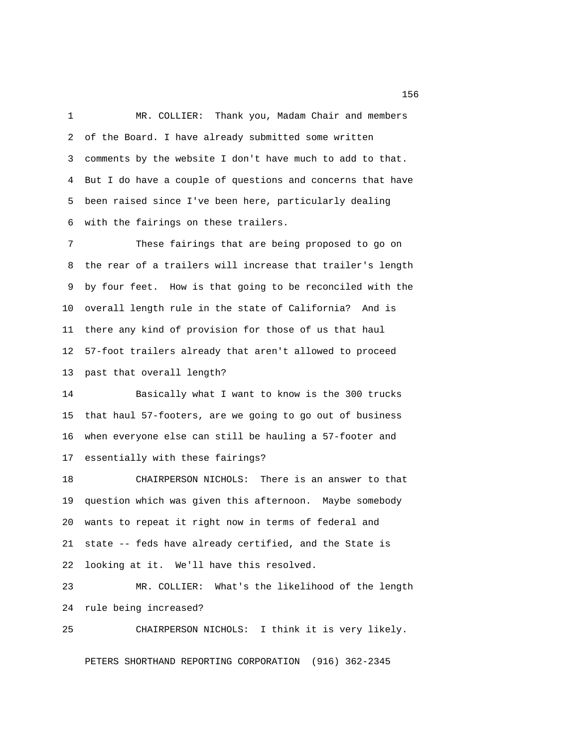1 MR. COLLIER: Thank you, Madam Chair and members 2 of the Board. I have already submitted some written 3 comments by the website I don't have much to add to that. 4 But I do have a couple of questions and concerns that have 5 been raised since I've been here, particularly dealing 6 with the fairings on these trailers.

 7 These fairings that are being proposed to go on 8 the rear of a trailers will increase that trailer's length 9 by four feet. How is that going to be reconciled with the 10 overall length rule in the state of California? And is 11 there any kind of provision for those of us that haul 12 57-foot trailers already that aren't allowed to proceed 13 past that overall length?

14 Basically what I want to know is the 300 trucks 15 that haul 57-footers, are we going to go out of business 16 when everyone else can still be hauling a 57-footer and 17 essentially with these fairings?

18 CHAIRPERSON NICHOLS: There is an answer to that 19 question which was given this afternoon. Maybe somebody 20 wants to repeat it right now in terms of federal and 21 state -- feds have already certified, and the State is 22 looking at it. We'll have this resolved.

23 MR. COLLIER: What's the likelihood of the length 24 rule being increased?

25 CHAIRPERSON NICHOLS: I think it is very likely.

PETERS SHORTHAND REPORTING CORPORATION (916) 362-2345

<u>156</u> **156**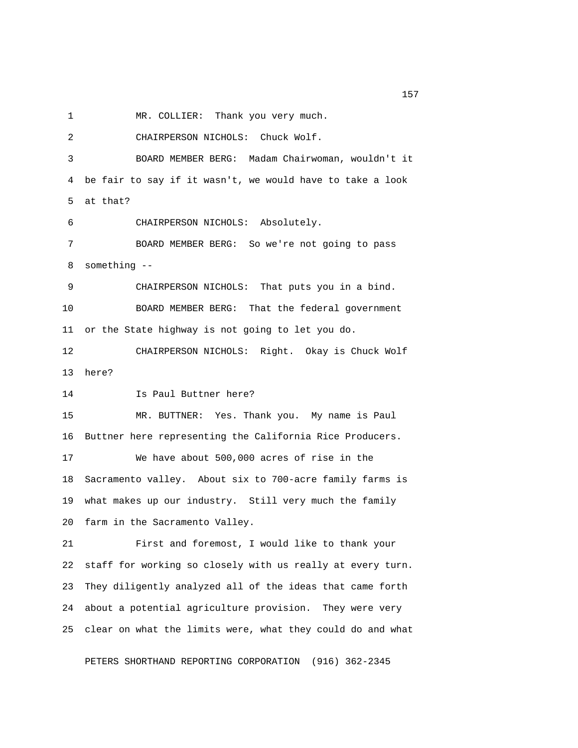1 MR. COLLIER: Thank you very much.

 2 CHAIRPERSON NICHOLS: Chuck Wolf. 3 BOARD MEMBER BERG: Madam Chairwoman, wouldn't it 4 be fair to say if it wasn't, we would have to take a look 5 at that? 6 CHAIRPERSON NICHOLS: Absolutely. 7 BOARD MEMBER BERG: So we're not going to pass 8 something -- 9 CHAIRPERSON NICHOLS: That puts you in a bind. 10 BOARD MEMBER BERG: That the federal government 11 or the State highway is not going to let you do. 12 CHAIRPERSON NICHOLS: Right. Okay is Chuck Wolf 13 here? 14 Is Paul Buttner here? 15 MR. BUTTNER: Yes. Thank you. My name is Paul 16 Buttner here representing the California Rice Producers. 17 We have about 500,000 acres of rise in the 18 Sacramento valley. About six to 700-acre family farms is 19 what makes up our industry. Still very much the family 20 farm in the Sacramento Valley. 21 First and foremost, I would like to thank your 22 staff for working so closely with us really at every turn. 23 They diligently analyzed all of the ideas that came forth 24 about a potential agriculture provision. They were very 25 clear on what the limits were, what they could do and what

PETERS SHORTHAND REPORTING CORPORATION (916) 362-2345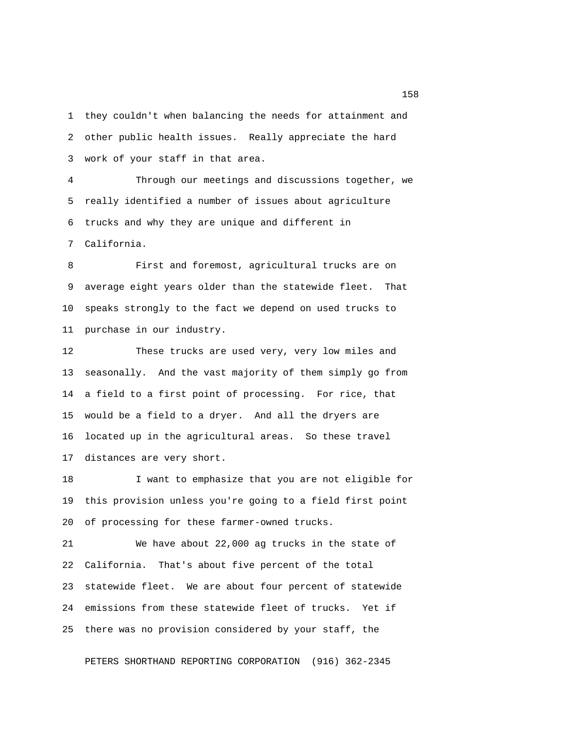1 they couldn't when balancing the needs for attainment and 2 other public health issues. Really appreciate the hard 3 work of your staff in that area.

 4 Through our meetings and discussions together, we 5 really identified a number of issues about agriculture 6 trucks and why they are unique and different in 7 California.

 8 First and foremost, agricultural trucks are on 9 average eight years older than the statewide fleet. That 10 speaks strongly to the fact we depend on used trucks to 11 purchase in our industry.

12 These trucks are used very, very low miles and 13 seasonally. And the vast majority of them simply go from 14 a field to a first point of processing. For rice, that 15 would be a field to a dryer. And all the dryers are 16 located up in the agricultural areas. So these travel 17 distances are very short.

18 I want to emphasize that you are not eligible for 19 this provision unless you're going to a field first point 20 of processing for these farmer-owned trucks.

21 We have about 22,000 ag trucks in the state of 22 California. That's about five percent of the total 23 statewide fleet. We are about four percent of statewide 24 emissions from these statewide fleet of trucks. Yet if 25 there was no provision considered by your staff, the

PETERS SHORTHAND REPORTING CORPORATION (916) 362-2345

<u>158</u> **158**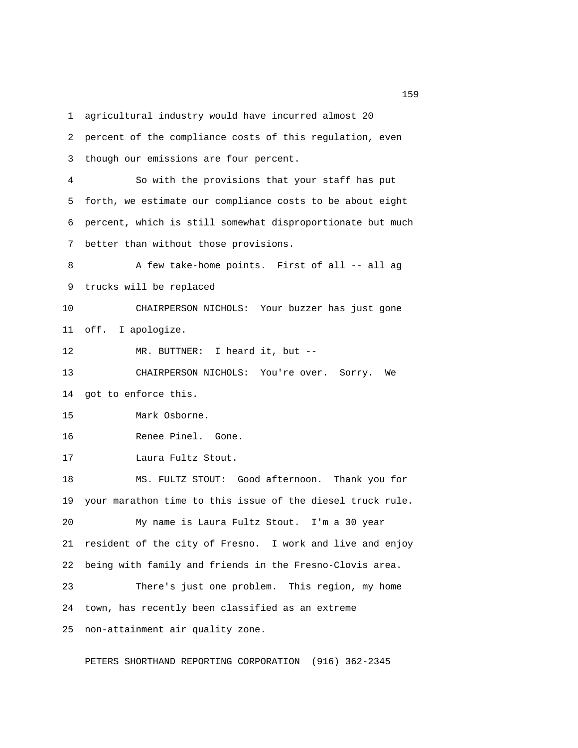1 agricultural industry would have incurred almost 20 2 percent of the compliance costs of this regulation, even 3 though our emissions are four percent. 4 So with the provisions that your staff has put 5 forth, we estimate our compliance costs to be about eight 6 percent, which is still somewhat disproportionate but much 7 better than without those provisions. 8 A few take-home points. First of all -- all ag 9 trucks will be replaced 10 CHAIRPERSON NICHOLS: Your buzzer has just gone 11 off. I apologize. 12 MR. BUTTNER: I heard it, but -- 13 CHAIRPERSON NICHOLS: You're over. Sorry. We 14 got to enforce this. 15 Mark Osborne. 16 Renee Pinel. Gone. 17 Laura Fultz Stout. 18 MS. FULTZ STOUT: Good afternoon. Thank you for 19 your marathon time to this issue of the diesel truck rule. 20 My name is Laura Fultz Stout. I'm a 30 year 21 resident of the city of Fresno. I work and live and enjoy 22 being with family and friends in the Fresno-Clovis area. 23 There's just one problem. This region, my home 24 town, has recently been classified as an extreme 25 non-attainment air quality zone.

PETERS SHORTHAND REPORTING CORPORATION (916) 362-2345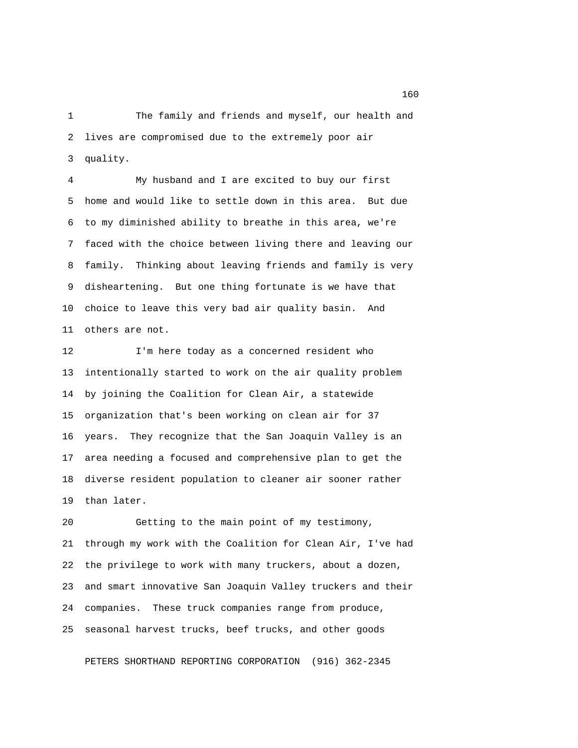1 The family and friends and myself, our health and 2 lives are compromised due to the extremely poor air 3 quality.

 4 My husband and I are excited to buy our first 5 home and would like to settle down in this area. But due 6 to my diminished ability to breathe in this area, we're 7 faced with the choice between living there and leaving our 8 family. Thinking about leaving friends and family is very 9 disheartening. But one thing fortunate is we have that 10 choice to leave this very bad air quality basin. And 11 others are not.

12 I'm here today as a concerned resident who 13 intentionally started to work on the air quality problem 14 by joining the Coalition for Clean Air, a statewide 15 organization that's been working on clean air for 37 16 years. They recognize that the San Joaquin Valley is an 17 area needing a focused and comprehensive plan to get the 18 diverse resident population to cleaner air sooner rather 19 than later.

20 Getting to the main point of my testimony, 21 through my work with the Coalition for Clean Air, I've had 22 the privilege to work with many truckers, about a dozen, 23 and smart innovative San Joaquin Valley truckers and their 24 companies. These truck companies range from produce, 25 seasonal harvest trucks, beef trucks, and other goods

PETERS SHORTHAND REPORTING CORPORATION (916) 362-2345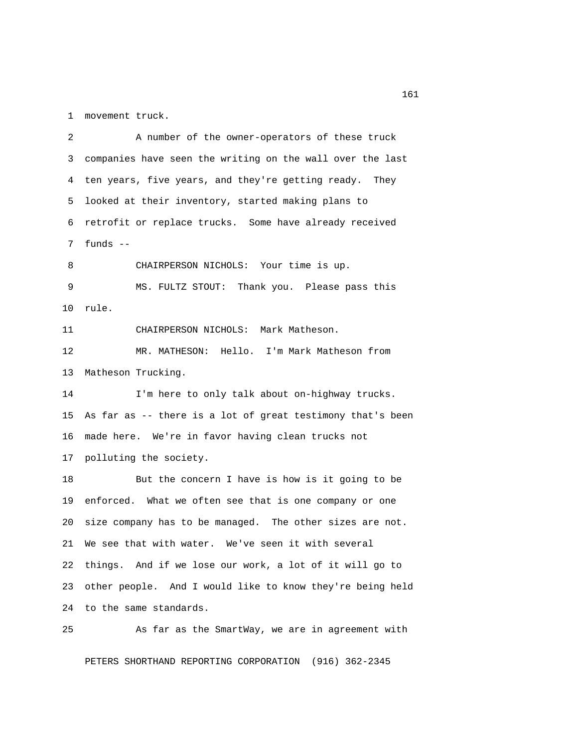1 movement truck.

 2 A number of the owner-operators of these truck 3 companies have seen the writing on the wall over the last 4 ten years, five years, and they're getting ready. They 5 looked at their inventory, started making plans to 6 retrofit or replace trucks. Some have already received 7 funds -- 8 CHAIRPERSON NICHOLS: Your time is up. 9 MS. FULTZ STOUT: Thank you. Please pass this 10 rule. 11 CHAIRPERSON NICHOLS: Mark Matheson. 12 MR. MATHESON: Hello. I'm Mark Matheson from 13 Matheson Trucking. 14 I'm here to only talk about on-highway trucks. 15 As far as -- there is a lot of great testimony that's been 16 made here. We're in favor having clean trucks not 17 polluting the society. 18 But the concern I have is how is it going to be 19 enforced. What we often see that is one company or one 20 size company has to be managed. The other sizes are not. 21 We see that with water. We've seen it with several 22 things. And if we lose our work, a lot of it will go to 23 other people. And I would like to know they're being held 24 to the same standards.

25 As far as the SmartWay, we are in agreement with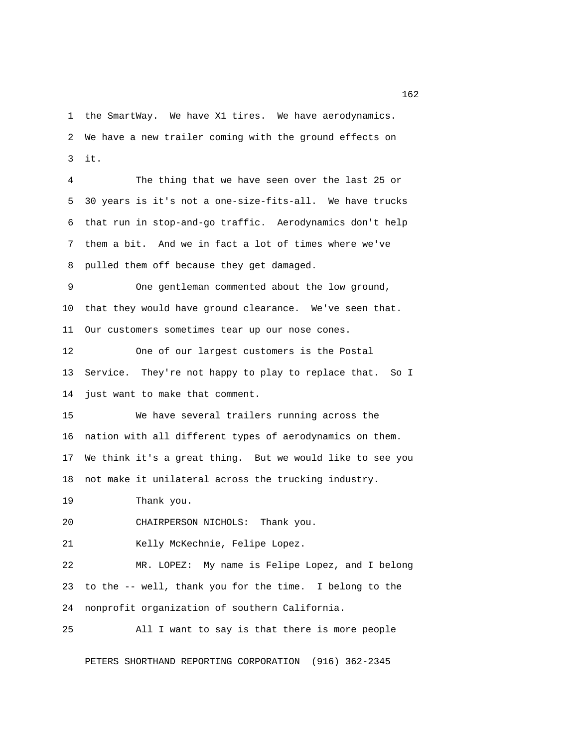1 the SmartWay. We have X1 tires. We have aerodynamics. 2 We have a new trailer coming with the ground effects on 3 it.

 4 The thing that we have seen over the last 25 or 5 30 years is it's not a one-size-fits-all. We have trucks 6 that run in stop-and-go traffic. Aerodynamics don't help 7 them a bit. And we in fact a lot of times where we've 8 pulled them off because they get damaged.

 9 One gentleman commented about the low ground, 10 that they would have ground clearance. We've seen that. 11 Our customers sometimes tear up our nose cones.

12 One of our largest customers is the Postal 13 Service. They're not happy to play to replace that. So I 14 just want to make that comment.

15 We have several trailers running across the 16 nation with all different types of aerodynamics on them. 17 We think it's a great thing. But we would like to see you 18 not make it unilateral across the trucking industry.

19 Thank you.

20 CHAIRPERSON NICHOLS: Thank you.

21 Kelly McKechnie, Felipe Lopez.

22 MR. LOPEZ: My name is Felipe Lopez, and I belong 23 to the -- well, thank you for the time. I belong to the 24 nonprofit organization of southern California.

25 All I want to say is that there is more people

PETERS SHORTHAND REPORTING CORPORATION (916) 362-2345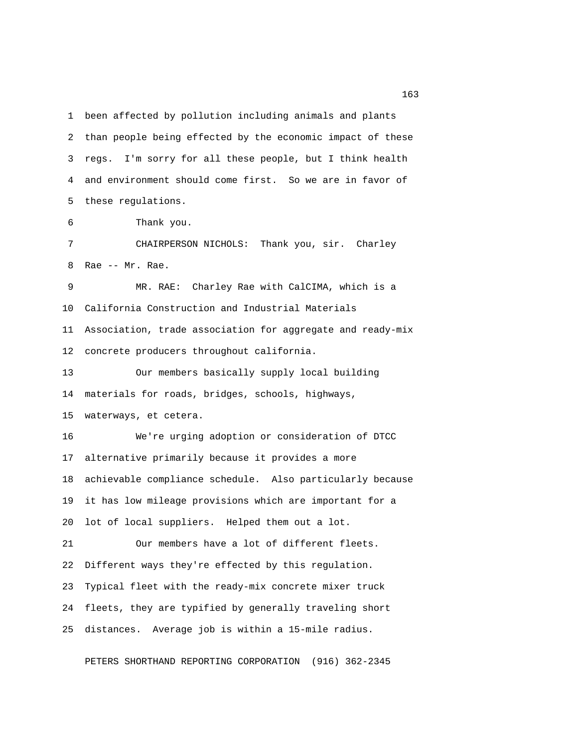1 been affected by pollution including animals and plants 2 than people being effected by the economic impact of these 3 regs. I'm sorry for all these people, but I think health 4 and environment should come first. So we are in favor of 5 these regulations.

6 Thank you.

 7 CHAIRPERSON NICHOLS: Thank you, sir. Charley 8 Rae -- Mr. Rae.

 9 MR. RAE: Charley Rae with CalCIMA, which is a 10 California Construction and Industrial Materials 11 Association, trade association for aggregate and ready-mix 12 concrete producers throughout california.

13 Our members basically supply local building 14 materials for roads, bridges, schools, highways, 15 waterways, et cetera.

16 We're urging adoption or consideration of DTCC 17 alternative primarily because it provides a more 18 achievable compliance schedule. Also particularly because 19 it has low mileage provisions which are important for a 20 lot of local suppliers. Helped them out a lot. 21 Our members have a lot of different fleets. 22 Different ways they're effected by this regulation.

24 fleets, they are typified by generally traveling short

23 Typical fleet with the ready-mix concrete mixer truck

25 distances. Average job is within a 15-mile radius.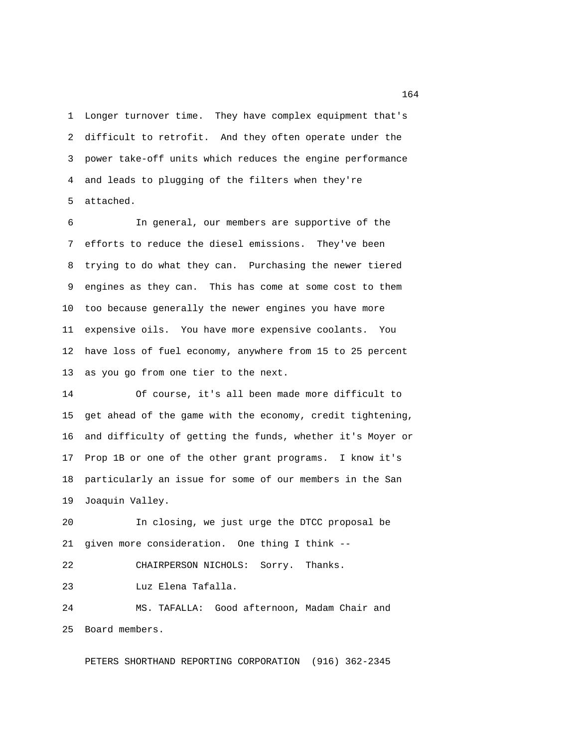1 Longer turnover time. They have complex equipment that's 2 difficult to retrofit. And they often operate under the 3 power take-off units which reduces the engine performance 4 and leads to plugging of the filters when they're 5 attached.

 6 In general, our members are supportive of the 7 efforts to reduce the diesel emissions. They've been 8 trying to do what they can. Purchasing the newer tiered 9 engines as they can. This has come at some cost to them 10 too because generally the newer engines you have more 11 expensive oils. You have more expensive coolants. You 12 have loss of fuel economy, anywhere from 15 to 25 percent 13 as you go from one tier to the next.

14 Of course, it's all been made more difficult to 15 get ahead of the game with the economy, credit tightening, 16 and difficulty of getting the funds, whether it's Moyer or 17 Prop 1B or one of the other grant programs. I know it's 18 particularly an issue for some of our members in the San 19 Joaquin Valley.

20 In closing, we just urge the DTCC proposal be 21 given more consideration. One thing I think -- 22 CHAIRPERSON NICHOLS: Sorry. Thanks. 23 Luz Elena Tafalla.

24 MS. TAFALLA: Good afternoon, Madam Chair and 25 Board members.

PETERS SHORTHAND REPORTING CORPORATION (916) 362-2345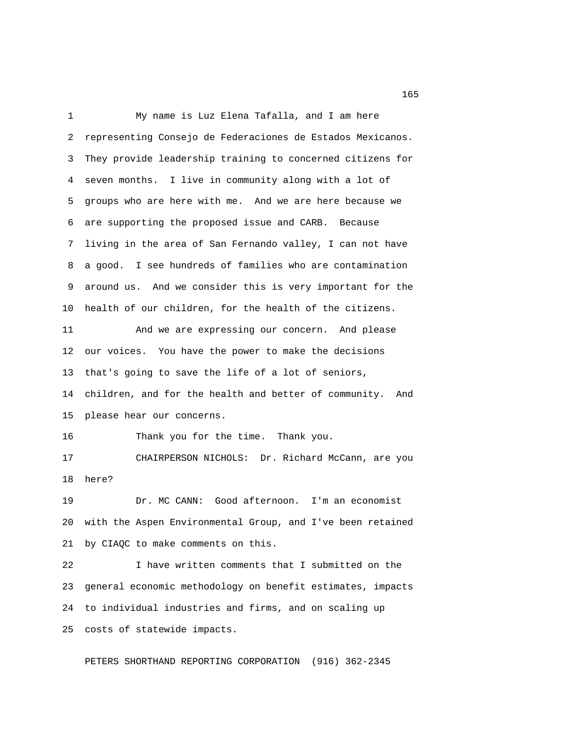1 My name is Luz Elena Tafalla, and I am here 2 representing Consejo de Federaciones de Estados Mexicanos. 3 They provide leadership training to concerned citizens for 4 seven months. I live in community along with a lot of 5 groups who are here with me. And we are here because we 6 are supporting the proposed issue and CARB. Because 7 living in the area of San Fernando valley, I can not have 8 a good. I see hundreds of families who are contamination 9 around us. And we consider this is very important for the 10 health of our children, for the health of the citizens. 11 And we are expressing our concern. And please 12 our voices. You have the power to make the decisions 13 that's going to save the life of a lot of seniors, 14 children, and for the health and better of community. And 15 please hear our concerns. 16 Thank you for the time. Thank you. 17 CHAIRPERSON NICHOLS: Dr. Richard McCann, are you 18 here? 19 Dr. MC CANN: Good afternoon. I'm an economist 20 with the Aspen Environmental Group, and I've been retained 21 by CIAQC to make comments on this. 22 I have written comments that I submitted on the 23 general economic methodology on benefit estimates, impacts 24 to individual industries and firms, and on scaling up 25 costs of statewide impacts.

PETERS SHORTHAND REPORTING CORPORATION (916) 362-2345

<u>165</u>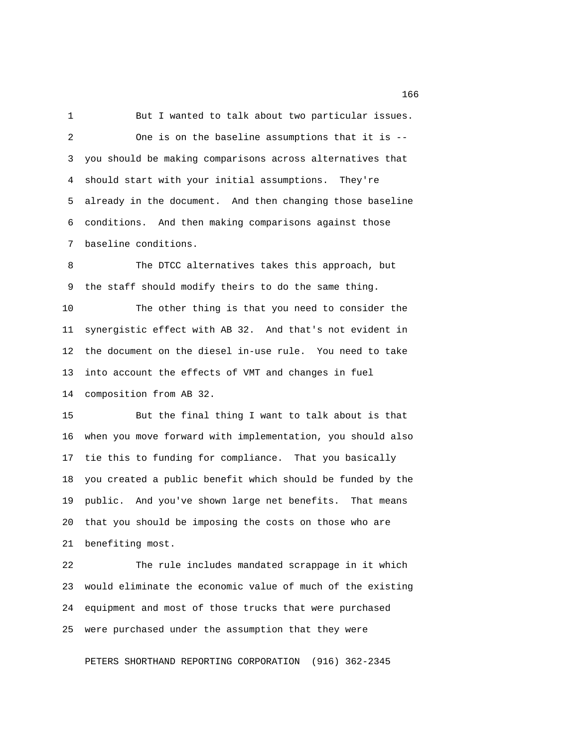1 But I wanted to talk about two particular issues. 2 One is on the baseline assumptions that it is -- 3 you should be making comparisons across alternatives that 4 should start with your initial assumptions. They're 5 already in the document. And then changing those baseline 6 conditions. And then making comparisons against those 7 baseline conditions.

8 The DTCC alternatives takes this approach, but 9 the staff should modify theirs to do the same thing.

10 The other thing is that you need to consider the 11 synergistic effect with AB 32. And that's not evident in 12 the document on the diesel in-use rule. You need to take 13 into account the effects of VMT and changes in fuel 14 composition from AB 32.

15 But the final thing I want to talk about is that 16 when you move forward with implementation, you should also 17 tie this to funding for compliance. That you basically 18 you created a public benefit which should be funded by the 19 public. And you've shown large net benefits. That means 20 that you should be imposing the costs on those who are 21 benefiting most.

22 The rule includes mandated scrappage in it which 23 would eliminate the economic value of much of the existing 24 equipment and most of those trucks that were purchased 25 were purchased under the assumption that they were

PETERS SHORTHAND REPORTING CORPORATION (916) 362-2345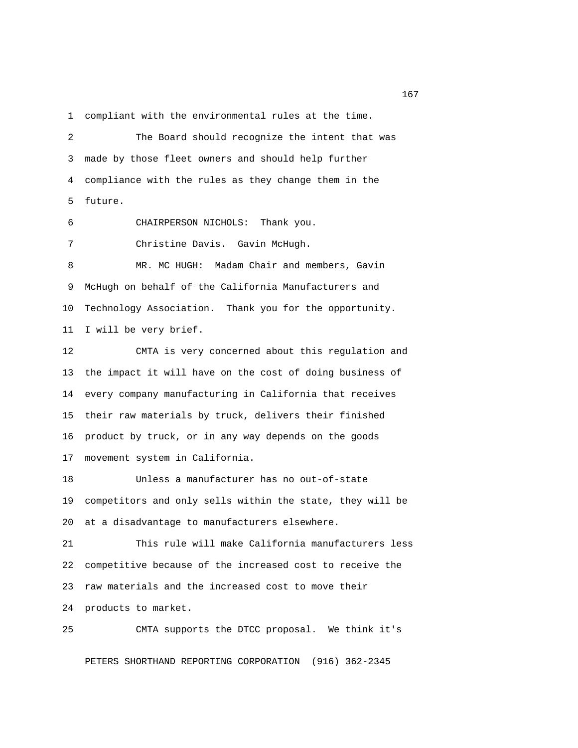1 compliant with the environmental rules at the time.

 2 The Board should recognize the intent that was 3 made by those fleet owners and should help further 4 compliance with the rules as they change them in the 5 future. 6 CHAIRPERSON NICHOLS: Thank you. 7 Christine Davis. Gavin McHugh. 8 MR. MC HUGH: Madam Chair and members, Gavin 9 McHugh on behalf of the California Manufacturers and 10 Technology Association. Thank you for the opportunity. 11 I will be very brief. 12 CMTA is very concerned about this regulation and 13 the impact it will have on the cost of doing business of 14 every company manufacturing in California that receives 15 their raw materials by truck, delivers their finished 16 product by truck, or in any way depends on the goods 17 movement system in California. 18 Unless a manufacturer has no out-of-state 19 competitors and only sells within the state, they will be 20 at a disadvantage to manufacturers elsewhere. 21 This rule will make California manufacturers less 22 competitive because of the increased cost to receive the 23 raw materials and the increased cost to move their 24 products to market.

25 CMTA supports the DTCC proposal. We think it's

PETERS SHORTHAND REPORTING CORPORATION (916) 362-2345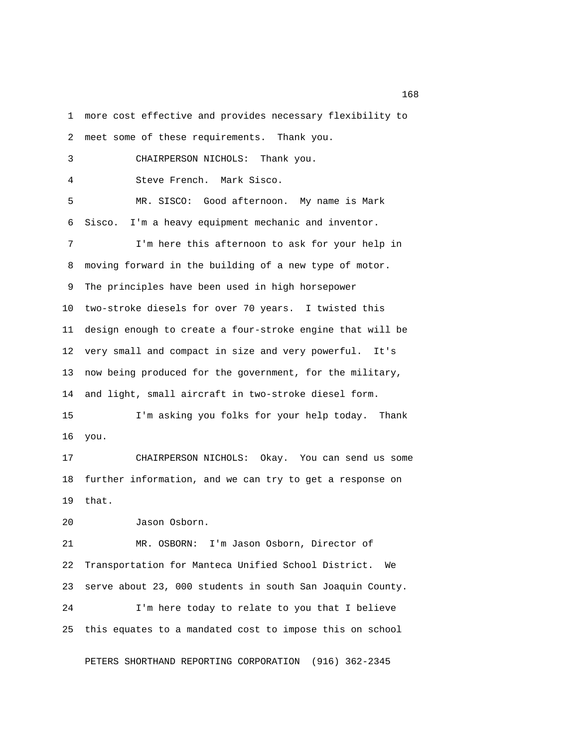1 more cost effective and provides necessary flexibility to 2 meet some of these requirements. Thank you. 3 CHAIRPERSON NICHOLS: Thank you. 4 Steve French. Mark Sisco. 5 MR. SISCO: Good afternoon. My name is Mark 6 Sisco. I'm a heavy equipment mechanic and inventor. 7 I'm here this afternoon to ask for your help in 8 moving forward in the building of a new type of motor. 9 The principles have been used in high horsepower 10 two-stroke diesels for over 70 years. I twisted this 11 design enough to create a four-stroke engine that will be 12 very small and compact in size and very powerful. It's 13 now being produced for the government, for the military, 14 and light, small aircraft in two-stroke diesel form. 15 I'm asking you folks for your help today. Thank 16 you. 17 CHAIRPERSON NICHOLS: Okay. You can send us some 18 further information, and we can try to get a response on 19 that. 20 Jason Osborn. 21 MR. OSBORN: I'm Jason Osborn, Director of 22 Transportation for Manteca Unified School District. We 23 serve about 23, 000 students in south San Joaquin County. 24 I'm here today to relate to you that I believe

PETERS SHORTHAND REPORTING CORPORATION (916) 362-2345

25 this equates to a mandated cost to impose this on school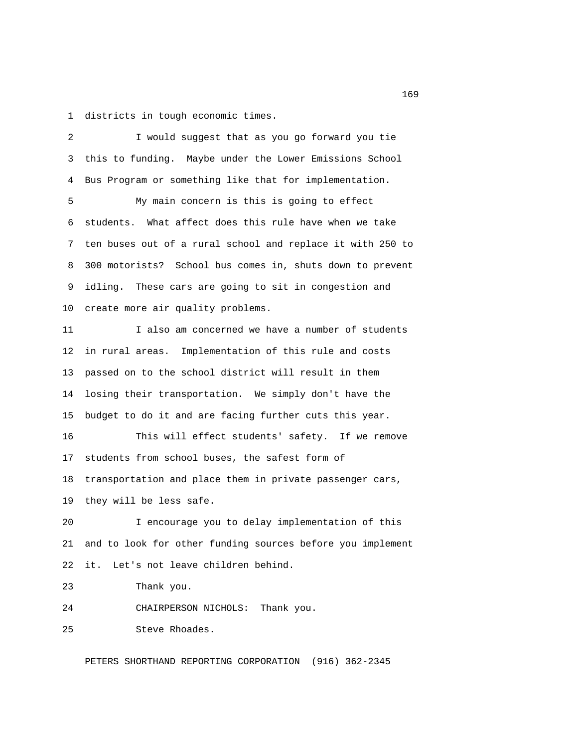1 districts in tough economic times.

 2 I would suggest that as you go forward you tie 3 this to funding. Maybe under the Lower Emissions School 4 Bus Program or something like that for implementation. 5 My main concern is this is going to effect 6 students. What affect does this rule have when we take 7 ten buses out of a rural school and replace it with 250 to 8 300 motorists? School bus comes in, shuts down to prevent 9 idling. These cars are going to sit in congestion and 10 create more air quality problems. 11 I also am concerned we have a number of students 12 in rural areas. Implementation of this rule and costs 13 passed on to the school district will result in them 14 losing their transportation. We simply don't have the 15 budget to do it and are facing further cuts this year. 16 This will effect students' safety. If we remove 17 students from school buses, the safest form of 18 transportation and place them in private passenger cars, 19 they will be less safe. 20 I encourage you to delay implementation of this 21 and to look for other funding sources before you implement 22 it. Let's not leave children behind. 23 Thank you. 24 CHAIRPERSON NICHOLS: Thank you. 25 Steve Rhoades. PETERS SHORTHAND REPORTING CORPORATION (916) 362-2345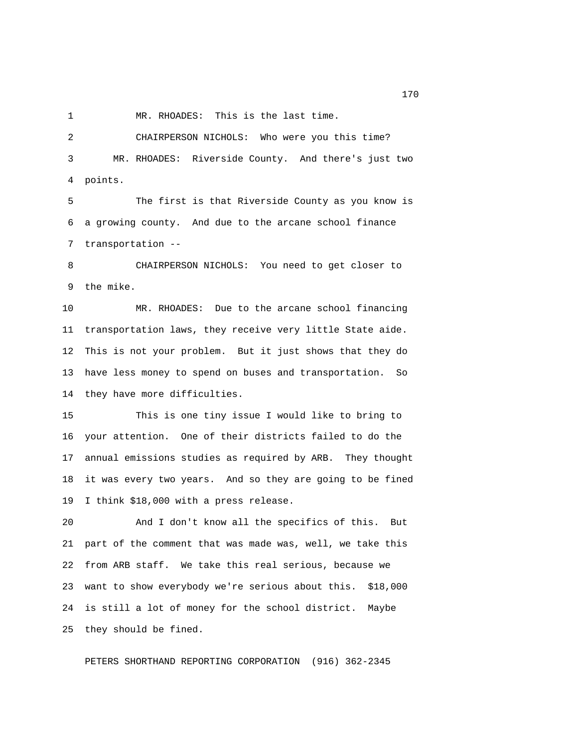1 MR. RHOADES: This is the last time.

 2 CHAIRPERSON NICHOLS: Who were you this time? 3 MR. RHOADES: Riverside County. And there's just two 4 points.

 5 The first is that Riverside County as you know is 6 a growing county. And due to the arcane school finance 7 transportation --

 8 CHAIRPERSON NICHOLS: You need to get closer to 9 the mike.

10 MR. RHOADES: Due to the arcane school financing 11 transportation laws, they receive very little State aide. 12 This is not your problem. But it just shows that they do 13 have less money to spend on buses and transportation. So 14 they have more difficulties.

15 This is one tiny issue I would like to bring to 16 your attention. One of their districts failed to do the 17 annual emissions studies as required by ARB. They thought 18 it was every two years. And so they are going to be fined 19 I think \$18,000 with a press release.

20 And I don't know all the specifics of this. But 21 part of the comment that was made was, well, we take this 22 from ARB staff. We take this real serious, because we 23 want to show everybody we're serious about this. \$18,000 24 is still a lot of money for the school district. Maybe 25 they should be fined.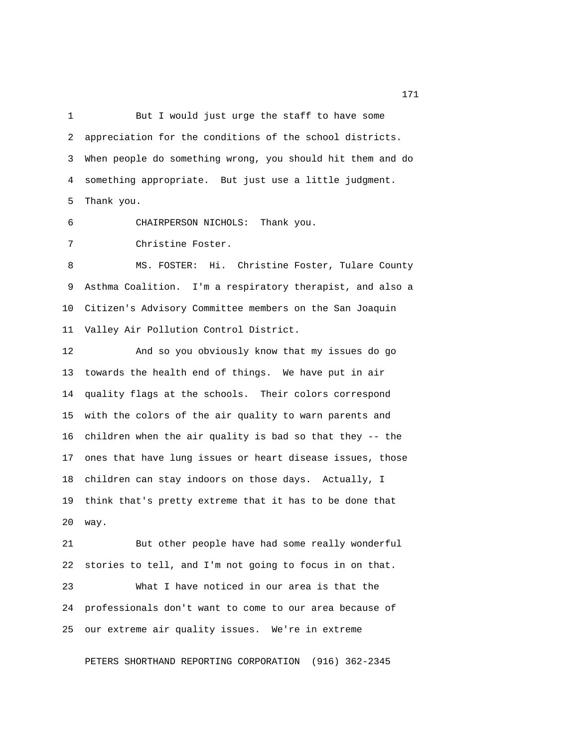1 But I would just urge the staff to have some 2 appreciation for the conditions of the school districts. 3 When people do something wrong, you should hit them and do 4 something appropriate. But just use a little judgment. 5 Thank you.

6 CHAIRPERSON NICHOLS: Thank you.

7 Christine Foster.

8 MS. FOSTER: Hi. Christine Foster, Tulare County 9 Asthma Coalition. I'm a respiratory therapist, and also a 10 Citizen's Advisory Committee members on the San Joaquin 11 Valley Air Pollution Control District.

12 And so you obviously know that my issues do go 13 towards the health end of things. We have put in air 14 quality flags at the schools. Their colors correspond 15 with the colors of the air quality to warn parents and 16 children when the air quality is bad so that they -- the 17 ones that have lung issues or heart disease issues, those 18 children can stay indoors on those days. Actually, I 19 think that's pretty extreme that it has to be done that 20 way.

21 But other people have had some really wonderful 22 stories to tell, and I'm not going to focus in on that. 23 What I have noticed in our area is that the 24 professionals don't want to come to our area because of 25 our extreme air quality issues. We're in extreme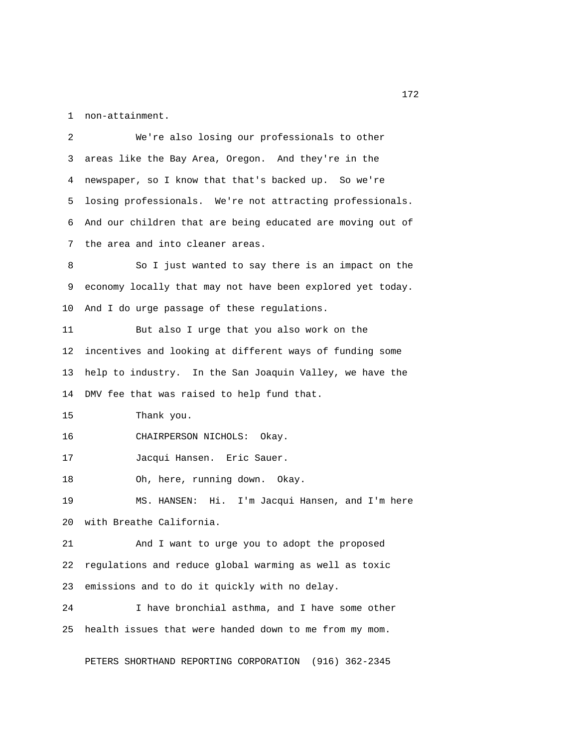1 non-attainment.

 2 We're also losing our professionals to other 3 areas like the Bay Area, Oregon. And they're in the 4 newspaper, so I know that that's backed up. So we're 5 losing professionals. We're not attracting professionals. 6 And our children that are being educated are moving out of 7 the area and into cleaner areas. 8 So I just wanted to say there is an impact on the 9 economy locally that may not have been explored yet today. 10 And I do urge passage of these regulations. 11 But also I urge that you also work on the 12 incentives and looking at different ways of funding some 13 help to industry. In the San Joaquin Valley, we have the 14 DMV fee that was raised to help fund that. 15 Thank you. 16 CHAIRPERSON NICHOLS: Okay. 17 Jacqui Hansen. Eric Sauer. 18 Oh, here, running down. Okay. 19 MS. HANSEN: Hi. I'm Jacqui Hansen, and I'm here 20 with Breathe California. 21 And I want to urge you to adopt the proposed 22 regulations and reduce global warming as well as toxic 23 emissions and to do it quickly with no delay. 24 I have bronchial asthma, and I have some other 25 health issues that were handed down to me from my mom.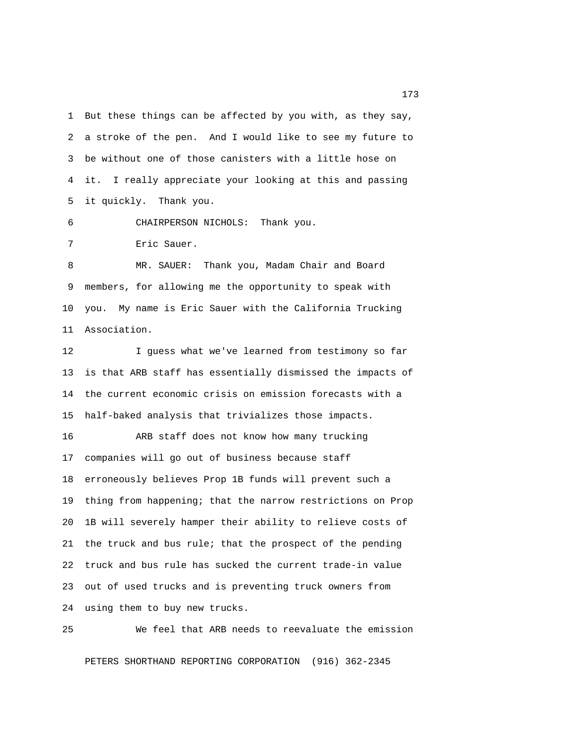1 But these things can be affected by you with, as they say, 2 a stroke of the pen. And I would like to see my future to 3 be without one of those canisters with a little hose on 4 it. I really appreciate your looking at this and passing 5 it quickly. Thank you.

6 CHAIRPERSON NICHOLS: Thank you.

7 Eric Sauer.

 8 MR. SAUER: Thank you, Madam Chair and Board 9 members, for allowing me the opportunity to speak with 10 you. My name is Eric Sauer with the California Trucking 11 Association.

12 I guess what we've learned from testimony so far 13 is that ARB staff has essentially dismissed the impacts of 14 the current economic crisis on emission forecasts with a 15 half-baked analysis that trivializes those impacts.

16 ARB staff does not know how many trucking 17 companies will go out of business because staff 18 erroneously believes Prop 1B funds will prevent such a 19 thing from happening; that the narrow restrictions on Prop 20 1B will severely hamper their ability to relieve costs of 21 the truck and bus rule; that the prospect of the pending 22 truck and bus rule has sucked the current trade-in value 23 out of used trucks and is preventing truck owners from 24 using them to buy new trucks.

25 We feel that ARB needs to reevaluate the emission PETERS SHORTHAND REPORTING CORPORATION (916) 362-2345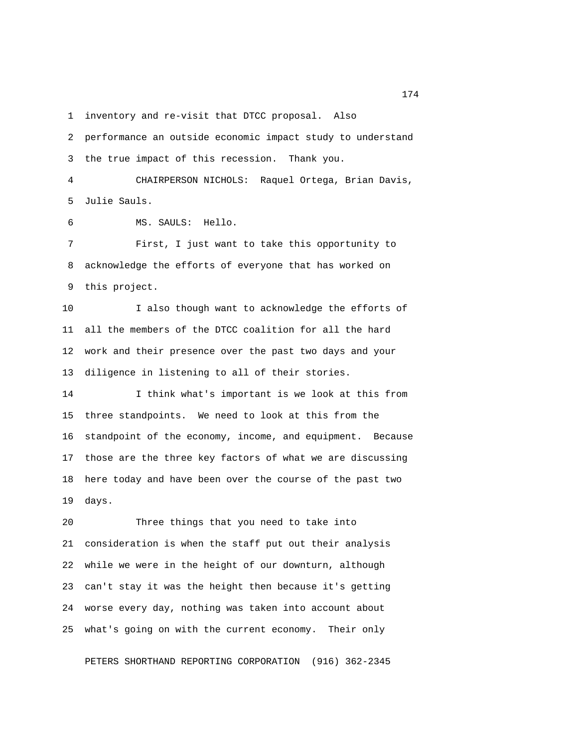1 inventory and re-visit that DTCC proposal. Also

 2 performance an outside economic impact study to understand 3 the true impact of this recession. Thank you. 4 CHAIRPERSON NICHOLS: Raquel Ortega, Brian Davis, 5 Julie Sauls. 6 MS. SAULS: Hello. 7 First, I just want to take this opportunity to 8 acknowledge the efforts of everyone that has worked on 9 this project. 10 I also though want to acknowledge the efforts of 11 all the members of the DTCC coalition for all the hard 12 work and their presence over the past two days and your 13 diligence in listening to all of their stories. 14 I think what's important is we look at this from 15 three standpoints. We need to look at this from the 16 standpoint of the economy, income, and equipment. Because 17 those are the three key factors of what we are discussing 18 here today and have been over the course of the past two 19 days.

20 Three things that you need to take into 21 consideration is when the staff put out their analysis 22 while we were in the height of our downturn, although 23 can't stay it was the height then because it's getting 24 worse every day, nothing was taken into account about 25 what's going on with the current economy. Their only

PETERS SHORTHAND REPORTING CORPORATION (916) 362-2345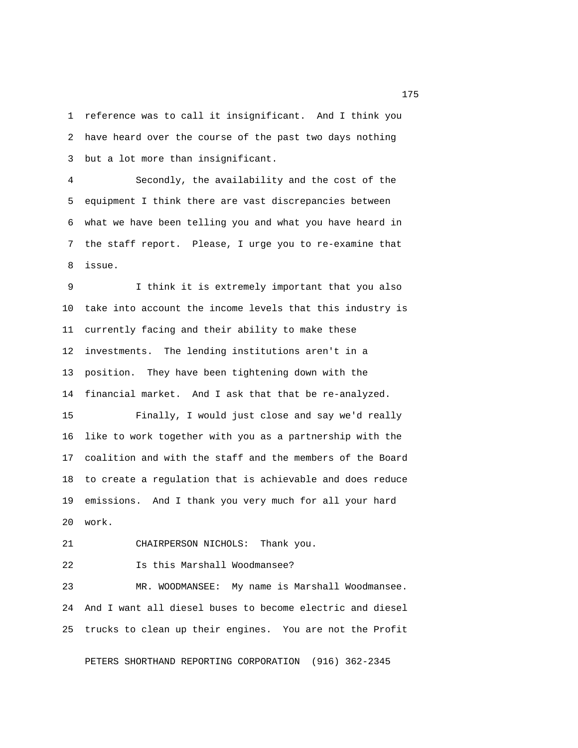1 reference was to call it insignificant. And I think you 2 have heard over the course of the past two days nothing 3 but a lot more than insignificant.

 4 Secondly, the availability and the cost of the 5 equipment I think there are vast discrepancies between 6 what we have been telling you and what you have heard in 7 the staff report. Please, I urge you to re-examine that 8 issue.

 9 I think it is extremely important that you also 10 take into account the income levels that this industry is 11 currently facing and their ability to make these 12 investments. The lending institutions aren't in a 13 position. They have been tightening down with the 14 financial market. And I ask that that be re-analyzed.

15 Finally, I would just close and say we'd really 16 like to work together with you as a partnership with the 17 coalition and with the staff and the members of the Board 18 to create a regulation that is achievable and does reduce 19 emissions. And I thank you very much for all your hard 20 work.

21 CHAIRPERSON NICHOLS: Thank you.

22 Is this Marshall Woodmansee?

23 MR. WOODMANSEE: My name is Marshall Woodmansee. 24 And I want all diesel buses to become electric and diesel 25 trucks to clean up their engines. You are not the Profit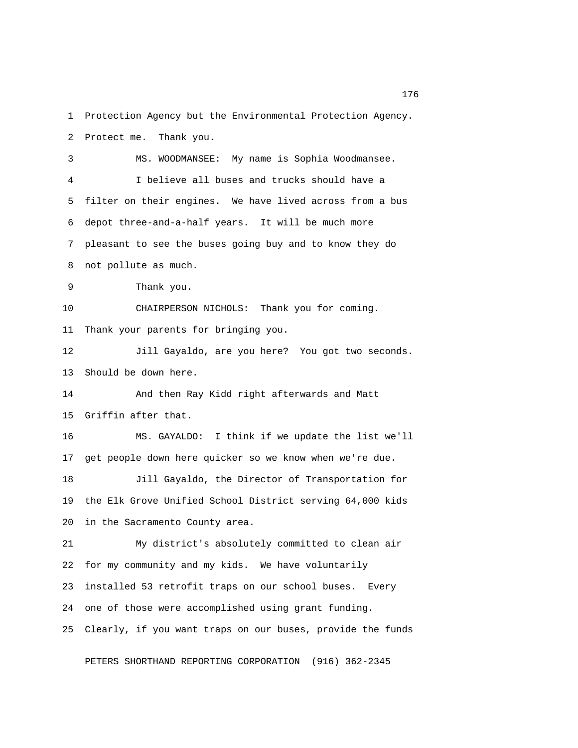1 Protection Agency but the Environmental Protection Agency. 2 Protect me. Thank you. 3 MS. WOODMANSEE: My name is Sophia Woodmansee. 4 I believe all buses and trucks should have a 5 filter on their engines. We have lived across from a bus 6 depot three-and-a-half years. It will be much more 7 pleasant to see the buses going buy and to know they do 8 not pollute as much. 9 Thank you. 10 CHAIRPERSON NICHOLS: Thank you for coming. 11 Thank your parents for bringing you. 12 Jill Gayaldo, are you here? You got two seconds. 13 Should be down here. 14 And then Ray Kidd right afterwards and Matt 15 Griffin after that. 16 MS. GAYALDO: I think if we update the list we'll 17 get people down here quicker so we know when we're due. 18 Jill Gayaldo, the Director of Transportation for 19 the Elk Grove Unified School District serving 64,000 kids 20 in the Sacramento County area. 21 My district's absolutely committed to clean air 22 for my community and my kids. We have voluntarily 23 installed 53 retrofit traps on our school buses. Every 24 one of those were accomplished using grant funding. 25 Clearly, if you want traps on our buses, provide the funds

PETERS SHORTHAND REPORTING CORPORATION (916) 362-2345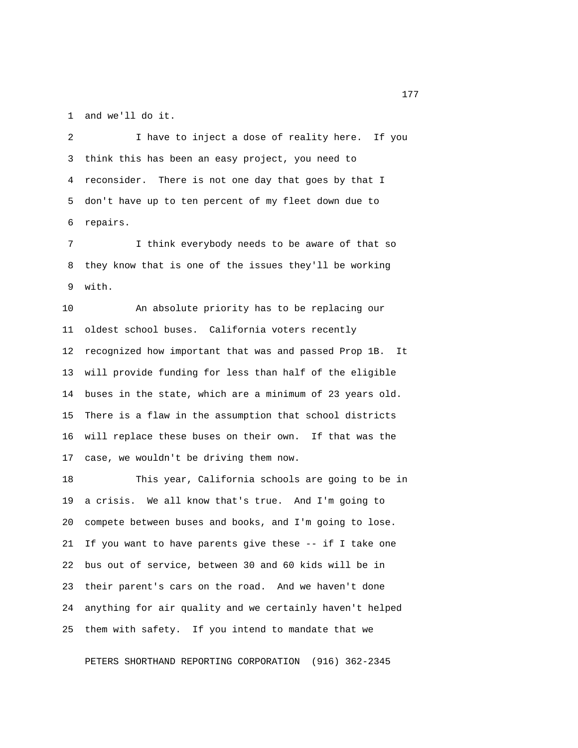1 and we'll do it.

 2 I have to inject a dose of reality here. If you 3 think this has been an easy project, you need to 4 reconsider. There is not one day that goes by that I 5 don't have up to ten percent of my fleet down due to 6 repairs.

 7 I think everybody needs to be aware of that so 8 they know that is one of the issues they'll be working 9 with.

10 An absolute priority has to be replacing our 11 oldest school buses. California voters recently 12 recognized how important that was and passed Prop 1B. It 13 will provide funding for less than half of the eligible 14 buses in the state, which are a minimum of 23 years old. 15 There is a flaw in the assumption that school districts 16 will replace these buses on their own. If that was the 17 case, we wouldn't be driving them now.

18 This year, California schools are going to be in 19 a crisis. We all know that's true. And I'm going to 20 compete between buses and books, and I'm going to lose. 21 If you want to have parents give these -- if I take one 22 bus out of service, between 30 and 60 kids will be in 23 their parent's cars on the road. And we haven't done 24 anything for air quality and we certainly haven't helped 25 them with safety. If you intend to mandate that we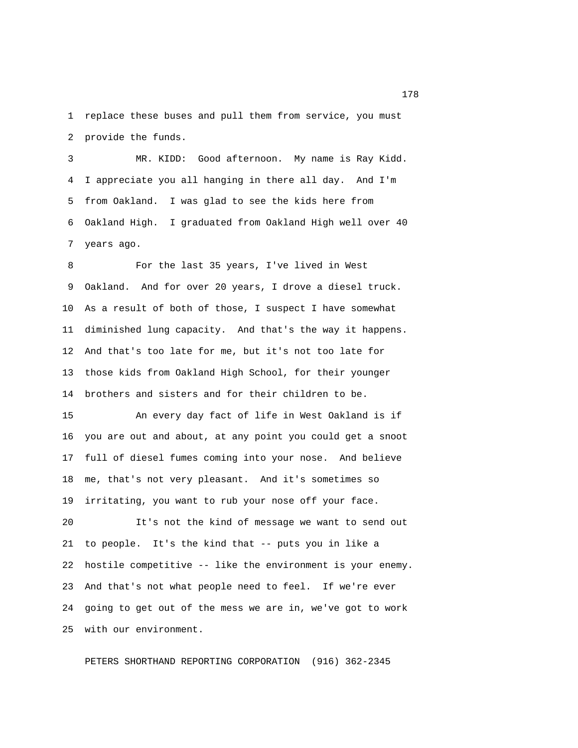1 replace these buses and pull them from service, you must 2 provide the funds.

 3 MR. KIDD: Good afternoon. My name is Ray Kidd. 4 I appreciate you all hanging in there all day. And I'm 5 from Oakland. I was glad to see the kids here from 6 Oakland High. I graduated from Oakland High well over 40 7 years ago.

 8 For the last 35 years, I've lived in West 9 Oakland. And for over 20 years, I drove a diesel truck. 10 As a result of both of those, I suspect I have somewhat 11 diminished lung capacity. And that's the way it happens. 12 And that's too late for me, but it's not too late for 13 those kids from Oakland High School, for their younger 14 brothers and sisters and for their children to be.

15 An every day fact of life in West Oakland is if 16 you are out and about, at any point you could get a snoot 17 full of diesel fumes coming into your nose. And believe 18 me, that's not very pleasant. And it's sometimes so 19 irritating, you want to rub your nose off your face.

20 It's not the kind of message we want to send out 21 to people. It's the kind that -- puts you in like a 22 hostile competitive -- like the environment is your enemy. 23 And that's not what people need to feel. If we're ever 24 going to get out of the mess we are in, we've got to work 25 with our environment.

PETERS SHORTHAND REPORTING CORPORATION (916) 362-2345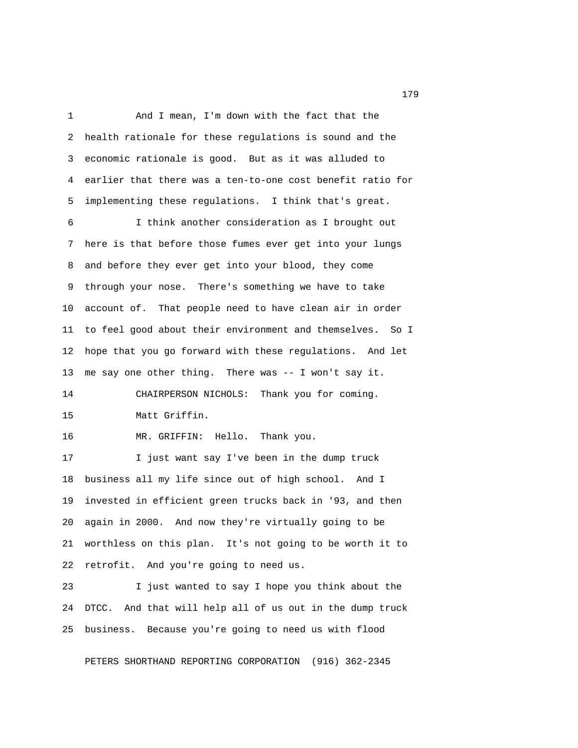1 And I mean, I'm down with the fact that the 2 health rationale for these regulations is sound and the 3 economic rationale is good. But as it was alluded to 4 earlier that there was a ten-to-one cost benefit ratio for 5 implementing these regulations. I think that's great. 6 I think another consideration as I brought out 7 here is that before those fumes ever get into your lungs 8 and before they ever get into your blood, they come 9 through your nose. There's something we have to take 10 account of. That people need to have clean air in order 11 to feel good about their environment and themselves. So I 12 hope that you go forward with these regulations. And let 13 me say one other thing. There was -- I won't say it. 14 CHAIRPERSON NICHOLS: Thank you for coming. 15 Matt Griffin. 16 MR. GRIFFIN: Hello. Thank you. 17 I just want say I've been in the dump truck 18 business all my life since out of high school. And I 19 invested in efficient green trucks back in '93, and then 20 again in 2000. And now they're virtually going to be 21 worthless on this plan. It's not going to be worth it to 22 retrofit. And you're going to need us. 23 I just wanted to say I hope you think about the

24 DTCC. And that will help all of us out in the dump truck 25 business. Because you're going to need us with flood

PETERS SHORTHAND REPORTING CORPORATION (916) 362-2345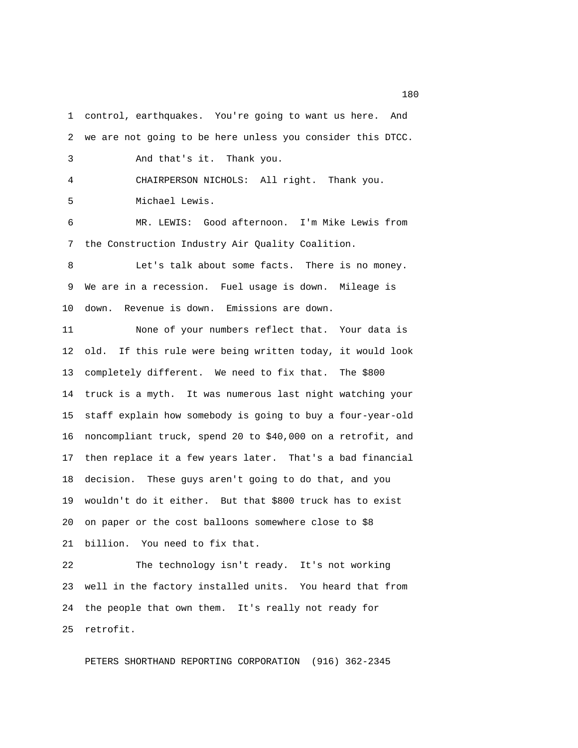2 we are not going to be here unless you consider this DTCC. 3 And that's it. Thank you. 4 CHAIRPERSON NICHOLS: All right. Thank you. 5 Michael Lewis.

1 control, earthquakes. You're going to want us here. And

 6 MR. LEWIS: Good afternoon. I'm Mike Lewis from 7 the Construction Industry Air Quality Coalition.

 8 Let's talk about some facts. There is no money. 9 We are in a recession. Fuel usage is down. Mileage is 10 down. Revenue is down. Emissions are down.

11 None of your numbers reflect that. Your data is 12 old. If this rule were being written today, it would look 13 completely different. We need to fix that. The \$800 14 truck is a myth. It was numerous last night watching your 15 staff explain how somebody is going to buy a four-year-old 16 noncompliant truck, spend 20 to \$40,000 on a retrofit, and 17 then replace it a few years later. That's a bad financial 18 decision. These guys aren't going to do that, and you 19 wouldn't do it either. But that \$800 truck has to exist 20 on paper or the cost balloons somewhere close to \$8 21 billion. You need to fix that.

22 The technology isn't ready. It's not working 23 well in the factory installed units. You heard that from 24 the people that own them. It's really not ready for 25 retrofit.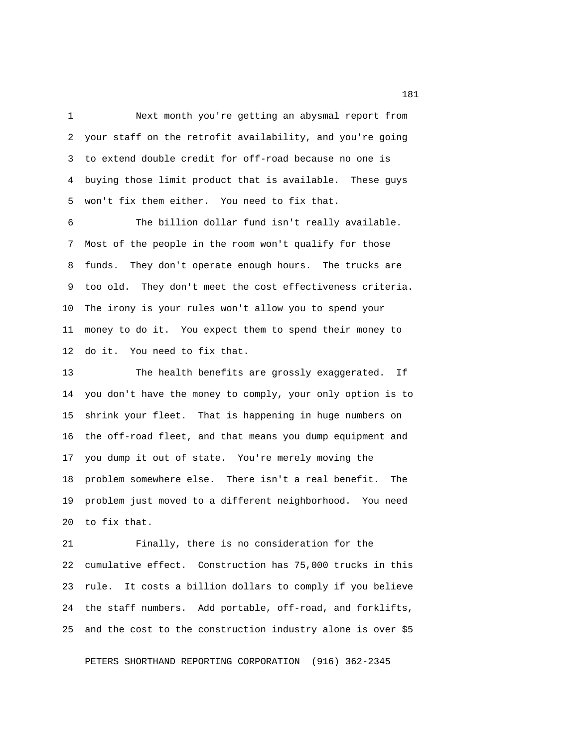1 Next month you're getting an abysmal report from 2 your staff on the retrofit availability, and you're going 3 to extend double credit for off-road because no one is 4 buying those limit product that is available. These guys 5 won't fix them either. You need to fix that.

 6 The billion dollar fund isn't really available. 7 Most of the people in the room won't qualify for those 8 funds. They don't operate enough hours. The trucks are 9 too old. They don't meet the cost effectiveness criteria. 10 The irony is your rules won't allow you to spend your 11 money to do it. You expect them to spend their money to 12 do it. You need to fix that.

13 The health benefits are grossly exaggerated. If 14 you don't have the money to comply, your only option is to 15 shrink your fleet. That is happening in huge numbers on 16 the off-road fleet, and that means you dump equipment and 17 you dump it out of state. You're merely moving the 18 problem somewhere else. There isn't a real benefit. The 19 problem just moved to a different neighborhood. You need 20 to fix that.

21 Finally, there is no consideration for the 22 cumulative effect. Construction has 75,000 trucks in this 23 rule. It costs a billion dollars to comply if you believe 24 the staff numbers. Add portable, off-road, and forklifts, 25 and the cost to the construction industry alone is over \$5

PETERS SHORTHAND REPORTING CORPORATION (916) 362-2345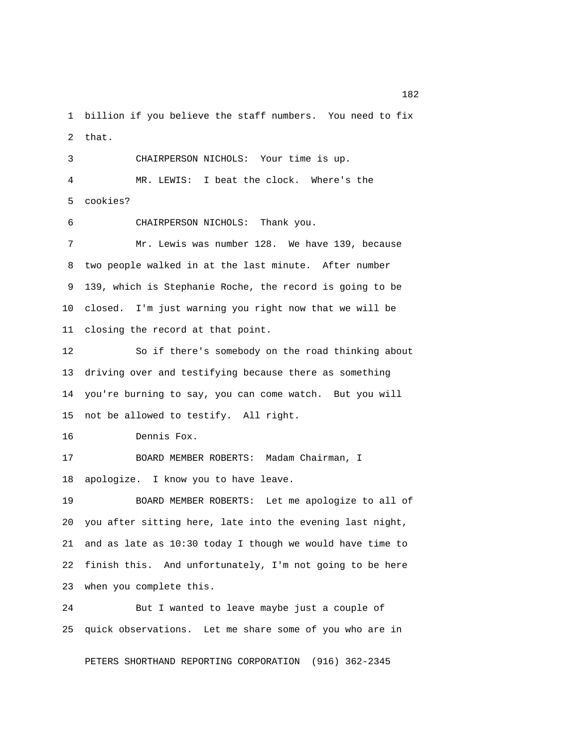1 billion if you believe the staff numbers. You need to fix 2 that.

 3 CHAIRPERSON NICHOLS: Your time is up. 4 MR. LEWIS: I beat the clock. Where's the 5 cookies?

6 CHAIRPERSON NICHOLS: Thank you.

 7 Mr. Lewis was number 128. We have 139, because 8 two people walked in at the last minute. After number 9 139, which is Stephanie Roche, the record is going to be 10 closed. I'm just warning you right now that we will be 11 closing the record at that point.

12 So if there's somebody on the road thinking about 13 driving over and testifying because there as something 14 you're burning to say, you can come watch. But you will 15 not be allowed to testify. All right.

16 Dennis Fox.

17 BOARD MEMBER ROBERTS: Madam Chairman, I 18 apologize. I know you to have leave.

19 BOARD MEMBER ROBERTS: Let me apologize to all of 20 you after sitting here, late into the evening last night, 21 and as late as 10:30 today I though we would have time to 22 finish this. And unfortunately, I'm not going to be here 23 when you complete this.

24 But I wanted to leave maybe just a couple of 25 quick observations. Let me share some of you who are in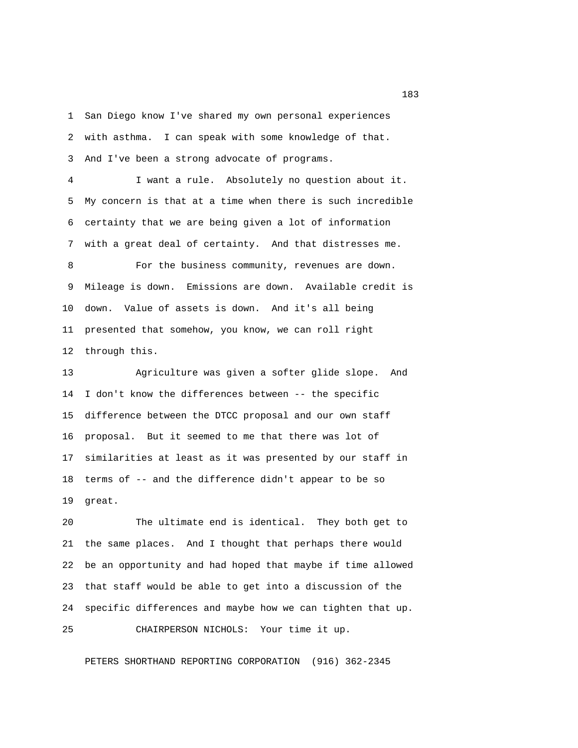1 San Diego know I've shared my own personal experiences 2 with asthma. I can speak with some knowledge of that. 3 And I've been a strong advocate of programs.

 4 I want a rule. Absolutely no question about it. 5 My concern is that at a time when there is such incredible 6 certainty that we are being given a lot of information 7 with a great deal of certainty. And that distresses me.

8 For the business community, revenues are down. 9 Mileage is down. Emissions are down. Available credit is 10 down. Value of assets is down. And it's all being 11 presented that somehow, you know, we can roll right 12 through this.

13 Agriculture was given a softer glide slope. And 14 I don't know the differences between -- the specific 15 difference between the DTCC proposal and our own staff 16 proposal. But it seemed to me that there was lot of 17 similarities at least as it was presented by our staff in 18 terms of -- and the difference didn't appear to be so 19 great.

20 The ultimate end is identical. They both get to 21 the same places. And I thought that perhaps there would 22 be an opportunity and had hoped that maybe if time allowed 23 that staff would be able to get into a discussion of the 24 specific differences and maybe how we can tighten that up. 25 CHAIRPERSON NICHOLS: Your time it up.

PETERS SHORTHAND REPORTING CORPORATION (916) 362-2345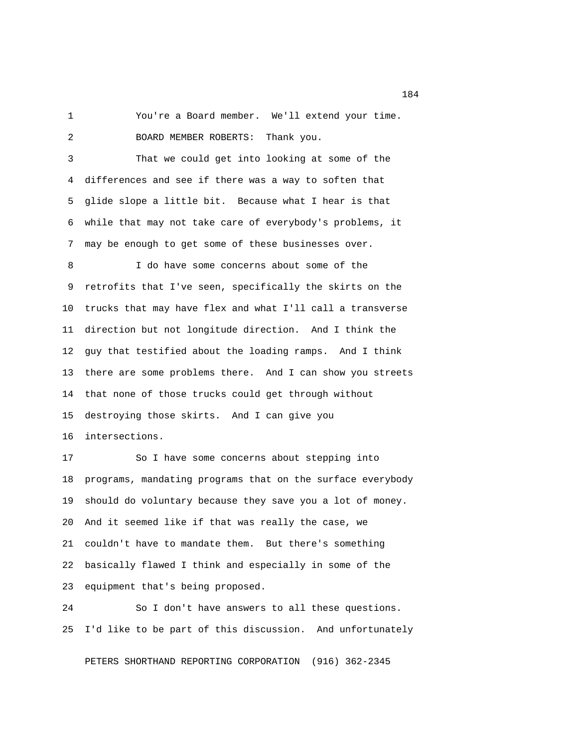1 You're a Board member. We'll extend your time. 2 BOARD MEMBER ROBERTS: Thank you.

 3 That we could get into looking at some of the 4 differences and see if there was a way to soften that 5 glide slope a little bit. Because what I hear is that 6 while that may not take care of everybody's problems, it 7 may be enough to get some of these businesses over.

 8 I do have some concerns about some of the 9 retrofits that I've seen, specifically the skirts on the 10 trucks that may have flex and what I'll call a transverse 11 direction but not longitude direction. And I think the 12 guy that testified about the loading ramps. And I think 13 there are some problems there. And I can show you streets 14 that none of those trucks could get through without 15 destroying those skirts. And I can give you 16 intersections.

17 So I have some concerns about stepping into 18 programs, mandating programs that on the surface everybody 19 should do voluntary because they save you a lot of money. 20 And it seemed like if that was really the case, we 21 couldn't have to mandate them. But there's something 22 basically flawed I think and especially in some of the 23 equipment that's being proposed.

24 So I don't have answers to all these questions. 25 I'd like to be part of this discussion. And unfortunately

PETERS SHORTHAND REPORTING CORPORATION (916) 362-2345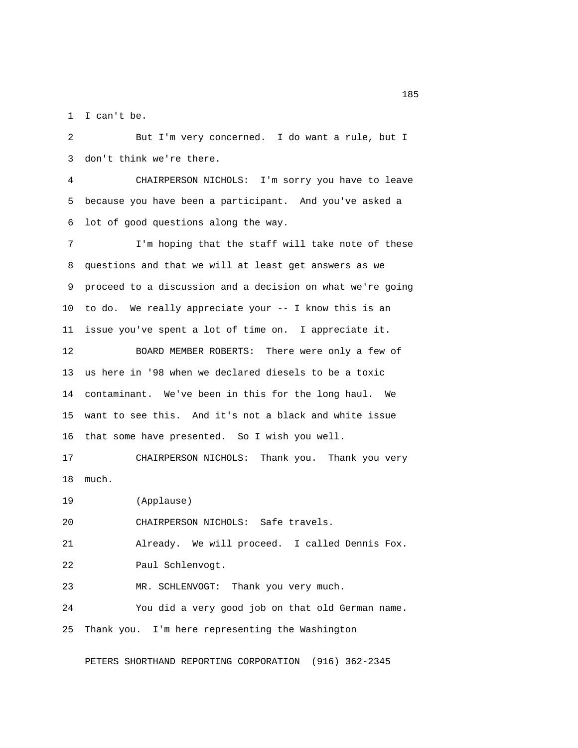1 I can't be.

 2 But I'm very concerned. I do want a rule, but I 3 don't think we're there.

 4 CHAIRPERSON NICHOLS: I'm sorry you have to leave 5 because you have been a participant. And you've asked a 6 lot of good questions along the way.

 7 I'm hoping that the staff will take note of these 8 questions and that we will at least get answers as we 9 proceed to a discussion and a decision on what we're going 10 to do. We really appreciate your -- I know this is an 11 issue you've spent a lot of time on. I appreciate it.

12 BOARD MEMBER ROBERTS: There were only a few of 13 us here in '98 when we declared diesels to be a toxic 14 contaminant. We've been in this for the long haul. We 15 want to see this. And it's not a black and white issue 16 that some have presented. So I wish you well.

17 CHAIRPERSON NICHOLS: Thank you. Thank you very 18 much.

19 (Applause)

20 CHAIRPERSON NICHOLS: Safe travels.

21 Already. We will proceed. I called Dennis Fox.

22 Paul Schlenvogt.

23 MR. SCHLENVOGT: Thank you very much.

24 You did a very good job on that old German name. 25 Thank you. I'm here representing the Washington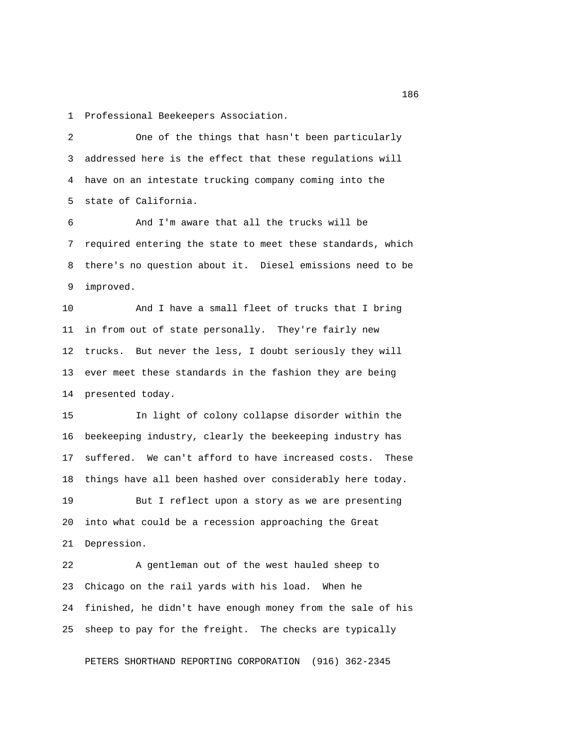1 Professional Beekeepers Association.

 2 One of the things that hasn't been particularly 3 addressed here is the effect that these regulations will 4 have on an intestate trucking company coming into the 5 state of California.

 6 And I'm aware that all the trucks will be 7 required entering the state to meet these standards, which 8 there's no question about it. Diesel emissions need to be 9 improved.

10 And I have a small fleet of trucks that I bring 11 in from out of state personally. They're fairly new 12 trucks. But never the less, I doubt seriously they will 13 ever meet these standards in the fashion they are being 14 presented today.

15 In light of colony collapse disorder within the 16 beekeeping industry, clearly the beekeeping industry has 17 suffered. We can't afford to have increased costs. These 18 things have all been hashed over considerably here today.

19 But I reflect upon a story as we are presenting 20 into what could be a recession approaching the Great 21 Depression.

22 A gentleman out of the west hauled sheep to 23 Chicago on the rail yards with his load. When he 24 finished, he didn't have enough money from the sale of his 25 sheep to pay for the freight. The checks are typically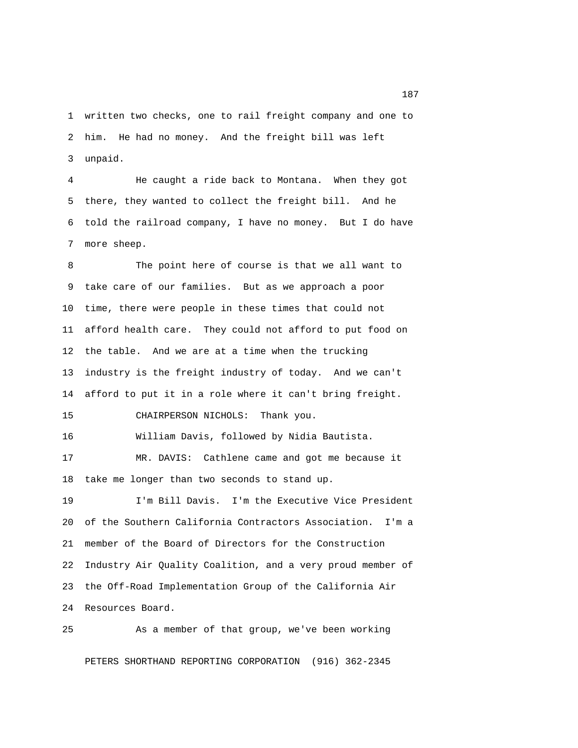1 written two checks, one to rail freight company and one to 2 him. He had no money. And the freight bill was left 3 unpaid.

 4 He caught a ride back to Montana. When they got 5 there, they wanted to collect the freight bill. And he 6 told the railroad company, I have no money. But I do have 7 more sheep.

 8 The point here of course is that we all want to 9 take care of our families. But as we approach a poor 10 time, there were people in these times that could not 11 afford health care. They could not afford to put food on 12 the table. And we are at a time when the trucking 13 industry is the freight industry of today. And we can't 14 afford to put it in a role where it can't bring freight.

15 CHAIRPERSON NICHOLS: Thank you.

16 William Davis, followed by Nidia Bautista.

17 MR. DAVIS: Cathlene came and got me because it 18 take me longer than two seconds to stand up.

19 I'm Bill Davis. I'm the Executive Vice President 20 of the Southern California Contractors Association. I'm a 21 member of the Board of Directors for the Construction 22 Industry Air Quality Coalition, and a very proud member of 23 the Off-Road Implementation Group of the California Air 24 Resources Board.

As a member of that group, we've been working

PETERS SHORTHAND REPORTING CORPORATION (916) 362-2345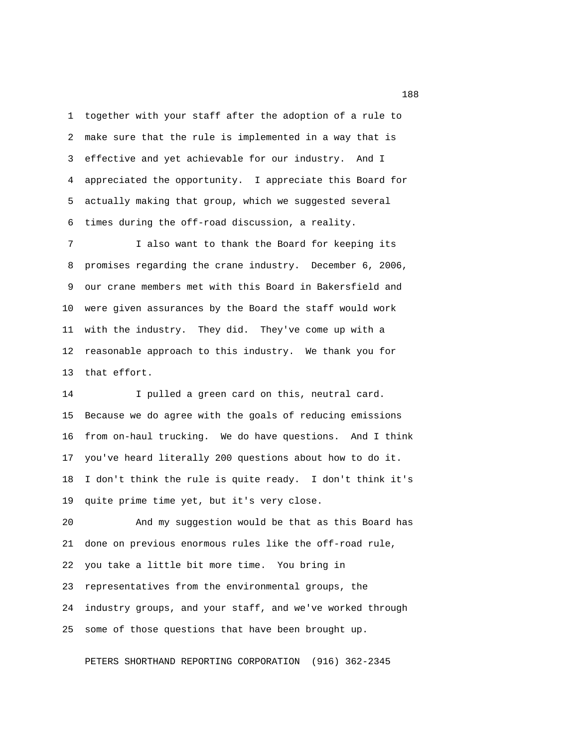1 together with your staff after the adoption of a rule to 2 make sure that the rule is implemented in a way that is 3 effective and yet achievable for our industry. And I 4 appreciated the opportunity. I appreciate this Board for 5 actually making that group, which we suggested several 6 times during the off-road discussion, a reality.

 7 I also want to thank the Board for keeping its 8 promises regarding the crane industry. December 6, 2006, 9 our crane members met with this Board in Bakersfield and 10 were given assurances by the Board the staff would work 11 with the industry. They did. They've come up with a 12 reasonable approach to this industry. We thank you for 13 that effort.

14 I pulled a green card on this, neutral card. 15 Because we do agree with the goals of reducing emissions 16 from on-haul trucking. We do have questions. And I think 17 you've heard literally 200 questions about how to do it. 18 I don't think the rule is quite ready. I don't think it's 19 quite prime time yet, but it's very close.

20 And my suggestion would be that as this Board has 21 done on previous enormous rules like the off-road rule, 22 you take a little bit more time. You bring in 23 representatives from the environmental groups, the 24 industry groups, and your staff, and we've worked through 25 some of those questions that have been brought up.

PETERS SHORTHAND REPORTING CORPORATION (916) 362-2345

<u>188</u>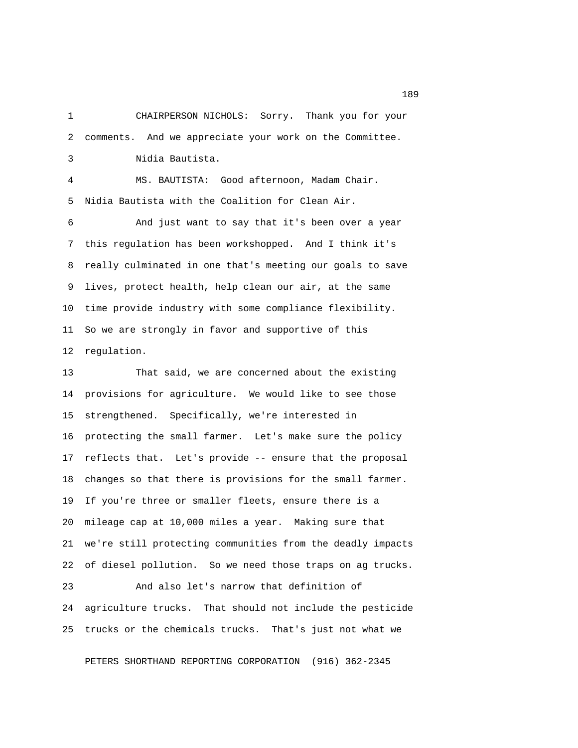1 CHAIRPERSON NICHOLS: Sorry. Thank you for your 2 comments. And we appreciate your work on the Committee. 3 Nidia Bautista.

 4 MS. BAUTISTA: Good afternoon, Madam Chair. 5 Nidia Bautista with the Coalition for Clean Air.

 6 And just want to say that it's been over a year 7 this regulation has been workshopped. And I think it's 8 really culminated in one that's meeting our goals to save 9 lives, protect health, help clean our air, at the same 10 time provide industry with some compliance flexibility. 11 So we are strongly in favor and supportive of this 12 regulation.

13 That said, we are concerned about the existing 14 provisions for agriculture. We would like to see those 15 strengthened. Specifically, we're interested in 16 protecting the small farmer. Let's make sure the policy 17 reflects that. Let's provide -- ensure that the proposal 18 changes so that there is provisions for the small farmer. 19 If you're three or smaller fleets, ensure there is a 20 mileage cap at 10,000 miles a year. Making sure that 21 we're still protecting communities from the deadly impacts 22 of diesel pollution. So we need those traps on ag trucks. 23 And also let's narrow that definition of

24 agriculture trucks. That should not include the pesticide 25 trucks or the chemicals trucks. That's just not what we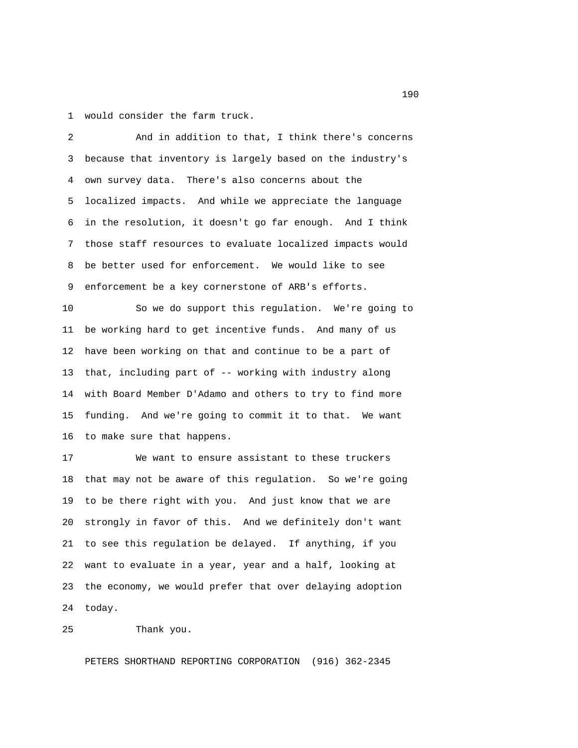1 would consider the farm truck.

 2 And in addition to that, I think there's concerns 3 because that inventory is largely based on the industry's 4 own survey data. There's also concerns about the 5 localized impacts. And while we appreciate the language 6 in the resolution, it doesn't go far enough. And I think 7 those staff resources to evaluate localized impacts would 8 be better used for enforcement. We would like to see 9 enforcement be a key cornerstone of ARB's efforts.

10 So we do support this regulation. We're going to 11 be working hard to get incentive funds. And many of us 12 have been working on that and continue to be a part of 13 that, including part of -- working with industry along 14 with Board Member D'Adamo and others to try to find more 15 funding. And we're going to commit it to that. We want 16 to make sure that happens.

17 We want to ensure assistant to these truckers 18 that may not be aware of this regulation. So we're going 19 to be there right with you. And just know that we are 20 strongly in favor of this. And we definitely don't want 21 to see this regulation be delayed. If anything, if you 22 want to evaluate in a year, year and a half, looking at 23 the economy, we would prefer that over delaying adoption 24 today.

25 Thank you.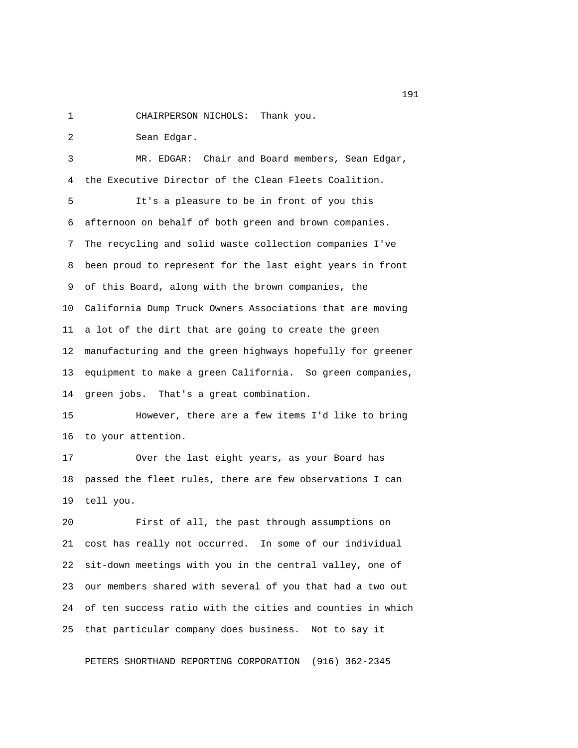1 CHAIRPERSON NICHOLS: Thank you.

 2 Sean Edgar. 3 MR. EDGAR: Chair and Board members, Sean Edgar, 4 the Executive Director of the Clean Fleets Coalition. 5 It's a pleasure to be in front of you this 6 afternoon on behalf of both green and brown companies. 7 The recycling and solid waste collection companies I've 8 been proud to represent for the last eight years in front 9 of this Board, along with the brown companies, the 10 California Dump Truck Owners Associations that are moving 11 a lot of the dirt that are going to create the green 12 manufacturing and the green highways hopefully for greener 13 equipment to make a green California. So green companies, 14 green jobs. That's a great combination.

15 However, there are a few items I'd like to bring 16 to your attention.

17 Over the last eight years, as your Board has 18 passed the fleet rules, there are few observations I can 19 tell you.

20 First of all, the past through assumptions on 21 cost has really not occurred. In some of our individual 22 sit-down meetings with you in the central valley, one of 23 our members shared with several of you that had a two out 24 of ten success ratio with the cities and counties in which 25 that particular company does business. Not to say it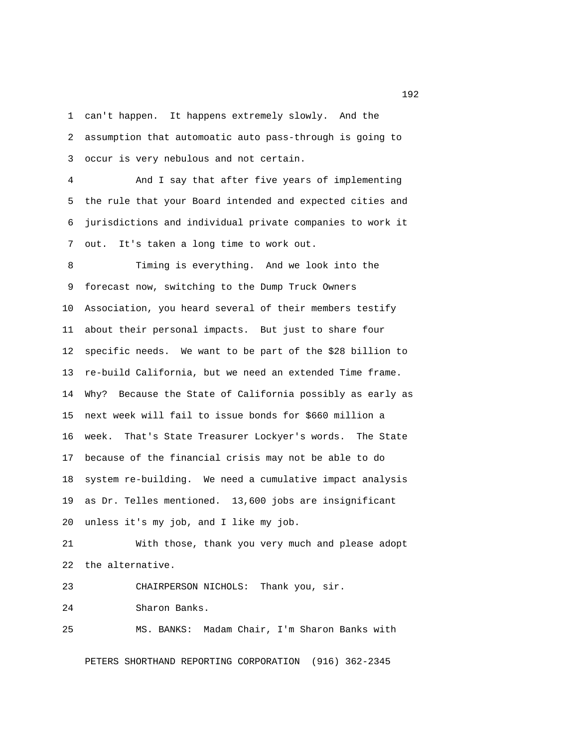1 can't happen. It happens extremely slowly. And the 2 assumption that automoatic auto pass-through is going to 3 occur is very nebulous and not certain.

 4 And I say that after five years of implementing 5 the rule that your Board intended and expected cities and 6 jurisdictions and individual private companies to work it 7 out. It's taken a long time to work out.

 8 Timing is everything. And we look into the 9 forecast now, switching to the Dump Truck Owners 10 Association, you heard several of their members testify 11 about their personal impacts. But just to share four 12 specific needs. We want to be part of the \$28 billion to 13 re-build California, but we need an extended Time frame. 14 Why? Because the State of California possibly as early as 15 next week will fail to issue bonds for \$660 million a 16 week. That's State Treasurer Lockyer's words. The State 17 because of the financial crisis may not be able to do 18 system re-building. We need a cumulative impact analysis 19 as Dr. Telles mentioned. 13,600 jobs are insignificant 20 unless it's my job, and I like my job.

21 With those, thank you very much and please adopt 22 the alternative.

23 CHAIRPERSON NICHOLS: Thank you, sir.

24 Sharon Banks.

25 MS. BANKS: Madam Chair, I'm Sharon Banks with

PETERS SHORTHAND REPORTING CORPORATION (916) 362-2345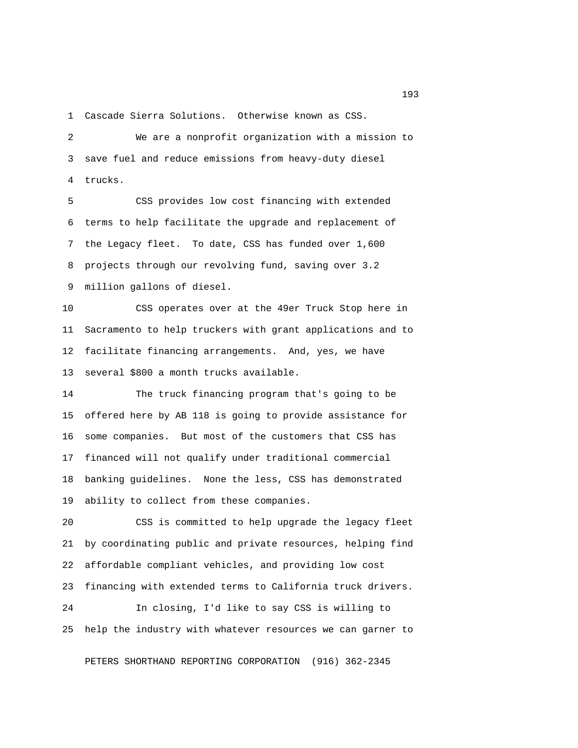1 Cascade Sierra Solutions. Otherwise known as CSS.

 2 We are a nonprofit organization with a mission to 3 save fuel and reduce emissions from heavy-duty diesel 4 trucks.

 5 CSS provides low cost financing with extended 6 terms to help facilitate the upgrade and replacement of 7 the Legacy fleet. To date, CSS has funded over 1,600 8 projects through our revolving fund, saving over 3.2 9 million gallons of diesel.

10 CSS operates over at the 49er Truck Stop here in 11 Sacramento to help truckers with grant applications and to 12 facilitate financing arrangements. And, yes, we have 13 several \$800 a month trucks available.

14 The truck financing program that's going to be 15 offered here by AB 118 is going to provide assistance for 16 some companies. But most of the customers that CSS has 17 financed will not qualify under traditional commercial 18 banking guidelines. None the less, CSS has demonstrated 19 ability to collect from these companies.

20 CSS is committed to help upgrade the legacy fleet 21 by coordinating public and private resources, helping find 22 affordable compliant vehicles, and providing low cost 23 financing with extended terms to California truck drivers.

24 In closing, I'd like to say CSS is willing to 25 help the industry with whatever resources we can garner to

PETERS SHORTHAND REPORTING CORPORATION (916) 362-2345

<u>193</u>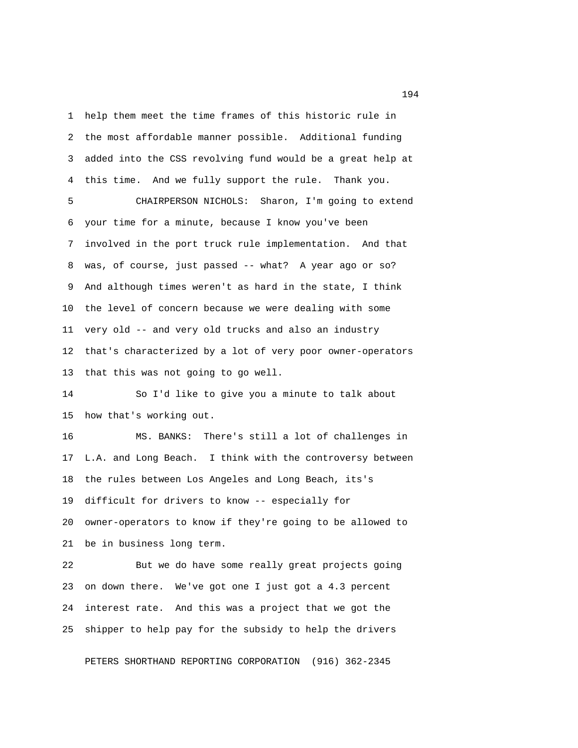1 help them meet the time frames of this historic rule in 2 the most affordable manner possible. Additional funding 3 added into the CSS revolving fund would be a great help at 4 this time. And we fully support the rule. Thank you.

 5 CHAIRPERSON NICHOLS: Sharon, I'm going to extend 6 your time for a minute, because I know you've been 7 involved in the port truck rule implementation. And that 8 was, of course, just passed -- what? A year ago or so? 9 And although times weren't as hard in the state, I think 10 the level of concern because we were dealing with some 11 very old -- and very old trucks and also an industry 12 that's characterized by a lot of very poor owner-operators 13 that this was not going to go well.

14 So I'd like to give you a minute to talk about 15 how that's working out.

16 MS. BANKS: There's still a lot of challenges in 17 L.A. and Long Beach. I think with the controversy between 18 the rules between Los Angeles and Long Beach, its's 19 difficult for drivers to know -- especially for 20 owner-operators to know if they're going to be allowed to 21 be in business long term.

22 But we do have some really great projects going 23 on down there. We've got one I just got a 4.3 percent 24 interest rate. And this was a project that we got the 25 shipper to help pay for the subsidy to help the drivers

PETERS SHORTHAND REPORTING CORPORATION (916) 362-2345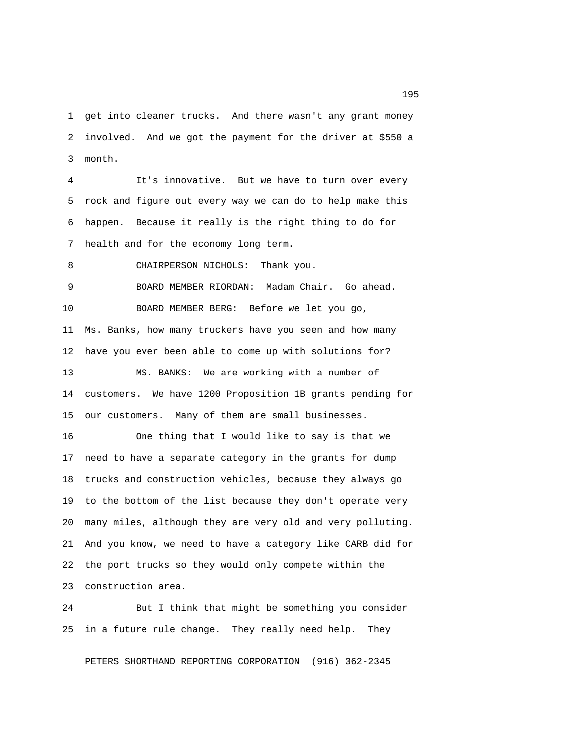1 get into cleaner trucks. And there wasn't any grant money 2 involved. And we got the payment for the driver at \$550 a 3 month.

 4 It's innovative. But we have to turn over every 5 rock and figure out every way we can do to help make this 6 happen. Because it really is the right thing to do for 7 health and for the economy long term.

8 CHAIRPERSON NICHOLS: Thank you.

 9 BOARD MEMBER RIORDAN: Madam Chair. Go ahead. 10 BOARD MEMBER BERG: Before we let you go, 11 Ms. Banks, how many truckers have you seen and how many 12 have you ever been able to come up with solutions for? 13 MS. BANKS: We are working with a number of 14 customers. We have 1200 Proposition 1B grants pending for 15 our customers. Many of them are small businesses.

16 One thing that I would like to say is that we 17 need to have a separate category in the grants for dump 18 trucks and construction vehicles, because they always go 19 to the bottom of the list because they don't operate very 20 many miles, although they are very old and very polluting. 21 And you know, we need to have a category like CARB did for 22 the port trucks so they would only compete within the 23 construction area.

24 But I think that might be something you consider 25 in a future rule change. They really need help. They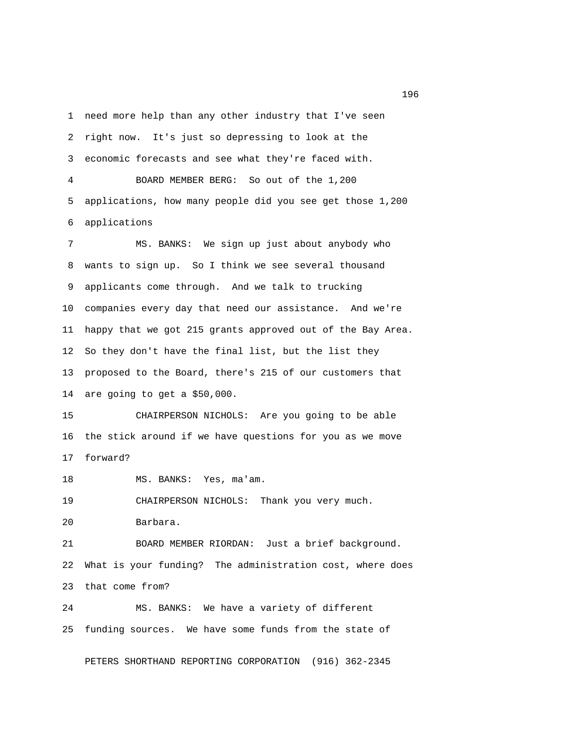1 need more help than any other industry that I've seen 2 right now. It's just so depressing to look at the 3 economic forecasts and see what they're faced with. 4 BOARD MEMBER BERG: So out of the 1,200 5 applications, how many people did you see get those 1,200 6 applications 7 MS. BANKS: We sign up just about anybody who 8 wants to sign up. So I think we see several thousand 9 applicants come through. And we talk to trucking 10 companies every day that need our assistance. And we're 11 happy that we got 215 grants approved out of the Bay Area. 12 So they don't have the final list, but the list they 13 proposed to the Board, there's 215 of our customers that 14 are going to get a \$50,000. 15 CHAIRPERSON NICHOLS: Are you going to be able 16 the stick around if we have questions for you as we move 17 forward? 18 MS. BANKS: Yes, ma'am. 19 CHAIRPERSON NICHOLS: Thank you very much. 20 Barbara. 21 BOARD MEMBER RIORDAN: Just a brief background. 22 What is your funding? The administration cost, where does 23 that come from? 24 MS. BANKS: We have a variety of different 25 funding sources. We have some funds from the state of

PETERS SHORTHAND REPORTING CORPORATION (916) 362-2345

<u>196</u>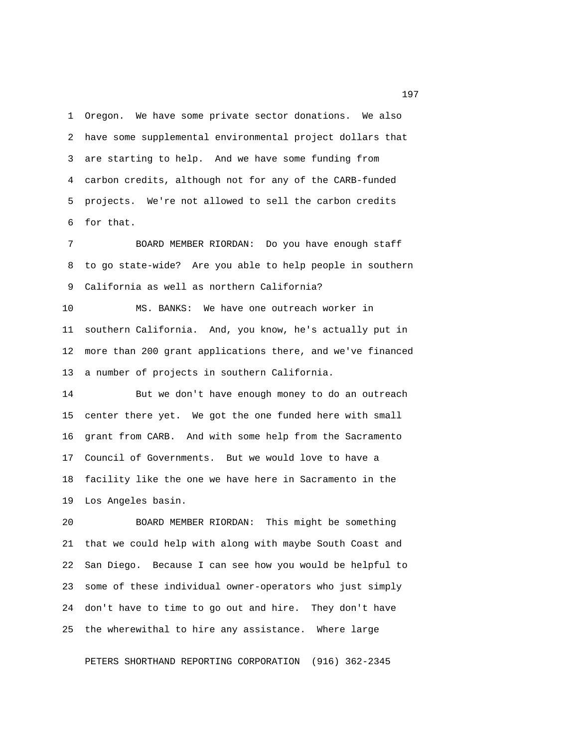1 Oregon. We have some private sector donations. We also 2 have some supplemental environmental project dollars that 3 are starting to help. And we have some funding from 4 carbon credits, although not for any of the CARB-funded 5 projects. We're not allowed to sell the carbon credits 6 for that.

 7 BOARD MEMBER RIORDAN: Do you have enough staff 8 to go state-wide? Are you able to help people in southern 9 California as well as northern California?

10 MS. BANKS: We have one outreach worker in 11 southern California. And, you know, he's actually put in 12 more than 200 grant applications there, and we've financed 13 a number of projects in southern California.

14 But we don't have enough money to do an outreach 15 center there yet. We got the one funded here with small 16 grant from CARB. And with some help from the Sacramento 17 Council of Governments. But we would love to have a 18 facility like the one we have here in Sacramento in the 19 Los Angeles basin.

20 BOARD MEMBER RIORDAN: This might be something 21 that we could help with along with maybe South Coast and 22 San Diego. Because I can see how you would be helpful to 23 some of these individual owner-operators who just simply 24 don't have to time to go out and hire. They don't have 25 the wherewithal to hire any assistance. Where large

PETERS SHORTHAND REPORTING CORPORATION (916) 362-2345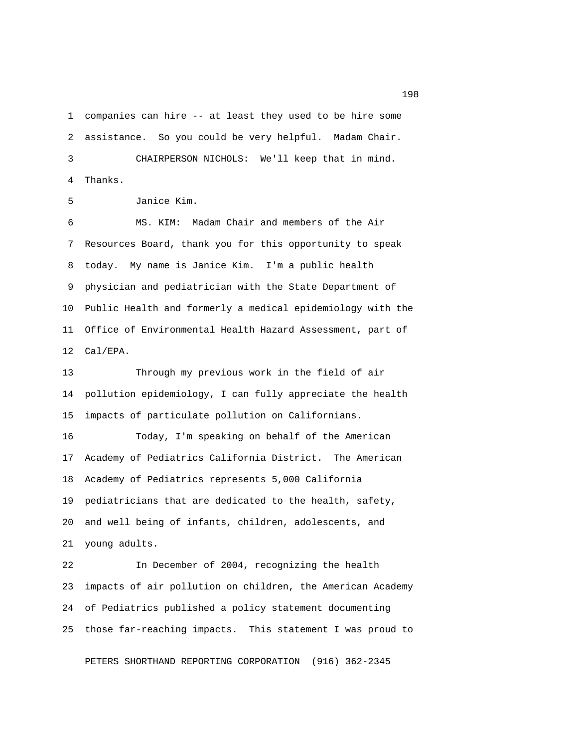1 companies can hire -- at least they used to be hire some 2 assistance. So you could be very helpful. Madam Chair. 3 CHAIRPERSON NICHOLS: We'll keep that in mind. 4 Thanks.

5 Janice Kim.

 6 MS. KIM: Madam Chair and members of the Air 7 Resources Board, thank you for this opportunity to speak 8 today. My name is Janice Kim. I'm a public health 9 physician and pediatrician with the State Department of 10 Public Health and formerly a medical epidemiology with the 11 Office of Environmental Health Hazard Assessment, part of 12 Cal/EPA.

13 Through my previous work in the field of air 14 pollution epidemiology, I can fully appreciate the health 15 impacts of particulate pollution on Californians.

16 Today, I'm speaking on behalf of the American 17 Academy of Pediatrics California District. The American 18 Academy of Pediatrics represents 5,000 California 19 pediatricians that are dedicated to the health, safety, 20 and well being of infants, children, adolescents, and 21 young adults.

22 In December of 2004, recognizing the health 23 impacts of air pollution on children, the American Academy 24 of Pediatrics published a policy statement documenting 25 those far-reaching impacts. This statement I was proud to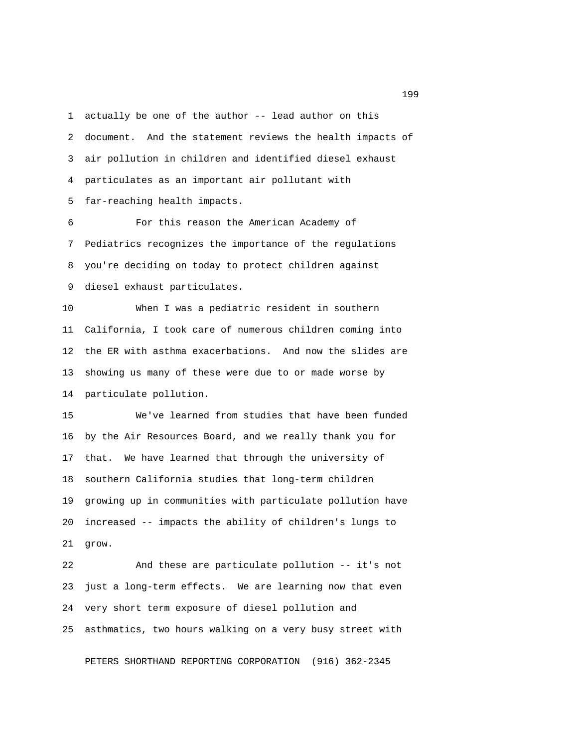1 actually be one of the author -- lead author on this 2 document. And the statement reviews the health impacts of 3 air pollution in children and identified diesel exhaust 4 particulates as an important air pollutant with 5 far-reaching health impacts.

 6 For this reason the American Academy of 7 Pediatrics recognizes the importance of the regulations 8 you're deciding on today to protect children against 9 diesel exhaust particulates.

10 When I was a pediatric resident in southern 11 California, I took care of numerous children coming into 12 the ER with asthma exacerbations. And now the slides are 13 showing us many of these were due to or made worse by 14 particulate pollution.

15 We've learned from studies that have been funded 16 by the Air Resources Board, and we really thank you for 17 that. We have learned that through the university of 18 southern California studies that long-term children 19 growing up in communities with particulate pollution have 20 increased -- impacts the ability of children's lungs to 21 grow.

22 And these are particulate pollution -- it's not 23 just a long-term effects. We are learning now that even 24 very short term exposure of diesel pollution and 25 asthmatics, two hours walking on a very busy street with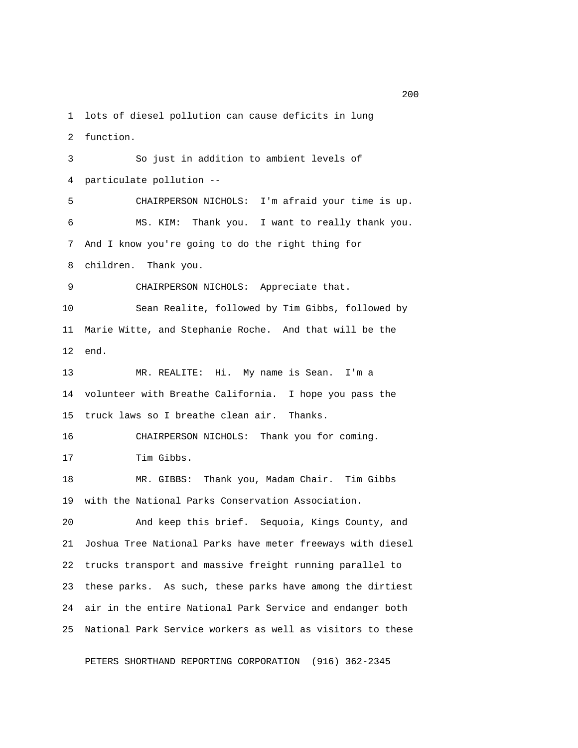1 lots of diesel pollution can cause deficits in lung

2 function.

 3 So just in addition to ambient levels of 4 particulate pollution -- 5 CHAIRPERSON NICHOLS: I'm afraid your time is up. 6 MS. KIM: Thank you. I want to really thank you. 7 And I know you're going to do the right thing for 8 children. Thank you. 9 CHAIRPERSON NICHOLS: Appreciate that. 10 Sean Realite, followed by Tim Gibbs, followed by 11 Marie Witte, and Stephanie Roche. And that will be the 12 end. 13 MR. REALITE: Hi. My name is Sean. I'm a 14 volunteer with Breathe California. I hope you pass the 15 truck laws so I breathe clean air. Thanks. 16 CHAIRPERSON NICHOLS: Thank you for coming. 17 Tim Gibbs. 18 MR. GIBBS: Thank you, Madam Chair. Tim Gibbs 19 with the National Parks Conservation Association. 20 And keep this brief. Sequoia, Kings County, and 21 Joshua Tree National Parks have meter freeways with diesel 22 trucks transport and massive freight running parallel to 23 these parks. As such, these parks have among the dirtiest 24 air in the entire National Park Service and endanger both 25 National Park Service workers as well as visitors to these

PETERS SHORTHAND REPORTING CORPORATION (916) 362-2345

<u>200</u>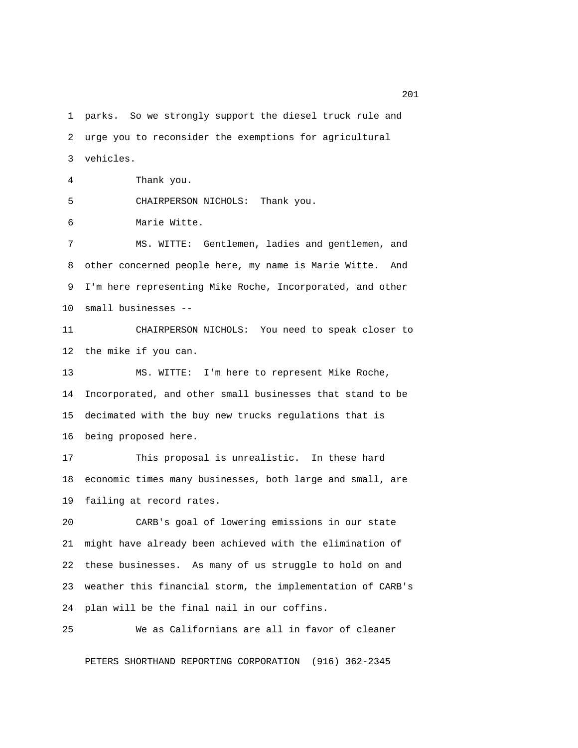1 parks. So we strongly support the diesel truck rule and 2 urge you to reconsider the exemptions for agricultural 3 vehicles.

4 Thank you.

5 CHAIRPERSON NICHOLS: Thank you.

6 Marie Witte.

 7 MS. WITTE: Gentlemen, ladies and gentlemen, and 8 other concerned people here, my name is Marie Witte. And 9 I'm here representing Mike Roche, Incorporated, and other 10 small businesses --

11 CHAIRPERSON NICHOLS: You need to speak closer to 12 the mike if you can.

13 MS. WITTE: I'm here to represent Mike Roche, 14 Incorporated, and other small businesses that stand to be 15 decimated with the buy new trucks regulations that is 16 being proposed here.

17 This proposal is unrealistic. In these hard 18 economic times many businesses, both large and small, are 19 failing at record rates.

20 CARB's goal of lowering emissions in our state 21 might have already been achieved with the elimination of 22 these businesses. As many of us struggle to hold on and 23 weather this financial storm, the implementation of CARB's 24 plan will be the final nail in our coffins.

25 We as Californians are all in favor of cleaner

PETERS SHORTHAND REPORTING CORPORATION (916) 362-2345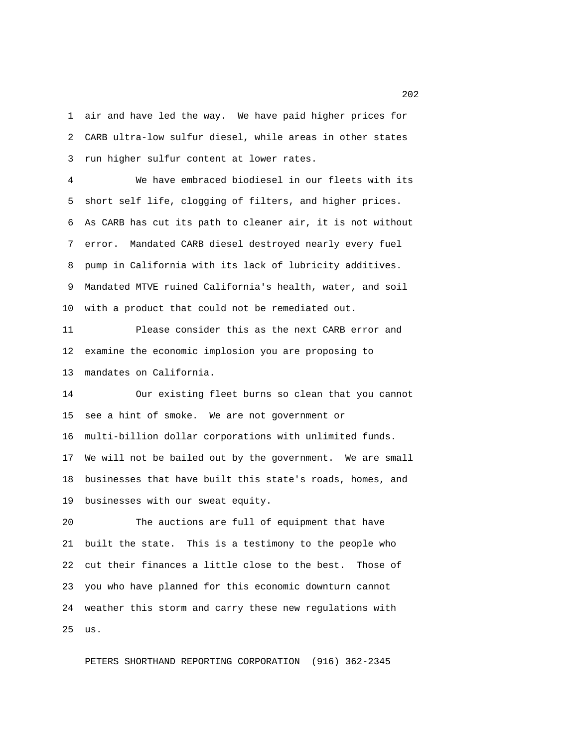1 air and have led the way. We have paid higher prices for 2 CARB ultra-low sulfur diesel, while areas in other states 3 run higher sulfur content at lower rates.

 4 We have embraced biodiesel in our fleets with its 5 short self life, clogging of filters, and higher prices. 6 As CARB has cut its path to cleaner air, it is not without 7 error. Mandated CARB diesel destroyed nearly every fuel 8 pump in California with its lack of lubricity additives. 9 Mandated MTVE ruined California's health, water, and soil 10 with a product that could not be remediated out.

11 Please consider this as the next CARB error and 12 examine the economic implosion you are proposing to 13 mandates on California.

14 Our existing fleet burns so clean that you cannot 15 see a hint of smoke. We are not government or 16 multi-billion dollar corporations with unlimited funds. 17 We will not be bailed out by the government. We are small 18 businesses that have built this state's roads, homes, and 19 businesses with our sweat equity.

20 The auctions are full of equipment that have 21 built the state. This is a testimony to the people who 22 cut their finances a little close to the best. Those of 23 you who have planned for this economic downturn cannot 24 weather this storm and carry these new regulations with 25 us.

PETERS SHORTHAND REPORTING CORPORATION (916) 362-2345

<u>2022</u> and the state of the state of the state of the state of the state of the state of the state of the state of the state of the state of the state of the state of the state of the state of the state of the state of the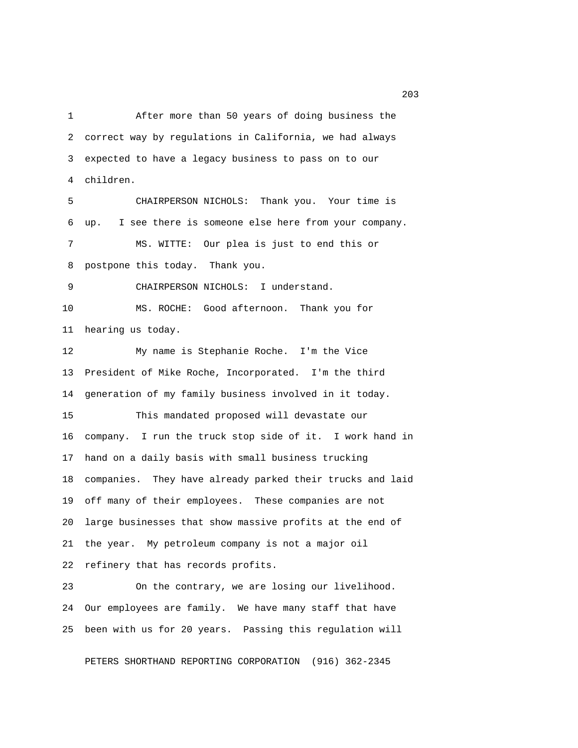1 After more than 50 years of doing business the 2 correct way by regulations in California, we had always 3 expected to have a legacy business to pass on to our 4 children.

 5 CHAIRPERSON NICHOLS: Thank you. Your time is 6 up. I see there is someone else here from your company. 7 MS. WITTE: Our plea is just to end this or 8 postpone this today. Thank you.

9 CHAIRPERSON NICHOLS: I understand.

10 MS. ROCHE: Good afternoon. Thank you for 11 hearing us today.

12 My name is Stephanie Roche. I'm the Vice 13 President of Mike Roche, Incorporated. I'm the third 14 generation of my family business involved in it today.

15 This mandated proposed will devastate our 16 company. I run the truck stop side of it. I work hand in 17 hand on a daily basis with small business trucking 18 companies. They have already parked their trucks and laid 19 off many of their employees. These companies are not 20 large businesses that show massive profits at the end of 21 the year. My petroleum company is not a major oil 22 refinery that has records profits.

23 On the contrary, we are losing our livelihood. 24 Our employees are family. We have many staff that have 25 been with us for 20 years. Passing this regulation will

PETERS SHORTHAND REPORTING CORPORATION (916) 362-2345

<u>203</u>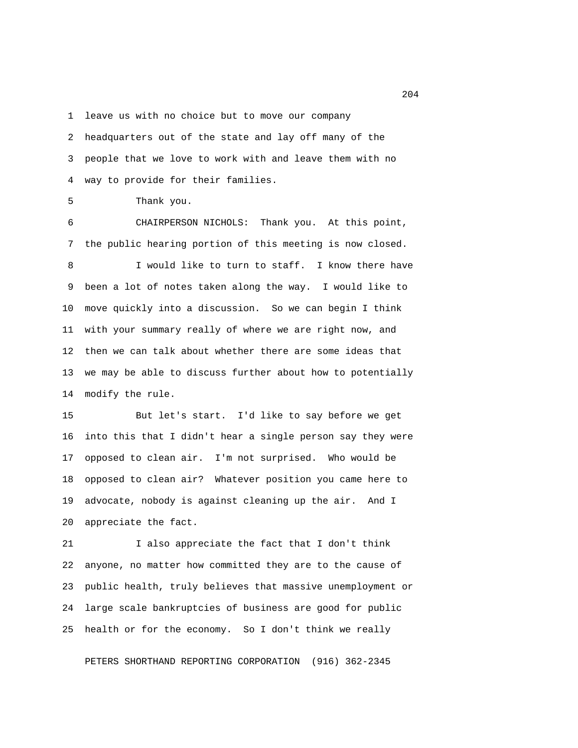1 leave us with no choice but to move our company

 2 headquarters out of the state and lay off many of the 3 people that we love to work with and leave them with no 4 way to provide for their families.

5 Thank you.

 6 CHAIRPERSON NICHOLS: Thank you. At this point, 7 the public hearing portion of this meeting is now closed.

8 I would like to turn to staff. I know there have 9 been a lot of notes taken along the way. I would like to 10 move quickly into a discussion. So we can begin I think 11 with your summary really of where we are right now, and 12 then we can talk about whether there are some ideas that 13 we may be able to discuss further about how to potentially 14 modify the rule.

15 But let's start. I'd like to say before we get 16 into this that I didn't hear a single person say they were 17 opposed to clean air. I'm not surprised. Who would be 18 opposed to clean air? Whatever position you came here to 19 advocate, nobody is against cleaning up the air. And I 20 appreciate the fact.

21 I also appreciate the fact that I don't think 22 anyone, no matter how committed they are to the cause of 23 public health, truly believes that massive unemployment or 24 large scale bankruptcies of business are good for public 25 health or for the economy. So I don't think we really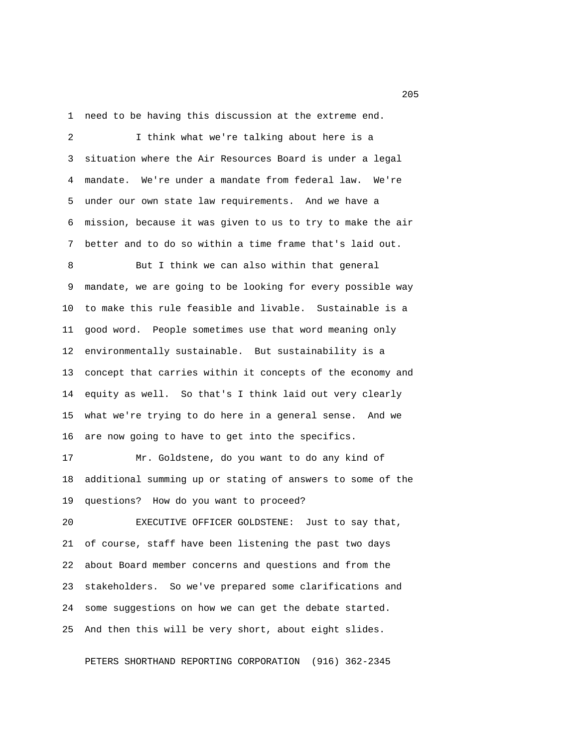1 need to be having this discussion at the extreme end.

 2 I think what we're talking about here is a 3 situation where the Air Resources Board is under a legal 4 mandate. We're under a mandate from federal law. We're 5 under our own state law requirements. And we have a 6 mission, because it was given to us to try to make the air 7 better and to do so within a time frame that's laid out.

 8 But I think we can also within that general 9 mandate, we are going to be looking for every possible way 10 to make this rule feasible and livable. Sustainable is a 11 good word. People sometimes use that word meaning only 12 environmentally sustainable. But sustainability is a 13 concept that carries within it concepts of the economy and 14 equity as well. So that's I think laid out very clearly 15 what we're trying to do here in a general sense. And we 16 are now going to have to get into the specifics.

17 Mr. Goldstene, do you want to do any kind of 18 additional summing up or stating of answers to some of the 19 questions? How do you want to proceed?

20 EXECUTIVE OFFICER GOLDSTENE: Just to say that, 21 of course, staff have been listening the past two days 22 about Board member concerns and questions and from the 23 stakeholders. So we've prepared some clarifications and 24 some suggestions on how we can get the debate started. 25 And then this will be very short, about eight slides.

PETERS SHORTHAND REPORTING CORPORATION (916) 362-2345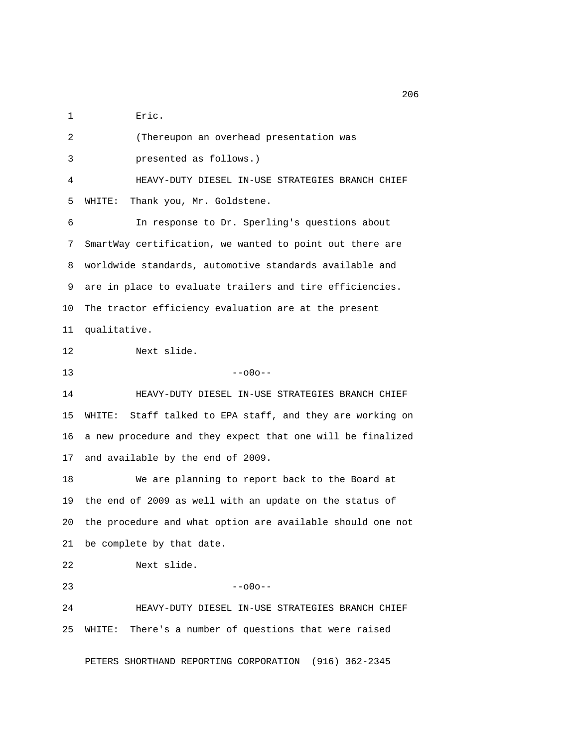1 Eric.

 2 (Thereupon an overhead presentation was 3 presented as follows.) 4 HEAVY-DUTY DIESEL IN-USE STRATEGIES BRANCH CHIEF 5 WHITE: Thank you, Mr. Goldstene. 6 In response to Dr. Sperling's questions about 7 SmartWay certification, we wanted to point out there are 8 worldwide standards, automotive standards available and 9 are in place to evaluate trailers and tire efficiencies. 10 The tractor efficiency evaluation are at the present 11 qualitative. 12 Next slide.  $13$  --o0o--14 HEAVY-DUTY DIESEL IN-USE STRATEGIES BRANCH CHIEF 15 WHITE: Staff talked to EPA staff, and they are working on 16 a new procedure and they expect that one will be finalized 17 and available by the end of 2009. 18 We are planning to report back to the Board at 19 the end of 2009 as well with an update on the status of 20 the procedure and what option are available should one not 21 be complete by that date. 22 Next slide.  $23 - -000 -$ 24 HEAVY-DUTY DIESEL IN-USE STRATEGIES BRANCH CHIEF 25 WHITE: There's a number of questions that were raised PETERS SHORTHAND REPORTING CORPORATION (916) 362-2345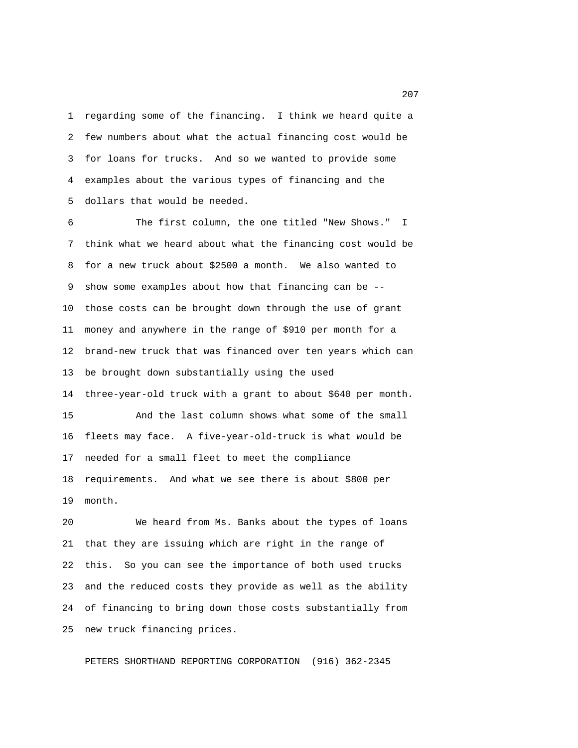1 regarding some of the financing. I think we heard quite a 2 few numbers about what the actual financing cost would be 3 for loans for trucks. And so we wanted to provide some 4 examples about the various types of financing and the 5 dollars that would be needed.

 6 The first column, the one titled "New Shows." I 7 think what we heard about what the financing cost would be 8 for a new truck about \$2500 a month. We also wanted to 9 show some examples about how that financing can be -- 10 those costs can be brought down through the use of grant 11 money and anywhere in the range of \$910 per month for a 12 brand-new truck that was financed over ten years which can 13 be brought down substantially using the used 14 three-year-old truck with a grant to about \$640 per month. 15 And the last column shows what some of the small 16 fleets may face. A five-year-old-truck is what would be 17 needed for a small fleet to meet the compliance 18 requirements. And what we see there is about \$800 per 19 month.

20 We heard from Ms. Banks about the types of loans 21 that they are issuing which are right in the range of 22 this. So you can see the importance of both used trucks 23 and the reduced costs they provide as well as the ability 24 of financing to bring down those costs substantially from 25 new truck financing prices.

PETERS SHORTHAND REPORTING CORPORATION (916) 362-2345

<u>207</u>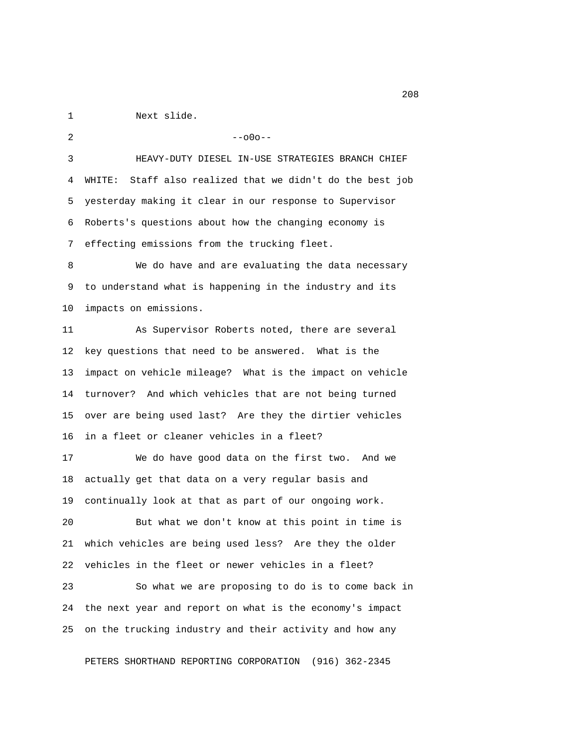1 Next slide.

 $2 - -000 - -$  3 HEAVY-DUTY DIESEL IN-USE STRATEGIES BRANCH CHIEF 4 WHITE: Staff also realized that we didn't do the best job 5 yesterday making it clear in our response to Supervisor 6 Roberts's questions about how the changing economy is 7 effecting emissions from the trucking fleet. 8 We do have and are evaluating the data necessary 9 to understand what is happening in the industry and its 10 impacts on emissions. 11 As Supervisor Roberts noted, there are several 12 key questions that need to be answered. What is the 13 impact on vehicle mileage? What is the impact on vehicle 14 turnover? And which vehicles that are not being turned 15 over are being used last? Are they the dirtier vehicles 16 in a fleet or cleaner vehicles in a fleet? 17 We do have good data on the first two. And we 18 actually get that data on a very regular basis and 19 continually look at that as part of our ongoing work. 20 But what we don't know at this point in time is 21 which vehicles are being used less? Are they the older 22 vehicles in the fleet or newer vehicles in a fleet? 23 So what we are proposing to do is to come back in 24 the next year and report on what is the economy's impact

PETERS SHORTHAND REPORTING CORPORATION (916) 362-2345

25 on the trucking industry and their activity and how any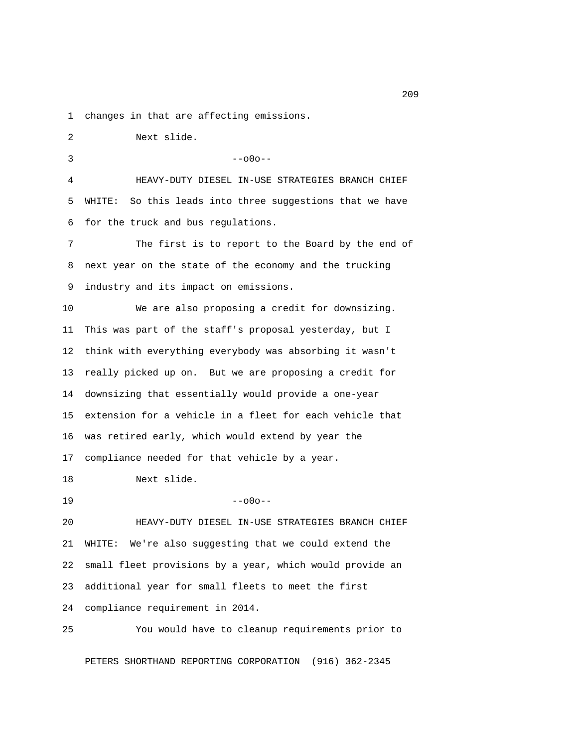1 changes in that are affecting emissions.

 2 Next slide.  $3 - -000 - -$  4 HEAVY-DUTY DIESEL IN-USE STRATEGIES BRANCH CHIEF 5 WHITE: So this leads into three suggestions that we have 6 for the truck and bus regulations. 7 The first is to report to the Board by the end of 8 next year on the state of the economy and the trucking 9 industry and its impact on emissions. 10 We are also proposing a credit for downsizing. 11 This was part of the staff's proposal yesterday, but I 12 think with everything everybody was absorbing it wasn't 13 really picked up on. But we are proposing a credit for 14 downsizing that essentially would provide a one-year 15 extension for a vehicle in a fleet for each vehicle that 16 was retired early, which would extend by year the 17 compliance needed for that vehicle by a year. 18 Next slide.  $19$  --o0o--

20 HEAVY-DUTY DIESEL IN-USE STRATEGIES BRANCH CHIEF 21 WHITE: We're also suggesting that we could extend the 22 small fleet provisions by a year, which would provide an 23 additional year for small fleets to meet the first 24 compliance requirement in 2014.

25 You would have to cleanup requirements prior to

PETERS SHORTHAND REPORTING CORPORATION (916) 362-2345

<u>209</u>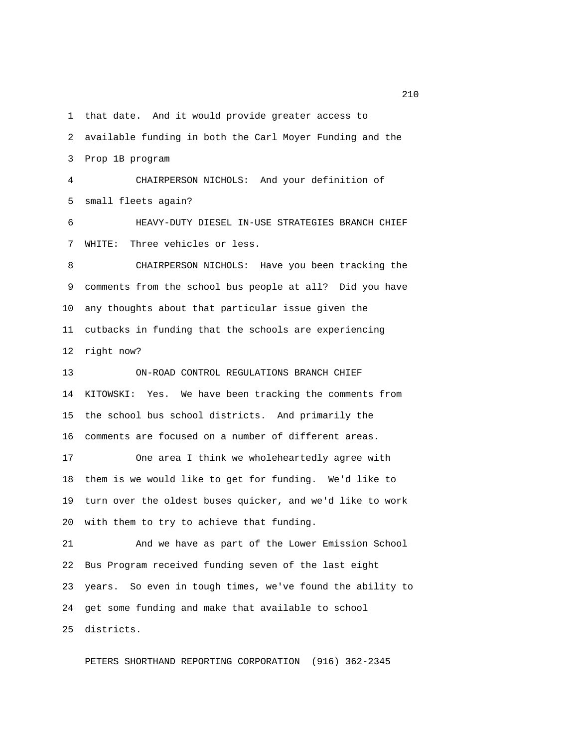1 that date. And it would provide greater access to

 2 available funding in both the Carl Moyer Funding and the 3 Prop 1B program

 4 CHAIRPERSON NICHOLS: And your definition of 5 small fleets again?

 6 HEAVY-DUTY DIESEL IN-USE STRATEGIES BRANCH CHIEF 7 WHITE: Three vehicles or less.

 8 CHAIRPERSON NICHOLS: Have you been tracking the 9 comments from the school bus people at all? Did you have 10 any thoughts about that particular issue given the 11 cutbacks in funding that the schools are experiencing 12 right now?

13 ON-ROAD CONTROL REGULATIONS BRANCH CHIEF 14 KITOWSKI: Yes. We have been tracking the comments from 15 the school bus school districts. And primarily the 16 comments are focused on a number of different areas.

17 One area I think we wholeheartedly agree with 18 them is we would like to get for funding. We'd like to 19 turn over the oldest buses quicker, and we'd like to work 20 with them to try to achieve that funding.

21 And we have as part of the Lower Emission School 22 Bus Program received funding seven of the last eight 23 years. So even in tough times, we've found the ability to 24 get some funding and make that available to school 25 districts.

PETERS SHORTHAND REPORTING CORPORATION (916) 362-2345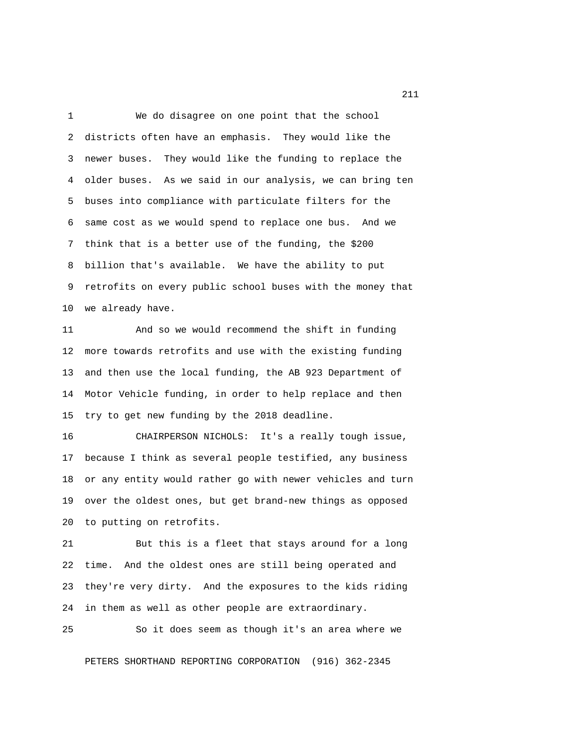1 We do disagree on one point that the school 2 districts often have an emphasis. They would like the 3 newer buses. They would like the funding to replace the 4 older buses. As we said in our analysis, we can bring ten 5 buses into compliance with particulate filters for the 6 same cost as we would spend to replace one bus. And we 7 think that is a better use of the funding, the \$200 8 billion that's available. We have the ability to put 9 retrofits on every public school buses with the money that 10 we already have.

11 And so we would recommend the shift in funding 12 more towards retrofits and use with the existing funding 13 and then use the local funding, the AB 923 Department of 14 Motor Vehicle funding, in order to help replace and then 15 try to get new funding by the 2018 deadline.

16 CHAIRPERSON NICHOLS: It's a really tough issue, 17 because I think as several people testified, any business 18 or any entity would rather go with newer vehicles and turn 19 over the oldest ones, but get brand-new things as opposed 20 to putting on retrofits.

21 But this is a fleet that stays around for a long 22 time. And the oldest ones are still being operated and 23 they're very dirty. And the exposures to the kids riding 24 in them as well as other people are extraordinary.

25 So it does seem as though it's an area where we

PETERS SHORTHAND REPORTING CORPORATION (916) 362-2345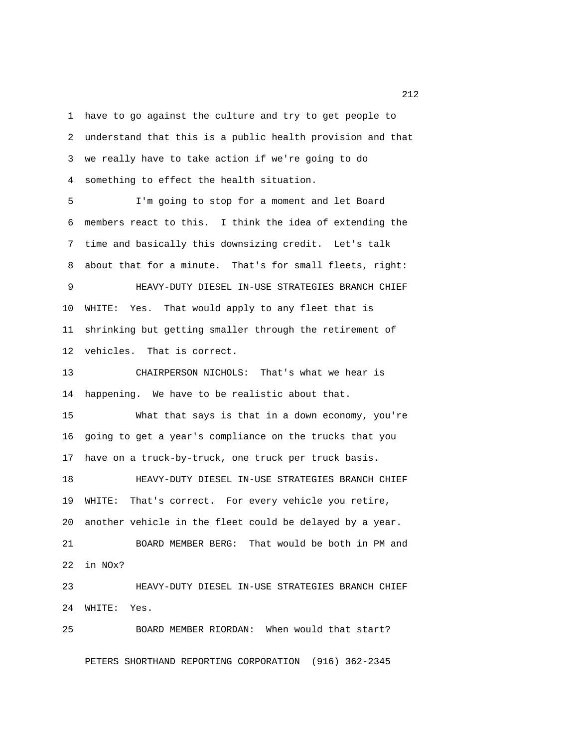1 have to go against the culture and try to get people to 2 understand that this is a public health provision and that 3 we really have to take action if we're going to do 4 something to effect the health situation.

 5 I'm going to stop for a moment and let Board 6 members react to this. I think the idea of extending the 7 time and basically this downsizing credit. Let's talk 8 about that for a minute. That's for small fleets, right: 9 HEAVY-DUTY DIESEL IN-USE STRATEGIES BRANCH CHIEF 10 WHITE: Yes. That would apply to any fleet that is 11 shrinking but getting smaller through the retirement of 12 vehicles. That is correct.

13 CHAIRPERSON NICHOLS: That's what we hear is 14 happening. We have to be realistic about that.

15 What that says is that in a down economy, you're 16 going to get a year's compliance on the trucks that you 17 have on a truck-by-truck, one truck per truck basis.

18 HEAVY-DUTY DIESEL IN-USE STRATEGIES BRANCH CHIEF 19 WHITE: That's correct. For every vehicle you retire, 20 another vehicle in the fleet could be delayed by a year. 21 BOARD MEMBER BERG: That would be both in PM and

22 in NOx?

23 HEAVY-DUTY DIESEL IN-USE STRATEGIES BRANCH CHIEF 24 WHITE: Yes.

PETERS SHORTHAND REPORTING CORPORATION (916) 362-2345

25 BOARD MEMBER RIORDAN: When would that start?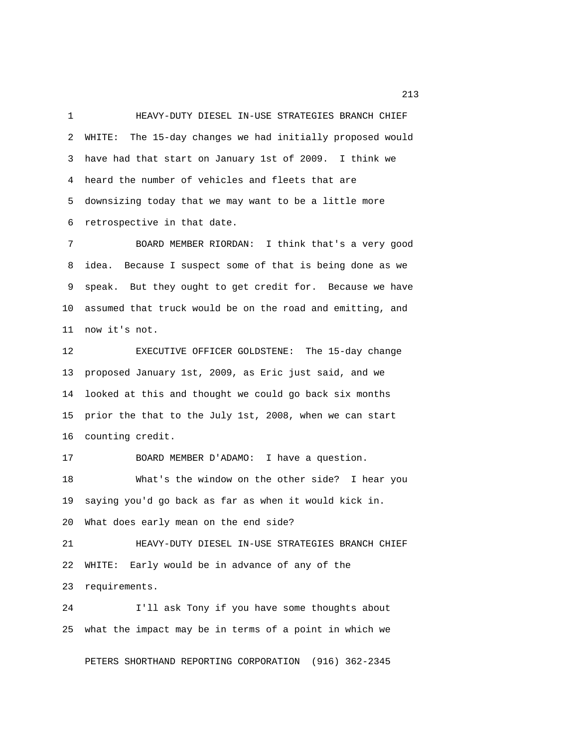1 HEAVY-DUTY DIESEL IN-USE STRATEGIES BRANCH CHIEF 2 WHITE: The 15-day changes we had initially proposed would 3 have had that start on January 1st of 2009. I think we 4 heard the number of vehicles and fleets that are 5 downsizing today that we may want to be a little more 6 retrospective in that date.

 7 BOARD MEMBER RIORDAN: I think that's a very good 8 idea. Because I suspect some of that is being done as we 9 speak. But they ought to get credit for. Because we have 10 assumed that truck would be on the road and emitting, and 11 now it's not.

12 EXECUTIVE OFFICER GOLDSTENE: The 15-day change 13 proposed January 1st, 2009, as Eric just said, and we 14 looked at this and thought we could go back six months 15 prior the that to the July 1st, 2008, when we can start 16 counting credit.

17 BOARD MEMBER D'ADAMO: I have a question. 18 What's the window on the other side? I hear you 19 saying you'd go back as far as when it would kick in. 20 What does early mean on the end side?

21 HEAVY-DUTY DIESEL IN-USE STRATEGIES BRANCH CHIEF 22 WHITE: Early would be in advance of any of the 23 requirements.

24 I'll ask Tony if you have some thoughts about 25 what the impact may be in terms of a point in which we

PETERS SHORTHAND REPORTING CORPORATION (916) 362-2345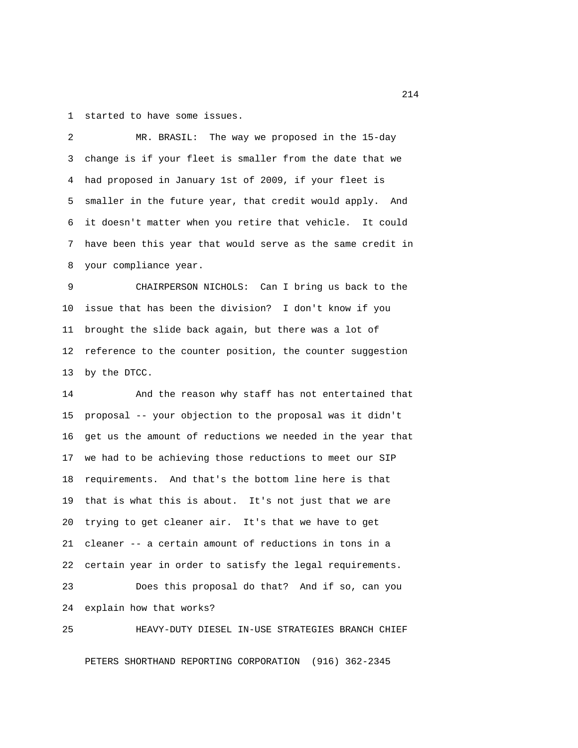1 started to have some issues.

 2 MR. BRASIL: The way we proposed in the 15-day 3 change is if your fleet is smaller from the date that we 4 had proposed in January 1st of 2009, if your fleet is 5 smaller in the future year, that credit would apply. And 6 it doesn't matter when you retire that vehicle. It could 7 have been this year that would serve as the same credit in 8 your compliance year.

 9 CHAIRPERSON NICHOLS: Can I bring us back to the 10 issue that has been the division? I don't know if you 11 brought the slide back again, but there was a lot of 12 reference to the counter position, the counter suggestion 13 by the DTCC.

14 And the reason why staff has not entertained that 15 proposal -- your objection to the proposal was it didn't 16 get us the amount of reductions we needed in the year that 17 we had to be achieving those reductions to meet our SIP 18 requirements. And that's the bottom line here is that 19 that is what this is about. It's not just that we are 20 trying to get cleaner air. It's that we have to get 21 cleaner -- a certain amount of reductions in tons in a 22 certain year in order to satisfy the legal requirements.

23 Does this proposal do that? And if so, can you 24 explain how that works?

25 HEAVY-DUTY DIESEL IN-USE STRATEGIES BRANCH CHIEF PETERS SHORTHAND REPORTING CORPORATION (916) 362-2345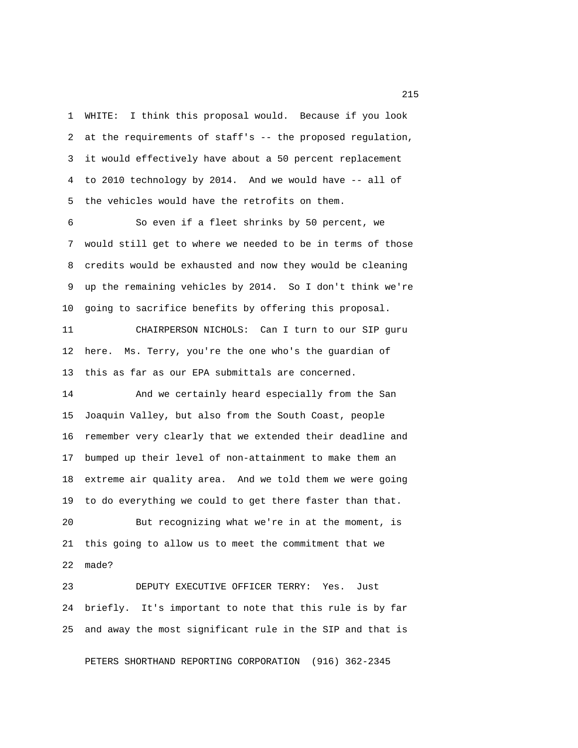1 WHITE: I think this proposal would. Because if you look 2 at the requirements of staff's -- the proposed regulation, 3 it would effectively have about a 50 percent replacement 4 to 2010 technology by 2014. And we would have -- all of 5 the vehicles would have the retrofits on them.

 6 So even if a fleet shrinks by 50 percent, we 7 would still get to where we needed to be in terms of those 8 credits would be exhausted and now they would be cleaning 9 up the remaining vehicles by 2014. So I don't think we're 10 going to sacrifice benefits by offering this proposal.

11 CHAIRPERSON NICHOLS: Can I turn to our SIP guru 12 here. Ms. Terry, you're the one who's the guardian of 13 this as far as our EPA submittals are concerned.

14 And we certainly heard especially from the San 15 Joaquin Valley, but also from the South Coast, people 16 remember very clearly that we extended their deadline and 17 bumped up their level of non-attainment to make them an 18 extreme air quality area. And we told them we were going 19 to do everything we could to get there faster than that.

20 But recognizing what we're in at the moment, is 21 this going to allow us to meet the commitment that we 22 made?

23 DEPUTY EXECUTIVE OFFICER TERRY: Yes. Just 24 briefly. It's important to note that this rule is by far 25 and away the most significant rule in the SIP and that is

PETERS SHORTHAND REPORTING CORPORATION (916) 362-2345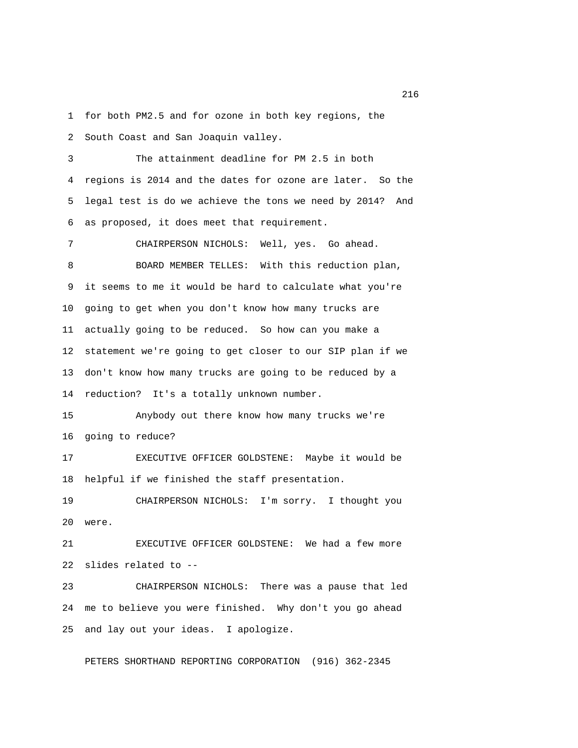1 for both PM2.5 and for ozone in both key regions, the

2 South Coast and San Joaquin valley.

 3 The attainment deadline for PM 2.5 in both 4 regions is 2014 and the dates for ozone are later. So the 5 legal test is do we achieve the tons we need by 2014? And 6 as proposed, it does meet that requirement.

 7 CHAIRPERSON NICHOLS: Well, yes. Go ahead. 8 BOARD MEMBER TELLES: With this reduction plan, 9 it seems to me it would be hard to calculate what you're 10 going to get when you don't know how many trucks are 11 actually going to be reduced. So how can you make a 12 statement we're going to get closer to our SIP plan if we 13 don't know how many trucks are going to be reduced by a 14 reduction? It's a totally unknown number.

15 Anybody out there know how many trucks we're 16 going to reduce?

17 EXECUTIVE OFFICER GOLDSTENE: Maybe it would be 18 helpful if we finished the staff presentation.

19 CHAIRPERSON NICHOLS: I'm sorry. I thought you 20 were.

21 EXECUTIVE OFFICER GOLDSTENE: We had a few more 22 slides related to --

23 CHAIRPERSON NICHOLS: There was a pause that led 24 me to believe you were finished. Why don't you go ahead 25 and lay out your ideas. I apologize.

PETERS SHORTHAND REPORTING CORPORATION (916) 362-2345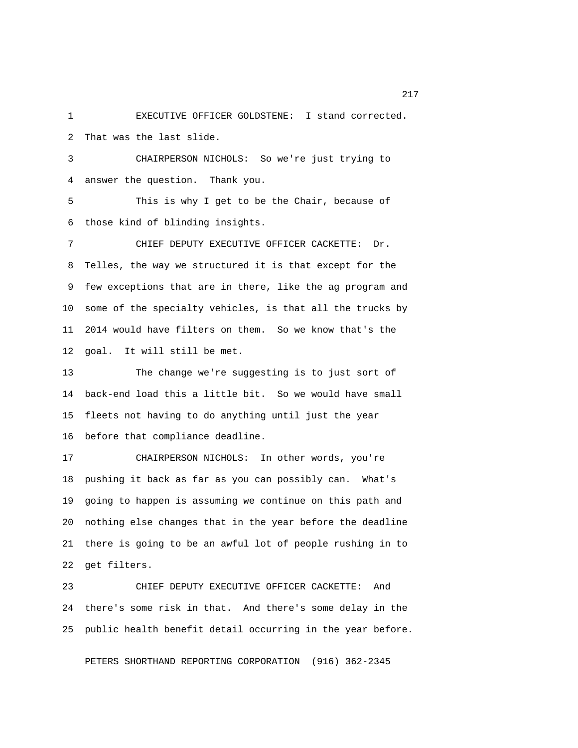1 EXECUTIVE OFFICER GOLDSTENE: I stand corrected. 2 That was the last slide.

 3 CHAIRPERSON NICHOLS: So we're just trying to 4 answer the question. Thank you.

 5 This is why I get to be the Chair, because of 6 those kind of blinding insights.

 7 CHIEF DEPUTY EXECUTIVE OFFICER CACKETTE: Dr. 8 Telles, the way we structured it is that except for the 9 few exceptions that are in there, like the ag program and 10 some of the specialty vehicles, is that all the trucks by 11 2014 would have filters on them. So we know that's the 12 goal. It will still be met.

13 The change we're suggesting is to just sort of 14 back-end load this a little bit. So we would have small 15 fleets not having to do anything until just the year 16 before that compliance deadline.

17 CHAIRPERSON NICHOLS: In other words, you're 18 pushing it back as far as you can possibly can. What's 19 going to happen is assuming we continue on this path and 20 nothing else changes that in the year before the deadline 21 there is going to be an awful lot of people rushing in to 22 get filters.

23 CHIEF DEPUTY EXECUTIVE OFFICER CACKETTE: And 24 there's some risk in that. And there's some delay in the 25 public health benefit detail occurring in the year before.

PETERS SHORTHAND REPORTING CORPORATION (916) 362-2345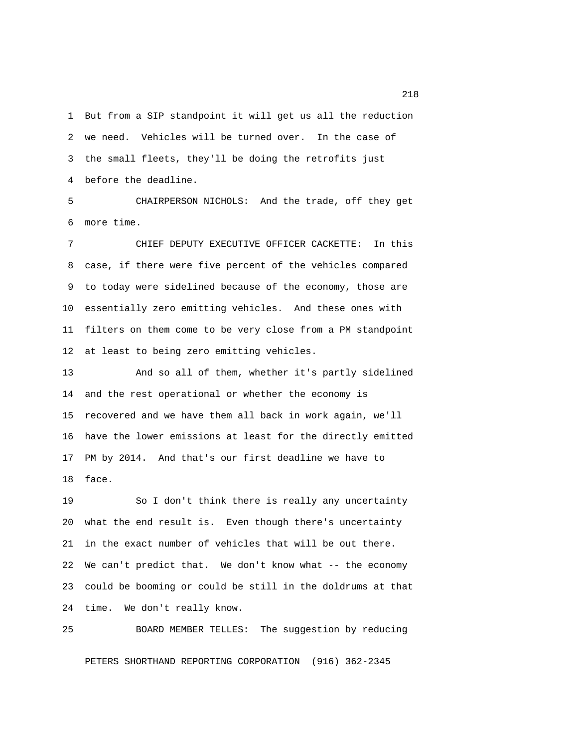1 But from a SIP standpoint it will get us all the reduction 2 we need. Vehicles will be turned over. In the case of 3 the small fleets, they'll be doing the retrofits just 4 before the deadline.

 5 CHAIRPERSON NICHOLS: And the trade, off they get 6 more time.

 7 CHIEF DEPUTY EXECUTIVE OFFICER CACKETTE: In this 8 case, if there were five percent of the vehicles compared 9 to today were sidelined because of the economy, those are 10 essentially zero emitting vehicles. And these ones with 11 filters on them come to be very close from a PM standpoint 12 at least to being zero emitting vehicles.

13 And so all of them, whether it's partly sidelined 14 and the rest operational or whether the economy is 15 recovered and we have them all back in work again, we'll 16 have the lower emissions at least for the directly emitted 17 PM by 2014. And that's our first deadline we have to 18 face.

19 So I don't think there is really any uncertainty 20 what the end result is. Even though there's uncertainty 21 in the exact number of vehicles that will be out there. 22 We can't predict that. We don't know what -- the economy 23 could be booming or could be still in the doldrums at that 24 time. We don't really know.

25 BOARD MEMBER TELLES: The suggestion by reducing PETERS SHORTHAND REPORTING CORPORATION (916) 362-2345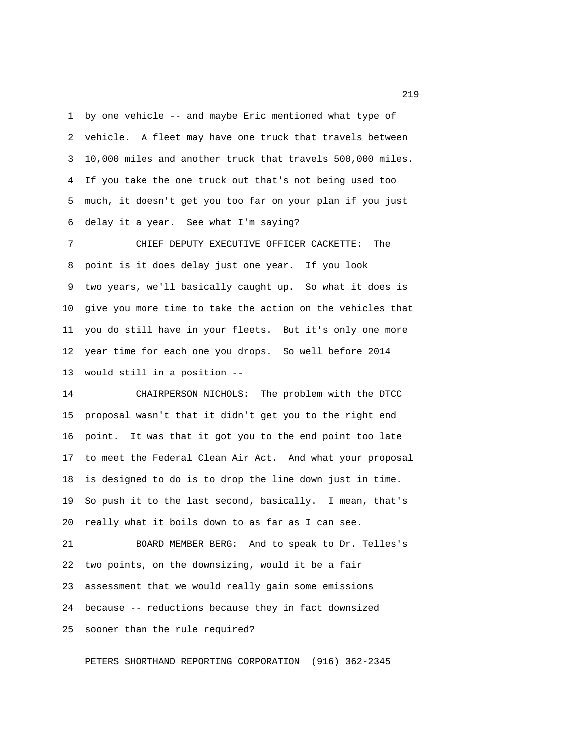1 by one vehicle -- and maybe Eric mentioned what type of 2 vehicle. A fleet may have one truck that travels between 3 10,000 miles and another truck that travels 500,000 miles. 4 If you take the one truck out that's not being used too 5 much, it doesn't get you too far on your plan if you just 6 delay it a year. See what I'm saying?

 7 CHIEF DEPUTY EXECUTIVE OFFICER CACKETTE: The 8 point is it does delay just one year. If you look 9 two years, we'll basically caught up. So what it does is 10 give you more time to take the action on the vehicles that 11 you do still have in your fleets. But it's only one more 12 year time for each one you drops. So well before 2014 13 would still in a position --

14 CHAIRPERSON NICHOLS: The problem with the DTCC 15 proposal wasn't that it didn't get you to the right end 16 point. It was that it got you to the end point too late 17 to meet the Federal Clean Air Act. And what your proposal 18 is designed to do is to drop the line down just in time. 19 So push it to the last second, basically. I mean, that's 20 really what it boils down to as far as I can see.

21 BOARD MEMBER BERG: And to speak to Dr. Telles's 22 two points, on the downsizing, would it be a fair 23 assessment that we would really gain some emissions 24 because -- reductions because they in fact downsized 25 sooner than the rule required?

PETERS SHORTHAND REPORTING CORPORATION (916) 362-2345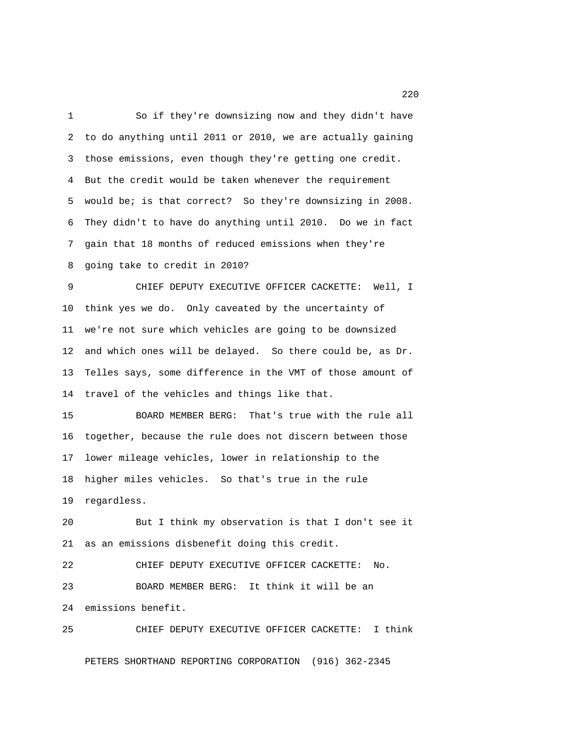1 So if they're downsizing now and they didn't have 2 to do anything until 2011 or 2010, we are actually gaining 3 those emissions, even though they're getting one credit. 4 But the credit would be taken whenever the requirement 5 would be; is that correct? So they're downsizing in 2008. 6 They didn't to have do anything until 2010. Do we in fact 7 gain that 18 months of reduced emissions when they're 8 going take to credit in 2010? 9 CHIEF DEPUTY EXECUTIVE OFFICER CACKETTE: Well, I 10 think yes we do. Only caveated by the uncertainty of 11 we're not sure which vehicles are going to be downsized 12 and which ones will be delayed. So there could be, as Dr. 13 Telles says, some difference in the VMT of those amount of 14 travel of the vehicles and things like that. 15 BOARD MEMBER BERG: That's true with the rule all 16 together, because the rule does not discern between those 17 lower mileage vehicles, lower in relationship to the 18 higher miles vehicles. So that's true in the rule 19 regardless. 20 But I think my observation is that I don't see it 21 as an emissions disbenefit doing this credit. 22 CHIEF DEPUTY EXECUTIVE OFFICER CACKETTE: No. 23 BOARD MEMBER BERG: It think it will be an 24 emissions benefit. 25 CHIEF DEPUTY EXECUTIVE OFFICER CACKETTE: I think

PETERS SHORTHAND REPORTING CORPORATION (916) 362-2345

220 and 220 and 220 and 220 and 220 and 220 and 220 and 220 and 220 and 220 and 220 and 220 and 220 and 220 and 220 and 220 and 220 and 220 and 220 and 220 and 220 and 220 and 220 and 220 and 220 and 220 and 220 and 220 an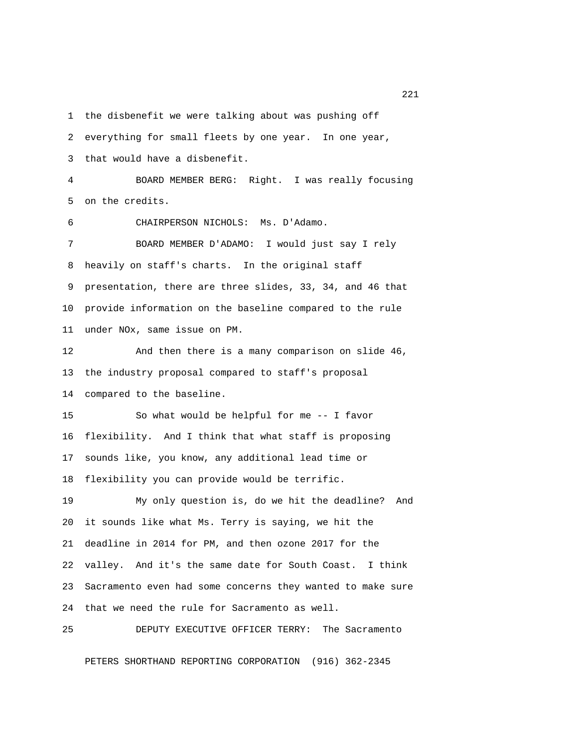1 the disbenefit we were talking about was pushing off 2 everything for small fleets by one year. In one year, 3 that would have a disbenefit. 4 BOARD MEMBER BERG: Right. I was really focusing 5 on the credits. 6 CHAIRPERSON NICHOLS: Ms. D'Adamo. 7 BOARD MEMBER D'ADAMO: I would just say I rely 8 heavily on staff's charts. In the original staff 9 presentation, there are three slides, 33, 34, and 46 that 10 provide information on the baseline compared to the rule 11 under NOx, same issue on PM. 12 And then there is a many comparison on slide 46, 13 the industry proposal compared to staff's proposal 14 compared to the baseline. 15 So what would be helpful for me -- I favor 16 flexibility. And I think that what staff is proposing 17 sounds like, you know, any additional lead time or 18 flexibility you can provide would be terrific. 19 My only question is, do we hit the deadline? And 20 it sounds like what Ms. Terry is saying, we hit the 21 deadline in 2014 for PM, and then ozone 2017 for the 22 valley. And it's the same date for South Coast. I think 23 Sacramento even had some concerns they wanted to make sure 24 that we need the rule for Sacramento as well. 25 DEPUTY EXECUTIVE OFFICER TERRY: The Sacramento

PETERS SHORTHAND REPORTING CORPORATION (916) 362-2345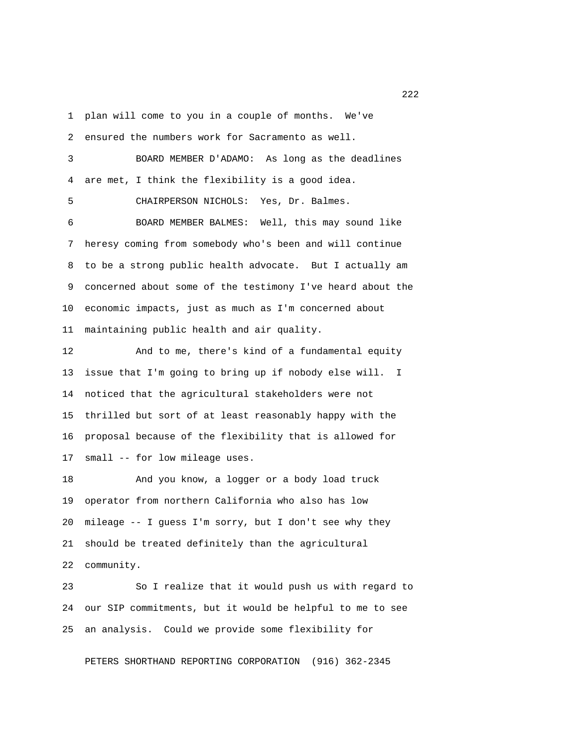1 plan will come to you in a couple of months. We've

2 ensured the numbers work for Sacramento as well.

 3 BOARD MEMBER D'ADAMO: As long as the deadlines 4 are met, I think the flexibility is a good idea. 5 CHAIRPERSON NICHOLS: Yes, Dr. Balmes. 6 BOARD MEMBER BALMES: Well, this may sound like 7 heresy coming from somebody who's been and will continue 8 to be a strong public health advocate. But I actually am 9 concerned about some of the testimony I've heard about the 10 economic impacts, just as much as I'm concerned about

11 maintaining public health and air quality.

12 And to me, there's kind of a fundamental equity 13 issue that I'm going to bring up if nobody else will. I 14 noticed that the agricultural stakeholders were not 15 thrilled but sort of at least reasonably happy with the 16 proposal because of the flexibility that is allowed for 17 small -- for low mileage uses.

18 And you know, a logger or a body load truck 19 operator from northern California who also has low 20 mileage -- I guess I'm sorry, but I don't see why they 21 should be treated definitely than the agricultural 22 community.

23 So I realize that it would push us with regard to 24 our SIP commitments, but it would be helpful to me to see 25 an analysis. Could we provide some flexibility for

PETERS SHORTHAND REPORTING CORPORATION (916) 362-2345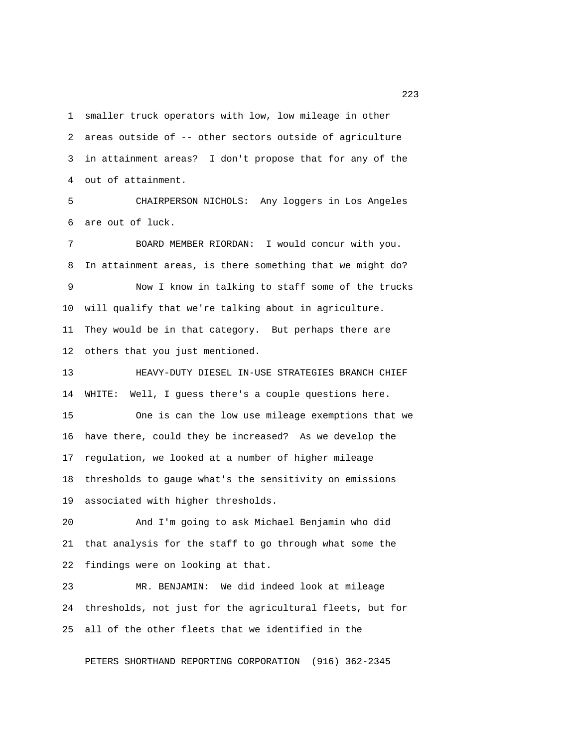1 smaller truck operators with low, low mileage in other 2 areas outside of -- other sectors outside of agriculture 3 in attainment areas? I don't propose that for any of the 4 out of attainment.

 5 CHAIRPERSON NICHOLS: Any loggers in Los Angeles 6 are out of luck.

 7 BOARD MEMBER RIORDAN: I would concur with you. 8 In attainment areas, is there something that we might do? 9 Now I know in talking to staff some of the trucks 10 will qualify that we're talking about in agriculture. 11 They would be in that category. But perhaps there are 12 others that you just mentioned.

13 HEAVY-DUTY DIESEL IN-USE STRATEGIES BRANCH CHIEF 14 WHITE: Well, I guess there's a couple questions here.

15 One is can the low use mileage exemptions that we 16 have there, could they be increased? As we develop the 17 regulation, we looked at a number of higher mileage 18 thresholds to gauge what's the sensitivity on emissions 19 associated with higher thresholds.

20 And I'm going to ask Michael Benjamin who did 21 that analysis for the staff to go through what some the 22 findings were on looking at that.

23 MR. BENJAMIN: We did indeed look at mileage 24 thresholds, not just for the agricultural fleets, but for 25 all of the other fleets that we identified in the

PETERS SHORTHAND REPORTING CORPORATION (916) 362-2345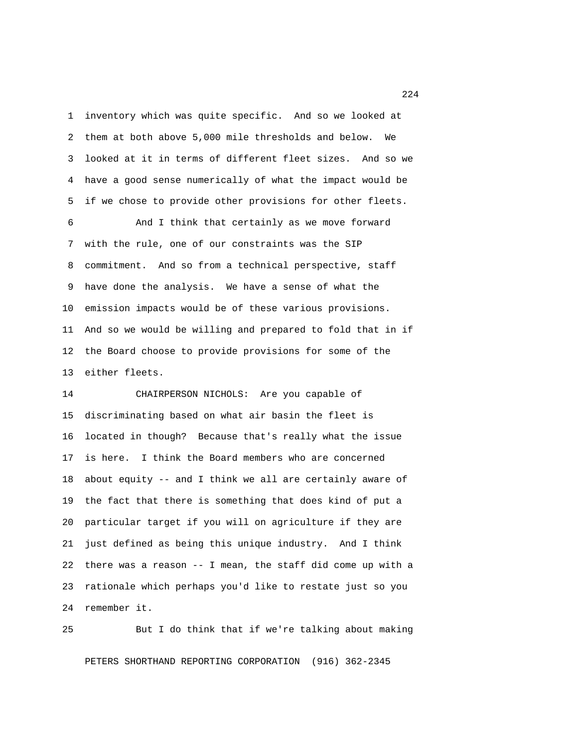1 inventory which was quite specific. And so we looked at 2 them at both above 5,000 mile thresholds and below. We 3 looked at it in terms of different fleet sizes. And so we 4 have a good sense numerically of what the impact would be 5 if we chose to provide other provisions for other fleets.

 6 And I think that certainly as we move forward 7 with the rule, one of our constraints was the SIP 8 commitment. And so from a technical perspective, staff 9 have done the analysis. We have a sense of what the 10 emission impacts would be of these various provisions. 11 And so we would be willing and prepared to fold that in if 12 the Board choose to provide provisions for some of the 13 either fleets.

14 CHAIRPERSON NICHOLS: Are you capable of 15 discriminating based on what air basin the fleet is 16 located in though? Because that's really what the issue 17 is here. I think the Board members who are concerned 18 about equity -- and I think we all are certainly aware of 19 the fact that there is something that does kind of put a 20 particular target if you will on agriculture if they are 21 just defined as being this unique industry. And I think 22 there was a reason -- I mean, the staff did come up with a 23 rationale which perhaps you'd like to restate just so you 24 remember it.

25 But I do think that if we're talking about making

PETERS SHORTHAND REPORTING CORPORATION (916) 362-2345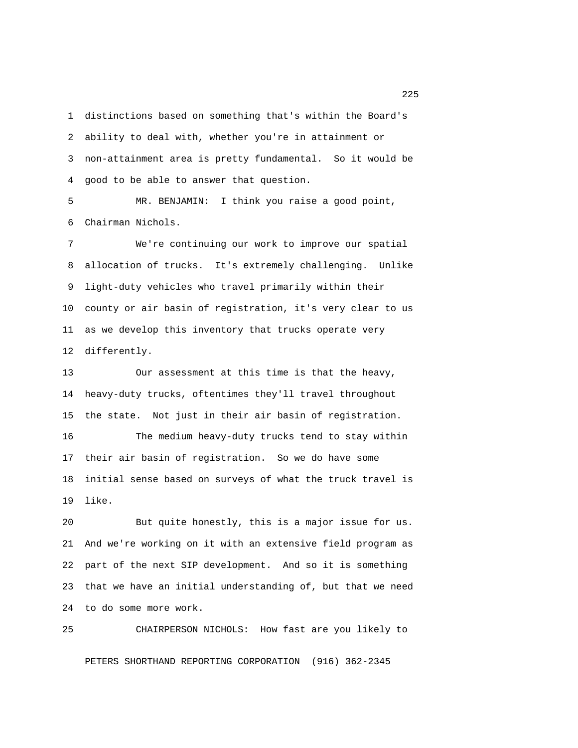1 distinctions based on something that's within the Board's 2 ability to deal with, whether you're in attainment or 3 non-attainment area is pretty fundamental. So it would be 4 good to be able to answer that question.

 5 MR. BENJAMIN: I think you raise a good point, 6 Chairman Nichols.

 7 We're continuing our work to improve our spatial 8 allocation of trucks. It's extremely challenging. Unlike 9 light-duty vehicles who travel primarily within their 10 county or air basin of registration, it's very clear to us 11 as we develop this inventory that trucks operate very 12 differently.

13 Our assessment at this time is that the heavy, 14 heavy-duty trucks, oftentimes they'll travel throughout 15 the state. Not just in their air basin of registration. 16 The medium heavy-duty trucks tend to stay within 17 their air basin of registration. So we do have some 18 initial sense based on surveys of what the truck travel is 19 like.

20 But quite honestly, this is a major issue for us. 21 And we're working on it with an extensive field program as 22 part of the next SIP development. And so it is something 23 that we have an initial understanding of, but that we need 24 to do some more work.

25 CHAIRPERSON NICHOLS: How fast are you likely to PETERS SHORTHAND REPORTING CORPORATION (916) 362-2345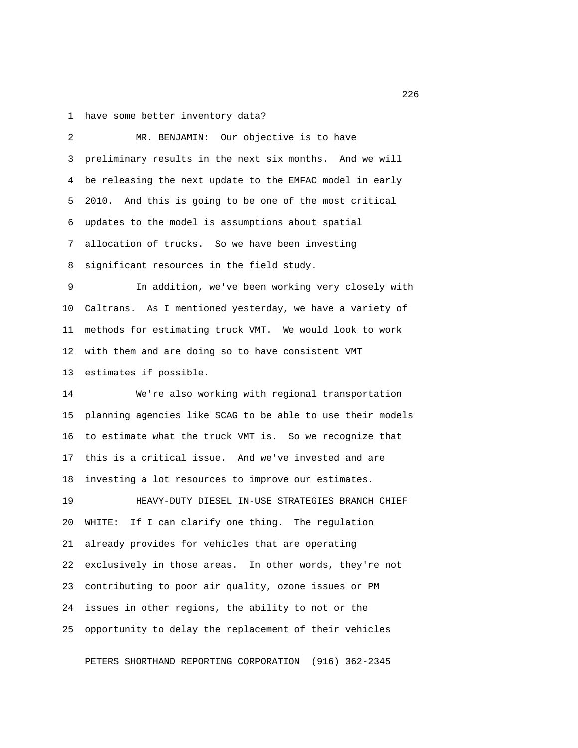1 have some better inventory data?

 2 MR. BENJAMIN: Our objective is to have 3 preliminary results in the next six months. And we will 4 be releasing the next update to the EMFAC model in early 5 2010. And this is going to be one of the most critical 6 updates to the model is assumptions about spatial 7 allocation of trucks. So we have been investing 8 significant resources in the field study. 9 In addition, we've been working very closely with 10 Caltrans. As I mentioned yesterday, we have a variety of 11 methods for estimating truck VMT. We would look to work 12 with them and are doing so to have consistent VMT 13 estimates if possible. 14 We're also working with regional transportation 15 planning agencies like SCAG to be able to use their models 16 to estimate what the truck VMT is. So we recognize that 17 this is a critical issue. And we've invested and are 18 investing a lot resources to improve our estimates. 19 HEAVY-DUTY DIESEL IN-USE STRATEGIES BRANCH CHIEF 20 WHITE: If I can clarify one thing. The regulation 21 already provides for vehicles that are operating 22 exclusively in those areas. In other words, they're not 23 contributing to poor air quality, ozone issues or PM 24 issues in other regions, the ability to not or the 25 opportunity to delay the replacement of their vehicles

PETERS SHORTHAND REPORTING CORPORATION (916) 362-2345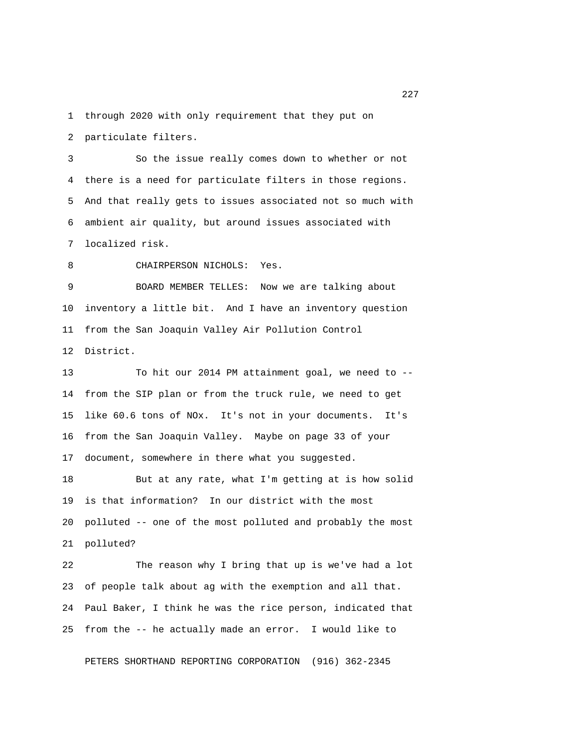1 through 2020 with only requirement that they put on

2 particulate filters.

 3 So the issue really comes down to whether or not 4 there is a need for particulate filters in those regions. 5 And that really gets to issues associated not so much with 6 ambient air quality, but around issues associated with 7 localized risk.

8 CHAIRPERSON NICHOLS: Yes.

 9 BOARD MEMBER TELLES: Now we are talking about 10 inventory a little bit. And I have an inventory question 11 from the San Joaquin Valley Air Pollution Control 12 District.

13 To hit our 2014 PM attainment goal, we need to -- 14 from the SIP plan or from the truck rule, we need to get 15 like 60.6 tons of NOx. It's not in your documents. It's 16 from the San Joaquin Valley. Maybe on page 33 of your 17 document, somewhere in there what you suggested.

18 But at any rate, what I'm getting at is how solid 19 is that information? In our district with the most 20 polluted -- one of the most polluted and probably the most 21 polluted?

22 The reason why I bring that up is we've had a lot 23 of people talk about ag with the exemption and all that. 24 Paul Baker, I think he was the rice person, indicated that 25 from the -- he actually made an error. I would like to

PETERS SHORTHAND REPORTING CORPORATION (916) 362-2345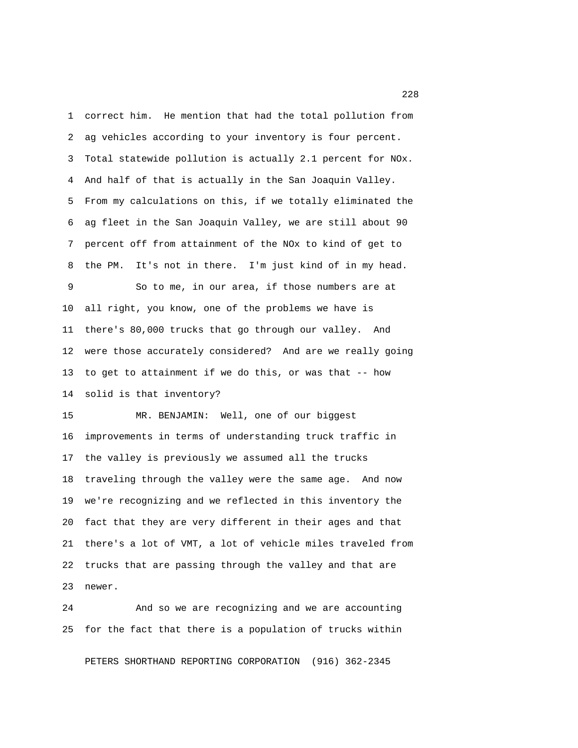1 correct him. He mention that had the total pollution from 2 ag vehicles according to your inventory is four percent. 3 Total statewide pollution is actually 2.1 percent for NOx. 4 And half of that is actually in the San Joaquin Valley. 5 From my calculations on this, if we totally eliminated the 6 ag fleet in the San Joaquin Valley, we are still about 90 7 percent off from attainment of the NOx to kind of get to 8 the PM. It's not in there. I'm just kind of in my head.

 9 So to me, in our area, if those numbers are at 10 all right, you know, one of the problems we have is 11 there's 80,000 trucks that go through our valley. And 12 were those accurately considered? And are we really going 13 to get to attainment if we do this, or was that -- how 14 solid is that inventory?

15 MR. BENJAMIN: Well, one of our biggest 16 improvements in terms of understanding truck traffic in 17 the valley is previously we assumed all the trucks 18 traveling through the valley were the same age. And now 19 we're recognizing and we reflected in this inventory the 20 fact that they are very different in their ages and that 21 there's a lot of VMT, a lot of vehicle miles traveled from 22 trucks that are passing through the valley and that are 23 newer.

24 And so we are recognizing and we are accounting 25 for the fact that there is a population of trucks within

PETERS SHORTHAND REPORTING CORPORATION (916) 362-2345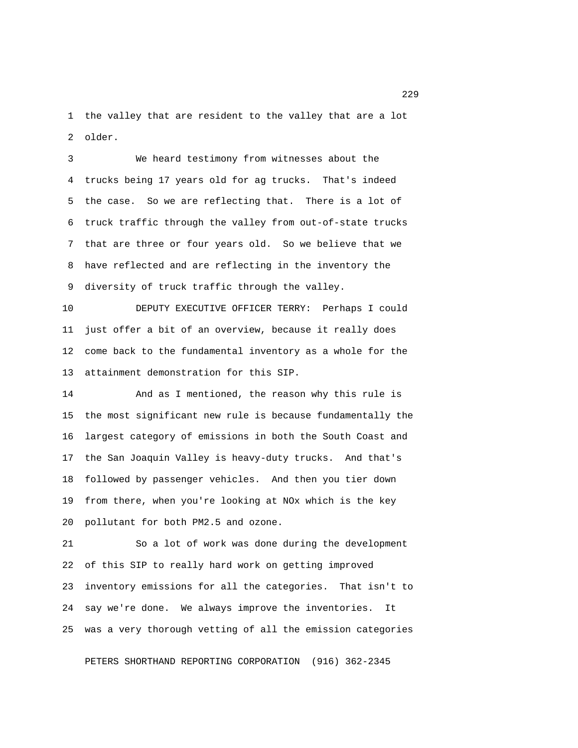1 the valley that are resident to the valley that are a lot 2 older.

 3 We heard testimony from witnesses about the 4 trucks being 17 years old for ag trucks. That's indeed 5 the case. So we are reflecting that. There is a lot of 6 truck traffic through the valley from out-of-state trucks 7 that are three or four years old. So we believe that we 8 have reflected and are reflecting in the inventory the 9 diversity of truck traffic through the valley.

10 DEPUTY EXECUTIVE OFFICER TERRY: Perhaps I could 11 just offer a bit of an overview, because it really does 12 come back to the fundamental inventory as a whole for the 13 attainment demonstration for this SIP.

14 And as I mentioned, the reason why this rule is 15 the most significant new rule is because fundamentally the 16 largest category of emissions in both the South Coast and 17 the San Joaquin Valley is heavy-duty trucks. And that's 18 followed by passenger vehicles. And then you tier down 19 from there, when you're looking at NOx which is the key 20 pollutant for both PM2.5 and ozone.

21 So a lot of work was done during the development 22 of this SIP to really hard work on getting improved 23 inventory emissions for all the categories. That isn't to 24 say we're done. We always improve the inventories. It 25 was a very thorough vetting of all the emission categories

PETERS SHORTHAND REPORTING CORPORATION (916) 362-2345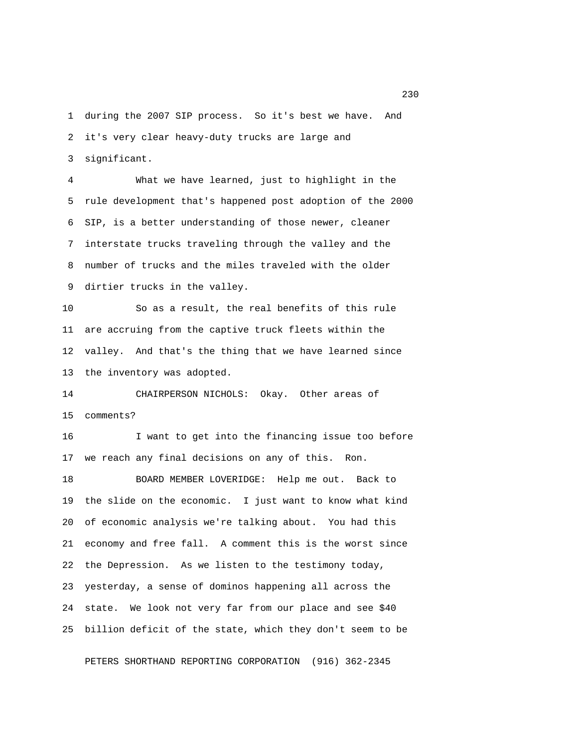1 during the 2007 SIP process. So it's best we have. And 2 it's very clear heavy-duty trucks are large and 3 significant.

 4 What we have learned, just to highlight in the 5 rule development that's happened post adoption of the 2000 6 SIP, is a better understanding of those newer, cleaner 7 interstate trucks traveling through the valley and the 8 number of trucks and the miles traveled with the older 9 dirtier trucks in the valley.

10 So as a result, the real benefits of this rule 11 are accruing from the captive truck fleets within the 12 valley. And that's the thing that we have learned since 13 the inventory was adopted.

14 CHAIRPERSON NICHOLS: Okay. Other areas of 15 comments?

16 I want to get into the financing issue too before 17 we reach any final decisions on any of this. Ron.

18 BOARD MEMBER LOVERIDGE: Help me out. Back to 19 the slide on the economic. I just want to know what kind 20 of economic analysis we're talking about. You had this 21 economy and free fall. A comment this is the worst since 22 the Depression. As we listen to the testimony today, 23 yesterday, a sense of dominos happening all across the 24 state. We look not very far from our place and see \$40 25 billion deficit of the state, which they don't seem to be

PETERS SHORTHAND REPORTING CORPORATION (916) 362-2345

230 and 230 and 230 and 230 and 230 and 230 and 230 and 230 and 230 and 230 and 230 and 230 and 230 and 230 and 230 and 230 and 230 and 240 and 250 and 250 and 250 and 250 and 250 and 250 and 250 and 250 and 250 and 250 an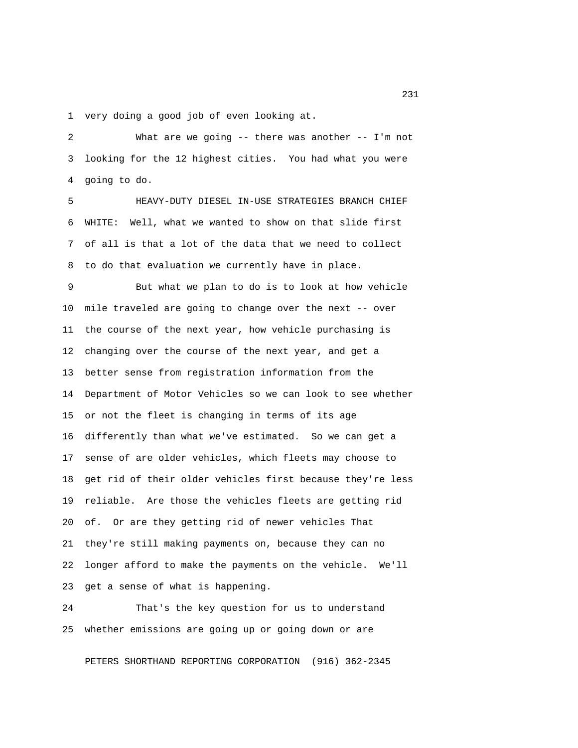1 very doing a good job of even looking at.

 2 What are we going -- there was another -- I'm not 3 looking for the 12 highest cities. You had what you were 4 going to do.

 5 HEAVY-DUTY DIESEL IN-USE STRATEGIES BRANCH CHIEF 6 WHITE: Well, what we wanted to show on that slide first 7 of all is that a lot of the data that we need to collect 8 to do that evaluation we currently have in place.

 9 But what we plan to do is to look at how vehicle 10 mile traveled are going to change over the next -- over 11 the course of the next year, how vehicle purchasing is 12 changing over the course of the next year, and get a 13 better sense from registration information from the 14 Department of Motor Vehicles so we can look to see whether 15 or not the fleet is changing in terms of its age 16 differently than what we've estimated. So we can get a 17 sense of are older vehicles, which fleets may choose to 18 get rid of their older vehicles first because they're less 19 reliable. Are those the vehicles fleets are getting rid 20 of. Or are they getting rid of newer vehicles That 21 they're still making payments on, because they can no 22 longer afford to make the payments on the vehicle. We'll 23 get a sense of what is happening.

24 That's the key question for us to understand 25 whether emissions are going up or going down or are

PETERS SHORTHAND REPORTING CORPORATION (916) 362-2345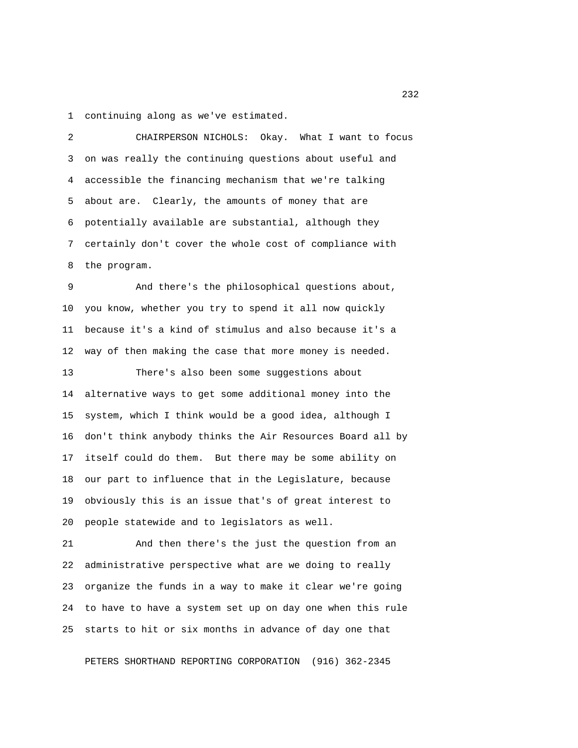1 continuing along as we've estimated.

 2 CHAIRPERSON NICHOLS: Okay. What I want to focus 3 on was really the continuing questions about useful and 4 accessible the financing mechanism that we're talking 5 about are. Clearly, the amounts of money that are 6 potentially available are substantial, although they 7 certainly don't cover the whole cost of compliance with 8 the program.

 9 And there's the philosophical questions about, 10 you know, whether you try to spend it all now quickly 11 because it's a kind of stimulus and also because it's a 12 way of then making the case that more money is needed.

13 There's also been some suggestions about 14 alternative ways to get some additional money into the 15 system, which I think would be a good idea, although I 16 don't think anybody thinks the Air Resources Board all by 17 itself could do them. But there may be some ability on 18 our part to influence that in the Legislature, because 19 obviously this is an issue that's of great interest to 20 people statewide and to legislators as well.

21 And then there's the just the question from an 22 administrative perspective what are we doing to really 23 organize the funds in a way to make it clear we're going 24 to have to have a system set up on day one when this rule 25 starts to hit or six months in advance of day one that

PETERS SHORTHAND REPORTING CORPORATION (916) 362-2345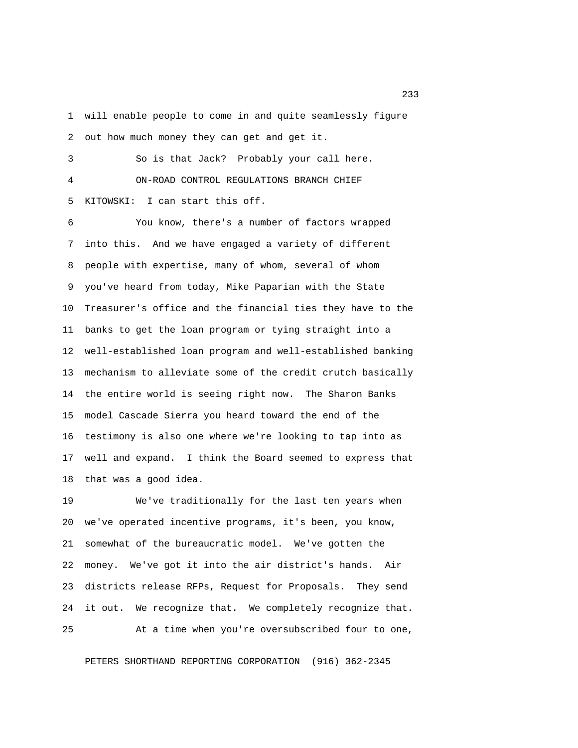1 will enable people to come in and quite seamlessly figure 2 out how much money they can get and get it.

 3 So is that Jack? Probably your call here. 4 ON-ROAD CONTROL REGULATIONS BRANCH CHIEF 5 KITOWSKI: I can start this off.

 6 You know, there's a number of factors wrapped 7 into this. And we have engaged a variety of different 8 people with expertise, many of whom, several of whom 9 you've heard from today, Mike Paparian with the State 10 Treasurer's office and the financial ties they have to the 11 banks to get the loan program or tying straight into a 12 well-established loan program and well-established banking 13 mechanism to alleviate some of the credit crutch basically 14 the entire world is seeing right now. The Sharon Banks 15 model Cascade Sierra you heard toward the end of the 16 testimony is also one where we're looking to tap into as 17 well and expand. I think the Board seemed to express that 18 that was a good idea.

19 We've traditionally for the last ten years when 20 we've operated incentive programs, it's been, you know, 21 somewhat of the bureaucratic model. We've gotten the 22 money. We've got it into the air district's hands. Air 23 districts release RFPs, Request for Proposals. They send 24 it out. We recognize that. We completely recognize that. 25 At a time when you're oversubscribed four to one,

PETERS SHORTHAND REPORTING CORPORATION (916) 362-2345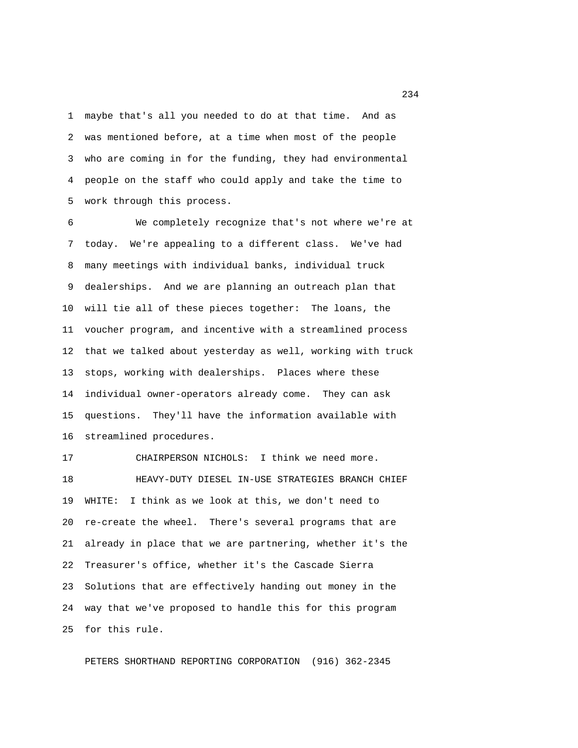1 maybe that's all you needed to do at that time. And as 2 was mentioned before, at a time when most of the people 3 who are coming in for the funding, they had environmental 4 people on the staff who could apply and take the time to 5 work through this process.

 6 We completely recognize that's not where we're at 7 today. We're appealing to a different class. We've had 8 many meetings with individual banks, individual truck 9 dealerships. And we are planning an outreach plan that 10 will tie all of these pieces together: The loans, the 11 voucher program, and incentive with a streamlined process 12 that we talked about yesterday as well, working with truck 13 stops, working with dealerships. Places where these 14 individual owner-operators already come. They can ask 15 questions. They'll have the information available with 16 streamlined procedures.

17 CHAIRPERSON NICHOLS: I think we need more. 18 HEAVY-DUTY DIESEL IN-USE STRATEGIES BRANCH CHIEF 19 WHITE: I think as we look at this, we don't need to 20 re-create the wheel. There's several programs that are 21 already in place that we are partnering, whether it's the 22 Treasurer's office, whether it's the Cascade Sierra 23 Solutions that are effectively handing out money in the 24 way that we've proposed to handle this for this program 25 for this rule.

PETERS SHORTHAND REPORTING CORPORATION (916) 362-2345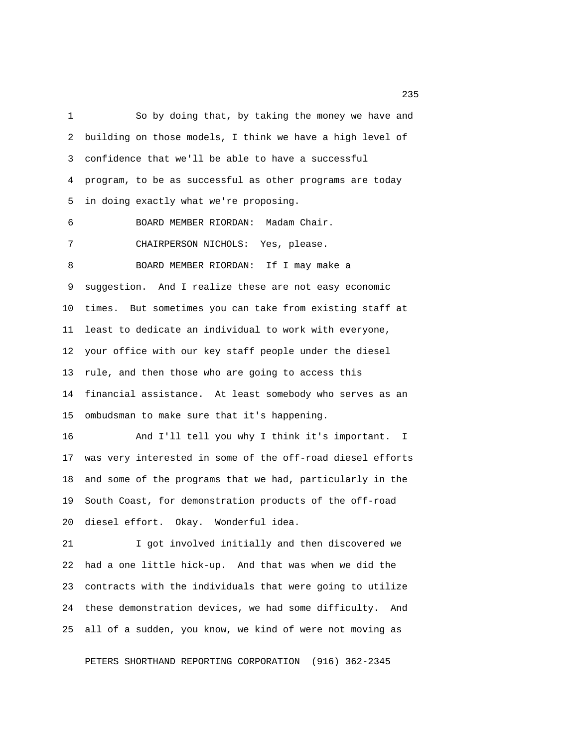1 So by doing that, by taking the money we have and 2 building on those models, I think we have a high level of 3 confidence that we'll be able to have a successful 4 program, to be as successful as other programs are today 5 in doing exactly what we're proposing.

6 BOARD MEMBER RIORDAN: Madam Chair.

7 CHAIRPERSON NICHOLS: Yes, please.

 8 BOARD MEMBER RIORDAN: If I may make a 9 suggestion. And I realize these are not easy economic 10 times. But sometimes you can take from existing staff at 11 least to dedicate an individual to work with everyone, 12 your office with our key staff people under the diesel 13 rule, and then those who are going to access this 14 financial assistance. At least somebody who serves as an 15 ombudsman to make sure that it's happening.

16 And I'll tell you why I think it's important. I 17 was very interested in some of the off-road diesel efforts 18 and some of the programs that we had, particularly in the 19 South Coast, for demonstration products of the off-road 20 diesel effort. Okay. Wonderful idea.

21 I got involved initially and then discovered we 22 had a one little hick-up. And that was when we did the 23 contracts with the individuals that were going to utilize 24 these demonstration devices, we had some difficulty. And 25 all of a sudden, you know, we kind of were not moving as

PETERS SHORTHAND REPORTING CORPORATION (916) 362-2345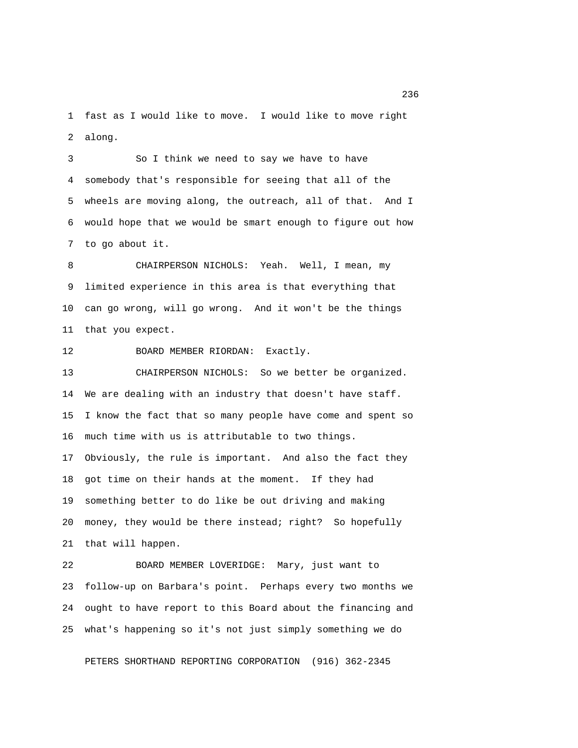1 fast as I would like to move. I would like to move right 2 along.

 3 So I think we need to say we have to have 4 somebody that's responsible for seeing that all of the 5 wheels are moving along, the outreach, all of that. And I 6 would hope that we would be smart enough to figure out how 7 to go about it.

 8 CHAIRPERSON NICHOLS: Yeah. Well, I mean, my 9 limited experience in this area is that everything that 10 can go wrong, will go wrong. And it won't be the things 11 that you expect.

12 BOARD MEMBER RIORDAN: Exactly.

13 CHAIRPERSON NICHOLS: So we better be organized. 14 We are dealing with an industry that doesn't have staff. 15 I know the fact that so many people have come and spent so 16 much time with us is attributable to two things. 17 Obviously, the rule is important. And also the fact they 18 got time on their hands at the moment. If they had 19 something better to do like be out driving and making 20 money, they would be there instead; right? So hopefully 21 that will happen.

22 BOARD MEMBER LOVERIDGE: Mary, just want to 23 follow-up on Barbara's point. Perhaps every two months we 24 ought to have report to this Board about the financing and 25 what's happening so it's not just simply something we do

PETERS SHORTHAND REPORTING CORPORATION (916) 362-2345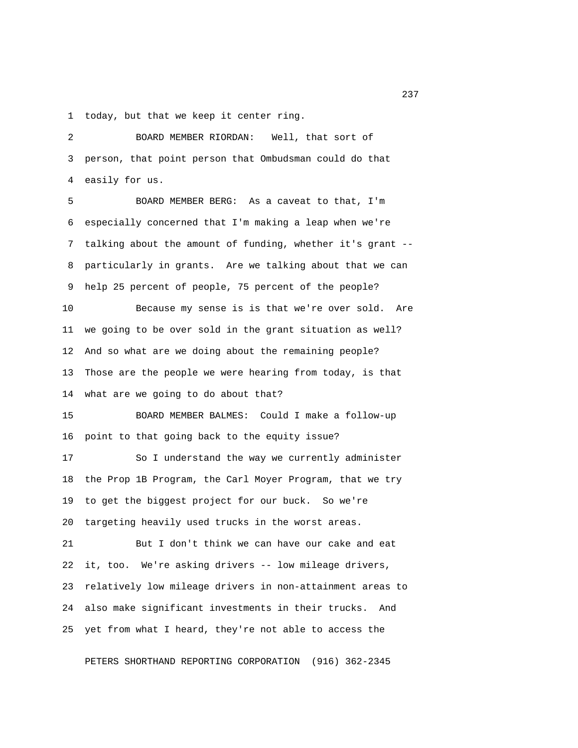1 today, but that we keep it center ring.

 2 BOARD MEMBER RIORDAN: Well, that sort of 3 person, that point person that Ombudsman could do that 4 easily for us.

 5 BOARD MEMBER BERG: As a caveat to that, I'm 6 especially concerned that I'm making a leap when we're 7 talking about the amount of funding, whether it's grant -- 8 particularly in grants. Are we talking about that we can 9 help 25 percent of people, 75 percent of the people? 10 Because my sense is is that we're over sold. Are 11 we going to be over sold in the grant situation as well?

13 Those are the people we were hearing from today, is that 14 what are we going to do about that?

12 And so what are we doing about the remaining people?

15 BOARD MEMBER BALMES: Could I make a follow-up 16 point to that going back to the equity issue?

17 So I understand the way we currently administer 18 the Prop 1B Program, the Carl Moyer Program, that we try 19 to get the biggest project for our buck. So we're 20 targeting heavily used trucks in the worst areas.

21 But I don't think we can have our cake and eat 22 it, too. We're asking drivers -- low mileage drivers, 23 relatively low mileage drivers in non-attainment areas to 24 also make significant investments in their trucks. And 25 yet from what I heard, they're not able to access the

PETERS SHORTHAND REPORTING CORPORATION (916) 362-2345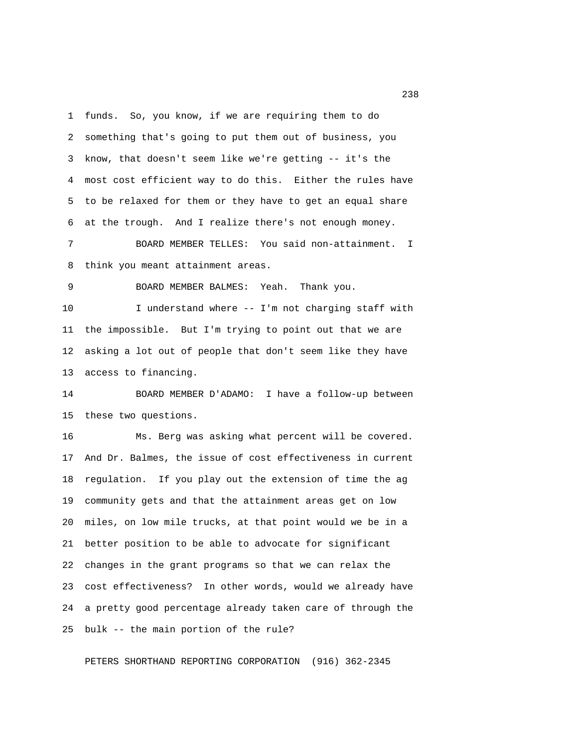1 funds. So, you know, if we are requiring them to do 2 something that's going to put them out of business, you 3 know, that doesn't seem like we're getting -- it's the 4 most cost efficient way to do this. Either the rules have 5 to be relaxed for them or they have to get an equal share 6 at the trough. And I realize there's not enough money.

 7 BOARD MEMBER TELLES: You said non-attainment. I 8 think you meant attainment areas.

9 BOARD MEMBER BALMES: Yeah. Thank you.

10 I understand where -- I'm not charging staff with 11 the impossible. But I'm trying to point out that we are 12 asking a lot out of people that don't seem like they have 13 access to financing.

14 BOARD MEMBER D'ADAMO: I have a follow-up between 15 these two questions.

16 Ms. Berg was asking what percent will be covered. 17 And Dr. Balmes, the issue of cost effectiveness in current 18 regulation. If you play out the extension of time the ag 19 community gets and that the attainment areas get on low 20 miles, on low mile trucks, at that point would we be in a 21 better position to be able to advocate for significant 22 changes in the grant programs so that we can relax the 23 cost effectiveness? In other words, would we already have 24 a pretty good percentage already taken care of through the 25 bulk -- the main portion of the rule?

PETERS SHORTHAND REPORTING CORPORATION (916) 362-2345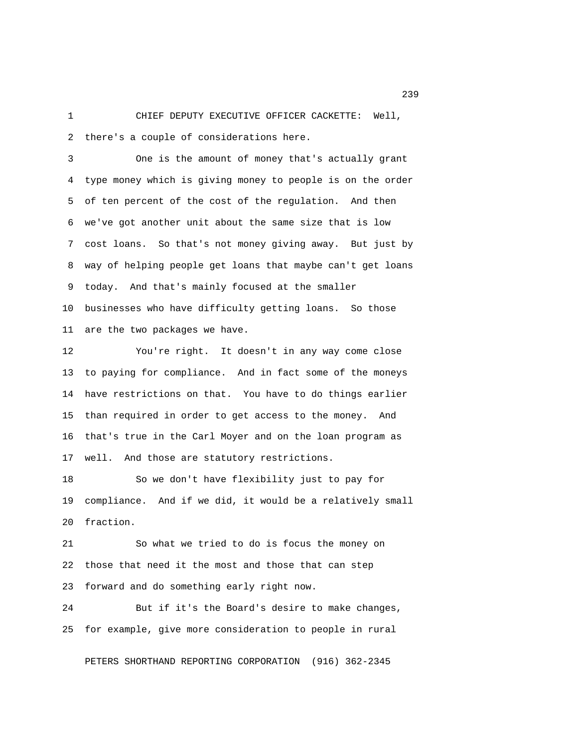1 CHIEF DEPUTY EXECUTIVE OFFICER CACKETTE: Well, 2 there's a couple of considerations here.

 3 One is the amount of money that's actually grant 4 type money which is giving money to people is on the order 5 of ten percent of the cost of the regulation. And then 6 we've got another unit about the same size that is low 7 cost loans. So that's not money giving away. But just by 8 way of helping people get loans that maybe can't get loans 9 today. And that's mainly focused at the smaller 10 businesses who have difficulty getting loans. So those 11 are the two packages we have.

12 You're right. It doesn't in any way come close 13 to paying for compliance. And in fact some of the moneys 14 have restrictions on that. You have to do things earlier 15 than required in order to get access to the money. And 16 that's true in the Carl Moyer and on the loan program as 17 well. And those are statutory restrictions.

18 So we don't have flexibility just to pay for 19 compliance. And if we did, it would be a relatively small 20 fraction.

21 So what we tried to do is focus the money on 22 those that need it the most and those that can step 23 forward and do something early right now.

24 But if it's the Board's desire to make changes, 25 for example, give more consideration to people in rural

PETERS SHORTHAND REPORTING CORPORATION (916) 362-2345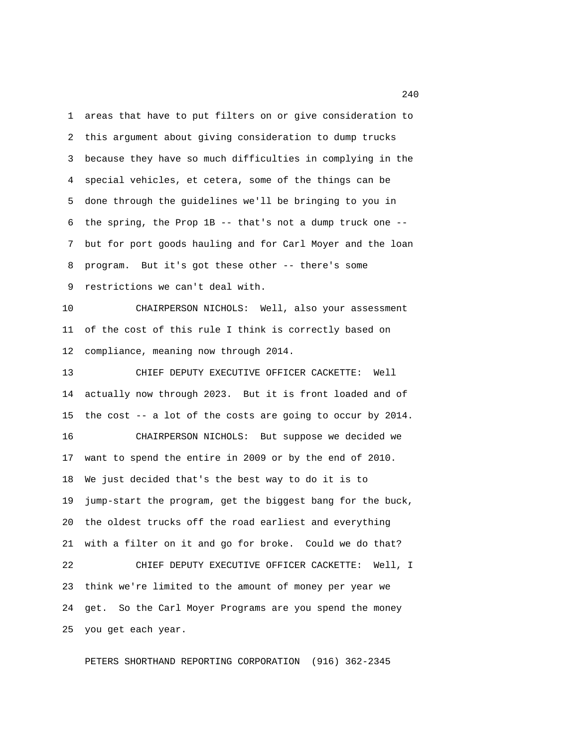1 areas that have to put filters on or give consideration to 2 this argument about giving consideration to dump trucks 3 because they have so much difficulties in complying in the 4 special vehicles, et cetera, some of the things can be 5 done through the guidelines we'll be bringing to you in 6 the spring, the Prop 1B -- that's not a dump truck one -- 7 but for port goods hauling and for Carl Moyer and the loan 8 program. But it's got these other -- there's some 9 restrictions we can't deal with.

10 CHAIRPERSON NICHOLS: Well, also your assessment 11 of the cost of this rule I think is correctly based on 12 compliance, meaning now through 2014.

13 CHIEF DEPUTY EXECUTIVE OFFICER CACKETTE: Well 14 actually now through 2023. But it is front loaded and of 15 the cost -- a lot of the costs are going to occur by 2014. 16 CHAIRPERSON NICHOLS: But suppose we decided we 17 want to spend the entire in 2009 or by the end of 2010. 18 We just decided that's the best way to do it is to 19 jump-start the program, get the biggest bang for the buck, 20 the oldest trucks off the road earliest and everything 21 with a filter on it and go for broke. Could we do that? 22 CHIEF DEPUTY EXECUTIVE OFFICER CACKETTE: Well, I 23 think we're limited to the amount of money per year we 24 get. So the Carl Moyer Programs are you spend the money 25 you get each year.

PETERS SHORTHAND REPORTING CORPORATION (916) 362-2345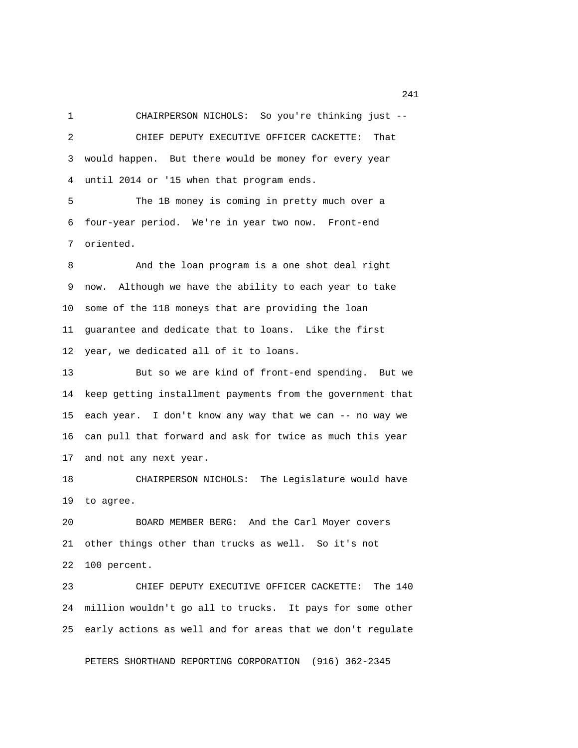1 CHAIRPERSON NICHOLS: So you're thinking just -- 2 CHIEF DEPUTY EXECUTIVE OFFICER CACKETTE: That 3 would happen. But there would be money for every year 4 until 2014 or '15 when that program ends.

 5 The 1B money is coming in pretty much over a 6 four-year period. We're in year two now. Front-end 7 oriented.

8 And the loan program is a one shot deal right 9 now. Although we have the ability to each year to take 10 some of the 118 moneys that are providing the loan 11 guarantee and dedicate that to loans. Like the first 12 year, we dedicated all of it to loans.

13 But so we are kind of front-end spending. But we 14 keep getting installment payments from the government that 15 each year. I don't know any way that we can -- no way we 16 can pull that forward and ask for twice as much this year 17 and not any next year.

18 CHAIRPERSON NICHOLS: The Legislature would have 19 to agree.

20 BOARD MEMBER BERG: And the Carl Moyer covers 21 other things other than trucks as well. So it's not 22 100 percent.

23 CHIEF DEPUTY EXECUTIVE OFFICER CACKETTE: The 140 24 million wouldn't go all to trucks. It pays for some other 25 early actions as well and for areas that we don't regulate

PETERS SHORTHAND REPORTING CORPORATION (916) 362-2345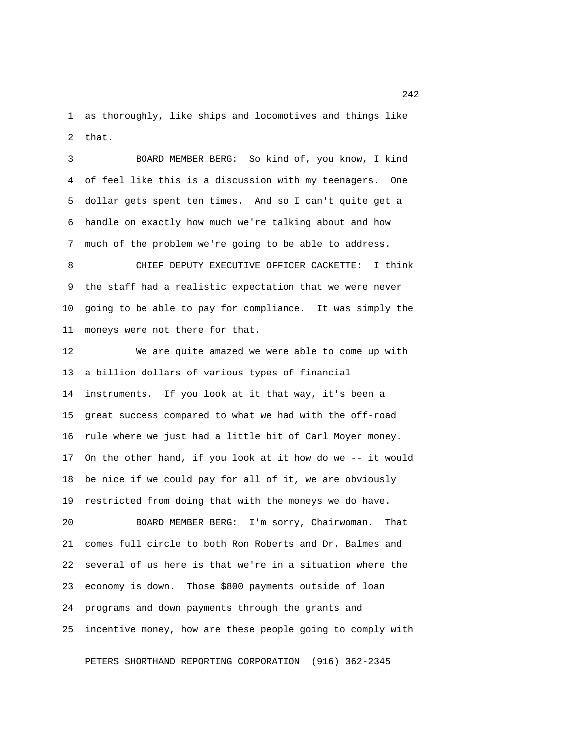1 as thoroughly, like ships and locomotives and things like 2 that.

 3 BOARD MEMBER BERG: So kind of, you know, I kind 4 of feel like this is a discussion with my teenagers. One 5 dollar gets spent ten times. And so I can't quite get a 6 handle on exactly how much we're talking about and how 7 much of the problem we're going to be able to address.

 8 CHIEF DEPUTY EXECUTIVE OFFICER CACKETTE: I think 9 the staff had a realistic expectation that we were never 10 going to be able to pay for compliance. It was simply the 11 moneys were not there for that.

12 We are quite amazed we were able to come up with 13 a billion dollars of various types of financial 14 instruments. If you look at it that way, it's been a 15 great success compared to what we had with the off-road 16 rule where we just had a little bit of Carl Moyer money. 17 On the other hand, if you look at it how do we -- it would 18 be nice if we could pay for all of it, we are obviously 19 restricted from doing that with the moneys we do have.

20 BOARD MEMBER BERG: I'm sorry, Chairwoman. That 21 comes full circle to both Ron Roberts and Dr. Balmes and 22 several of us here is that we're in a situation where the 23 economy is down. Those \$800 payments outside of loan 24 programs and down payments through the grants and 25 incentive money, how are these people going to comply with

PETERS SHORTHAND REPORTING CORPORATION (916) 362-2345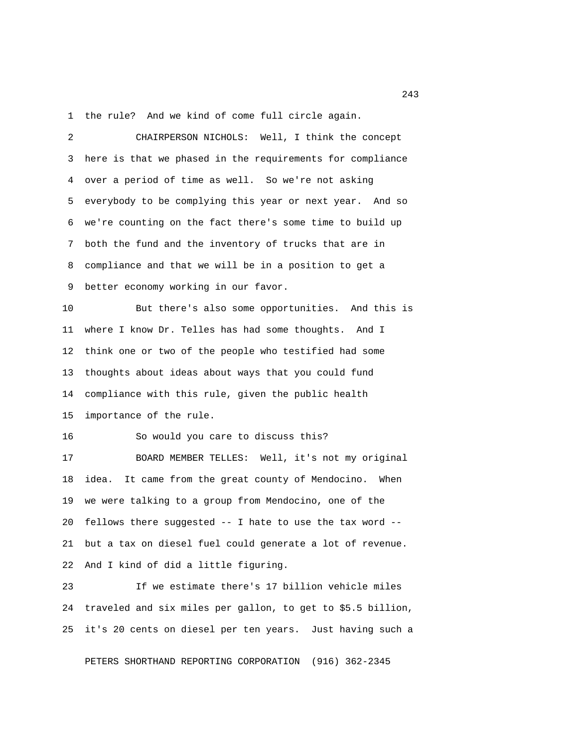1 the rule? And we kind of come full circle again.

 2 CHAIRPERSON NICHOLS: Well, I think the concept 3 here is that we phased in the requirements for compliance 4 over a period of time as well. So we're not asking 5 everybody to be complying this year or next year. And so 6 we're counting on the fact there's some time to build up 7 both the fund and the inventory of trucks that are in 8 compliance and that we will be in a position to get a 9 better economy working in our favor. 10 But there's also some opportunities. And this is 11 where I know Dr. Telles has had some thoughts. And I 12 think one or two of the people who testified had some 13 thoughts about ideas about ways that you could fund 14 compliance with this rule, given the public health 15 importance of the rule. 16 So would you care to discuss this? 17 BOARD MEMBER TELLES: Well, it's not my original 18 idea. It came from the great county of Mendocino. When 19 we were talking to a group from Mendocino, one of the 20 fellows there suggested -- I hate to use the tax word -- 21 but a tax on diesel fuel could generate a lot of revenue. 22 And I kind of did a little figuring.

23 If we estimate there's 17 billion vehicle miles 24 traveled and six miles per gallon, to get to \$5.5 billion, 25 it's 20 cents on diesel per ten years. Just having such a

PETERS SHORTHAND REPORTING CORPORATION (916) 362-2345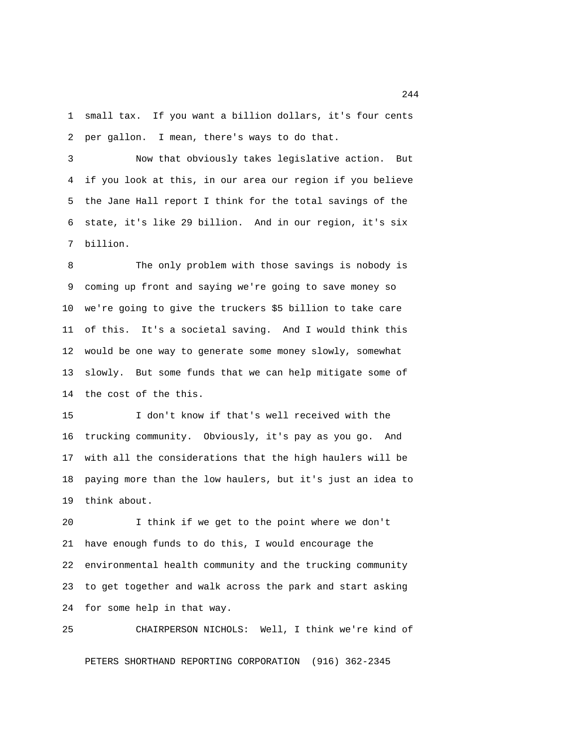1 small tax. If you want a billion dollars, it's four cents 2 per gallon. I mean, there's ways to do that.

 3 Now that obviously takes legislative action. But 4 if you look at this, in our area our region if you believe 5 the Jane Hall report I think for the total savings of the 6 state, it's like 29 billion. And in our region, it's six 7 billion.

 8 The only problem with those savings is nobody is 9 coming up front and saying we're going to save money so 10 we're going to give the truckers \$5 billion to take care 11 of this. It's a societal saving. And I would think this 12 would be one way to generate some money slowly, somewhat 13 slowly. But some funds that we can help mitigate some of 14 the cost of the this.

15 I don't know if that's well received with the 16 trucking community. Obviously, it's pay as you go. And 17 with all the considerations that the high haulers will be 18 paying more than the low haulers, but it's just an idea to 19 think about.

20 I think if we get to the point where we don't 21 have enough funds to do this, I would encourage the 22 environmental health community and the trucking community 23 to get together and walk across the park and start asking 24 for some help in that way.

25 CHAIRPERSON NICHOLS: Well, I think we're kind of PETERS SHORTHAND REPORTING CORPORATION (916) 362-2345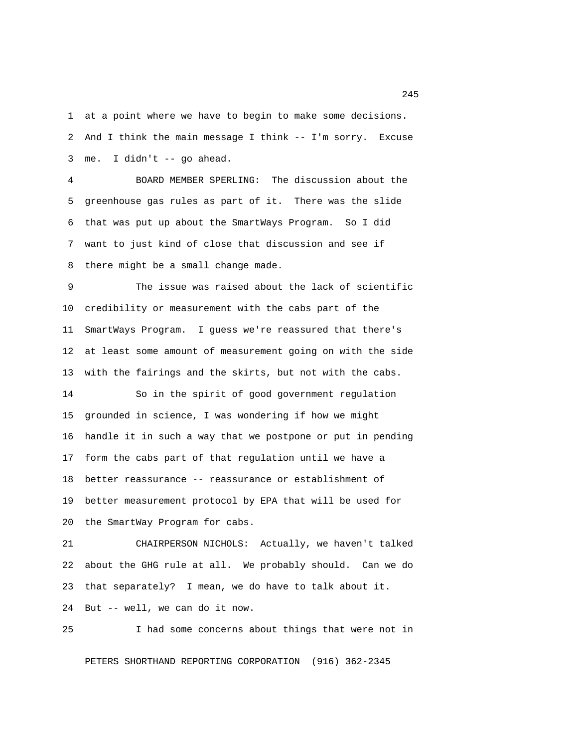1 at a point where we have to begin to make some decisions. 2 And I think the main message I think -- I'm sorry. Excuse 3 me. I didn't -- go ahead.

 4 BOARD MEMBER SPERLING: The discussion about the 5 greenhouse gas rules as part of it. There was the slide 6 that was put up about the SmartWays Program. So I did 7 want to just kind of close that discussion and see if 8 there might be a small change made.

 9 The issue was raised about the lack of scientific 10 credibility or measurement with the cabs part of the 11 SmartWays Program. I guess we're reassured that there's 12 at least some amount of measurement going on with the side 13 with the fairings and the skirts, but not with the cabs. 14 So in the spirit of good government regulation 15 grounded in science, I was wondering if how we might 16 handle it in such a way that we postpone or put in pending 17 form the cabs part of that regulation until we have a 18 better reassurance -- reassurance or establishment of

19 better measurement protocol by EPA that will be used for 20 the SmartWay Program for cabs.

21 CHAIRPERSON NICHOLS: Actually, we haven't talked 22 about the GHG rule at all. We probably should. Can we do 23 that separately? I mean, we do have to talk about it. 24 But -- well, we can do it now.

25 I had some concerns about things that were not in PETERS SHORTHAND REPORTING CORPORATION (916) 362-2345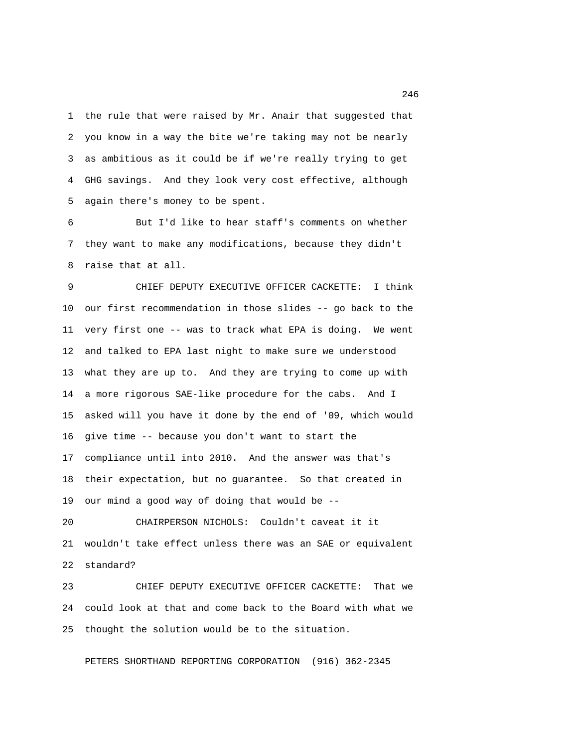1 the rule that were raised by Mr. Anair that suggested that 2 you know in a way the bite we're taking may not be nearly 3 as ambitious as it could be if we're really trying to get 4 GHG savings. And they look very cost effective, although 5 again there's money to be spent.

 6 But I'd like to hear staff's comments on whether 7 they want to make any modifications, because they didn't 8 raise that at all.

 9 CHIEF DEPUTY EXECUTIVE OFFICER CACKETTE: I think 10 our first recommendation in those slides -- go back to the 11 very first one -- was to track what EPA is doing. We went 12 and talked to EPA last night to make sure we understood 13 what they are up to. And they are trying to come up with 14 a more rigorous SAE-like procedure for the cabs. And I 15 asked will you have it done by the end of '09, which would 16 give time -- because you don't want to start the 17 compliance until into 2010. And the answer was that's 18 their expectation, but no guarantee. So that created in 19 our mind a good way of doing that would be --

20 CHAIRPERSON NICHOLS: Couldn't caveat it it 21 wouldn't take effect unless there was an SAE or equivalent 22 standard?

23 CHIEF DEPUTY EXECUTIVE OFFICER CACKETTE: That we 24 could look at that and come back to the Board with what we 25 thought the solution would be to the situation.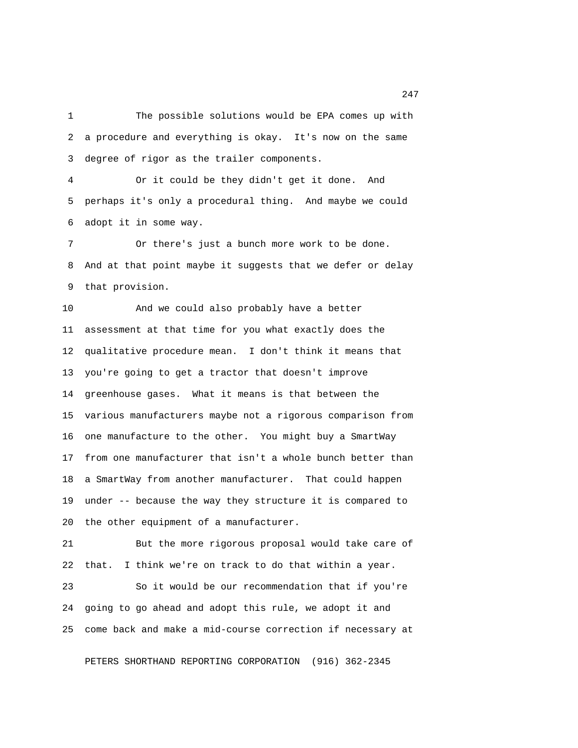1 The possible solutions would be EPA comes up with 2 a procedure and everything is okay. It's now on the same 3 degree of rigor as the trailer components.

 4 Or it could be they didn't get it done. And 5 perhaps it's only a procedural thing. And maybe we could 6 adopt it in some way.

 7 Or there's just a bunch more work to be done. 8 And at that point maybe it suggests that we defer or delay 9 that provision.

10 And we could also probably have a better 11 assessment at that time for you what exactly does the 12 qualitative procedure mean. I don't think it means that 13 you're going to get a tractor that doesn't improve 14 greenhouse gases. What it means is that between the 15 various manufacturers maybe not a rigorous comparison from 16 one manufacture to the other. You might buy a SmartWay 17 from one manufacturer that isn't a whole bunch better than 18 a SmartWay from another manufacturer. That could happen 19 under -- because the way they structure it is compared to 20 the other equipment of a manufacturer.

21 But the more rigorous proposal would take care of 22 that. I think we're on track to do that within a year.

23 So it would be our recommendation that if you're 24 going to go ahead and adopt this rule, we adopt it and 25 come back and make a mid-course correction if necessary at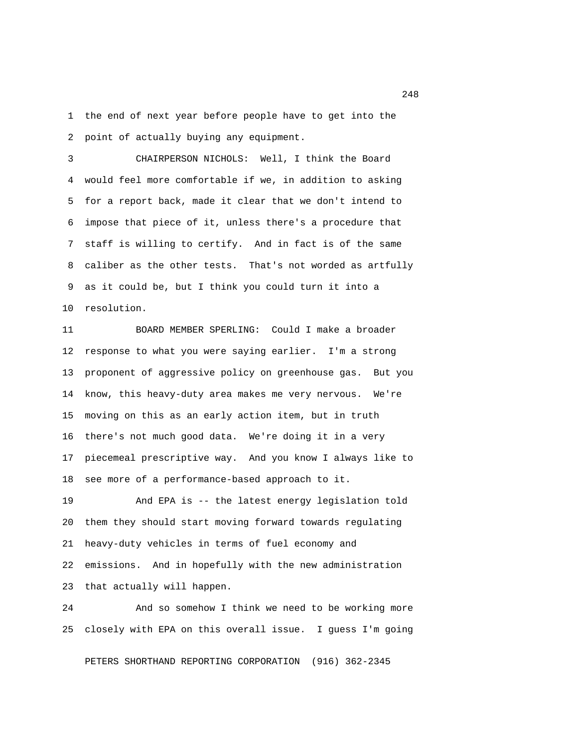1 the end of next year before people have to get into the 2 point of actually buying any equipment.

 3 CHAIRPERSON NICHOLS: Well, I think the Board 4 would feel more comfortable if we, in addition to asking 5 for a report back, made it clear that we don't intend to 6 impose that piece of it, unless there's a procedure that 7 staff is willing to certify. And in fact is of the same 8 caliber as the other tests. That's not worded as artfully 9 as it could be, but I think you could turn it into a 10 resolution.

11 BOARD MEMBER SPERLING: Could I make a broader 12 response to what you were saying earlier. I'm a strong 13 proponent of aggressive policy on greenhouse gas. But you 14 know, this heavy-duty area makes me very nervous. We're 15 moving on this as an early action item, but in truth 16 there's not much good data. We're doing it in a very 17 piecemeal prescriptive way. And you know I always like to 18 see more of a performance-based approach to it.

19 And EPA is -- the latest energy legislation told 20 them they should start moving forward towards regulating 21 heavy-duty vehicles in terms of fuel economy and 22 emissions. And in hopefully with the new administration 23 that actually will happen.

24 And so somehow I think we need to be working more 25 closely with EPA on this overall issue. I guess I'm going

PETERS SHORTHAND REPORTING CORPORATION (916) 362-2345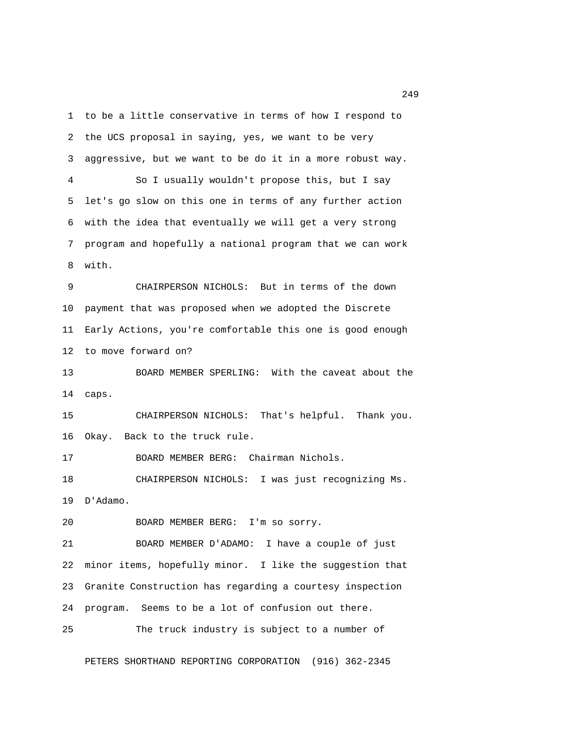1 to be a little conservative in terms of how I respond to 2 the UCS proposal in saying, yes, we want to be very 3 aggressive, but we want to be do it in a more robust way. 4 So I usually wouldn't propose this, but I say 5 let's go slow on this one in terms of any further action 6 with the idea that eventually we will get a very strong 7 program and hopefully a national program that we can work 8 with. 9 CHAIRPERSON NICHOLS: But in terms of the down 10 payment that was proposed when we adopted the Discrete 11 Early Actions, you're comfortable this one is good enough 12 to move forward on? 13 BOARD MEMBER SPERLING: With the caveat about the 14 caps. 15 CHAIRPERSON NICHOLS: That's helpful. Thank you. 16 Okay. Back to the truck rule. 17 BOARD MEMBER BERG: Chairman Nichols. 18 CHAIRPERSON NICHOLS: I was just recognizing Ms. 19 D'Adamo. 20 BOARD MEMBER BERG: I'm so sorry. 21 BOARD MEMBER D'ADAMO: I have a couple of just 22 minor items, hopefully minor. I like the suggestion that 23 Granite Construction has regarding a courtesy inspection

24 program. Seems to be a lot of confusion out there. 25 The truck industry is subject to a number of

PETERS SHORTHAND REPORTING CORPORATION (916) 362-2345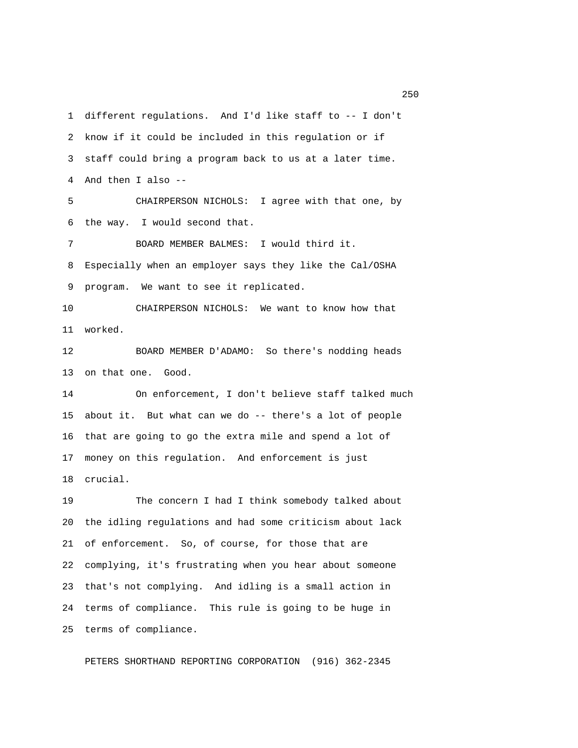1 different regulations. And I'd like staff to -- I don't 2 know if it could be included in this regulation or if 3 staff could bring a program back to us at a later time. 4 And then I also -- 5 CHAIRPERSON NICHOLS: I agree with that one, by 6 the way. I would second that. 7 BOARD MEMBER BALMES: I would third it. 8 Especially when an employer says they like the Cal/OSHA 9 program. We want to see it replicated. 10 CHAIRPERSON NICHOLS: We want to know how that 11 worked. 12 BOARD MEMBER D'ADAMO: So there's nodding heads 13 on that one. Good. 14 On enforcement, I don't believe staff talked much 15 about it. But what can we do -- there's a lot of people 16 that are going to go the extra mile and spend a lot of 17 money on this regulation. And enforcement is just 18 crucial. 19 The concern I had I think somebody talked about 20 the idling regulations and had some criticism about lack 21 of enforcement. So, of course, for those that are 22 complying, it's frustrating when you hear about someone

24 terms of compliance. This rule is going to be huge in 25 terms of compliance.

23 that's not complying. And idling is a small action in

PETERS SHORTHAND REPORTING CORPORATION (916) 362-2345

<u>250</u>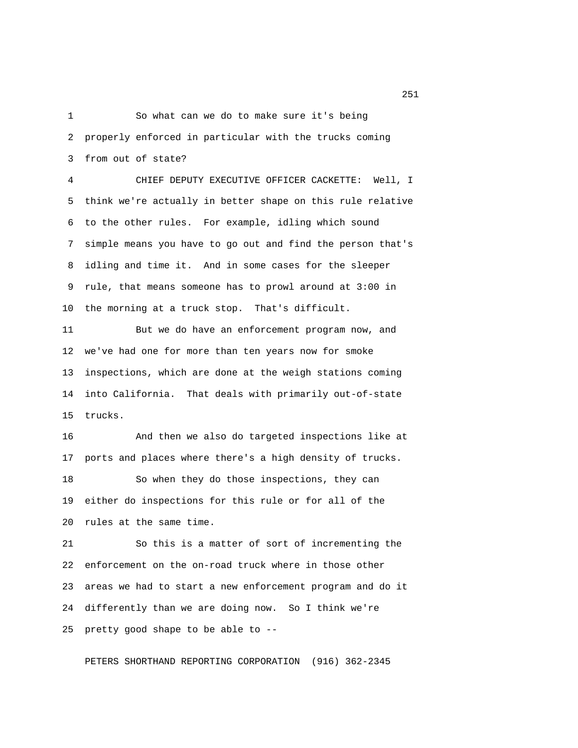1 So what can we do to make sure it's being 2 properly enforced in particular with the trucks coming 3 from out of state?

 4 CHIEF DEPUTY EXECUTIVE OFFICER CACKETTE: Well, I 5 think we're actually in better shape on this rule relative 6 to the other rules. For example, idling which sound 7 simple means you have to go out and find the person that's 8 idling and time it. And in some cases for the sleeper 9 rule, that means someone has to prowl around at 3:00 in 10 the morning at a truck stop. That's difficult.

11 But we do have an enforcement program now, and 12 we've had one for more than ten years now for smoke 13 inspections, which are done at the weigh stations coming 14 into California. That deals with primarily out-of-state 15 trucks.

16 And then we also do targeted inspections like at 17 ports and places where there's a high density of trucks. 18 So when they do those inspections, they can 19 either do inspections for this rule or for all of the 20 rules at the same time.

21 So this is a matter of sort of incrementing the 22 enforcement on the on-road truck where in those other 23 areas we had to start a new enforcement program and do it 24 differently than we are doing now. So I think we're 25 pretty good shape to be able to --

PETERS SHORTHAND REPORTING CORPORATION (916) 362-2345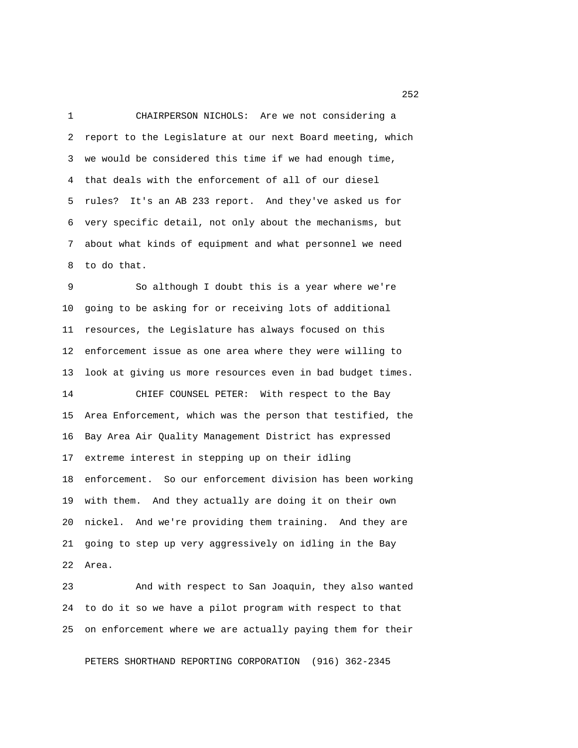1 CHAIRPERSON NICHOLS: Are we not considering a 2 report to the Legislature at our next Board meeting, which 3 we would be considered this time if we had enough time, 4 that deals with the enforcement of all of our diesel 5 rules? It's an AB 233 report. And they've asked us for 6 very specific detail, not only about the mechanisms, but 7 about what kinds of equipment and what personnel we need 8 to do that.

 9 So although I doubt this is a year where we're 10 going to be asking for or receiving lots of additional 11 resources, the Legislature has always focused on this 12 enforcement issue as one area where they were willing to 13 look at giving us more resources even in bad budget times. 14 CHIEF COUNSEL PETER: With respect to the Bay 15 Area Enforcement, which was the person that testified, the 16 Bay Area Air Quality Management District has expressed 17 extreme interest in stepping up on their idling 18 enforcement. So our enforcement division has been working 19 with them. And they actually are doing it on their own 20 nickel. And we're providing them training. And they are 21 going to step up very aggressively on idling in the Bay 22 Area.

23 And with respect to San Joaquin, they also wanted 24 to do it so we have a pilot program with respect to that 25 on enforcement where we are actually paying them for their

PETERS SHORTHAND REPORTING CORPORATION (916) 362-2345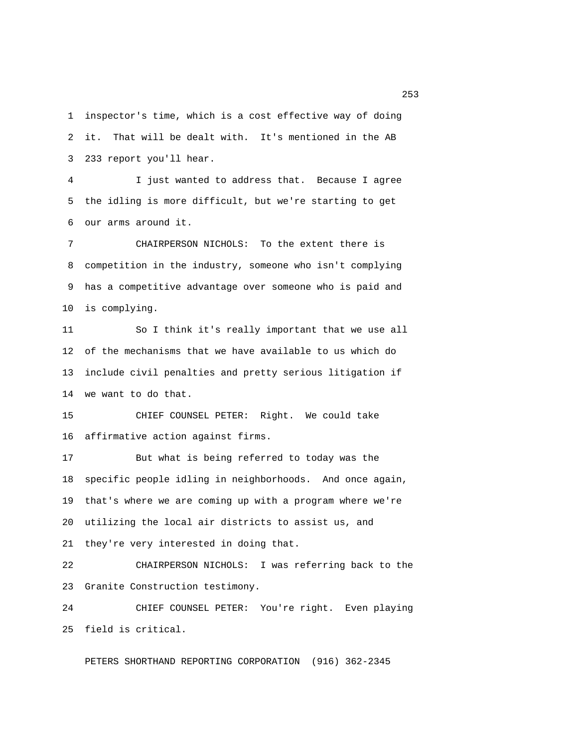1 inspector's time, which is a cost effective way of doing 2 it. That will be dealt with. It's mentioned in the AB 3 233 report you'll hear.

 4 I just wanted to address that. Because I agree 5 the idling is more difficult, but we're starting to get 6 our arms around it.

 7 CHAIRPERSON NICHOLS: To the extent there is 8 competition in the industry, someone who isn't complying 9 has a competitive advantage over someone who is paid and 10 is complying.

11 So I think it's really important that we use all 12 of the mechanisms that we have available to us which do 13 include civil penalties and pretty serious litigation if 14 we want to do that.

15 CHIEF COUNSEL PETER: Right. We could take 16 affirmative action against firms.

17 But what is being referred to today was the 18 specific people idling in neighborhoods. And once again, 19 that's where we are coming up with a program where we're 20 utilizing the local air districts to assist us, and 21 they're very interested in doing that.

22 CHAIRPERSON NICHOLS: I was referring back to the 23 Granite Construction testimony.

24 CHIEF COUNSEL PETER: You're right. Even playing 25 field is critical.

PETERS SHORTHAND REPORTING CORPORATION (916) 362-2345

<u>253</u>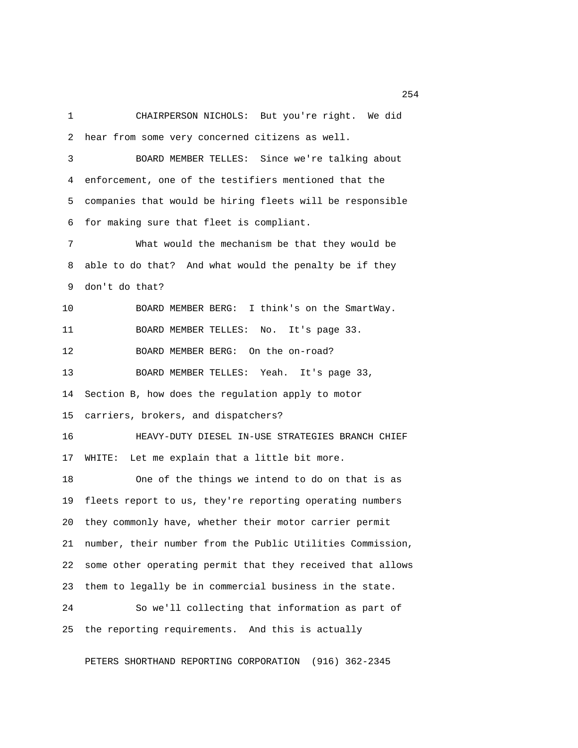1 CHAIRPERSON NICHOLS: But you're right. We did 2 hear from some very concerned citizens as well. 3 BOARD MEMBER TELLES: Since we're talking about 4 enforcement, one of the testifiers mentioned that the 5 companies that would be hiring fleets will be responsible 6 for making sure that fleet is compliant. 7 What would the mechanism be that they would be 8 able to do that? And what would the penalty be if they 9 don't do that? 10 BOARD MEMBER BERG: I think's on the SmartWay. 11 BOARD MEMBER TELLES: No. It's page 33. 12 BOARD MEMBER BERG: On the on-road? 13 BOARD MEMBER TELLES: Yeah. It's page 33, 14 Section B, how does the regulation apply to motor 15 carriers, brokers, and dispatchers? 16 HEAVY-DUTY DIESEL IN-USE STRATEGIES BRANCH CHIEF 17 WHITE: Let me explain that a little bit more. 18 One of the things we intend to do on that is as 19 fleets report to us, they're reporting operating numbers 20 they commonly have, whether their motor carrier permit 21 number, their number from the Public Utilities Commission, 22 some other operating permit that they received that allows 23 them to legally be in commercial business in the state. 24 So we'll collecting that information as part of 25 the reporting requirements. And this is actually

PETERS SHORTHAND REPORTING CORPORATION (916) 362-2345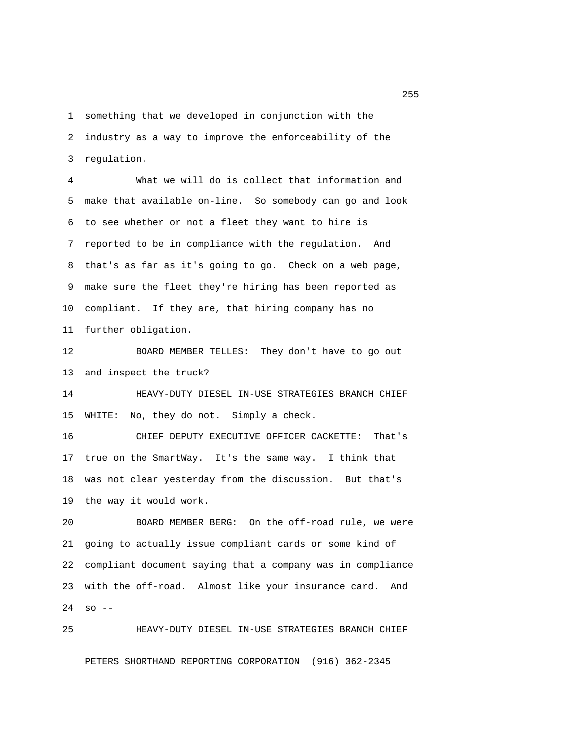1 something that we developed in conjunction with the 2 industry as a way to improve the enforceability of the 3 regulation.

 4 What we will do is collect that information and 5 make that available on-line. So somebody can go and look 6 to see whether or not a fleet they want to hire is 7 reported to be in compliance with the regulation. And 8 that's as far as it's going to go. Check on a web page, 9 make sure the fleet they're hiring has been reported as 10 compliant. If they are, that hiring company has no 11 further obligation.

12 BOARD MEMBER TELLES: They don't have to go out 13 and inspect the truck?

14 HEAVY-DUTY DIESEL IN-USE STRATEGIES BRANCH CHIEF 15 WHITE: No, they do not. Simply a check.

16 CHIEF DEPUTY EXECUTIVE OFFICER CACKETTE: That's 17 true on the SmartWay. It's the same way. I think that 18 was not clear yesterday from the discussion. But that's 19 the way it would work.

20 BOARD MEMBER BERG: On the off-road rule, we were 21 going to actually issue compliant cards or some kind of 22 compliant document saying that a company was in compliance 23 with the off-road. Almost like your insurance card. And 24 so --

25 HEAVY-DUTY DIESEL IN-USE STRATEGIES BRANCH CHIEF

PETERS SHORTHAND REPORTING CORPORATION (916) 362-2345

<u>255</u>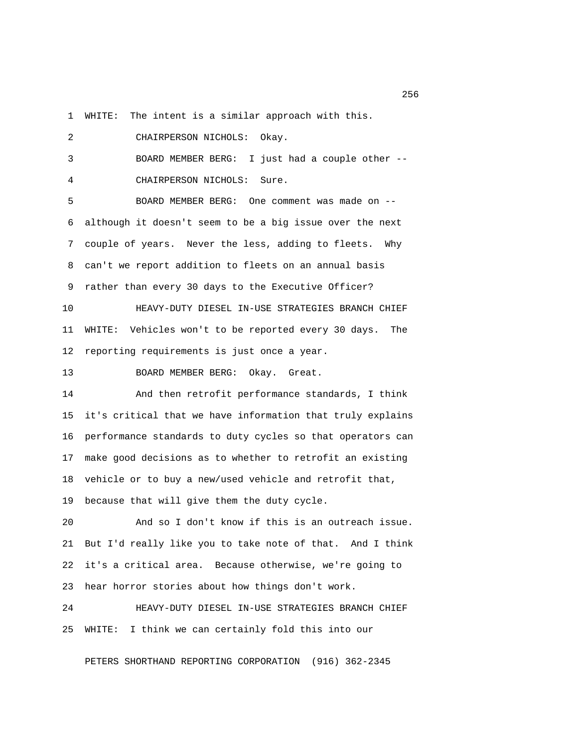1 WHITE: The intent is a similar approach with this.

 2 CHAIRPERSON NICHOLS: Okay. 3 BOARD MEMBER BERG: I just had a couple other -- 4 CHAIRPERSON NICHOLS: Sure. 5 BOARD MEMBER BERG: One comment was made on -- 6 although it doesn't seem to be a big issue over the next 7 couple of years. Never the less, adding to fleets. Why 8 can't we report addition to fleets on an annual basis 9 rather than every 30 days to the Executive Officer? 10 HEAVY-DUTY DIESEL IN-USE STRATEGIES BRANCH CHIEF 11 WHITE: Vehicles won't to be reported every 30 days. The 12 reporting requirements is just once a year. 13 BOARD MEMBER BERG: Okay. Great. 14 And then retrofit performance standards, I think 15 it's critical that we have information that truly explains 16 performance standards to duty cycles so that operators can 17 make good decisions as to whether to retrofit an existing 18 vehicle or to buy a new/used vehicle and retrofit that, 19 because that will give them the duty cycle. 20 And so I don't know if this is an outreach issue.

21 But I'd really like you to take note of that. And I think 22 it's a critical area. Because otherwise, we're going to 23 hear horror stories about how things don't work.

24 HEAVY-DUTY DIESEL IN-USE STRATEGIES BRANCH CHIEF 25 WHITE: I think we can certainly fold this into our

PETERS SHORTHAND REPORTING CORPORATION (916) 362-2345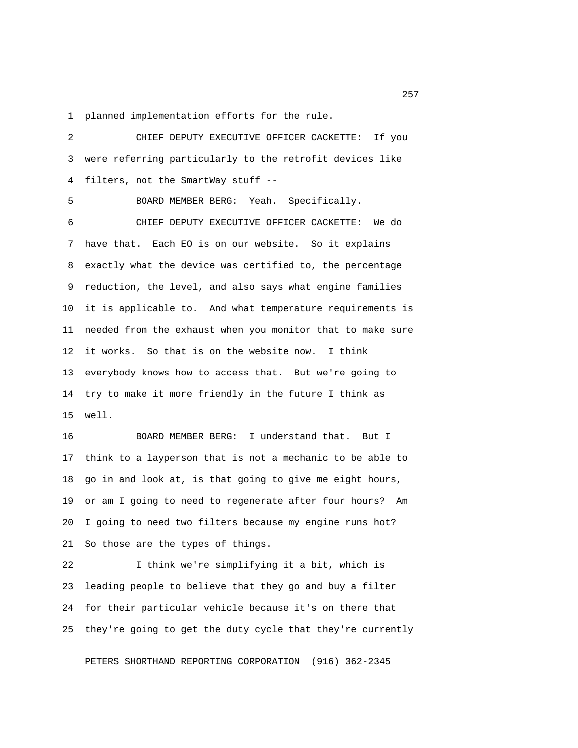1 planned implementation efforts for the rule.

 2 CHIEF DEPUTY EXECUTIVE OFFICER CACKETTE: If you 3 were referring particularly to the retrofit devices like 4 filters, not the SmartWay stuff -- 5 BOARD MEMBER BERG: Yeah. Specifically. 6 CHIEF DEPUTY EXECUTIVE OFFICER CACKETTE: We do 7 have that. Each EO is on our website. So it explains 8 exactly what the device was certified to, the percentage 9 reduction, the level, and also says what engine families 10 it is applicable to. And what temperature requirements is 11 needed from the exhaust when you monitor that to make sure 12 it works. So that is on the website now. I think 13 everybody knows how to access that. But we're going to 14 try to make it more friendly in the future I think as 15 well. 16 BOARD MEMBER BERG: I understand that. But I

17 think to a layperson that is not a mechanic to be able to 18 go in and look at, is that going to give me eight hours, 19 or am I going to need to regenerate after four hours? Am 20 I going to need two filters because my engine runs hot? 21 So those are the types of things.

22 I think we're simplifying it a bit, which is 23 leading people to believe that they go and buy a filter 24 for their particular vehicle because it's on there that 25 they're going to get the duty cycle that they're currently

PETERS SHORTHAND REPORTING CORPORATION (916) 362-2345

<u>257</u> and 257 and 257 and 257 and 257 and 257 and 257 and 257 and 257 and 257 and 257 and 257 and 257 and 257 and 258 and 259 and 259 and 259 and 259 and 259 and 259 and 259 and 259 and 259 and 259 and 259 and 259 and 259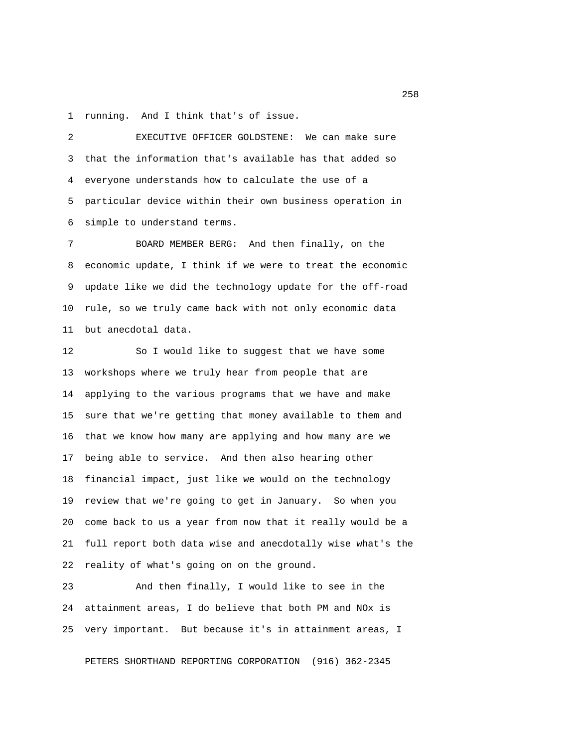1 running. And I think that's of issue.

 2 EXECUTIVE OFFICER GOLDSTENE: We can make sure 3 that the information that's available has that added so 4 everyone understands how to calculate the use of a 5 particular device within their own business operation in 6 simple to understand terms.

 7 BOARD MEMBER BERG: And then finally, on the 8 economic update, I think if we were to treat the economic 9 update like we did the technology update for the off-road 10 rule, so we truly came back with not only economic data 11 but anecdotal data.

12 So I would like to suggest that we have some 13 workshops where we truly hear from people that are 14 applying to the various programs that we have and make 15 sure that we're getting that money available to them and 16 that we know how many are applying and how many are we 17 being able to service. And then also hearing other 18 financial impact, just like we would on the technology 19 review that we're going to get in January. So when you 20 come back to us a year from now that it really would be a 21 full report both data wise and anecdotally wise what's the 22 reality of what's going on on the ground.

23 And then finally, I would like to see in the 24 attainment areas, I do believe that both PM and NOx is 25 very important. But because it's in attainment areas, I

PETERS SHORTHAND REPORTING CORPORATION (916) 362-2345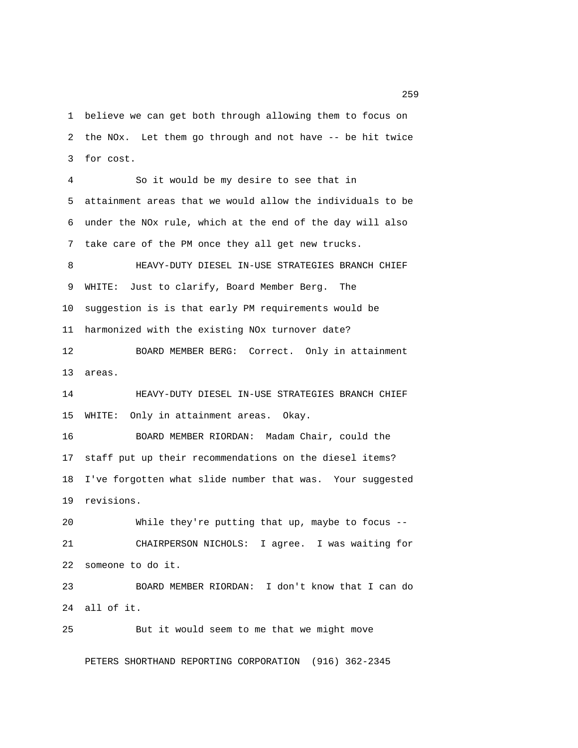1 believe we can get both through allowing them to focus on 2 the NOx. Let them go through and not have -- be hit twice 3 for cost.

 4 So it would be my desire to see that in 5 attainment areas that we would allow the individuals to be 6 under the NOx rule, which at the end of the day will also 7 take care of the PM once they all get new trucks.

 8 HEAVY-DUTY DIESEL IN-USE STRATEGIES BRANCH CHIEF 9 WHITE: Just to clarify, Board Member Berg. The 10 suggestion is is that early PM requirements would be 11 harmonized with the existing NOx turnover date?

12 BOARD MEMBER BERG: Correct. Only in attainment 13 areas.

14 HEAVY-DUTY DIESEL IN-USE STRATEGIES BRANCH CHIEF 15 WHITE: Only in attainment areas. Okay.

16 BOARD MEMBER RIORDAN: Madam Chair, could the 17 staff put up their recommendations on the diesel items? 18 I've forgotten what slide number that was. Your suggested 19 revisions.

20 While they're putting that up, maybe to focus -- 21 CHAIRPERSON NICHOLS: I agree. I was waiting for 22 someone to do it.

23 BOARD MEMBER RIORDAN: I don't know that I can do 24 all of it.

25 But it would seem to me that we might move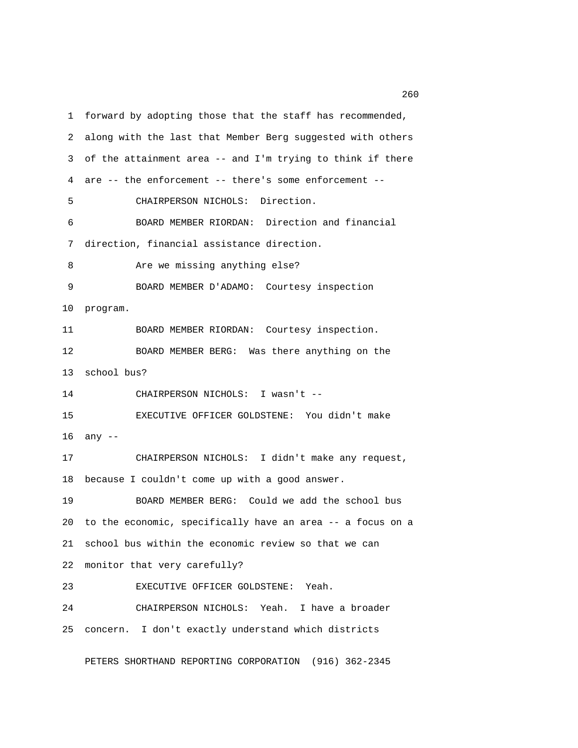1 forward by adopting those that the staff has recommended, 2 along with the last that Member Berg suggested with others 3 of the attainment area -- and I'm trying to think if there 4 are -- the enforcement -- there's some enforcement -- 5 CHAIRPERSON NICHOLS: Direction. 6 BOARD MEMBER RIORDAN: Direction and financial 7 direction, financial assistance direction. 8 Are we missing anything else? 9 BOARD MEMBER D'ADAMO: Courtesy inspection 10 program. 11 BOARD MEMBER RIORDAN: Courtesy inspection. 12 BOARD MEMBER BERG: Was there anything on the 13 school bus? 14 CHAIRPERSON NICHOLS: I wasn't -- 15 EXECUTIVE OFFICER GOLDSTENE: You didn't make 16 any -- 17 CHAIRPERSON NICHOLS: I didn't make any request, 18 because I couldn't come up with a good answer. 19 BOARD MEMBER BERG: Could we add the school bus 20 to the economic, specifically have an area -- a focus on a 21 school bus within the economic review so that we can 22 monitor that very carefully? 23 EXECUTIVE OFFICER GOLDSTENE: Yeah. 24 CHAIRPERSON NICHOLS: Yeah. I have a broader 25 concern. I don't exactly understand which districts

PETERS SHORTHAND REPORTING CORPORATION (916) 362-2345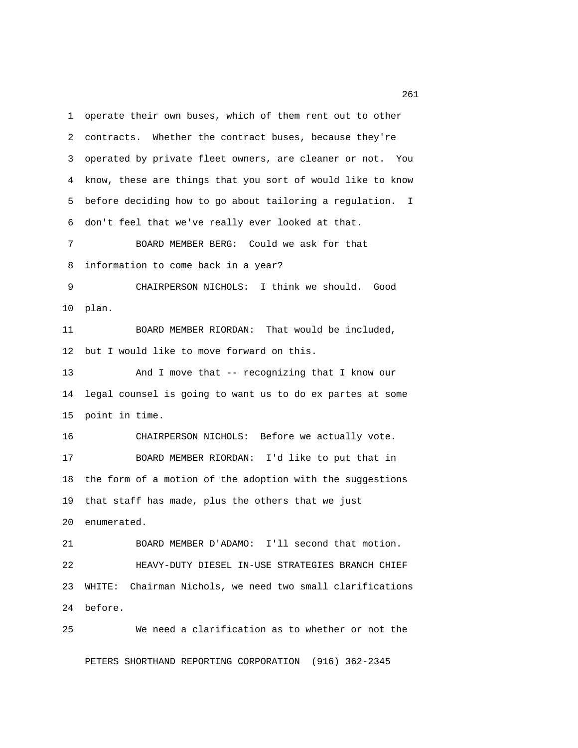1 operate their own buses, which of them rent out to other 2 contracts. Whether the contract buses, because they're 3 operated by private fleet owners, are cleaner or not. You 4 know, these are things that you sort of would like to know 5 before deciding how to go about tailoring a regulation. I 6 don't feel that we've really ever looked at that. 7 BOARD MEMBER BERG: Could we ask for that 8 information to come back in a year? 9 CHAIRPERSON NICHOLS: I think we should. Good 10 plan. 11 BOARD MEMBER RIORDAN: That would be included, 12 but I would like to move forward on this. 13 And I move that -- recognizing that I know our 14 legal counsel is going to want us to do ex partes at some 15 point in time. 16 CHAIRPERSON NICHOLS: Before we actually vote. 17 BOARD MEMBER RIORDAN: I'd like to put that in 18 the form of a motion of the adoption with the suggestions 19 that staff has made, plus the others that we just 20 enumerated. 21 BOARD MEMBER D'ADAMO: I'll second that motion. 22 HEAVY-DUTY DIESEL IN-USE STRATEGIES BRANCH CHIEF 23 WHITE: Chairman Nichols, we need two small clarifications 24 before. 25 We need a clarification as to whether or not the

PETERS SHORTHAND REPORTING CORPORATION (916) 362-2345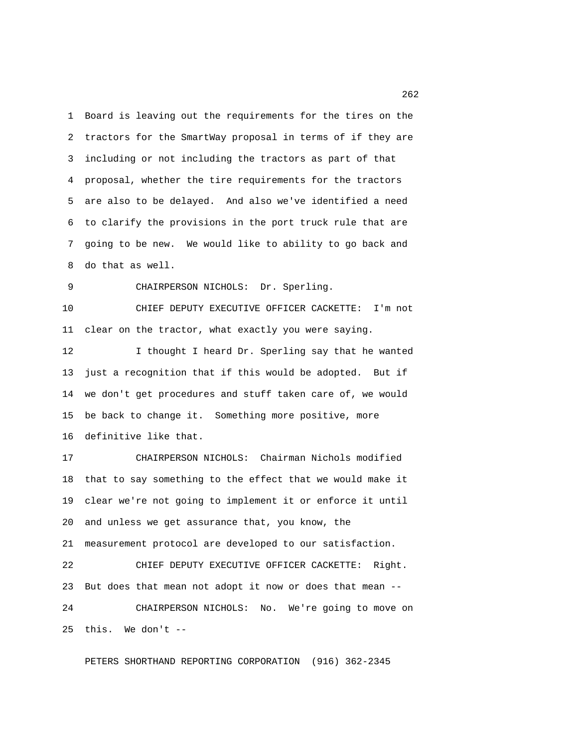1 Board is leaving out the requirements for the tires on the 2 tractors for the SmartWay proposal in terms of if they are 3 including or not including the tractors as part of that 4 proposal, whether the tire requirements for the tractors 5 are also to be delayed. And also we've identified a need 6 to clarify the provisions in the port truck rule that are 7 going to be new. We would like to ability to go back and 8 do that as well.

9 CHAIRPERSON NICHOLS: Dr. Sperling.

10 CHIEF DEPUTY EXECUTIVE OFFICER CACKETTE: I'm not 11 clear on the tractor, what exactly you were saying.

12 I thought I heard Dr. Sperling say that he wanted 13 just a recognition that if this would be adopted. But if 14 we don't get procedures and stuff taken care of, we would 15 be back to change it. Something more positive, more 16 definitive like that.

17 CHAIRPERSON NICHOLS: Chairman Nichols modified 18 that to say something to the effect that we would make it 19 clear we're not going to implement it or enforce it until 20 and unless we get assurance that, you know, the 21 measurement protocol are developed to our satisfaction. 22 CHIEF DEPUTY EXECUTIVE OFFICER CACKETTE: Right.

23 But does that mean not adopt it now or does that mean -- 24 CHAIRPERSON NICHOLS: No. We're going to move on 25 this. We don't --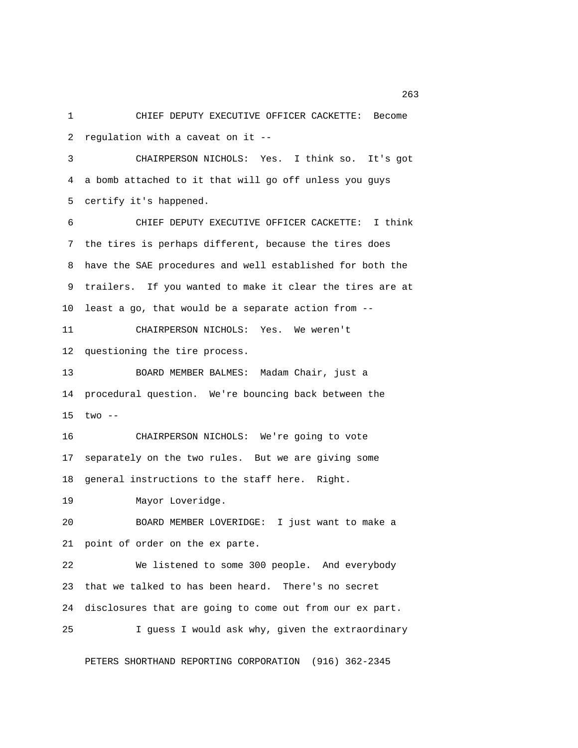1 CHIEF DEPUTY EXECUTIVE OFFICER CACKETTE: Become 2 regulation with a caveat on it --

 3 CHAIRPERSON NICHOLS: Yes. I think so. It's got 4 a bomb attached to it that will go off unless you guys 5 certify it's happened.

 6 CHIEF DEPUTY EXECUTIVE OFFICER CACKETTE: I think 7 the tires is perhaps different, because the tires does 8 have the SAE procedures and well established for both the 9 trailers. If you wanted to make it clear the tires are at 10 least a go, that would be a separate action from --

11 CHAIRPERSON NICHOLS: Yes. We weren't 12 questioning the tire process.

13 BOARD MEMBER BALMES: Madam Chair, just a 14 procedural question. We're bouncing back between the 15 two --

16 CHAIRPERSON NICHOLS: We're going to vote 17 separately on the two rules. But we are giving some 18 general instructions to the staff here. Right.

19 Mayor Loveridge.

20 BOARD MEMBER LOVERIDGE: I just want to make a 21 point of order on the ex parte.

22 We listened to some 300 people. And everybody 23 that we talked to has been heard. There's no secret 24 disclosures that are going to come out from our ex part. 25 I guess I would ask why, given the extraordinary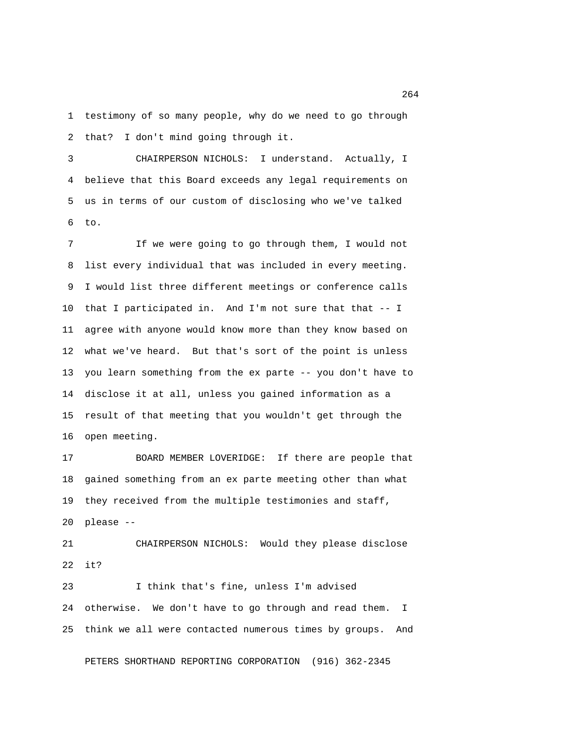1 testimony of so many people, why do we need to go through 2 that? I don't mind going through it.

 3 CHAIRPERSON NICHOLS: I understand. Actually, I 4 believe that this Board exceeds any legal requirements on 5 us in terms of our custom of disclosing who we've talked 6 to.

 7 If we were going to go through them, I would not 8 list every individual that was included in every meeting. 9 I would list three different meetings or conference calls 10 that I participated in. And I'm not sure that that -- I 11 agree with anyone would know more than they know based on 12 what we've heard. But that's sort of the point is unless 13 you learn something from the ex parte -- you don't have to 14 disclose it at all, unless you gained information as a 15 result of that meeting that you wouldn't get through the 16 open meeting.

17 BOARD MEMBER LOVERIDGE: If there are people that 18 gained something from an ex parte meeting other than what 19 they received from the multiple testimonies and staff, 20 please --

21 CHAIRPERSON NICHOLS: Would they please disclose 22 it?

23 I think that's fine, unless I'm advised 24 otherwise. We don't have to go through and read them. I 25 think we all were contacted numerous times by groups. And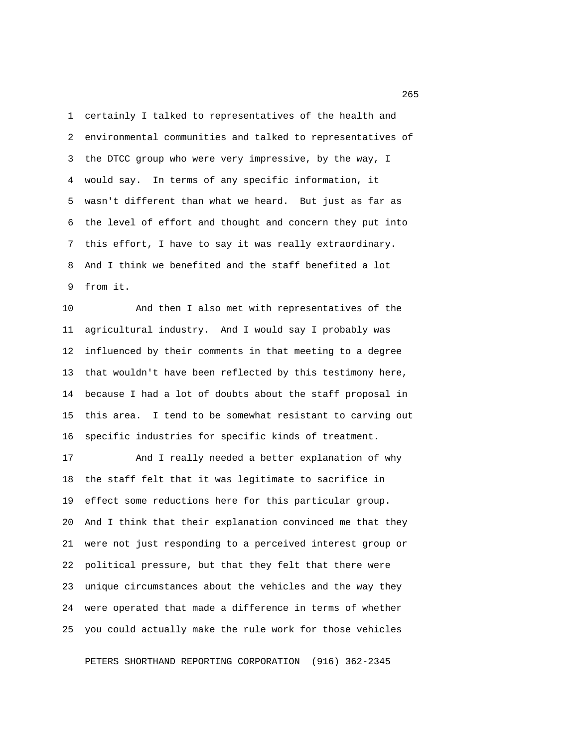1 certainly I talked to representatives of the health and 2 environmental communities and talked to representatives of 3 the DTCC group who were very impressive, by the way, I 4 would say. In terms of any specific information, it 5 wasn't different than what we heard. But just as far as 6 the level of effort and thought and concern they put into 7 this effort, I have to say it was really extraordinary. 8 And I think we benefited and the staff benefited a lot 9 from it.

10 And then I also met with representatives of the 11 agricultural industry. And I would say I probably was 12 influenced by their comments in that meeting to a degree 13 that wouldn't have been reflected by this testimony here, 14 because I had a lot of doubts about the staff proposal in 15 this area. I tend to be somewhat resistant to carving out 16 specific industries for specific kinds of treatment.

17 And I really needed a better explanation of why 18 the staff felt that it was legitimate to sacrifice in 19 effect some reductions here for this particular group. 20 And I think that their explanation convinced me that they 21 were not just responding to a perceived interest group or 22 political pressure, but that they felt that there were 23 unique circumstances about the vehicles and the way they 24 were operated that made a difference in terms of whether 25 you could actually make the rule work for those vehicles

PETERS SHORTHAND REPORTING CORPORATION (916) 362-2345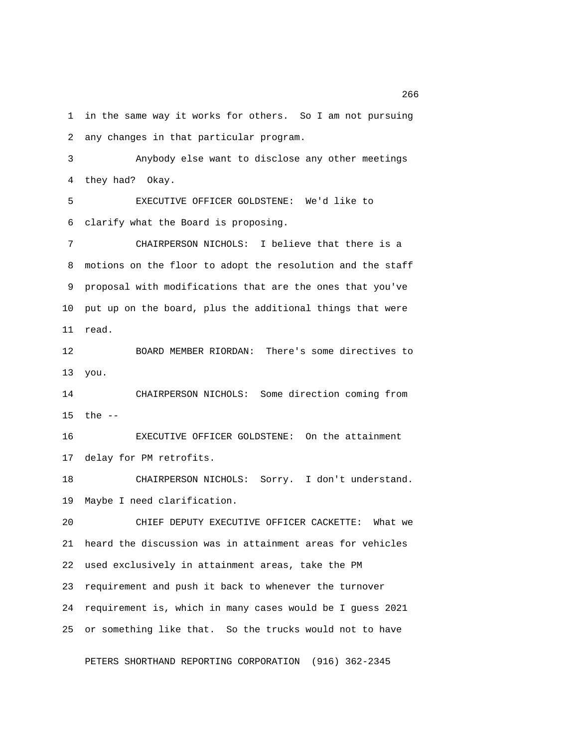1 in the same way it works for others. So I am not pursuing 2 any changes in that particular program.

 3 Anybody else want to disclose any other meetings 4 they had? Okay.

 5 EXECUTIVE OFFICER GOLDSTENE: We'd like to 6 clarify what the Board is proposing.

 7 CHAIRPERSON NICHOLS: I believe that there is a 8 motions on the floor to adopt the resolution and the staff 9 proposal with modifications that are the ones that you've 10 put up on the board, plus the additional things that were 11 read.

12 BOARD MEMBER RIORDAN: There's some directives to 13 you.

14 CHAIRPERSON NICHOLS: Some direction coming from 15 the --

16 EXECUTIVE OFFICER GOLDSTENE: On the attainment 17 delay for PM retrofits.

18 CHAIRPERSON NICHOLS: Sorry. I don't understand. 19 Maybe I need clarification.

20 CHIEF DEPUTY EXECUTIVE OFFICER CACKETTE: What we 21 heard the discussion was in attainment areas for vehicles 22 used exclusively in attainment areas, take the PM 23 requirement and push it back to whenever the turnover 24 requirement is, which in many cases would be I guess 2021 25 or something like that. So the trucks would not to have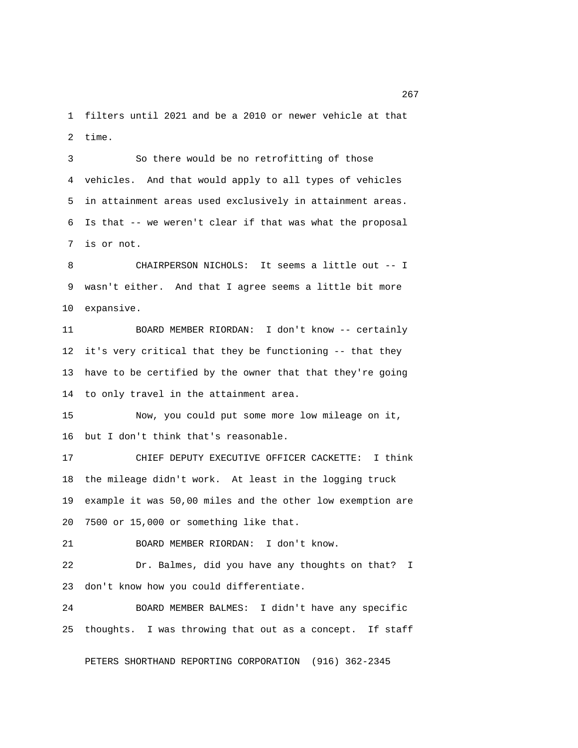1 filters until 2021 and be a 2010 or newer vehicle at that 2 time.

 3 So there would be no retrofitting of those 4 vehicles. And that would apply to all types of vehicles 5 in attainment areas used exclusively in attainment areas. 6 Is that -- we weren't clear if that was what the proposal 7 is or not.

 8 CHAIRPERSON NICHOLS: It seems a little out -- I 9 wasn't either. And that I agree seems a little bit more 10 expansive.

11 BOARD MEMBER RIORDAN: I don't know -- certainly 12 it's very critical that they be functioning -- that they 13 have to be certified by the owner that that they're going 14 to only travel in the attainment area.

15 Now, you could put some more low mileage on it, 16 but I don't think that's reasonable.

17 CHIEF DEPUTY EXECUTIVE OFFICER CACKETTE: I think 18 the mileage didn't work. At least in the logging truck 19 example it was 50,00 miles and the other low exemption are 20 7500 or 15,000 or something like that.

21 BOARD MEMBER RIORDAN: I don't know.

22 Dr. Balmes, did you have any thoughts on that? I 23 don't know how you could differentiate.

24 BOARD MEMBER BALMES: I didn't have any specific 25 thoughts. I was throwing that out as a concept. If staff

PETERS SHORTHAND REPORTING CORPORATION (916) 362-2345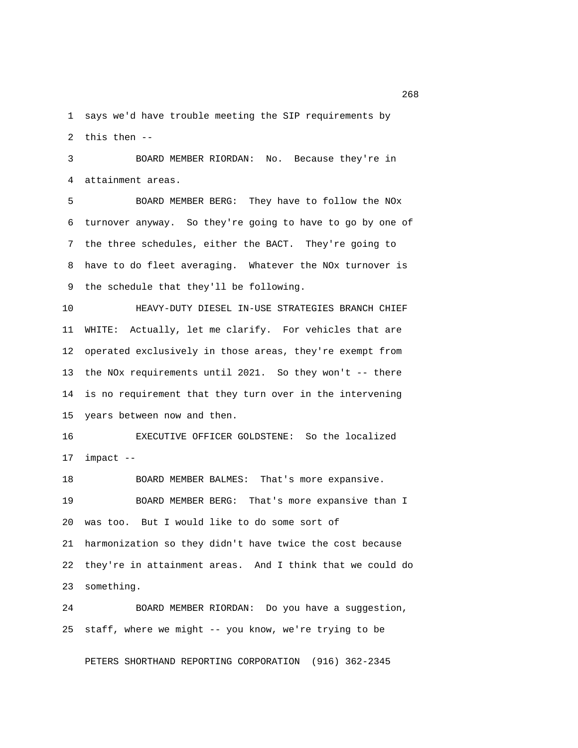1 says we'd have trouble meeting the SIP requirements by 2 this then --

 3 BOARD MEMBER RIORDAN: No. Because they're in 4 attainment areas.

 5 BOARD MEMBER BERG: They have to follow the NOx 6 turnover anyway. So they're going to have to go by one of 7 the three schedules, either the BACT. They're going to 8 have to do fleet averaging. Whatever the NOx turnover is 9 the schedule that they'll be following.

10 HEAVY-DUTY DIESEL IN-USE STRATEGIES BRANCH CHIEF 11 WHITE: Actually, let me clarify. For vehicles that are 12 operated exclusively in those areas, they're exempt from 13 the NOx requirements until 2021. So they won't -- there 14 is no requirement that they turn over in the intervening 15 years between now and then.

16 EXECUTIVE OFFICER GOLDSTENE: So the localized 17 impact --

18 BOARD MEMBER BALMES: That's more expansive. 19 BOARD MEMBER BERG: That's more expansive than I 20 was too. But I would like to do some sort of 21 harmonization so they didn't have twice the cost because 22 they're in attainment areas. And I think that we could do 23 something.

24 BOARD MEMBER RIORDAN: Do you have a suggestion, 25 staff, where we might -- you know, we're trying to be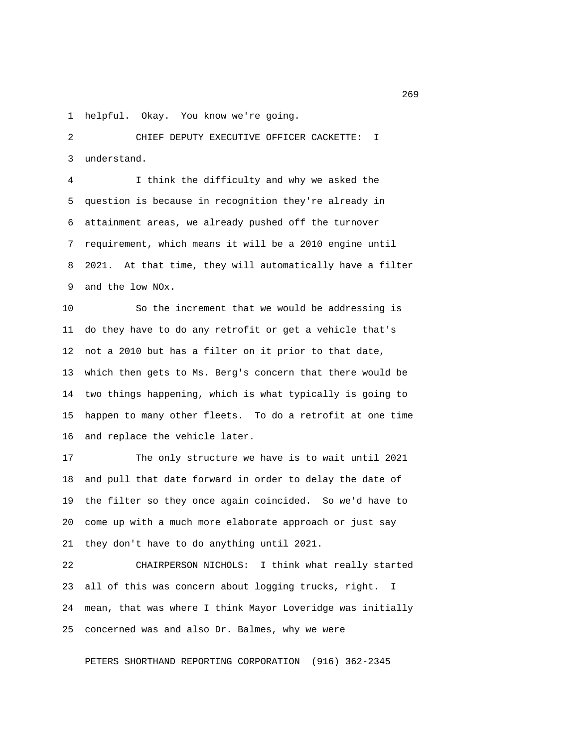1 helpful. Okay. You know we're going.

 2 CHIEF DEPUTY EXECUTIVE OFFICER CACKETTE: I 3 understand.

 4 I think the difficulty and why we asked the 5 question is because in recognition they're already in 6 attainment areas, we already pushed off the turnover 7 requirement, which means it will be a 2010 engine until 8 2021. At that time, they will automatically have a filter 9 and the low NOx.

10 So the increment that we would be addressing is 11 do they have to do any retrofit or get a vehicle that's 12 not a 2010 but has a filter on it prior to that date, 13 which then gets to Ms. Berg's concern that there would be 14 two things happening, which is what typically is going to 15 happen to many other fleets. To do a retrofit at one time 16 and replace the vehicle later.

17 The only structure we have is to wait until 2021 18 and pull that date forward in order to delay the date of 19 the filter so they once again coincided. So we'd have to 20 come up with a much more elaborate approach or just say 21 they don't have to do anything until 2021.

22 CHAIRPERSON NICHOLS: I think what really started 23 all of this was concern about logging trucks, right. I 24 mean, that was where I think Mayor Loveridge was initially 25 concerned was and also Dr. Balmes, why we were

PETERS SHORTHAND REPORTING CORPORATION (916) 362-2345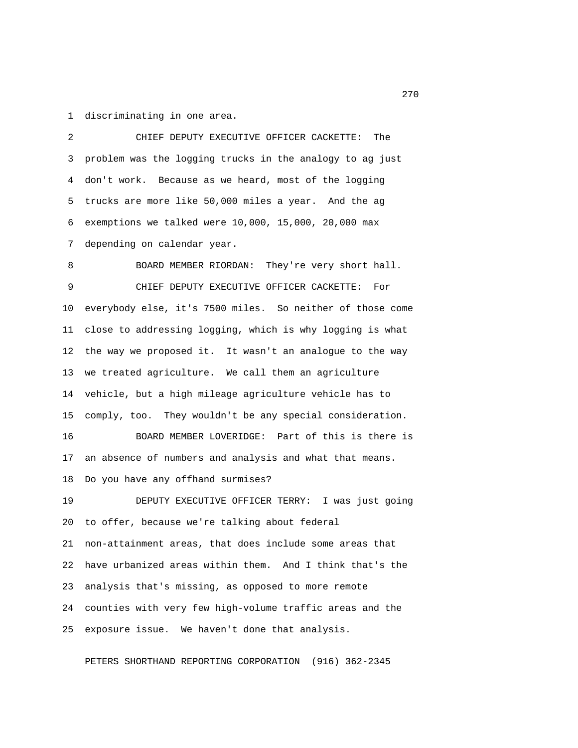1 discriminating in one area.

 2 CHIEF DEPUTY EXECUTIVE OFFICER CACKETTE: The 3 problem was the logging trucks in the analogy to ag just 4 don't work. Because as we heard, most of the logging 5 trucks are more like 50,000 miles a year. And the ag 6 exemptions we talked were 10,000, 15,000, 20,000 max 7 depending on calendar year.

8 BOARD MEMBER RIORDAN: They're very short hall. 9 CHIEF DEPUTY EXECUTIVE OFFICER CACKETTE: For 10 everybody else, it's 7500 miles. So neither of those come 11 close to addressing logging, which is why logging is what 12 the way we proposed it. It wasn't an analogue to the way 13 we treated agriculture. We call them an agriculture 14 vehicle, but a high mileage agriculture vehicle has to 15 comply, too. They wouldn't be any special consideration. 16 BOARD MEMBER LOVERIDGE: Part of this is there is 17 an absence of numbers and analysis and what that means. 18 Do you have any offhand surmises? 19 DEPUTY EXECUTIVE OFFICER TERRY: I was just going 20 to offer, because we're talking about federal 21 non-attainment areas, that does include some areas that 22 have urbanized areas within them. And I think that's the 23 analysis that's missing, as opposed to more remote 24 counties with very few high-volume traffic areas and the 25 exposure issue. We haven't done that analysis.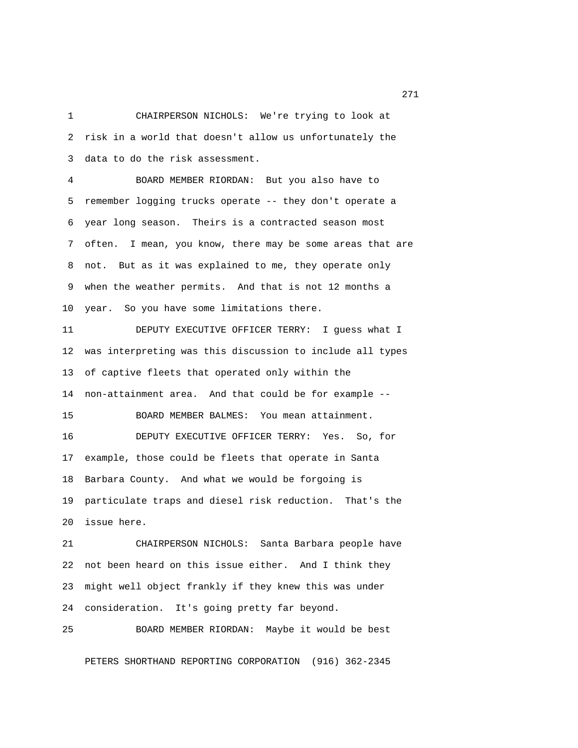1 CHAIRPERSON NICHOLS: We're trying to look at 2 risk in a world that doesn't allow us unfortunately the 3 data to do the risk assessment.

 4 BOARD MEMBER RIORDAN: But you also have to 5 remember logging trucks operate -- they don't operate a 6 year long season. Theirs is a contracted season most 7 often. I mean, you know, there may be some areas that are 8 not. But as it was explained to me, they operate only 9 when the weather permits. And that is not 12 months a 10 year. So you have some limitations there.

11 DEPUTY EXECUTIVE OFFICER TERRY: I guess what I 12 was interpreting was this discussion to include all types 13 of captive fleets that operated only within the 14 non-attainment area. And that could be for example -- 15 BOARD MEMBER BALMES: You mean attainment. 16 DEPUTY EXECUTIVE OFFICER TERRY: Yes. So, for 17 example, those could be fleets that operate in Santa 18 Barbara County. And what we would be forgoing is 19 particulate traps and diesel risk reduction. That's the 20 issue here.

21 CHAIRPERSON NICHOLS: Santa Barbara people have 22 not been heard on this issue either. And I think they 23 might well object frankly if they knew this was under 24 consideration. It's going pretty far beyond.

25 BOARD MEMBER RIORDAN: Maybe it would be best

PETERS SHORTHAND REPORTING CORPORATION (916) 362-2345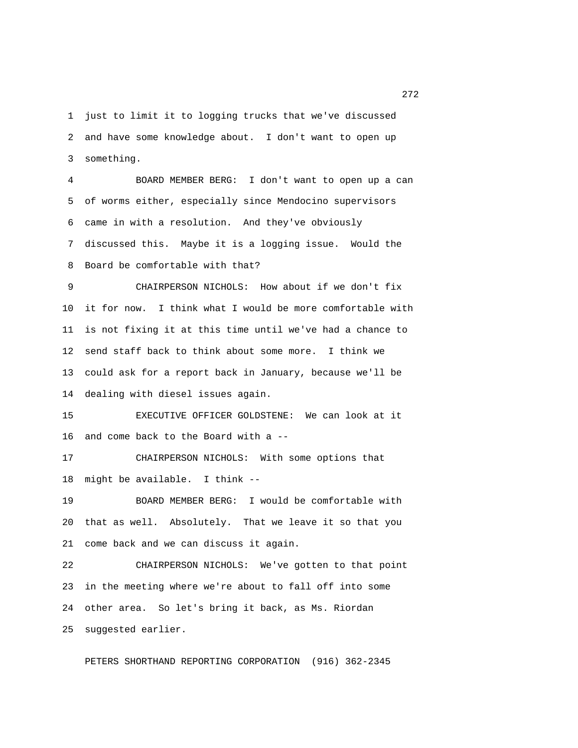1 just to limit it to logging trucks that we've discussed 2 and have some knowledge about. I don't want to open up 3 something.

 4 BOARD MEMBER BERG: I don't want to open up a can 5 of worms either, especially since Mendocino supervisors 6 came in with a resolution. And they've obviously 7 discussed this. Maybe it is a logging issue. Would the 8 Board be comfortable with that?

 9 CHAIRPERSON NICHOLS: How about if we don't fix 10 it for now. I think what I would be more comfortable with 11 is not fixing it at this time until we've had a chance to 12 send staff back to think about some more. I think we 13 could ask for a report back in January, because we'll be 14 dealing with diesel issues again.

15 EXECUTIVE OFFICER GOLDSTENE: We can look at it 16 and come back to the Board with a --

17 CHAIRPERSON NICHOLS: With some options that 18 might be available. I think --

19 BOARD MEMBER BERG: I would be comfortable with 20 that as well. Absolutely. That we leave it so that you 21 come back and we can discuss it again.

22 CHAIRPERSON NICHOLS: We've gotten to that point 23 in the meeting where we're about to fall off into some 24 other area. So let's bring it back, as Ms. Riordan 25 suggested earlier.

PETERS SHORTHAND REPORTING CORPORATION (916) 362-2345

<u>272</u> — Саландард Маркеттер († 1818)<br>1905 — Российски предметр<br>1910 — Сантинг Маркеттер († 1818)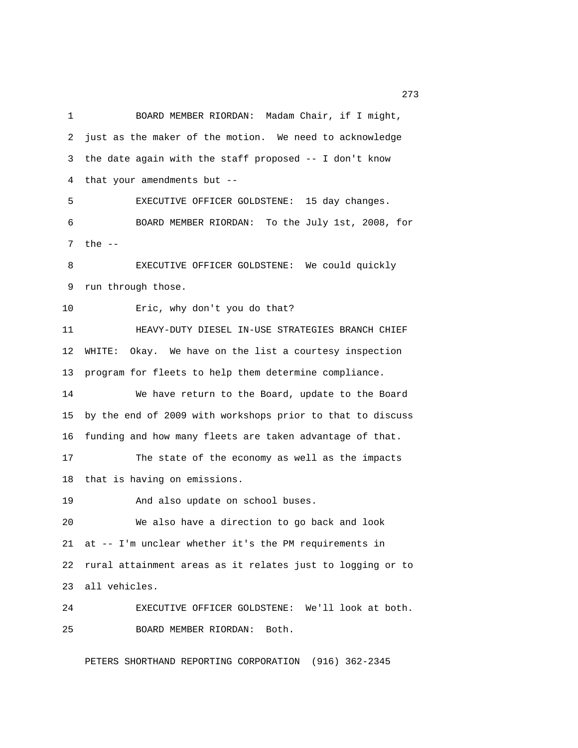1 BOARD MEMBER RIORDAN: Madam Chair, if I might, 2 just as the maker of the motion. We need to acknowledge 3 the date again with the staff proposed -- I don't know 4 that your amendments but -- 5 EXECUTIVE OFFICER GOLDSTENE: 15 day changes. 6 BOARD MEMBER RIORDAN: To the July 1st, 2008, for 7 the -- 8 EXECUTIVE OFFICER GOLDSTENE: We could quickly 9 run through those. 10 Eric, why don't you do that? 11 HEAVY-DUTY DIESEL IN-USE STRATEGIES BRANCH CHIEF 12 WHITE: Okay. We have on the list a courtesy inspection 13 program for fleets to help them determine compliance. 14 We have return to the Board, update to the Board 15 by the end of 2009 with workshops prior to that to discuss 16 funding and how many fleets are taken advantage of that. 17 The state of the economy as well as the impacts 18 that is having on emissions. 19 And also update on school buses. 20 We also have a direction to go back and look 21 at -- I'm unclear whether it's the PM requirements in 22 rural attainment areas as it relates just to logging or to 23 all vehicles. 24 EXECUTIVE OFFICER GOLDSTENE: We'll look at both. 25 BOARD MEMBER RIORDAN: Both.

PETERS SHORTHAND REPORTING CORPORATION (916) 362-2345

<u>273</u>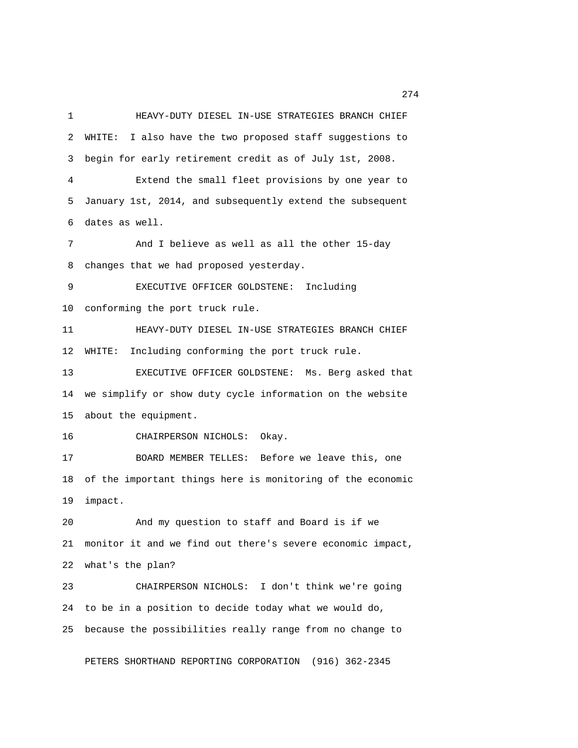1 HEAVY-DUTY DIESEL IN-USE STRATEGIES BRANCH CHIEF 2 WHITE: I also have the two proposed staff suggestions to 3 begin for early retirement credit as of July 1st, 2008. 4 Extend the small fleet provisions by one year to 5 January 1st, 2014, and subsequently extend the subsequent 6 dates as well. 7 And I believe as well as all the other 15-day 8 changes that we had proposed yesterday. 9 EXECUTIVE OFFICER GOLDSTENE: Including 10 conforming the port truck rule. 11 HEAVY-DUTY DIESEL IN-USE STRATEGIES BRANCH CHIEF 12 WHITE: Including conforming the port truck rule. 13 EXECUTIVE OFFICER GOLDSTENE: Ms. Berg asked that 14 we simplify or show duty cycle information on the website 15 about the equipment. 16 CHAIRPERSON NICHOLS: Okay. 17 BOARD MEMBER TELLES: Before we leave this, one 18 of the important things here is monitoring of the economic 19 impact. 20 And my question to staff and Board is if we 21 monitor it and we find out there's severe economic impact, 22 what's the plan? 23 CHAIRPERSON NICHOLS: I don't think we're going 24 to be in a position to decide today what we would do, 25 because the possibilities really range from no change to

PETERS SHORTHAND REPORTING CORPORATION (916) 362-2345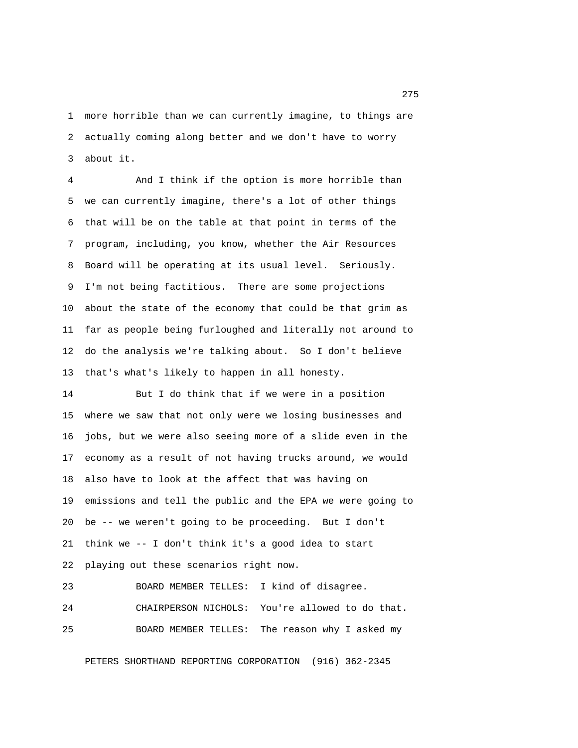1 more horrible than we can currently imagine, to things are 2 actually coming along better and we don't have to worry 3 about it.

 4 And I think if the option is more horrible than 5 we can currently imagine, there's a lot of other things 6 that will be on the table at that point in terms of the 7 program, including, you know, whether the Air Resources 8 Board will be operating at its usual level. Seriously. 9 I'm not being factitious. There are some projections 10 about the state of the economy that could be that grim as 11 far as people being furloughed and literally not around to 12 do the analysis we're talking about. So I don't believe 13 that's what's likely to happen in all honesty.

14 But I do think that if we were in a position 15 where we saw that not only were we losing businesses and 16 jobs, but we were also seeing more of a slide even in the 17 economy as a result of not having trucks around, we would 18 also have to look at the affect that was having on 19 emissions and tell the public and the EPA we were going to 20 be -- we weren't going to be proceeding. But I don't 21 think we -- I don't think it's a good idea to start 22 playing out these scenarios right now.

23 BOARD MEMBER TELLES: I kind of disagree. 24 CHAIRPERSON NICHOLS: You're allowed to do that. 25 BOARD MEMBER TELLES: The reason why I asked my

PETERS SHORTHAND REPORTING CORPORATION (916) 362-2345

<u>275</u>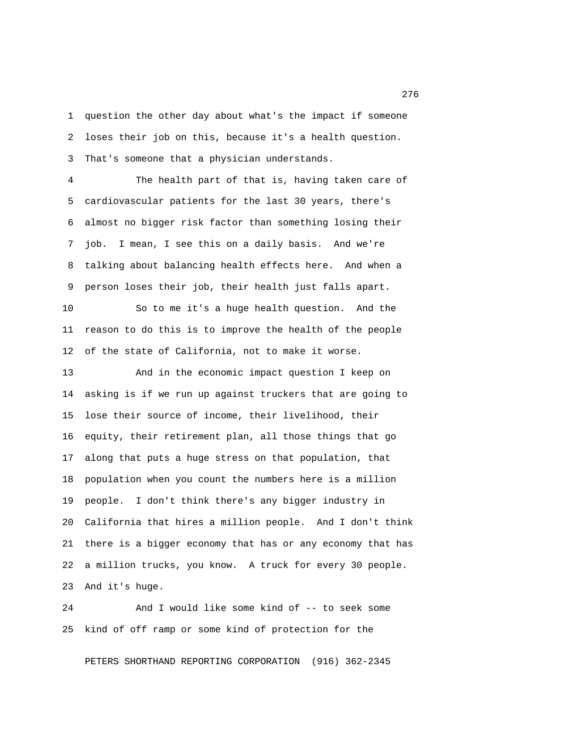1 question the other day about what's the impact if someone 2 loses their job on this, because it's a health question. 3 That's someone that a physician understands.

 4 The health part of that is, having taken care of 5 cardiovascular patients for the last 30 years, there's 6 almost no bigger risk factor than something losing their 7 job. I mean, I see this on a daily basis. And we're 8 talking about balancing health effects here. And when a 9 person loses their job, their health just falls apart.

10 So to me it's a huge health question. And the 11 reason to do this is to improve the health of the people 12 of the state of California, not to make it worse.

13 And in the economic impact question I keep on 14 asking is if we run up against truckers that are going to 15 lose their source of income, their livelihood, their 16 equity, their retirement plan, all those things that go 17 along that puts a huge stress on that population, that 18 population when you count the numbers here is a million 19 people. I don't think there's any bigger industry in 20 California that hires a million people. And I don't think 21 there is a bigger economy that has or any economy that has 22 a million trucks, you know. A truck for every 30 people. 23 And it's huge.

24 And I would like some kind of -- to seek some 25 kind of off ramp or some kind of protection for the

PETERS SHORTHAND REPORTING CORPORATION (916) 362-2345

<u>276</u> — Саландард Алтан (1920), американ (1920), алтан (1920), алтан (1920), алтан (1920), алтан (1920), алтан (1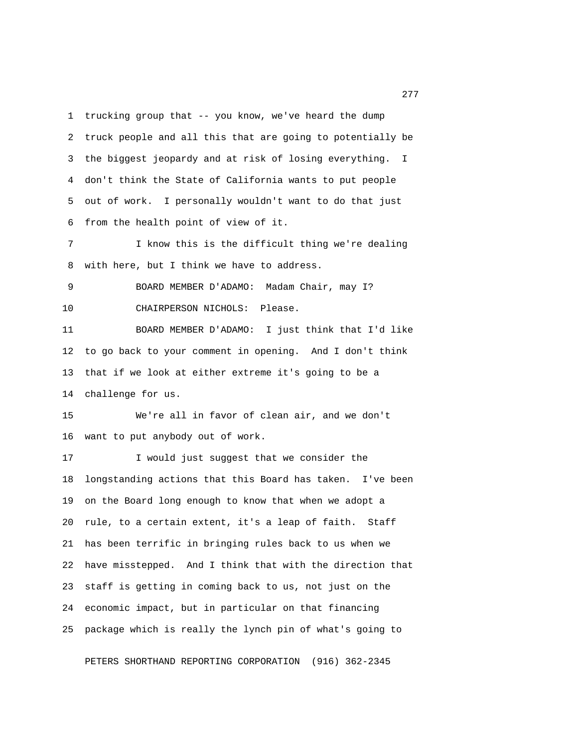1 trucking group that -- you know, we've heard the dump 2 truck people and all this that are going to potentially be 3 the biggest jeopardy and at risk of losing everything. I 4 don't think the State of California wants to put people 5 out of work. I personally wouldn't want to do that just 6 from the health point of view of it.

 7 I know this is the difficult thing we're dealing 8 with here, but I think we have to address.

 9 BOARD MEMBER D'ADAMO: Madam Chair, may I? 10 CHAIRPERSON NICHOLS: Please.

11 BOARD MEMBER D'ADAMO: I just think that I'd like 12 to go back to your comment in opening. And I don't think 13 that if we look at either extreme it's going to be a 14 challenge for us.

15 We're all in favor of clean air, and we don't 16 want to put anybody out of work.

17 I would just suggest that we consider the 18 longstanding actions that this Board has taken. I've been 19 on the Board long enough to know that when we adopt a 20 rule, to a certain extent, it's a leap of faith. Staff 21 has been terrific in bringing rules back to us when we 22 have misstepped. And I think that with the direction that 23 staff is getting in coming back to us, not just on the 24 economic impact, but in particular on that financing 25 package which is really the lynch pin of what's going to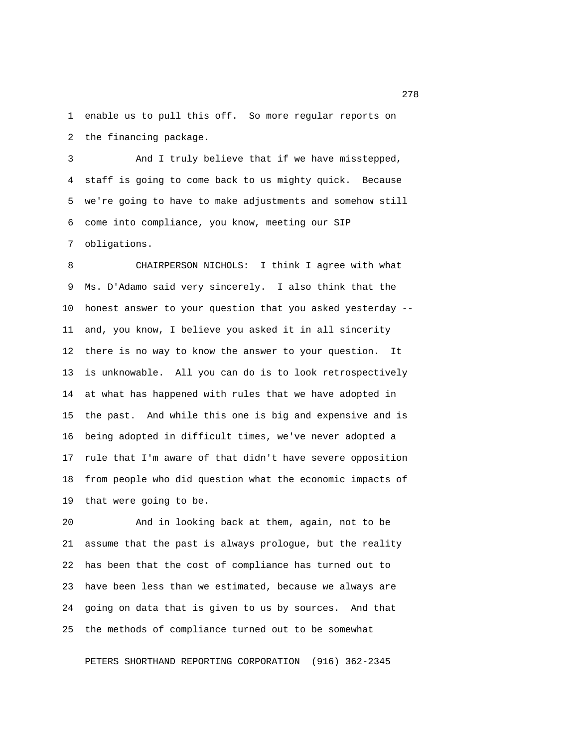1 enable us to pull this off. So more regular reports on 2 the financing package.

 3 And I truly believe that if we have misstepped, 4 staff is going to come back to us mighty quick. Because 5 we're going to have to make adjustments and somehow still 6 come into compliance, you know, meeting our SIP 7 obligations.

 8 CHAIRPERSON NICHOLS: I think I agree with what 9 Ms. D'Adamo said very sincerely. I also think that the 10 honest answer to your question that you asked yesterday -- 11 and, you know, I believe you asked it in all sincerity 12 there is no way to know the answer to your question. It 13 is unknowable. All you can do is to look retrospectively 14 at what has happened with rules that we have adopted in 15 the past. And while this one is big and expensive and is 16 being adopted in difficult times, we've never adopted a 17 rule that I'm aware of that didn't have severe opposition 18 from people who did question what the economic impacts of 19 that were going to be.

20 And in looking back at them, again, not to be 21 assume that the past is always prologue, but the reality 22 has been that the cost of compliance has turned out to 23 have been less than we estimated, because we always are 24 going on data that is given to us by sources. And that 25 the methods of compliance turned out to be somewhat

PETERS SHORTHAND REPORTING CORPORATION (916) 362-2345

278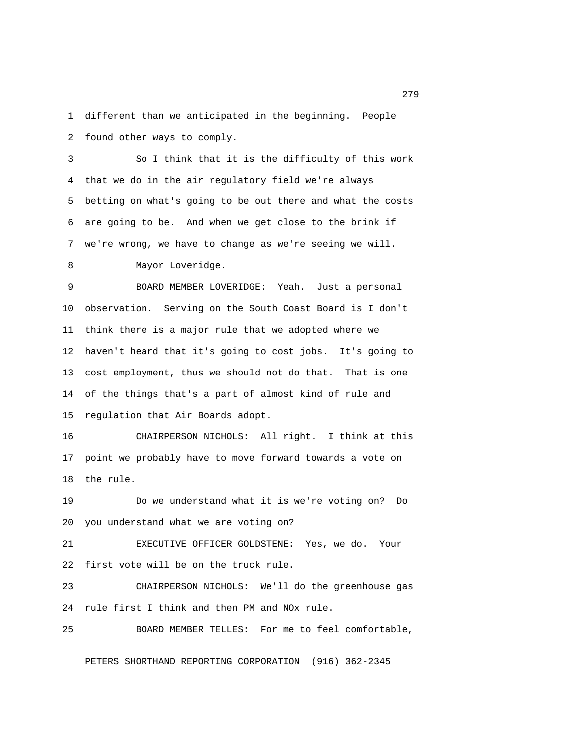1 different than we anticipated in the beginning. People 2 found other ways to comply.

 3 So I think that it is the difficulty of this work 4 that we do in the air regulatory field we're always 5 betting on what's going to be out there and what the costs 6 are going to be. And when we get close to the brink if 7 we're wrong, we have to change as we're seeing we will.

8 Mayor Loveridge.

 9 BOARD MEMBER LOVERIDGE: Yeah. Just a personal 10 observation. Serving on the South Coast Board is I don't 11 think there is a major rule that we adopted where we 12 haven't heard that it's going to cost jobs. It's going to 13 cost employment, thus we should not do that. That is one 14 of the things that's a part of almost kind of rule and 15 regulation that Air Boards adopt.

16 CHAIRPERSON NICHOLS: All right. I think at this 17 point we probably have to move forward towards a vote on 18 the rule.

19 Do we understand what it is we're voting on? Do 20 you understand what we are voting on?

21 EXECUTIVE OFFICER GOLDSTENE: Yes, we do. Your 22 first vote will be on the truck rule.

23 CHAIRPERSON NICHOLS: We'll do the greenhouse gas 24 rule first I think and then PM and NOx rule.

25 BOARD MEMBER TELLES: For me to feel comfortable,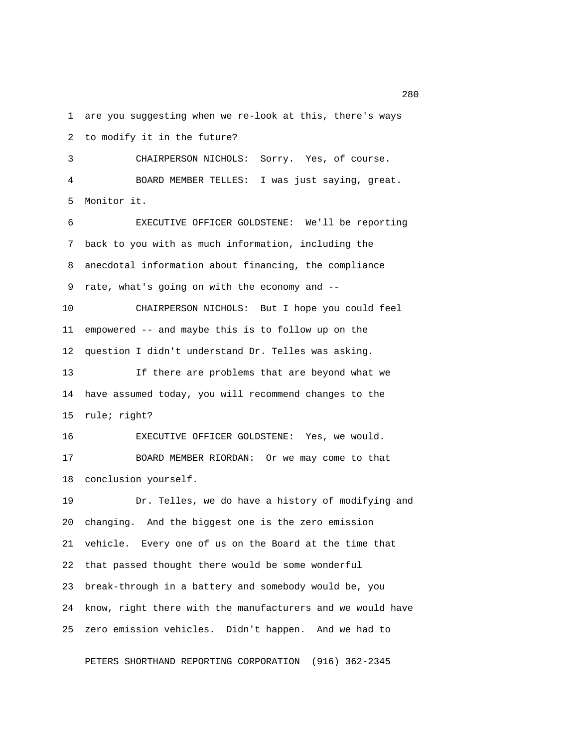1 are you suggesting when we re-look at this, there's ways 2 to modify it in the future?

 3 CHAIRPERSON NICHOLS: Sorry. Yes, of course. 4 BOARD MEMBER TELLES: I was just saying, great. 5 Monitor it.

 6 EXECUTIVE OFFICER GOLDSTENE: We'll be reporting 7 back to you with as much information, including the 8 anecdotal information about financing, the compliance 9 rate, what's going on with the economy and --

10 CHAIRPERSON NICHOLS: But I hope you could feel 11 empowered -- and maybe this is to follow up on the 12 question I didn't understand Dr. Telles was asking.

13 If there are problems that are beyond what we 14 have assumed today, you will recommend changes to the 15 rule; right?

16 EXECUTIVE OFFICER GOLDSTENE: Yes, we would. 17 BOARD MEMBER RIORDAN: Or we may come to that 18 conclusion yourself.

19 Dr. Telles, we do have a history of modifying and 20 changing. And the biggest one is the zero emission 21 vehicle. Every one of us on the Board at the time that 22 that passed thought there would be some wonderful 23 break-through in a battery and somebody would be, you 24 know, right there with the manufacturers and we would have 25 zero emission vehicles. Didn't happen. And we had to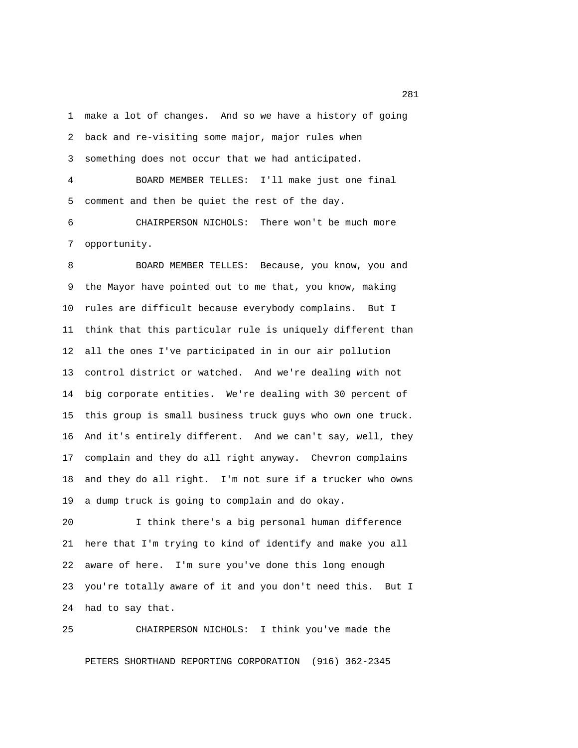1 make a lot of changes. And so we have a history of going 2 back and re-visiting some major, major rules when 3 something does not occur that we had anticipated.

 4 BOARD MEMBER TELLES: I'll make just one final 5 comment and then be quiet the rest of the day.

 6 CHAIRPERSON NICHOLS: There won't be much more 7 opportunity.

8 BOARD MEMBER TELLES: Because, you know, you and 9 the Mayor have pointed out to me that, you know, making 10 rules are difficult because everybody complains. But I 11 think that this particular rule is uniquely different than 12 all the ones I've participated in in our air pollution 13 control district or watched. And we're dealing with not 14 big corporate entities. We're dealing with 30 percent of 15 this group is small business truck guys who own one truck. 16 And it's entirely different. And we can't say, well, they 17 complain and they do all right anyway. Chevron complains 18 and they do all right. I'm not sure if a trucker who owns 19 a dump truck is going to complain and do okay.

20 I think there's a big personal human difference 21 here that I'm trying to kind of identify and make you all 22 aware of here. I'm sure you've done this long enough 23 you're totally aware of it and you don't need this. But I 24 had to say that.

25 CHAIRPERSON NICHOLS: I think you've made the

PETERS SHORTHAND REPORTING CORPORATION (916) 362-2345

<u>281</u>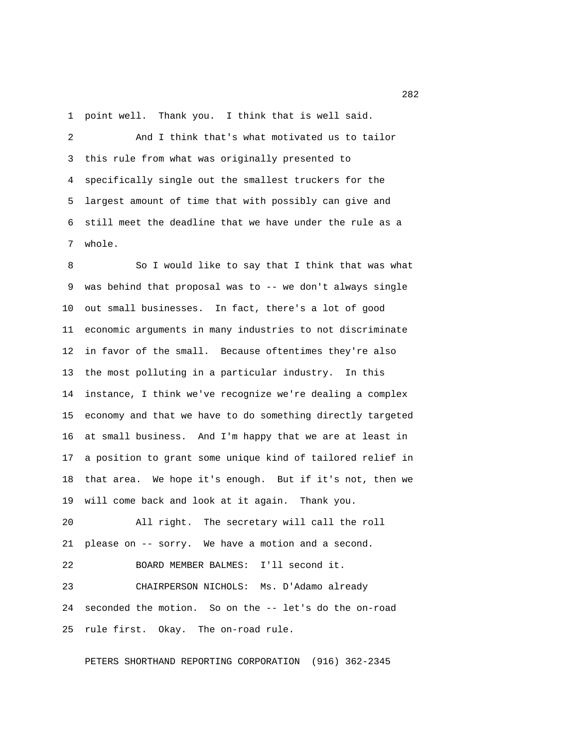1 point well. Thank you. I think that is well said.

 2 And I think that's what motivated us to tailor 3 this rule from what was originally presented to 4 specifically single out the smallest truckers for the 5 largest amount of time that with possibly can give and 6 still meet the deadline that we have under the rule as a 7 whole.

 8 So I would like to say that I think that was what 9 was behind that proposal was to -- we don't always single 10 out small businesses. In fact, there's a lot of good 11 economic arguments in many industries to not discriminate 12 in favor of the small. Because oftentimes they're also 13 the most polluting in a particular industry. In this 14 instance, I think we've recognize we're dealing a complex 15 economy and that we have to do something directly targeted 16 at small business. And I'm happy that we are at least in 17 a position to grant some unique kind of tailored relief in 18 that area. We hope it's enough. But if it's not, then we 19 will come back and look at it again. Thank you.

20 All right. The secretary will call the roll 21 please on -- sorry. We have a motion and a second.

22 BOARD MEMBER BALMES: I'll second it.

23 CHAIRPERSON NICHOLS: Ms. D'Adamo already 24 seconded the motion. So on the -- let's do the on-road 25 rule first. Okay. The on-road rule.

PETERS SHORTHAND REPORTING CORPORATION (916) 362-2345

 $282$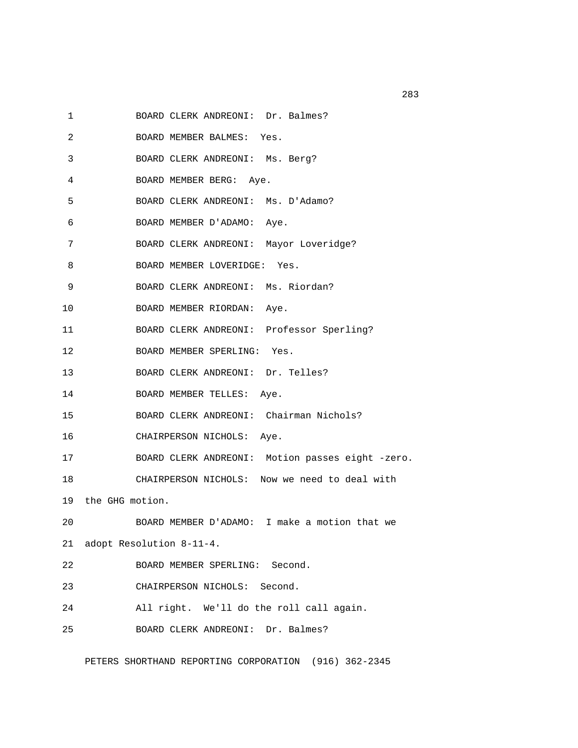1 BOARD CLERK ANDREONI: Dr. Balmes?

- 2 BOARD MEMBER BALMES: Yes.
- 3 BOARD CLERK ANDREONI: Ms. Berg?
- 4 BOARD MEMBER BERG: Aye.
- 5 BOARD CLERK ANDREONI: Ms. D'Adamo?
- 6 BOARD MEMBER D'ADAMO: Aye.
- 7 BOARD CLERK ANDREONI: Mayor Loveridge?
- 8 BOARD MEMBER LOVERIDGE: Yes.
- 9 BOARD CLERK ANDREONI: Ms. Riordan?
- 10 BOARD MEMBER RIORDAN: Aye.
- 11 BOARD CLERK ANDREONI: Professor Sperling?
- 12 BOARD MEMBER SPERLING: Yes.
- 13 BOARD CLERK ANDREONI: Dr. Telles?
- 14 BOARD MEMBER TELLES: Aye.
- 15 BOARD CLERK ANDREONI: Chairman Nichols?
- 16 CHAIRPERSON NICHOLS: Aye.
- 17 BOARD CLERK ANDREONI: Motion passes eight -zero.
- 18 CHAIRPERSON NICHOLS: Now we need to deal with
- 19 the GHG motion.
- 20 BOARD MEMBER D'ADAMO: I make a motion that we
- 21 adopt Resolution 8-11-4.
- 22 BOARD MEMBER SPERLING: Second.
- 23 CHAIRPERSON NICHOLS: Second.
- 24 All right. We'll do the roll call again.
- 25 BOARD CLERK ANDREONI: Dr. Balmes?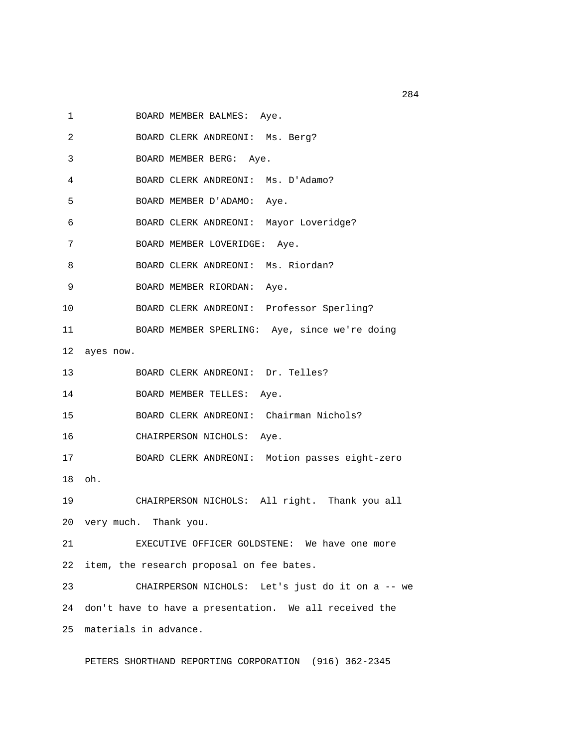- 1 BOARD MEMBER BALMES: Aye.
- 2 BOARD CLERK ANDREONI: Ms. Berg?
- 3 BOARD MEMBER BERG: Aye.
- 4 BOARD CLERK ANDREONI: Ms. D'Adamo?
- 5 BOARD MEMBER D'ADAMO: Aye.
- 6 BOARD CLERK ANDREONI: Mayor Loveridge?
- 7 BOARD MEMBER LOVERIDGE: Aye.
- 8 BOARD CLERK ANDREONI: Ms. Riordan?
- 9 BOARD MEMBER RIORDAN: Aye.
- 10 BOARD CLERK ANDREONI: Professor Sperling?
- 11 BOARD MEMBER SPERLING: Aye, since we're doing
- 12 ayes now.
- 13 BOARD CLERK ANDREONI: Dr. Telles?
- 14 BOARD MEMBER TELLES: Aye.
- 15 BOARD CLERK ANDREONI: Chairman Nichols?
- 16 CHAIRPERSON NICHOLS: Aye.
- 17 BOARD CLERK ANDREONI: Motion passes eight-zero
- 18 oh.
- 19 CHAIRPERSON NICHOLS: All right. Thank you all 20 very much. Thank you.
- 21 EXECUTIVE OFFICER GOLDSTENE: We have one more 22 item, the research proposal on fee bates.
- 23 CHAIRPERSON NICHOLS: Let's just do it on a -- we 24 don't have to have a presentation. We all received the 25 materials in advance.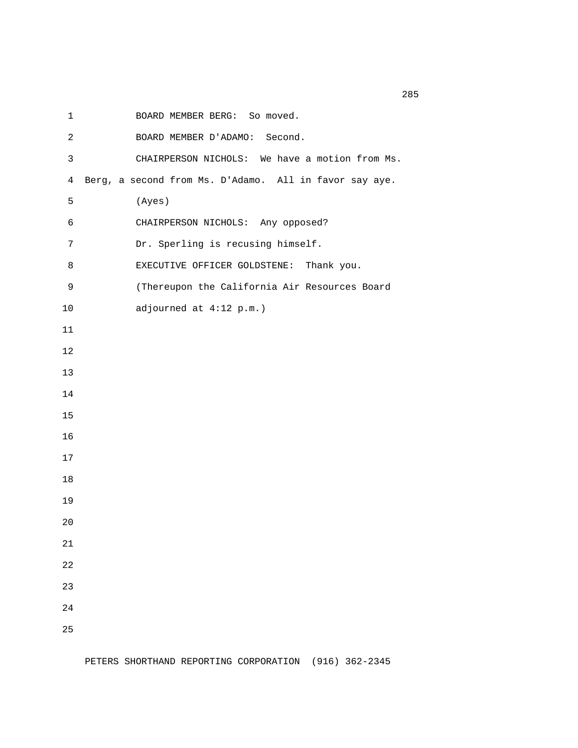1 BOARD MEMBER BERG: So moved.

 2 BOARD MEMBER D'ADAMO: Second. 3 CHAIRPERSON NICHOLS: We have a motion from Ms. 4 Berg, a second from Ms. D'Adamo. All in favor say aye. 5 (Ayes) 6 CHAIRPERSON NICHOLS: Any opposed? 7 Dr. Sperling is recusing himself. 8 EXECUTIVE OFFICER GOLDSTENE: Thank you. 9 (Thereupon the California Air Resources Board 10 adjourned at 4:12 p.m.) 11 12 13 14 15 16 17 18 19 20 21 22 23 24 25